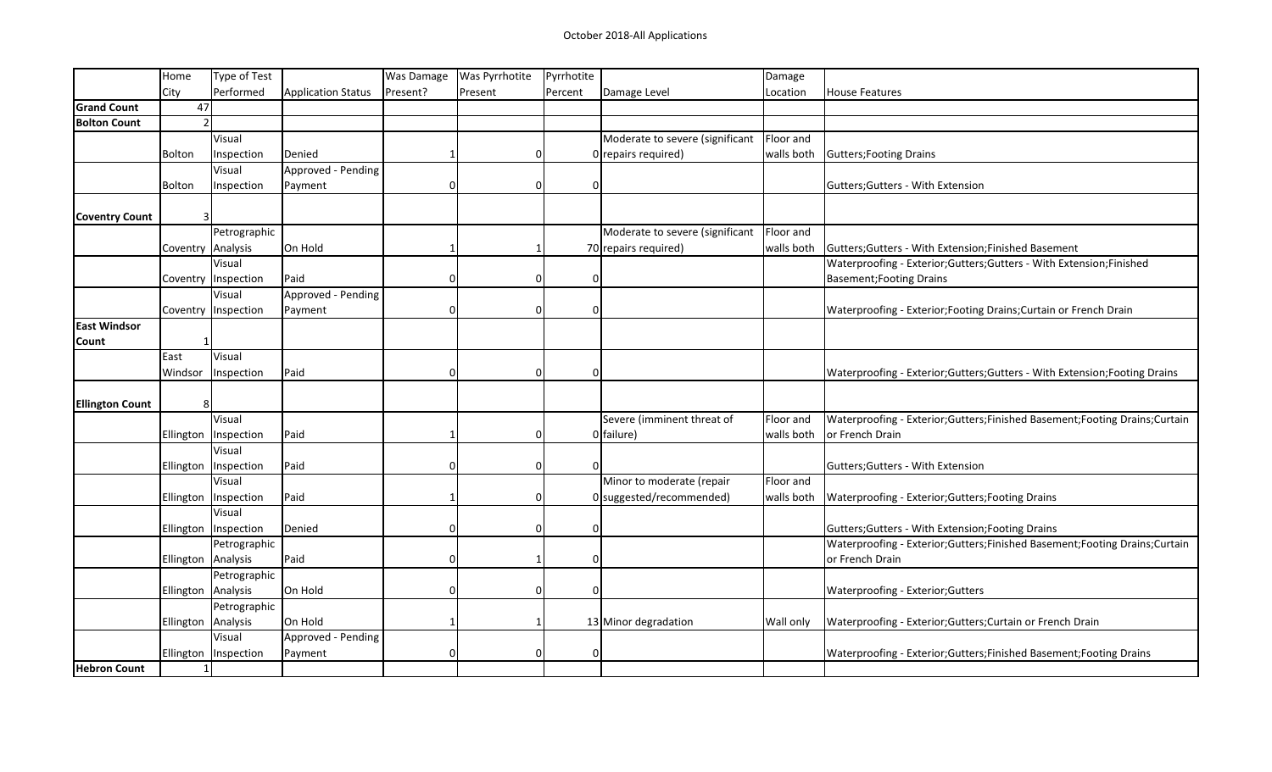|                        | Home               | Type of Test           |                    | Was Damage | <b>Was Pyrrhotite</b> | Pyrrhotite                  |                                 | Damage     |                                                                               |
|------------------------|--------------------|------------------------|--------------------|------------|-----------------------|-----------------------------|---------------------------------|------------|-------------------------------------------------------------------------------|
|                        | City               | Performed              | Application Status | Present?   | Present               | Percent                     | Damage Level                    | Location   | House Features                                                                |
| <b>Grand Count</b>     | 47                 |                        |                    |            |                       |                             |                                 |            |                                                                               |
| <b>Bolton Count</b>    | $\mathfrak{p}$     |                        |                    |            |                       |                             |                                 |            |                                                                               |
|                        |                    | Visual                 |                    |            |                       |                             | Moderate to severe (significant | Floor and  |                                                                               |
|                        | Bolton             | Inspection             | Denied             |            |                       | 0                           | $0$ repairs required)           |            | walls both Gutters; Footing Drains                                            |
|                        |                    | Visual                 | Approved - Pending |            |                       |                             |                                 |            |                                                                               |
|                        | Bolton             | Inspection             | Payment            | $\Omega$   |                       | $\vert 0 \vert$<br>$\Omega$ |                                 |            | Gutters; Gutters - With Extension                                             |
|                        |                    |                        |                    |            |                       |                             |                                 |            |                                                                               |
| <b>Coventry Count</b>  | 3                  |                        |                    |            |                       |                             |                                 |            |                                                                               |
|                        |                    | Petrographic           |                    |            |                       |                             | Moderate to severe (significant | Floor and  |                                                                               |
|                        | Coventry Analysis  |                        | On Hold            |            |                       |                             | 70 repairs required)            |            | walls both Gutters; Gutters - With Extension; Finished Basement               |
|                        |                    | Visual                 |                    |            |                       |                             |                                 |            | Waterproofing - Exterior; Gutters; Gutters - With Extension; Finished         |
|                        |                    | Coventry   Inspection  | Paid               |            |                       | $\Omega$<br>0               |                                 |            | <b>Basement; Footing Drains</b>                                               |
|                        |                    | Visual                 | Approved - Pending |            |                       |                             |                                 |            |                                                                               |
|                        |                    | Coventry   Inspection  | Payment            |            |                       | $\Omega$                    |                                 |            | Waterproofing - Exterior; Footing Drains; Curtain or French Drain             |
| <b>East Windsor</b>    |                    |                        |                    |            |                       |                             |                                 |            |                                                                               |
| Count                  |                    |                        |                    |            |                       |                             |                                 |            |                                                                               |
|                        | East               | Visual                 |                    |            |                       |                             |                                 |            |                                                                               |
|                        | Windsor            | Inspection             | Paid               |            |                       | $\overline{0}$<br>$\Omega$  |                                 |            | Waterproofing - Exterior; Gutters; Gutters - With Extension; Footing Drains   |
|                        |                    |                        |                    |            |                       |                             |                                 |            |                                                                               |
| <b>Ellington Count</b> | 8                  |                        |                    |            |                       |                             |                                 |            |                                                                               |
|                        |                    | Visual                 |                    |            |                       |                             | Severe (imminent threat of      | Floor and  | Waterproofing - Exterior; Gutters; Finished Basement; Footing Drains; Curtain |
|                        | Ellington          | Inspection             | Paid               |            |                       | $\Omega$                    | $0$ failure)                    | walls both | or French Drain                                                               |
|                        |                    | Visual                 |                    |            |                       |                             |                                 |            |                                                                               |
|                        |                    | Ellington   Inspection | Paid               |            |                       | 0                           |                                 |            | Gutters; Gutters - With Extension                                             |
|                        |                    | Visual                 |                    |            |                       |                             | Minor to moderate (repair       | Floor and  |                                                                               |
|                        | Ellington          | Inspection             | Paid               |            |                       | $\Omega$                    | 0 suggested/recommended)        | walls both | Waterproofing - Exterior; Gutters; Footing Drains                             |
|                        |                    | Visual                 |                    |            |                       |                             |                                 |            |                                                                               |
|                        |                    | Ellington   Inspection | Denied             | $\Omega$   |                       | $\overline{0}$<br>$\Omega$  |                                 |            | Gutters; Gutters - With Extension; Footing Drains                             |
|                        |                    | Petrographic           |                    |            |                       |                             |                                 |            | Waterproofing - Exterior; Gutters; Finished Basement; Footing Drains; Curtain |
|                        | Ellington Analysis |                        | Paid               |            |                       | $\Omega$                    |                                 |            | or French Drain                                                               |
|                        |                    | Petrographic           |                    |            |                       |                             |                                 |            |                                                                               |
|                        | Ellington Analysis |                        | On Hold            |            |                       | $\Omega$<br><sup>0</sup>    |                                 |            | Waterproofing - Exterior; Gutters                                             |
|                        |                    | Petrographic           |                    |            |                       |                             |                                 |            |                                                                               |
|                        | Ellington Analysis |                        | On Hold            |            |                       |                             | 13 Minor degradation            | Wall only  | Waterproofing - Exterior; Gutters; Curtain or French Drain                    |
|                        |                    | Visual                 | Approved - Pending |            |                       |                             |                                 |            |                                                                               |
|                        |                    | Ellington   Inspection | Payment            |            |                       | $\Omega$                    |                                 |            | Waterproofing - Exterior; Gutters; Finished Basement; Footing Drains          |
| <b>Hebron Count</b>    | $\mathbf{1}$       |                        |                    |            |                       |                             |                                 |            |                                                                               |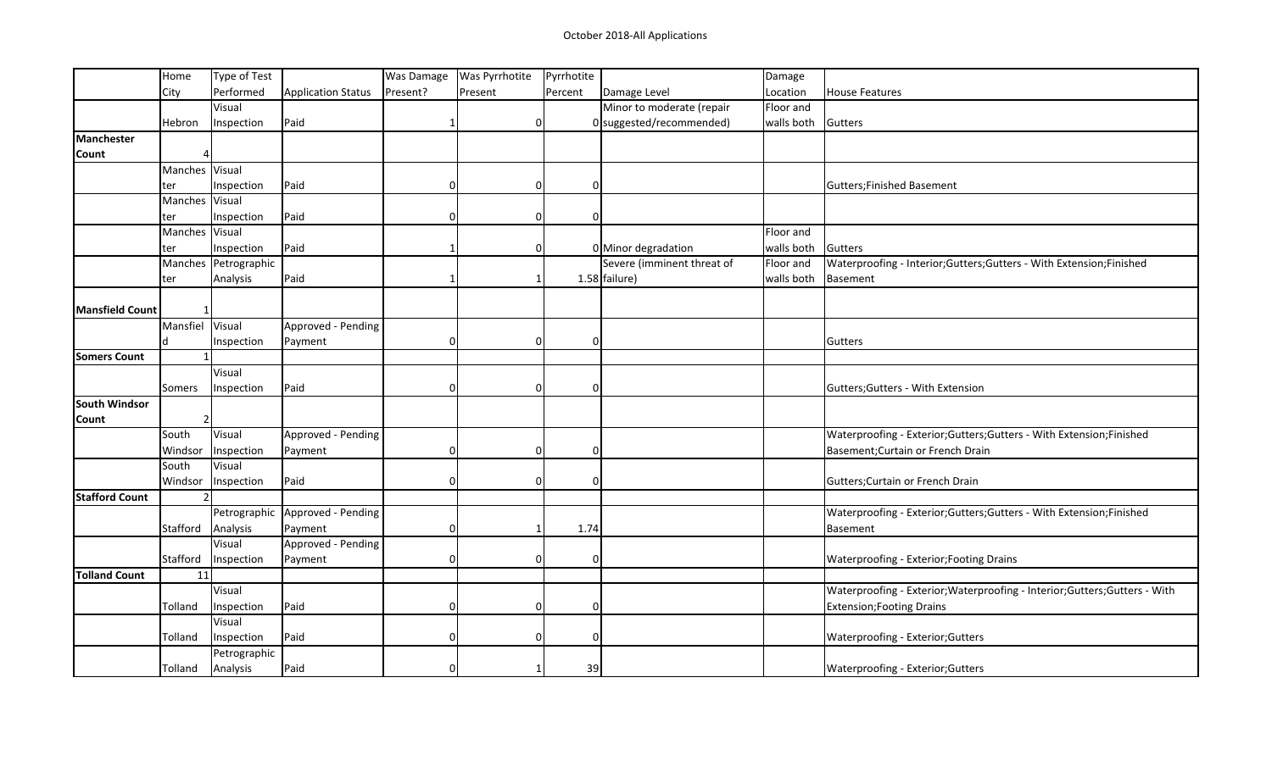|                        | Home           | Type of Test         |                                 | Was Damage     | <b>Was Pyrrhotite</b> | Pyrrhotite  |                            | Damage             |                                                                             |
|------------------------|----------------|----------------------|---------------------------------|----------------|-----------------------|-------------|----------------------------|--------------------|-----------------------------------------------------------------------------|
|                        | City           | Performed            | Application Status              | Present?       | Present               | Percent     | Damage Level               | Location           | <b>House Features</b>                                                       |
|                        |                | Visual               |                                 |                |                       |             | Minor to moderate (repair  | Floor and          |                                                                             |
|                        | Hebron         | Inspection           | Paid                            |                | $\Omega$              |             | 0 suggested/recommended)   | walls both Gutters |                                                                             |
| <b>Manchester</b>      |                |                      |                                 |                |                       |             |                            |                    |                                                                             |
| Count                  |                |                      |                                 |                |                       |             |                            |                    |                                                                             |
|                        | Manches Visual |                      |                                 |                |                       |             |                            |                    |                                                                             |
|                        | ter            | Inspection           | Paid                            | $\overline{0}$ | 0                     | $\Omega$    |                            |                    | Gutters; Finished Basement                                                  |
|                        | Manches Visual |                      |                                 |                |                       |             |                            |                    |                                                                             |
|                        | ter            | Inspection           | Paid                            | $\Omega$       | 0                     | $\Omega$    |                            |                    |                                                                             |
|                        | Manches Visual |                      |                                 |                |                       |             |                            | Floor and          |                                                                             |
|                        | ter            | Inspection           | Paid                            |                | 0                     |             | 0 Minor degradation        | walls both         | Gutters                                                                     |
|                        |                | Manches Petrographic |                                 |                |                       |             | Severe (imminent threat of | Floor and          | Waterproofing - Interior; Gutters; Gutters - With Extension; Finished       |
|                        | ter            | Analysis             | Paid                            |                | 1                     |             | $1.58$ failure)            | walls both         | Basement                                                                    |
|                        |                |                      |                                 |                |                       |             |                            |                    |                                                                             |
| <b>Mansfield Count</b> |                |                      |                                 |                |                       |             |                            |                    |                                                                             |
|                        | Mansfiel       | Visual               | Approved - Pending              |                |                       |             |                            |                    |                                                                             |
|                        | d              | Inspection           | Payment                         | $\overline{0}$ | $\overline{0}$        | $\mathbf 0$ |                            |                    | Gutters                                                                     |
| <b>Somers Count</b>    | $\mathbf{1}$   |                      |                                 |                |                       |             |                            |                    |                                                                             |
|                        |                | Visual               |                                 |                |                       |             |                            |                    |                                                                             |
|                        | Somers         | Inspection           | Paid                            | $\Omega$       | 0                     | $\Omega$    |                            |                    | Gutters; Gutters - With Extension                                           |
| <b>South Windsor</b>   |                |                      |                                 |                |                       |             |                            |                    |                                                                             |
| Count                  | $\overline{2}$ |                      |                                 |                |                       |             |                            |                    |                                                                             |
|                        | South          | Visual               | Approved - Pending              |                |                       |             |                            |                    | Waterproofing - Exterior; Gutters; Gutters - With Extension; Finished       |
|                        | Windsor        | Inspection           | Payment                         | $\Omega$       | 0                     | $\Omega$    |                            |                    | Basement; Curtain or French Drain                                           |
|                        | South          | Visual               |                                 |                |                       |             |                            |                    |                                                                             |
|                        | Windsor        | Inspection           | Paid                            | $\Omega$       | 0                     | $\Omega$    |                            |                    | Gutters; Curtain or French Drain                                            |
| <b>Stafford Count</b>  | $\overline{2}$ |                      |                                 |                |                       |             |                            |                    |                                                                             |
|                        |                |                      | Petrographic Approved - Pending |                |                       |             |                            |                    | Waterproofing - Exterior;Gutters;Gutters - With Extension;Finished          |
|                        | Stafford       | Analysis             | Payment                         | 0              | 1                     | 1.74        |                            |                    | Basement                                                                    |
|                        |                | Visual               | Approved - Pending              |                |                       |             |                            |                    |                                                                             |
|                        | Stafford       | Inspection           | Payment                         | $\Omega$       | 0                     | $\Omega$    |                            |                    | <b>Waterproofing - Exterior; Footing Drains</b>                             |
| <b>Tolland Count</b>   | 11             |                      |                                 |                |                       |             |                            |                    |                                                                             |
|                        |                | Visual               |                                 |                |                       |             |                            |                    | Waterproofing - Exterior; Waterproofing - Interior; Gutters; Gutters - With |
|                        | Tolland        | Inspection           | Paid                            | $\Omega$       | 0                     | $\Omega$    |                            |                    | Extension; Footing Drains                                                   |
|                        |                | Visual               |                                 |                |                       |             |                            |                    |                                                                             |
|                        | Tolland        | Inspection           | Paid                            | $\Omega$       | 0                     | $\Omega$    |                            |                    | Waterproofing - Exterior; Gutters                                           |
|                        |                | Petrographic         |                                 |                |                       |             |                            |                    |                                                                             |
|                        | Tolland        | Analysis             | Paid                            | $\overline{0}$ |                       | 39          |                            |                    | Waterproofing - Exterior; Gutters                                           |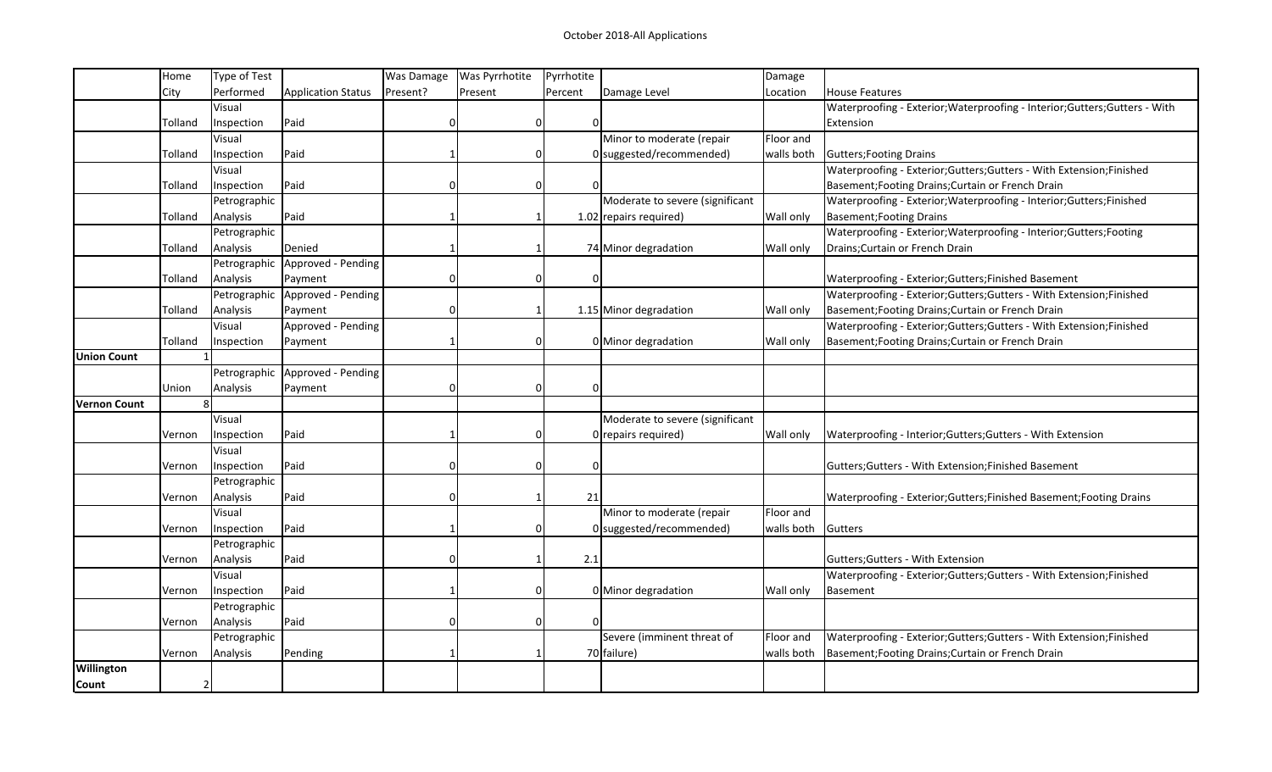|                     | Home         | Type of Test |                                   | Was Damage | <b>Was Pyrrhotite</b> | Pyrrhotite |                                 | Damage           |                                                                             |
|---------------------|--------------|--------------|-----------------------------------|------------|-----------------------|------------|---------------------------------|------------------|-----------------------------------------------------------------------------|
|                     | City         | Performed    | <b>Application Status</b>         | Present?   | Present               | Percent    | Damage Level                    | Location         | <b>House Features</b>                                                       |
|                     |              | Visual       |                                   |            |                       |            |                                 |                  | Waterproofing - Exterior; Waterproofing - Interior; Gutters; Gutters - With |
|                     | Tolland      | Inspection   | Paid                              | O          | O                     | C          |                                 |                  | Extension                                                                   |
|                     |              | Visual       |                                   |            |                       |            | Minor to moderate (repair       | Floor and        |                                                                             |
|                     | Tolland      | Inspection   | Paid                              |            |                       |            | 0 suggested/recommended)        | walls both       | Gutters; Footing Drains                                                     |
|                     |              | Visual       |                                   |            |                       |            |                                 |                  | Waterproofing - Exterior;Gutters;Gutters - With Extension;Finished          |
|                     | Tolland      | Inspection   | Paid                              | O          | ი                     |            |                                 |                  | Basement; Footing Drains; Curtain or French Drain                           |
|                     |              | Petrographic |                                   |            |                       |            | Moderate to severe (significant |                  | Waterproofing - Exterior; Waterproofing - Interior; Gutters; Finished       |
|                     | Tolland      | Analysis     | Paid                              |            |                       |            | $1.02$ repairs required)        | Wall only        | Basement; Footing Drains                                                    |
|                     |              | Petrographic |                                   |            |                       |            |                                 |                  | Waterproofing - Exterior; Waterproofing - Interior; Gutters; Footing        |
|                     | Tolland      | Analysis     | Denied                            |            |                       |            | 74 Minor degradation            | Wall only        | Drains; Curtain or French Drain                                             |
|                     |              |              | Petrographic   Approved - Pending |            |                       |            |                                 |                  |                                                                             |
|                     | Tolland      | Analysis     | Payment                           |            |                       |            |                                 |                  | Waterproofing - Exterior;Gutters;Finished Basement                          |
|                     |              |              | Petrographic   Approved - Pending |            |                       |            |                                 |                  | Waterproofing - Exterior;Gutters;Gutters - With Extension;Finished          |
|                     | Tolland      | Analysis     | Payment                           | $\Omega$   |                       |            | 1.15 Minor degradation          | Wall only        | Basement; Footing Drains; Curtain or French Drain                           |
|                     |              | Visual       | Approved - Pending                |            |                       |            |                                 |                  | Waterproofing - Exterior;Gutters;Gutters - With Extension;Finished          |
|                     | Tolland      | Inspection   | Payment                           |            |                       |            | 0 Minor degradation             | Wall only        | Basement; Footing Drains; Curtain or French Drain                           |
| <b>Union Count</b>  |              |              |                                   |            |                       |            |                                 |                  |                                                                             |
|                     |              |              | Petrographic Approved - Pending   |            |                       |            |                                 |                  |                                                                             |
|                     | Union        | Analysis     | Payment                           | 0          | ი                     | C          |                                 |                  |                                                                             |
| <b>Vernon Count</b> | $\mathbf{8}$ |              |                                   |            |                       |            |                                 |                  |                                                                             |
|                     |              | Visual       |                                   |            |                       |            | Moderate to severe (significant |                  |                                                                             |
|                     | Vernon       | Inspection   | Paid                              |            |                       |            | 0 repairs required)             | <b>Wall only</b> | Waterproofing - Interior; Gutters; Gutters - With Extension                 |
|                     |              | Visual       |                                   |            |                       |            |                                 |                  |                                                                             |
|                     | Vernon       | Inspection   | Paid                              |            |                       | C          |                                 |                  | Gutters; Gutters - With Extension; Finished Basement                        |
|                     |              | Petrographic |                                   |            |                       |            |                                 |                  |                                                                             |
|                     | Vernon       | Analysis     | Paid                              | O          |                       | 21         |                                 |                  | Waterproofing - Exterior; Gutters; Finished Basement; Footing Drains        |
|                     |              | Visual       |                                   |            |                       |            | Minor to moderate (repair       | Floor and        |                                                                             |
|                     | Vernon       | Inspection   | Paid                              |            | ი                     |            | 0 suggested/recommended)        | walls both       | Gutters                                                                     |
|                     |              | Petrographic |                                   |            |                       |            |                                 |                  |                                                                             |
|                     | Vernon       | Analysis     | Paid                              |            |                       | 2.1        |                                 |                  | Gutters; Gutters - With Extension                                           |
|                     |              | Visual       |                                   |            |                       |            |                                 |                  | Waterproofing - Exterior; Gutters; Gutters - With Extension; Finished       |
|                     | Vernon       | Inspection   | Paid                              |            | ŋ                     |            | 0 Minor degradation             | Wall only        | Basement                                                                    |
|                     |              | Petrographic |                                   |            |                       |            |                                 |                  |                                                                             |
|                     | Vernon       | Analysis     | Paid                              |            |                       | n          |                                 |                  |                                                                             |
|                     |              | Petrographic |                                   |            |                       |            | Severe (imminent threat of      | Floor and        | Waterproofing - Exterior; Gutters; Gutters - With Extension; Finished       |
|                     | Vernon       | Analysis     | Pending                           |            |                       |            | 70 failure)                     | walls both       | Basement; Footing Drains; Curtain or French Drain                           |
| Willington          |              |              |                                   |            |                       |            |                                 |                  |                                                                             |
| Count               | 2            |              |                                   |            |                       |            |                                 |                  |                                                                             |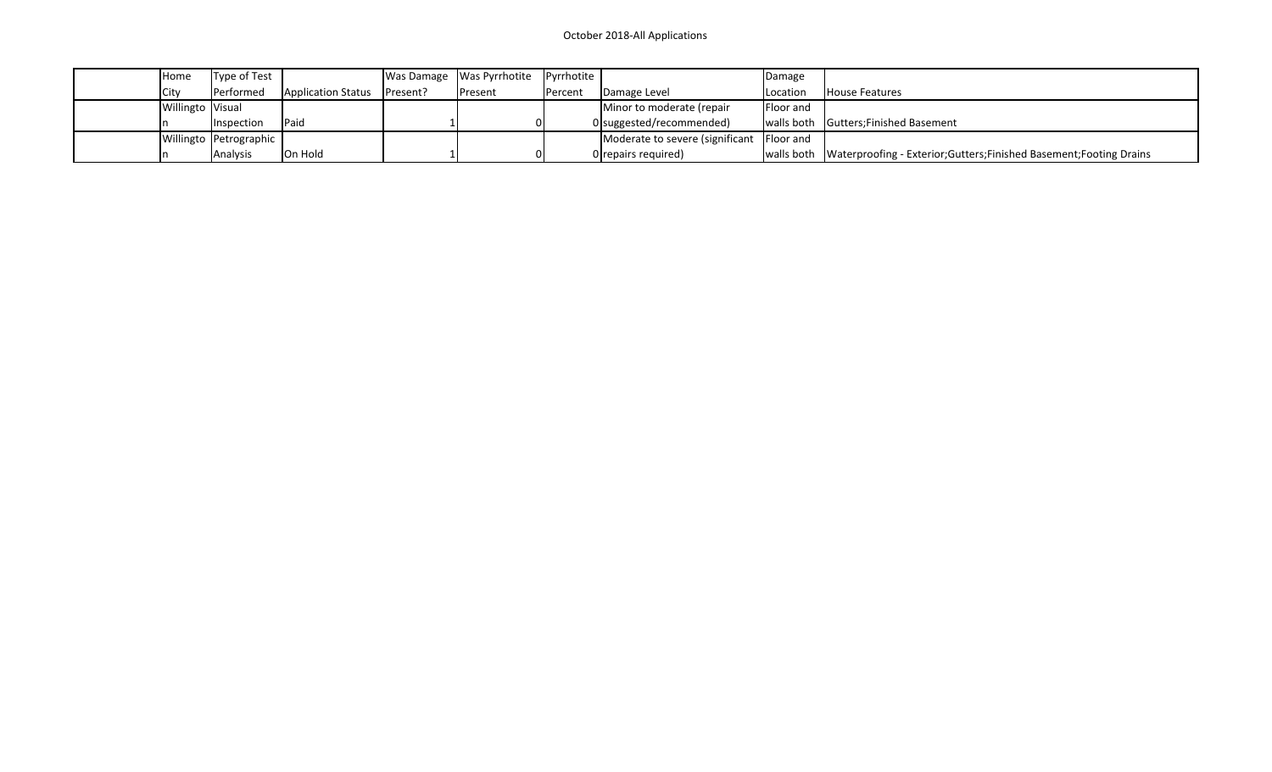| Home               | Type of Test           |                    |          | Was Damage   Was Pyrrhotite | Pyrrhotite |                                             | Damage    |                                                                               |
|--------------------|------------------------|--------------------|----------|-----------------------------|------------|---------------------------------------------|-----------|-------------------------------------------------------------------------------|
| City               | Performed              | Application Status | Present? | <b>Present</b>              | Percent    | Damage Level                                | Location  | <b>House Features</b>                                                         |
| Willingto   Visual |                        |                    |          |                             |            | Minor to moderate (repair                   | Floor and |                                                                               |
|                    | Inspection             | <b>Paid</b>        |          |                             |            | 0 suggested/recommended)                    |           | walls both Gutters; Finished Basement                                         |
|                    | Willingto Petrographic |                    |          |                             |            | Moderate to severe (significant   Floor and |           |                                                                               |
|                    | Analysis               | IOn Hold           |          |                             |            | $0$ repairs required)                       |           | walls both  Waterproofing - Exterior;Gutters;Finished Basement;Footing Drains |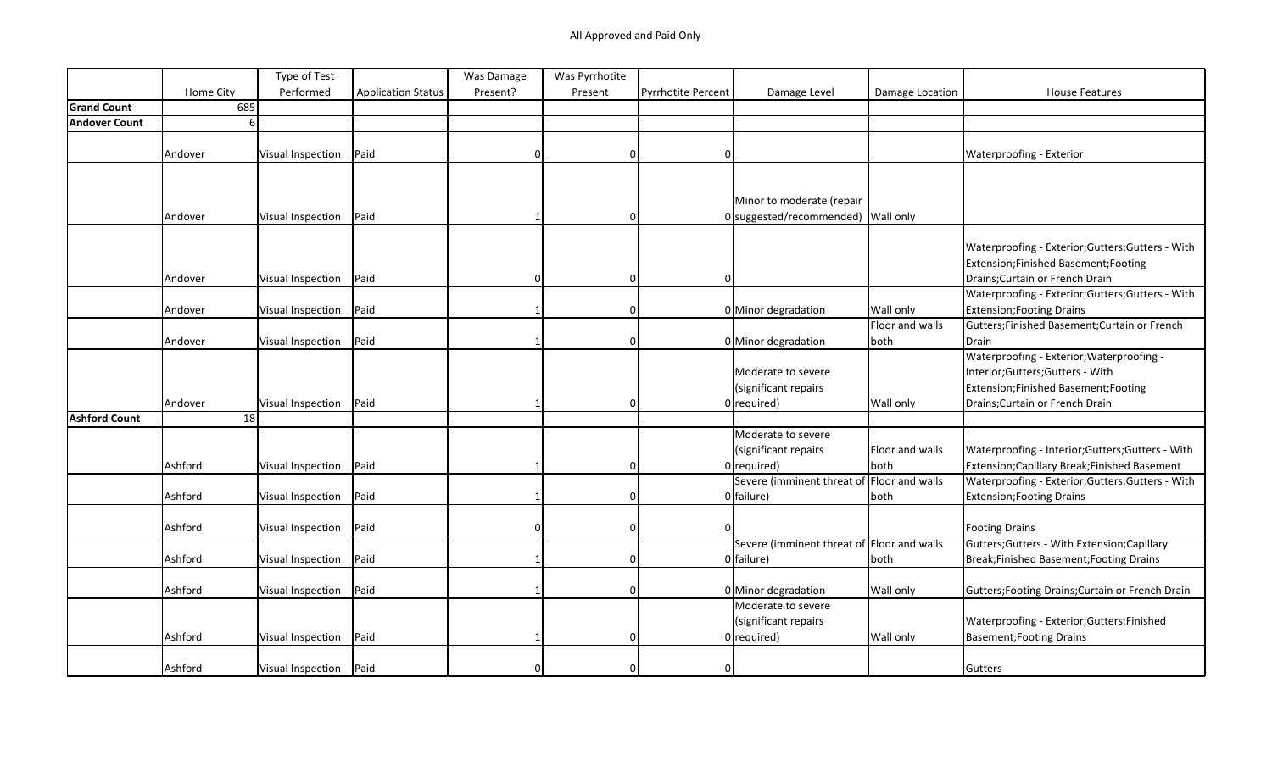|                      |           | Type of Test      |                           | Was Damage | Was Pyrrhotite |                           |                                            |                 |                                                   |
|----------------------|-----------|-------------------|---------------------------|------------|----------------|---------------------------|--------------------------------------------|-----------------|---------------------------------------------------|
|                      | Home City | Performed         | <b>Application Status</b> | Present?   | Present        | <b>Pyrrhotite Percent</b> | Damage Level                               | Damage Location | <b>House Features</b>                             |
| <b>Grand Count</b>   | 685       |                   |                           |            |                |                           |                                            |                 |                                                   |
| <b>Andover Count</b> | 6         |                   |                           |            |                |                           |                                            |                 |                                                   |
|                      |           |                   |                           |            |                |                           |                                            |                 |                                                   |
|                      | Andover   | Visual Inspection | Paid                      | n          | 0              | $\Omega$                  |                                            |                 | <b>Waterproofing - Exterior</b>                   |
|                      |           |                   |                           |            |                |                           |                                            |                 |                                                   |
|                      |           |                   |                           |            |                |                           |                                            |                 |                                                   |
|                      |           |                   |                           |            |                |                           | Minor to moderate (repair                  |                 |                                                   |
|                      | Andover   | Visual Inspection | Paid                      |            |                |                           | 0 suggested/recommended) Wall only         |                 |                                                   |
|                      |           |                   |                           |            |                |                           |                                            |                 |                                                   |
|                      |           |                   |                           |            |                |                           |                                            |                 | Waterproofing - Exterior; Gutters; Gutters - With |
|                      |           |                   |                           |            |                |                           |                                            |                 | Extension; Finished Basement; Footing             |
|                      | Andover   | Visual Inspection | Paid                      |            | 0              | <sup>0</sup>              |                                            |                 | Drains; Curtain or French Drain                   |
|                      |           |                   |                           |            |                |                           |                                            |                 | Waterproofing - Exterior; Gutters; Gutters - With |
|                      | Andover   | Visual Inspection | Paid                      |            | $\Omega$       |                           | 0 Minor degradation                        | Wall only       | <b>Extension; Footing Drains</b>                  |
|                      |           |                   |                           |            |                |                           |                                            | Floor and walls | Gutters; Finished Basement; Curtain or French     |
|                      | Andover   | Visual Inspection | Paid                      |            | $\Omega$       |                           | 0 Minor degradation                        | both            | Drain                                             |
|                      |           |                   |                           |            |                |                           |                                            |                 | Waterproofing - Exterior; Waterproofing -         |
|                      |           |                   |                           |            |                |                           | Moderate to severe                         |                 | Interior; Gutters; Gutters - With                 |
|                      |           |                   |                           |            |                |                           | (significant repairs                       |                 | Extension;Finished Basement;Footing               |
|                      | Andover   | Visual Inspection | Paid                      |            | $\Omega$       |                           | $0$ required)                              | Wall only       | Drains; Curtain or French Drain                   |
| <b>Ashford Count</b> | 18        |                   |                           |            |                |                           |                                            |                 |                                                   |
|                      |           |                   |                           |            |                |                           | Moderate to severe                         |                 |                                                   |
|                      |           |                   |                           |            |                |                           | (significant repairs                       | Floor and walls | Waterproofing - Interior; Gutters; Gutters - With |
|                      | Ashford   | Visual Inspection | Paid                      |            | 0              |                           | $0$ required)                              | both            | Extension; Capillary Break; Finished Basement     |
|                      |           |                   |                           |            |                |                           | Severe (imminent threat of Floor and walls |                 | Waterproofing - Exterior; Gutters; Gutters - With |
|                      | Ashford   | Visual Inspection | Paid                      |            | 0              |                           | 0 failure)                                 | both            | Extension; Footing Drains                         |
|                      |           |                   |                           |            |                |                           |                                            |                 |                                                   |
|                      | Ashford   | Visual Inspection | Paid                      |            | $\Omega$       |                           |                                            |                 | <b>Footing Drains</b>                             |
|                      |           |                   |                           |            |                |                           | Severe (imminent threat of Floor and walls |                 | Gutters; Gutters - With Extension; Capillary      |
|                      | Ashford   | Visual Inspection | Paid                      |            | 0              |                           | 0 failure)                                 | both            | Break;Finished Basement;Footing Drains            |
|                      |           |                   |                           |            |                |                           |                                            |                 |                                                   |
|                      | Ashford   | Visual Inspection | Paid                      |            | $\Omega$       |                           | 0 Minor degradation                        | Wall only       | Gutters; Footing Drains; Curtain or French Drain  |
|                      |           |                   |                           |            |                |                           | Moderate to severe                         |                 |                                                   |
|                      |           |                   |                           |            |                |                           | (significant repairs                       |                 | Waterproofing - Exterior; Gutters; Finished       |
|                      | Ashford   | Visual Inspection | Paid                      |            | 0              |                           | $0$ required)                              | Wall only       | Basement; Footing Drains                          |
|                      |           |                   |                           |            |                |                           |                                            |                 |                                                   |
|                      | Ashford   | Visual Inspection | Paid                      |            | U              | <sup>0</sup>              |                                            |                 | Gutters                                           |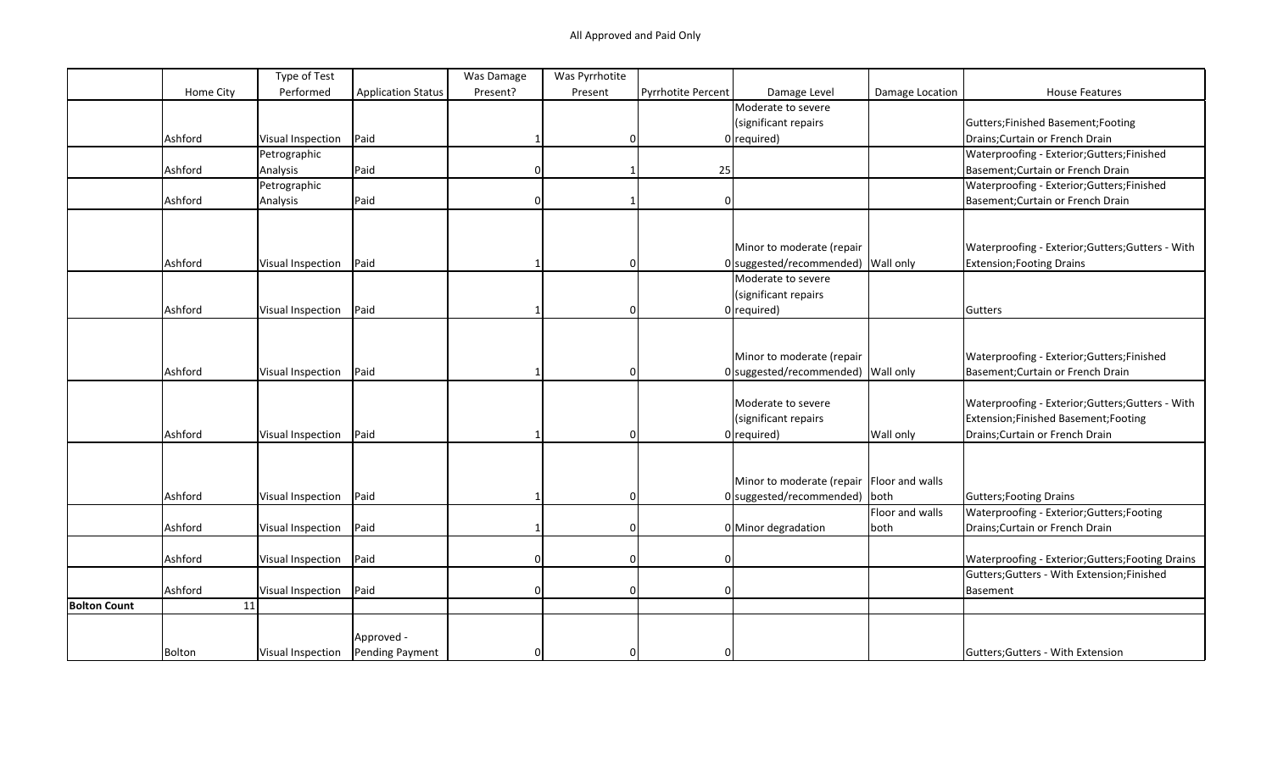|                     |           | Type of Test             |                           | Was Damage | Was Pyrrhotite |                    |                                             |                 |                                                   |
|---------------------|-----------|--------------------------|---------------------------|------------|----------------|--------------------|---------------------------------------------|-----------------|---------------------------------------------------|
|                     | Home City | Performed                | <b>Application Status</b> | Present?   | Present        | Pyrrhotite Percent | Damage Level                                | Damage Location | <b>House Features</b>                             |
|                     |           |                          |                           |            |                |                    | Moderate to severe                          |                 |                                                   |
|                     |           |                          |                           |            |                |                    | (significant repairs                        |                 | Gutters;Finished Basement;Footing                 |
|                     | Ashford   | Visual Inspection        | Paid                      |            | $\Omega$       |                    | $0$ required)                               |                 | Drains; Curtain or French Drain                   |
|                     |           | Petrographic             |                           |            |                |                    |                                             |                 | Waterproofing - Exterior; Gutters; Finished       |
|                     | Ashford   | Analysis                 | Paid                      |            |                | 25                 |                                             |                 | Basement; Curtain or French Drain                 |
|                     |           | Petrographic             |                           |            |                |                    |                                             |                 | Waterproofing - Exterior; Gutters; Finished       |
|                     | Ashford   | Analysis                 | Paid                      |            |                | $\mathbf 0$        |                                             |                 | Basement; Curtain or French Drain                 |
|                     |           |                          |                           |            |                |                    |                                             |                 |                                                   |
|                     |           |                          |                           |            |                |                    |                                             |                 |                                                   |
|                     |           |                          |                           |            |                |                    | Minor to moderate (repair                   |                 | Waterproofing - Exterior; Gutters; Gutters - With |
|                     | Ashford   | Visual Inspection        | Paid                      |            | 0              |                    | 0 suggested/recommended) Wall only          |                 | <b>Extension; Footing Drains</b>                  |
|                     |           |                          |                           |            |                |                    | Moderate to severe                          |                 |                                                   |
|                     |           |                          |                           |            |                |                    | (significant repairs                        |                 |                                                   |
|                     | Ashford   | Visual Inspection        | Paid                      |            | 0              |                    | $0$ required)                               |                 | Gutters                                           |
|                     |           |                          |                           |            |                |                    |                                             |                 |                                                   |
|                     |           |                          |                           |            |                |                    |                                             |                 |                                                   |
|                     |           |                          |                           |            |                |                    | Minor to moderate (repair                   |                 | Waterproofing - Exterior; Gutters; Finished       |
|                     | Ashford   | Visual Inspection        | Paid                      |            | 0              |                    | $0$ suggested/recommended) Wall only        |                 | Basement; Curtain or French Drain                 |
|                     |           |                          |                           |            |                |                    |                                             |                 |                                                   |
|                     |           |                          |                           |            |                |                    | Moderate to severe                          |                 | Waterproofing - Exterior; Gutters; Gutters - With |
|                     |           |                          |                           |            |                |                    | (significant repairs                        |                 | Extension; Finished Basement; Footing             |
|                     | Ashford   | <b>Visual Inspection</b> | Paid                      |            | 0              |                    | $0$ required)                               | Wall only       | Drains; Curtain or French Drain                   |
|                     |           |                          |                           |            |                |                    |                                             |                 |                                                   |
|                     |           |                          |                           |            |                |                    |                                             |                 |                                                   |
|                     |           |                          |                           |            |                |                    | Minor to moderate (repair   Floor and walls |                 |                                                   |
|                     | Ashford   | <b>Visual Inspection</b> | Paid                      |            | $\Omega$       |                    | 0 suggested/recommended) both               |                 | Gutters; Footing Drains                           |
|                     |           |                          |                           |            |                |                    |                                             | Floor and walls |                                                   |
|                     |           |                          | Paid                      |            | 0              |                    |                                             |                 | Waterproofing - Exterior; Gutters; Footing        |
|                     | Ashford   | <b>Visual Inspection</b> |                           |            |                |                    | 0 Minor degradation                         | both            | Drains; Curtain or French Drain                   |
|                     |           |                          |                           |            |                |                    |                                             |                 |                                                   |
|                     | Ashford   | Visual Inspection        | Paid                      | $\Omega$   | 0              | $\mathbf 0$        |                                             |                 | Waterproofing - Exterior; Gutters; Footing Drains |
|                     |           |                          |                           |            |                |                    |                                             |                 | Gutters; Gutters - With Extension; Finished       |
|                     | Ashford   | Visual Inspection        | Paid                      | 0          | 0              | $\mathbf 0$        |                                             |                 | <b>Basement</b>                                   |
| <b>Bolton Count</b> | 11        |                          |                           |            |                |                    |                                             |                 |                                                   |
|                     |           |                          |                           |            |                |                    |                                             |                 |                                                   |
|                     |           |                          | Approved -                |            |                |                    |                                             |                 |                                                   |
|                     | Bolton    | Visual Inspection        | Pending Payment           |            | $\Omega$       | 0                  |                                             |                 | Gutters; Gutters - With Extension                 |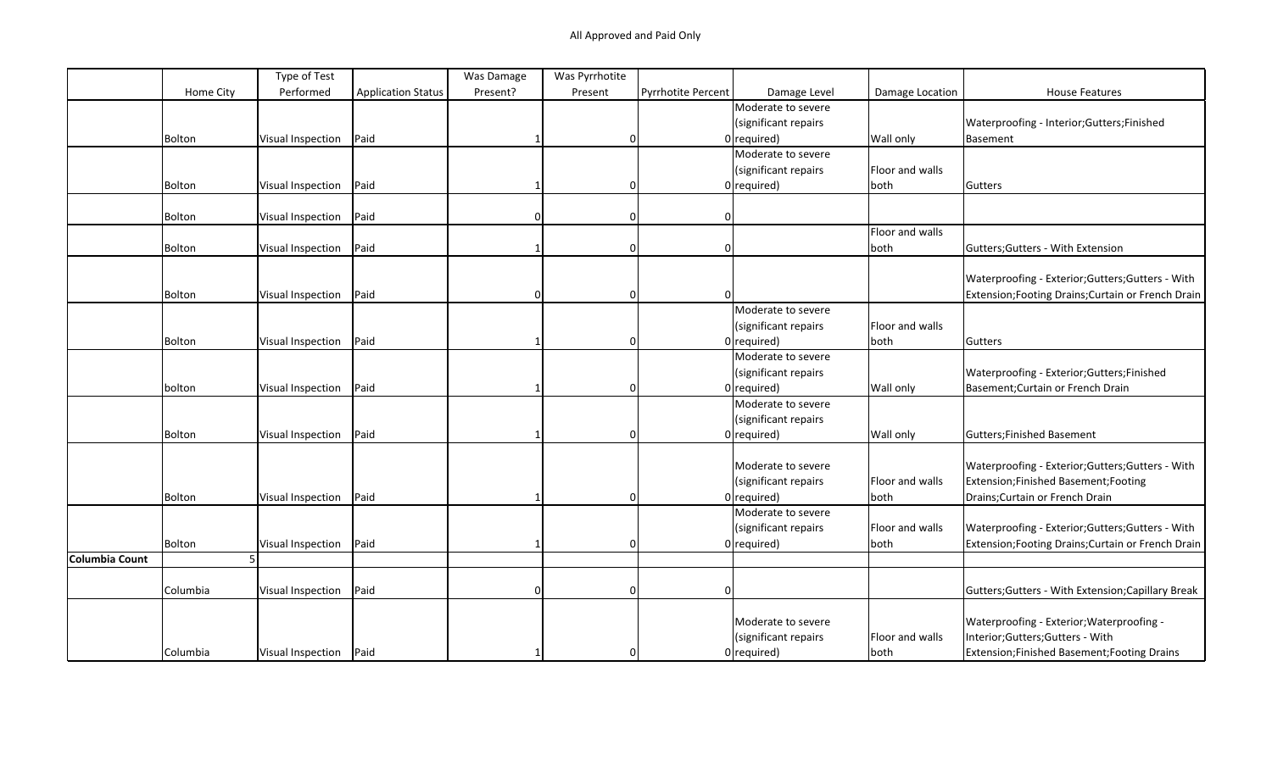|                     | Type of Test             |                           | Was Damage | Was Pyrrhotite |                    |                      |                 |                                                    |
|---------------------|--------------------------|---------------------------|------------|----------------|--------------------|----------------------|-----------------|----------------------------------------------------|
| Home City           | Performed                | <b>Application Status</b> | Present?   | Present        | Pyrrhotite Percent | Damage Level         | Damage Location | <b>House Features</b>                              |
|                     |                          |                           |            |                |                    | Moderate to severe   |                 |                                                    |
|                     |                          |                           |            |                |                    | (significant repairs |                 | Waterproofing - Interior; Gutters; Finished        |
| Bolton              | <b>Visual Inspection</b> | Paid                      |            | 0              |                    | $0$ required)        | Wall only       | Basement                                           |
|                     |                          |                           |            |                |                    | Moderate to severe   |                 |                                                    |
|                     |                          |                           |            |                |                    | (significant repairs | Floor and walls |                                                    |
| Bolton              | <b>Visual Inspection</b> | Paid                      |            | $\Omega$       |                    | $0$ required)        | both            | Gutters                                            |
|                     |                          |                           |            |                |                    |                      |                 |                                                    |
| Bolton              | Visual Inspection        | Paid                      |            | $\Omega$       | 0                  |                      |                 |                                                    |
|                     |                          |                           |            |                |                    |                      | Floor and walls |                                                    |
| Bolton              | Visual Inspection        | Paid                      |            | 0              | 0                  |                      | both            | Gutters; Gutters - With Extension                  |
|                     |                          |                           |            |                |                    |                      |                 |                                                    |
|                     |                          |                           |            |                |                    |                      |                 | Waterproofing - Exterior; Gutters; Gutters - With  |
| Bolton              | Visual Inspection        | Paid                      | $\Omega$   | 0              | $\Omega$           |                      |                 | Extension; Footing Drains; Curtain or French Drain |
|                     |                          |                           |            |                |                    | Moderate to severe   |                 |                                                    |
|                     |                          |                           |            |                |                    | (significant repairs | Floor and walls |                                                    |
| Bolton              | Visual Inspection        | Paid                      |            | 0              |                    | $0$ required)        | both            | Gutters                                            |
|                     |                          |                           |            |                |                    | Moderate to severe   |                 |                                                    |
|                     |                          |                           |            |                |                    | (significant repairs |                 | Waterproofing - Exterior; Gutters; Finished        |
| bolton              | Visual Inspection        | Paid                      |            | $\Omega$       |                    | $0$ required)        | Wall only       | Basement; Curtain or French Drain                  |
|                     |                          |                           |            |                |                    | Moderate to severe   |                 |                                                    |
|                     |                          |                           |            |                |                    | (significant repairs |                 |                                                    |
| Bolton              | Visual Inspection        | Paid                      |            | $\Omega$       |                    | $0$ required)        | Wall only       | Gutters; Finished Basement                         |
|                     |                          |                           |            |                |                    |                      |                 |                                                    |
|                     |                          |                           |            |                |                    | Moderate to severe   |                 | Waterproofing - Exterior; Gutters; Gutters - With  |
|                     |                          |                           |            |                |                    | (significant repairs | Floor and walls | Extension;Finished Basement;Footing                |
| Bolton              | Visual Inspection        | Paid                      |            | 0              |                    | $0$ required)        | both            | Drains; Curtain or French Drain                    |
|                     |                          |                           |            |                |                    | Moderate to severe   |                 |                                                    |
|                     |                          |                           |            |                |                    | (significant repairs | Floor and walls | Waterproofing - Exterior; Gutters; Gutters - With  |
| Bolton              | Visual Inspection        | Paid                      |            | 0              |                    | $0$ required)        | both            | Extension; Footing Drains; Curtain or French Drain |
| Columbia Count<br>5 |                          |                           |            |                |                    |                      |                 |                                                    |
|                     |                          |                           |            |                |                    |                      |                 |                                                    |
| Columbia            | Visual Inspection        | Paid                      | $\Omega$   | $\Omega$       |                    |                      |                 | Gutters; Gutters - With Extension; Capillary Break |
|                     |                          |                           |            |                |                    |                      |                 |                                                    |
|                     |                          |                           |            |                |                    | Moderate to severe   |                 | Waterproofing - Exterior; Waterproofing -          |
|                     |                          |                           |            |                |                    | (significant repairs | Floor and walls | Interior;Gutters;Gutters - With                    |
|                     |                          |                           |            |                |                    |                      |                 |                                                    |
| Columbia            | Visual Inspection   Paid |                           |            | $\Omega$       |                    | $0$ required)        | both            | Extension; Finished Basement; Footing Drains       |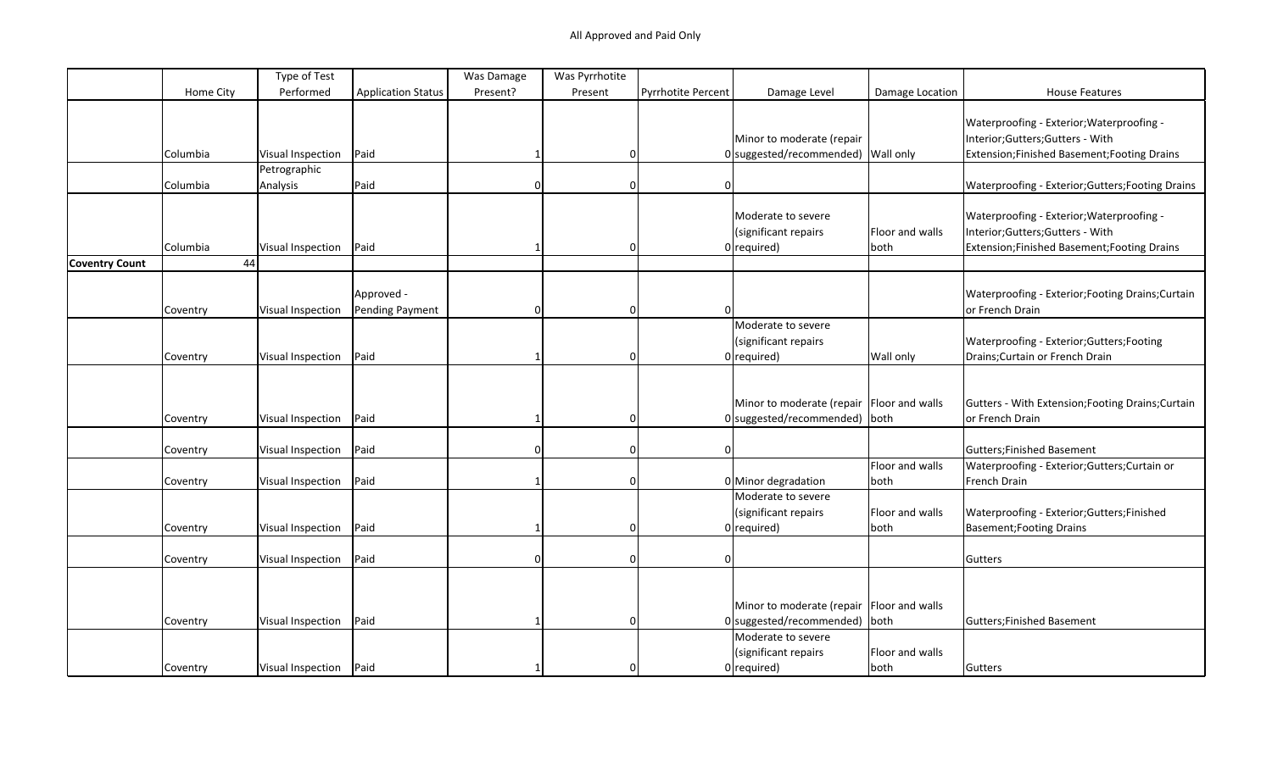|                       |           | Type of Test             |                               | Was Damage | Was Pyrrhotite |                    |                                                                                |                         |                                                                                                                              |
|-----------------------|-----------|--------------------------|-------------------------------|------------|----------------|--------------------|--------------------------------------------------------------------------------|-------------------------|------------------------------------------------------------------------------------------------------------------------------|
|                       | Home City | Performed                | <b>Application Status</b>     | Present?   | Present        | Pyrrhotite Percent | Damage Level                                                                   | Damage Location         | <b>House Features</b>                                                                                                        |
|                       |           |                          |                               |            |                |                    | Minor to moderate (repair                                                      |                         | Waterproofing - Exterior; Waterproofing -<br>Interior;Gutters;Gutters - With                                                 |
|                       | Columbia  | Visual Inspection        | Paid                          |            | 0              |                    | 0 suggested/recommended) Wall only                                             |                         | Extension; Finished Basement; Footing Drains                                                                                 |
|                       |           | Petrographic             |                               |            |                |                    |                                                                                |                         |                                                                                                                              |
|                       | Columbia  | Analysis                 | Paid                          | $\Omega$   | 0              | 0                  |                                                                                |                         | Waterproofing - Exterior; Gutters; Footing Drains                                                                            |
|                       | Columbia  | Visual Inspection        | Paid                          |            | 0              |                    | Moderate to severe<br>(significant repairs<br>$0$  required)                   | Floor and walls<br>both | Waterproofing - Exterior; Waterproofing -<br>Interior;Gutters;Gutters - With<br>Extension; Finished Basement; Footing Drains |
| <b>Coventry Count</b> | 44        |                          |                               |            |                |                    |                                                                                |                         |                                                                                                                              |
|                       | Coventry  | Visual Inspection        | Approved -<br>Pending Payment | $\Omega$   | 0              |                    |                                                                                |                         | Waterproofing - Exterior; Footing Drains; Curtain<br>or French Drain                                                         |
|                       | Coventry  | Visual Inspection        | Paid                          |            | $\Omega$       |                    | Moderate to severe<br>(significant repairs<br>$0$ required)                    | Wall only               | Waterproofing - Exterior; Gutters; Footing<br>Drains; Curtain or French Drain                                                |
|                       | Coventry  | Visual Inspection        | Paid                          |            | $\Omega$       |                    | Minor to moderate (repair   Floor and walls<br>$0$ suggested/recommended) both |                         | Gutters - With Extension; Footing Drains; Curtain<br>or French Drain                                                         |
|                       | Coventry  | Visual Inspection        | Paid                          | $\Omega$   | $\Omega$       |                    |                                                                                |                         | <b>Gutters;Finished Basement</b>                                                                                             |
|                       |           |                          |                               |            |                |                    |                                                                                | Floor and walls         | Waterproofing - Exterior;Gutters;Curtain or                                                                                  |
|                       | Coventry  | Visual Inspection        | Paid                          |            | 0              |                    | 0 Minor degradation                                                            | both                    | French Drain                                                                                                                 |
|                       | Coventry  | Visual Inspection        | Paid                          |            | 0              |                    | Moderate to severe<br>(significant repairs<br>$0$ required)                    | Floor and walls<br>both | Waterproofing - Exterior;Gutters;Finished<br><b>Basement; Footing Drains</b>                                                 |
|                       | Coventry  | Visual Inspection        | Paid                          | $\Omega$   | $\Omega$       | O                  |                                                                                |                         | Gutters                                                                                                                      |
|                       | Coventry  | Visual Inspection        | Paid                          |            | $\Omega$       |                    | Minor to moderate (repair   Floor and walls<br>$0$ suggested/recommended) both |                         | Gutters; Finished Basement                                                                                                   |
|                       | Coventry  | Visual Inspection   Paid |                               |            | $\Omega$       |                    | Moderate to severe<br>(significant repairs<br>$0$ required)                    | Floor and walls<br>both | Gutters                                                                                                                      |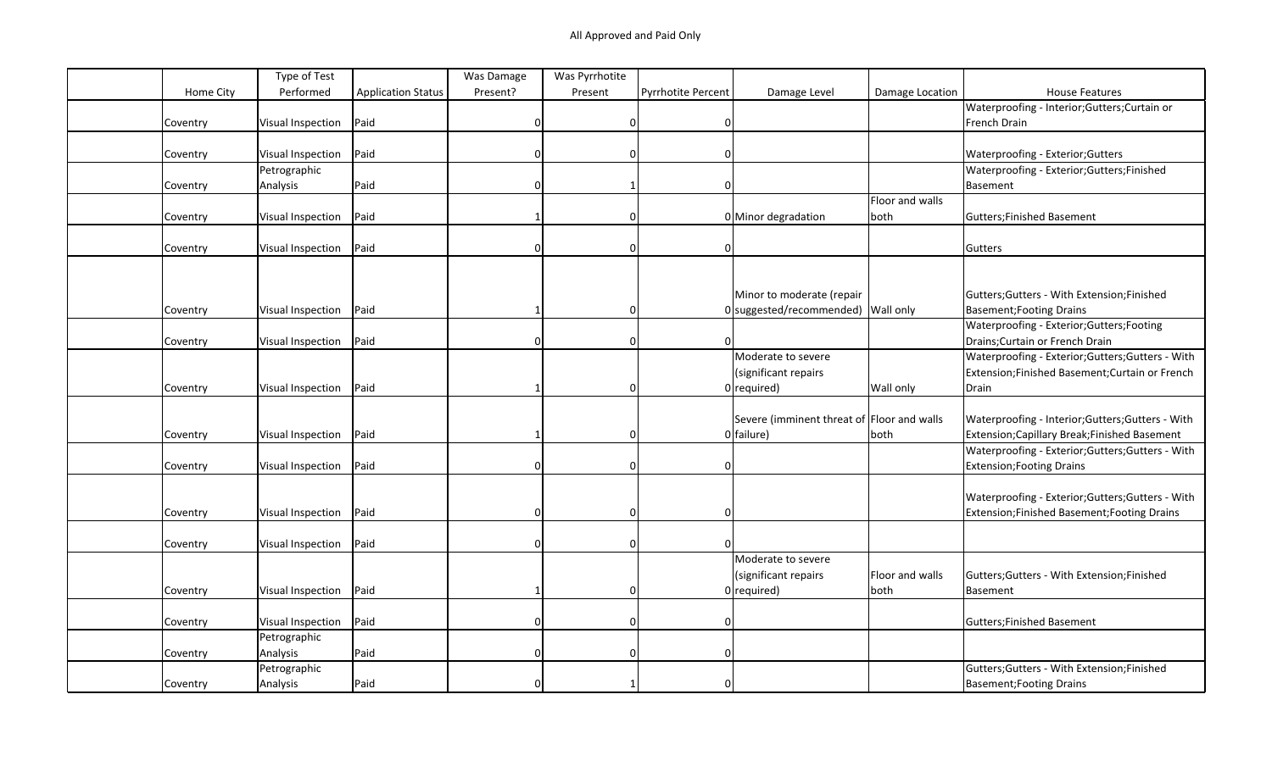|           | Type of Test             |                           | Was Damage | Was Pyrrhotite |                           |                                            |                 |                                                   |
|-----------|--------------------------|---------------------------|------------|----------------|---------------------------|--------------------------------------------|-----------------|---------------------------------------------------|
| Home City | Performed                | <b>Application Status</b> | Present?   | Present        | <b>Pyrrhotite Percent</b> | Damage Level                               | Damage Location | <b>House Features</b>                             |
|           |                          |                           |            |                |                           |                                            |                 | Waterproofing - Interior; Gutters; Curtain or     |
| Coventry  | Visual Inspection        | Paid                      | $\Omega$   | 0              | $\mathbf 0$               |                                            |                 | French Drain                                      |
|           |                          |                           |            |                |                           |                                            |                 |                                                   |
| Coventry  | Visual Inspection        | Paid                      |            | <sup>0</sup>   |                           |                                            |                 | Waterproofing - Exterior; Gutters                 |
|           | Petrographic             |                           |            |                |                           |                                            |                 | Waterproofing - Exterior; Gutters; Finished       |
| Coventry  | Analysis                 | Paid                      |            |                |                           |                                            |                 | Basement                                          |
|           |                          |                           |            |                |                           |                                            | Floor and walls |                                                   |
| Coventry  | Visual Inspection        | Paid                      |            | ŋ              |                           | 0 Minor degradation                        | both            | Gutters; Finished Basement                        |
|           |                          |                           |            |                |                           |                                            |                 |                                                   |
| Coventry  | Visual Inspection        | Paid                      | $\Omega$   | $\Omega$       | $\Omega$                  |                                            |                 | Gutters                                           |
|           |                          |                           |            |                |                           |                                            |                 |                                                   |
|           |                          |                           |            |                |                           |                                            |                 |                                                   |
|           |                          |                           |            |                |                           | Minor to moderate (repair                  |                 | Gutters; Gutters - With Extension; Finished       |
| Coventry  | Visual Inspection        | Paid                      |            | 0              |                           | 0 suggested/recommended) Wall only         |                 | Basement; Footing Drains                          |
|           |                          |                           |            |                |                           |                                            |                 | Waterproofing - Exterior; Gutters; Footing        |
| Coventry  | Visual Inspection        | Paid                      |            | $\Omega$       | <sup>n</sup>              |                                            |                 | Drains; Curtain or French Drain                   |
|           |                          |                           |            |                |                           | Moderate to severe                         |                 | Waterproofing - Exterior; Gutters; Gutters - With |
|           |                          |                           |            |                |                           | (significant repairs                       |                 | Extension;Finished Basement;Curtain or French     |
| Coventry  | Visual Inspection        | Paid                      |            | $\Omega$       |                           | $0$ required)                              | Wall only       | Drain                                             |
|           |                          |                           |            |                |                           |                                            |                 |                                                   |
|           |                          |                           |            |                |                           | Severe (imminent threat of Floor and walls |                 | Waterproofing - Interior; Gutters; Gutters - With |
| Coventry  | Visual Inspection        | Paid                      |            |                |                           | 0 failure)                                 | both            | Extension; Capillary Break; Finished Basement     |
|           |                          |                           |            |                |                           |                                            |                 | Waterproofing - Exterior; Gutters; Gutters - With |
| Coventry  | Visual Inspection        | Paid                      | $\Omega$   | $\Omega$       | $\Omega$                  |                                            |                 | Extension; Footing Drains                         |
|           |                          |                           |            |                |                           |                                            |                 |                                                   |
|           |                          |                           |            |                |                           |                                            |                 | Waterproofing - Exterior; Gutters; Gutters - With |
| Coventry  | Visual Inspection        | Paid                      | $\Omega$   | $\Omega$       | $\Omega$                  |                                            |                 | Extension; Finished Basement; Footing Drains      |
|           |                          |                           |            |                |                           |                                            |                 |                                                   |
| Coventry  | <b>Visual Inspection</b> | Paid                      | $\cap$     | $\Omega$       |                           |                                            |                 |                                                   |
|           |                          |                           |            |                |                           | Moderate to severe                         |                 |                                                   |
|           |                          |                           |            |                |                           | (significant repairs                       | Floor and walls | Gutters; Gutters - With Extension; Finished       |
| Coventry  | Visual Inspection        | Paid                      |            | 0              |                           | $0$ required)                              | both            | Basement                                          |
|           |                          |                           |            |                |                           |                                            |                 |                                                   |
| Coventry  | Visual Inspection        | Paid                      | $\cap$     | 0              | $\Omega$                  |                                            |                 | Gutters; Finished Basement                        |
|           | Petrographic             |                           |            |                |                           |                                            |                 |                                                   |
| Coventry  | Analysis                 | Paid                      | $\Omega$   | $\Omega$       | O                         |                                            |                 |                                                   |
|           | Petrographic             |                           |            |                |                           |                                            |                 | Gutters; Gutters - With Extension; Finished       |
| Coventry  | Analysis                 | Paid                      |            |                | $\Omega$                  |                                            |                 | <b>Basement; Footing Drains</b>                   |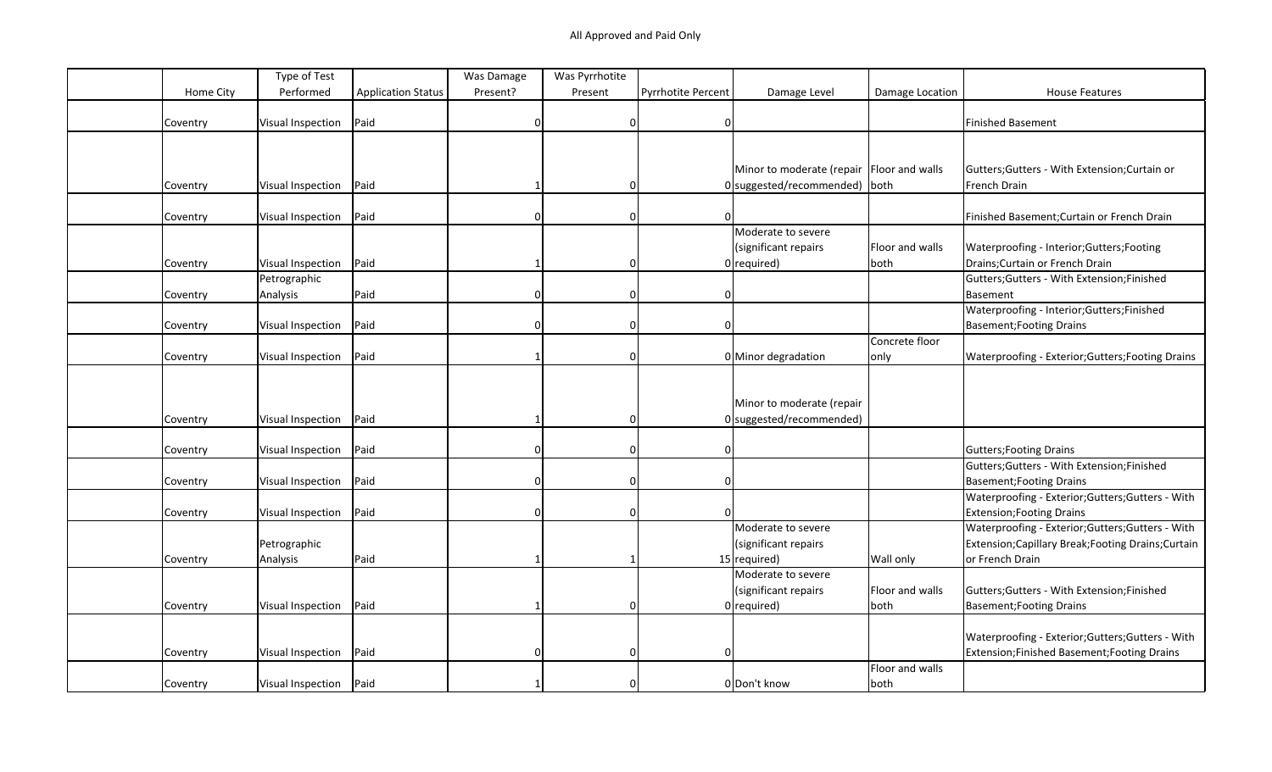|           | Type of Test             |                           | Was Damage | Was Pyrrhotite |                    |                                             |                 |                                                     |
|-----------|--------------------------|---------------------------|------------|----------------|--------------------|---------------------------------------------|-----------------|-----------------------------------------------------|
| Home City | Performed                | <b>Application Status</b> | Present?   | Present        | Pyrrhotite Percent | Damage Level                                | Damage Location | <b>House Features</b>                               |
|           |                          |                           |            |                |                    |                                             |                 |                                                     |
| Coventry  | Visual Inspection        | Paid                      |            | 0              | $\mathbf 0$        |                                             |                 | Finished Basement                                   |
|           |                          |                           |            |                |                    |                                             |                 |                                                     |
|           |                          |                           |            |                |                    |                                             |                 |                                                     |
|           |                          |                           |            |                |                    | Minor to moderate (repair   Floor and walls |                 | Gutters; Gutters - With Extension; Curtain or       |
| Coventry  | Visual Inspection        | Paid                      |            | $\Omega$       |                    | 0 suggested/recommended) both               |                 | French Drain                                        |
|           |                          |                           |            |                |                    |                                             |                 |                                                     |
| Coventry  | Visual Inspection        | Paid                      | $\Omega$   | $\Omega$       | $\Omega$           |                                             |                 | Finished Basement; Curtain or French Drain          |
|           |                          |                           |            |                |                    | Moderate to severe                          |                 |                                                     |
|           |                          |                           |            |                |                    | (significant repairs                        | Floor and walls | Waterproofing - Interior; Gutters; Footing          |
| Coventry  | Visual Inspection        | Paid                      |            | $\Omega$       |                    | $0$ required)                               | both            | Drains; Curtain or French Drain                     |
|           | Petrographic             |                           |            |                |                    |                                             |                 | Gutters; Gutters - With Extension; Finished         |
| Coventry  | Analysis                 | Paid                      | $\Omega$   | 0              | $\mathbf 0$        |                                             |                 | Basement                                            |
|           |                          |                           |            |                |                    |                                             |                 | Waterproofing - Interior; Gutters; Finished         |
|           | Visual Inspection        | Paid                      |            | $\Omega$       | O                  |                                             |                 | <b>Basement; Footing Drains</b>                     |
| Coventry  |                          |                           |            |                |                    |                                             | Concrete floor  |                                                     |
|           |                          |                           |            |                |                    |                                             |                 |                                                     |
| Coventry  | Visual Inspection        | Paid                      |            | 0              |                    | 0 Minor degradation                         | only            | Waterproofing - Exterior; Gutters; Footing Drains   |
|           |                          |                           |            |                |                    |                                             |                 |                                                     |
|           |                          |                           |            |                |                    |                                             |                 |                                                     |
|           |                          |                           |            |                |                    | Minor to moderate (repair                   |                 |                                                     |
| Coventry  | Visual Inspection        | Paid                      |            | $\Omega$       |                    | 0 suggested/recommended)                    |                 |                                                     |
|           |                          |                           |            |                |                    |                                             |                 |                                                     |
| Coventry  | <b>Visual Inspection</b> | Paid                      | $\Omega$   | 0              | $\Omega$           |                                             |                 | <b>Gutters; Footing Drains</b>                      |
|           |                          |                           |            |                |                    |                                             |                 | Gutters; Gutters - With Extension; Finished         |
| Coventry  | Visual Inspection        | Paid                      | $\Omega$   | 0              | $\Omega$           |                                             |                 | <b>Basement; Footing Drains</b>                     |
|           |                          |                           |            |                |                    |                                             |                 | Waterproofing - Exterior; Gutters; Gutters - With   |
| Coventry  | <b>Visual Inspection</b> | Paid                      |            | $\Omega$       |                    |                                             |                 | <b>Extension; Footing Drains</b>                    |
|           |                          |                           |            |                |                    | Moderate to severe                          |                 | Waterproofing - Exterior; Gutters; Gutters - With   |
|           | Petrographic             |                           |            |                |                    | (significant repairs                        |                 | Extension; Capillary Break; Footing Drains; Curtain |
| Coventry  | Analysis                 | Paid                      |            |                |                    | 15 required)                                | Wall only       | or French Drain                                     |
|           |                          |                           |            |                |                    | Moderate to severe                          |                 |                                                     |
|           |                          |                           |            |                |                    | (significant repairs                        | Floor and walls | Gutters; Gutters - With Extension; Finished         |
| Coventry  | Visual Inspection        | Paid                      |            | $\Omega$       |                    | $0$ required)                               | both            | <b>Basement; Footing Drains</b>                     |
|           |                          |                           |            |                |                    |                                             |                 |                                                     |
|           |                          |                           |            |                |                    |                                             |                 | Waterproofing - Exterior;Gutters;Gutters - With     |
| Coventry  | Visual Inspection        | Paid                      | $\Omega$   | 0              | $\Omega$           |                                             |                 | Extension;Finished Basement;Footing Drains          |
|           |                          |                           |            |                |                    |                                             | Floor and walls |                                                     |
| Coventry  | Visual Inspection   Paid |                           |            | $\Omega$       |                    | 0 Don't know                                | both            |                                                     |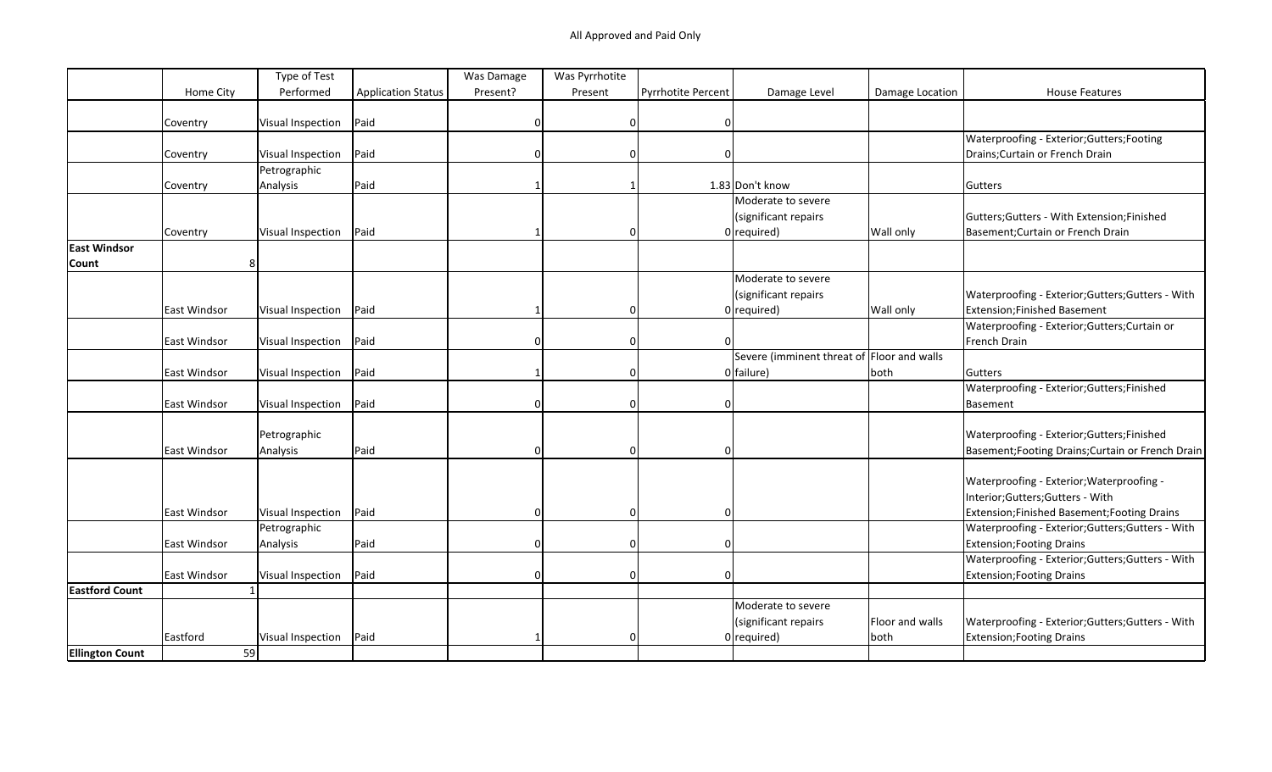|                        |              | Type of Test      |                           | Was Damage | Was Pyrrhotite |                           |                                            |                 |                                                   |
|------------------------|--------------|-------------------|---------------------------|------------|----------------|---------------------------|--------------------------------------------|-----------------|---------------------------------------------------|
|                        | Home City    | Performed         | <b>Application Status</b> | Present?   | Present        | <b>Pyrrhotite Percent</b> | Damage Level                               | Damage Location | <b>House Features</b>                             |
|                        |              |                   |                           |            |                |                           |                                            |                 |                                                   |
|                        | Coventry     | Visual Inspection | Paid                      | 0          | $\Omega$       | $\Omega$                  |                                            |                 |                                                   |
|                        |              |                   |                           |            |                |                           |                                            |                 | Waterproofing - Exterior;Gutters;Footing          |
|                        | Coventry     | Visual Inspection | Paid                      |            |                |                           |                                            |                 | Drains; Curtain or French Drain                   |
|                        |              | Petrographic      |                           |            |                |                           |                                            |                 |                                                   |
|                        | Coventry     | Analysis          | Paid                      |            |                |                           | 1.83 Don't know                            |                 | Gutters                                           |
|                        |              |                   |                           |            |                |                           | Moderate to severe                         |                 |                                                   |
|                        |              |                   |                           |            |                |                           | (significant repairs                       |                 | Gutters; Gutters - With Extension; Finished       |
|                        | Coventry     | Visual Inspection | Paid                      |            | $\Omega$       |                           | $0$  required)                             | Wall only       | Basement; Curtain or French Drain                 |
| <b>East Windsor</b>    |              |                   |                           |            |                |                           |                                            |                 |                                                   |
| <b>Count</b>           | 8            |                   |                           |            |                |                           |                                            |                 |                                                   |
|                        |              |                   |                           |            |                |                           | Moderate to severe                         |                 |                                                   |
|                        |              |                   |                           |            |                |                           | (significant repairs                       |                 | Waterproofing - Exterior; Gutters; Gutters - With |
|                        | East Windsor | Visual Inspection | Paid                      |            | $\Omega$       |                           | $0$ required)                              | Wall only       | Extension; Finished Basement                      |
|                        |              |                   |                           |            |                |                           |                                            |                 | Waterproofing - Exterior; Gutters; Curtain or     |
|                        | East Windsor | Visual Inspection | Paid                      | O          | $\Omega$       | 0                         |                                            |                 | French Drain                                      |
|                        |              |                   |                           |            |                |                           | Severe (imminent threat of Floor and walls |                 |                                                   |
|                        | East Windsor | Visual Inspection | Paid                      |            | 0              |                           | $0$ failure)                               | both            | Gutters                                           |
|                        |              |                   |                           |            |                |                           |                                            |                 | Waterproofing - Exterior; Gutters; Finished       |
|                        | East Windsor | Visual Inspection | Paid                      |            | 0              |                           |                                            |                 | Basement                                          |
|                        |              |                   |                           |            |                |                           |                                            |                 |                                                   |
|                        |              | Petrographic      |                           |            |                |                           |                                            |                 | Waterproofing - Exterior; Gutters; Finished       |
|                        | East Windsor | Analysis          | Paid                      |            | $\Omega$       |                           |                                            |                 | Basement; Footing Drains; Curtain or French Drain |
|                        |              |                   |                           |            |                |                           |                                            |                 |                                                   |
|                        |              |                   |                           |            |                |                           |                                            |                 | Waterproofing - Exterior; Waterproofing -         |
|                        |              |                   |                           |            |                |                           |                                            |                 | Interior; Gutters; Gutters - With                 |
|                        | East Windsor | Visual Inspection | Paid                      | $\Omega$   | 0              |                           |                                            |                 | Extension;Finished Basement;Footing Drains        |
|                        |              | Petrographic      |                           |            |                |                           |                                            |                 | Waterproofing - Exterior; Gutters; Gutters - With |
|                        | East Windsor | Analysis          | Paid                      | n          | 0              |                           |                                            |                 | Extension; Footing Drains                         |
|                        |              |                   |                           |            |                |                           |                                            |                 | Waterproofing - Exterior; Gutters; Gutters - With |
|                        | East Windsor | Visual Inspection | Paid                      |            | $\Omega$       |                           |                                            |                 | <b>Extension; Footing Drains</b>                  |
| <b>Eastford Count</b>  |              |                   |                           |            |                |                           |                                            |                 |                                                   |
|                        |              |                   |                           |            |                |                           | Moderate to severe                         |                 |                                                   |
|                        |              |                   |                           |            |                |                           | (significant repairs                       | Floor and walls | Waterproofing - Exterior; Gutters; Gutters - With |
|                        | Eastford     | Visual Inspection | Paid                      |            | <sup>0</sup>   |                           | $0$ required)                              | both            | <b>Extension; Footing Drains</b>                  |
| <b>Ellington Count</b> | 59           |                   |                           |            |                |                           |                                            |                 |                                                   |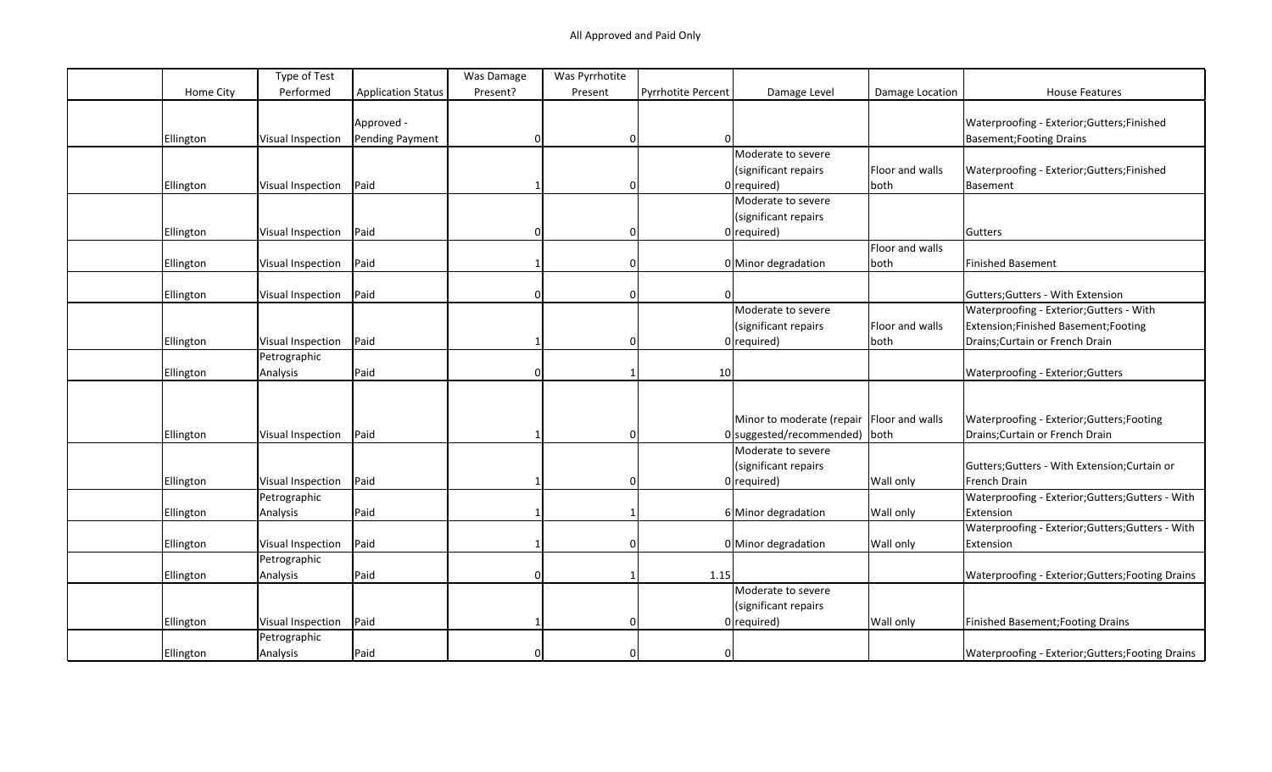|                  | Type of Test             |                           | Was Damage | Was Pyrrhotite |                           |                                             |                 |                                                   |
|------------------|--------------------------|---------------------------|------------|----------------|---------------------------|---------------------------------------------|-----------------|---------------------------------------------------|
| Home City        | Performed                | <b>Application Status</b> | Present?   | Present        | <b>Pyrrhotite Percent</b> | Damage Level                                | Damage Location | <b>House Features</b>                             |
|                  |                          |                           |            |                |                           |                                             |                 |                                                   |
|                  |                          | Approved -                |            |                |                           |                                             |                 | Waterproofing - Exterior;Gutters;Finished         |
| Ellington        | Visual Inspection        | Pending Payment           | $\Omega$   | 0              | $\Omega$                  |                                             |                 | <b>Basement; Footing Drains</b>                   |
|                  |                          |                           |            |                |                           | Moderate to severe                          |                 |                                                   |
|                  |                          |                           |            |                |                           | (significant repairs                        | Floor and walls | Waterproofing - Exterior; Gutters; Finished       |
| Ellington        | Visual Inspection        | Paid                      |            | $\Omega$       |                           | $0$ required)                               | both            | Basement                                          |
|                  |                          |                           |            |                |                           | Moderate to severe                          |                 |                                                   |
|                  |                          |                           |            |                |                           | (significant repairs                        |                 |                                                   |
| Ellington        | <b>Visual Inspection</b> | Paid                      |            | $\Omega$       |                           | $0$ required)                               |                 | Gutters                                           |
|                  |                          |                           |            |                |                           |                                             | Floor and walls |                                                   |
| Ellington        | Visual Inspection        | Paid                      |            | $\Omega$       |                           | 0 Minor degradation                         | both            | <b>Finished Basement</b>                          |
|                  |                          |                           |            |                |                           |                                             |                 |                                                   |
| Ellington        | <b>Visual Inspection</b> | Paid                      | $\Omega$   | 0              | $\Omega$                  |                                             |                 | Gutters; Gutters - With Extension                 |
|                  |                          |                           |            |                |                           | Moderate to severe                          |                 | Waterproofing - Exterior; Gutters - With          |
|                  |                          |                           |            |                |                           | (significant repairs                        | Floor and walls | Extension;Finished Basement;Footing               |
| <b>Ellington</b> | Visual Inspection        | Paid                      |            | 0              |                           | $0$ required)                               | both            | Drains; Curtain or French Drain                   |
|                  | Petrographic             |                           |            |                |                           |                                             |                 |                                                   |
| Ellington        | Analysis                 | Paid                      | $\Omega$   |                | 10                        |                                             |                 | Waterproofing - Exterior; Gutters                 |
|                  |                          |                           |            |                |                           |                                             |                 |                                                   |
|                  |                          |                           |            |                |                           |                                             |                 |                                                   |
|                  |                          |                           |            |                |                           | Minor to moderate (repair   Floor and walls |                 | Waterproofing - Exterior;Gutters;Footing          |
| Ellington        | Visual Inspection        | Paid                      |            | $\Omega$       |                           | 0 suggested/recommended) both               |                 | Drains; Curtain or French Drain                   |
|                  |                          |                           |            |                |                           | Moderate to severe                          |                 |                                                   |
|                  |                          |                           |            |                |                           | (significant repairs                        |                 | Gutters; Gutters - With Extension; Curtain or     |
| <b>Ellington</b> | Visual Inspection        | Paid                      |            | $\Omega$       |                           | $0$ required)                               | Wall only       | French Drain                                      |
|                  | Petrographic             |                           |            |                |                           |                                             |                 | Waterproofing - Exterior; Gutters; Gutters - With |
| <b>Ellington</b> | Analysis                 | Paid                      |            |                |                           | 6 Minor degradation                         | Wall only       | Extension                                         |
|                  |                          |                           |            |                |                           |                                             |                 | Waterproofing - Exterior;Gutters;Gutters - With   |
| <b>Ellington</b> | Visual Inspection        | Paid                      |            | 0              |                           | 0 Minor degradation                         | Wall only       | Extension                                         |
|                  | Petrographic             |                           |            |                |                           |                                             |                 |                                                   |
|                  | Analysis                 | Paid                      | $\Omega$   |                | 1.15                      |                                             |                 | Waterproofing - Exterior; Gutters; Footing Drains |
| Ellington        |                          |                           |            |                |                           | Moderate to severe                          |                 |                                                   |
|                  |                          |                           |            |                |                           |                                             |                 |                                                   |
|                  |                          |                           |            | $\Omega$       |                           | (significant repairs                        |                 |                                                   |
| Ellington        | <b>Visual Inspection</b> | Paid                      |            |                |                           | $0$ required)                               | Wall only       | Finished Basement; Footing Drains                 |
|                  | Petrographic             |                           |            |                |                           |                                             |                 |                                                   |
| Ellington        | Analysis                 | Paid                      |            | $\Omega$       | $\mathbf 0$               |                                             |                 | Waterproofing - Exterior; Gutters; Footing Drains |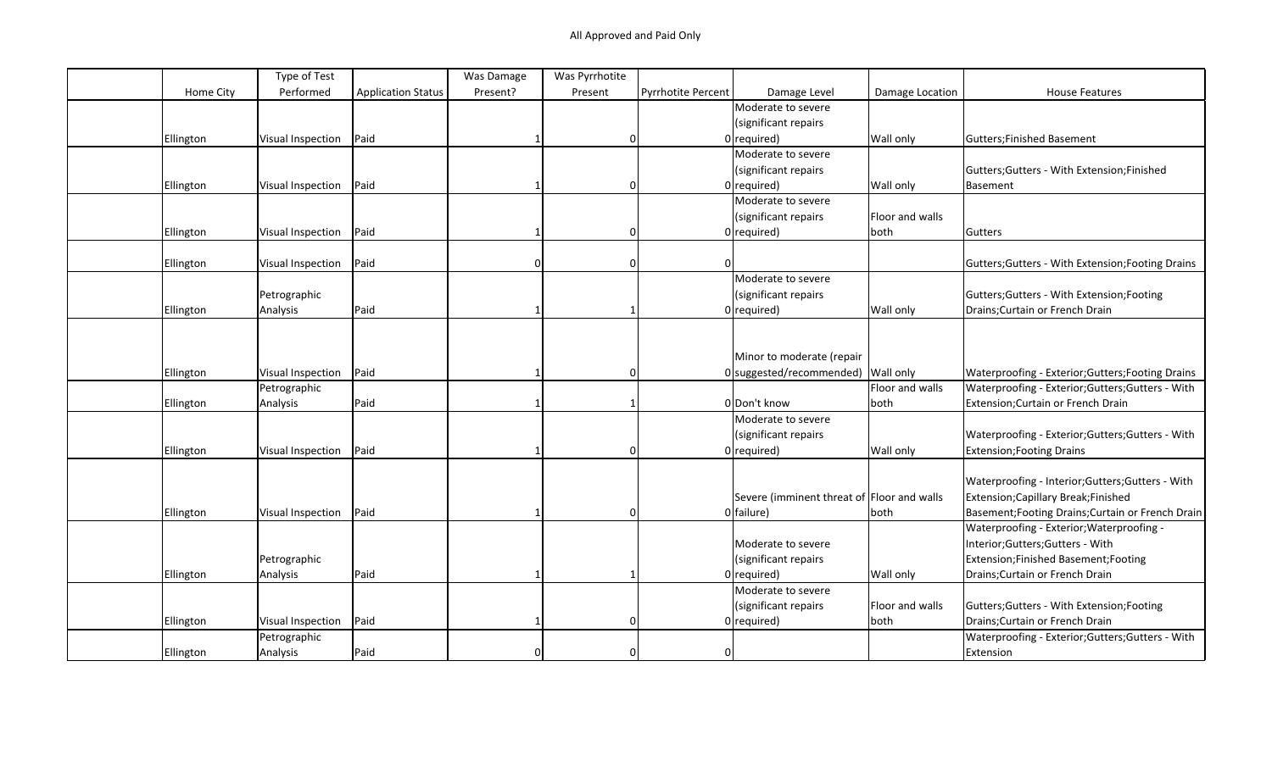|           | Type of Test             |                           | Was Damage | Was Pyrrhotite |                    |                                            |                 |                                                   |
|-----------|--------------------------|---------------------------|------------|----------------|--------------------|--------------------------------------------|-----------------|---------------------------------------------------|
| Home City | Performed                | <b>Application Status</b> | Present?   | Present        | Pyrrhotite Percent | Damage Level                               | Damage Location | <b>House Features</b>                             |
|           |                          |                           |            |                |                    | Moderate to severe                         |                 |                                                   |
|           |                          |                           |            |                |                    | (significant repairs                       |                 |                                                   |
| Ellington | Visual Inspection        | Paid                      |            | $\mathbf{0}$   |                    | $0$ required)                              | Wall only       | Gutters; Finished Basement                        |
|           |                          |                           |            |                |                    | Moderate to severe                         |                 |                                                   |
|           |                          |                           |            |                |                    | (significant repairs                       |                 | Gutters; Gutters - With Extension; Finished       |
| Ellington | Visual Inspection        | Paid                      |            | $\Omega$       |                    | $0$ required)                              | Wall only       | Basement                                          |
|           |                          |                           |            |                |                    | Moderate to severe                         |                 |                                                   |
|           |                          |                           |            |                |                    | (significant repairs                       | Floor and walls |                                                   |
| Ellington | Visual Inspection        | Paid                      |            | $\Omega$       |                    | $0$ required)                              | both            | Gutters                                           |
|           |                          |                           |            |                |                    |                                            |                 |                                                   |
| Ellington | Visual Inspection        | Paid                      |            | $\mathbf 0$    | $\Omega$           |                                            |                 | Gutters; Gutters - With Extension; Footing Drains |
|           |                          |                           |            |                |                    | Moderate to severe                         |                 |                                                   |
|           | Petrographic             |                           |            |                |                    | (significant repairs                       |                 | Gutters; Gutters - With Extension; Footing        |
| Ellington | Analysis                 | Paid                      |            |                |                    | $0$ required)                              | Wall only       | Drains; Curtain or French Drain                   |
|           |                          |                           |            |                |                    |                                            |                 |                                                   |
|           |                          |                           |            |                |                    |                                            |                 |                                                   |
|           |                          |                           |            |                |                    | Minor to moderate (repair                  |                 |                                                   |
| Ellington | Visual Inspection        | Paid                      |            | $\mathbf 0$    |                    | 0 suggested/recommended) Wall only         |                 | Waterproofing - Exterior; Gutters; Footing Drains |
|           | Petrographic             |                           |            |                |                    |                                            | Floor and walls | Waterproofing - Exterior; Gutters; Gutters - With |
| Ellington | Analysis                 | Paid                      |            |                |                    | 0 Don't know                               | both            | Extension; Curtain or French Drain                |
|           |                          |                           |            |                |                    | Moderate to severe                         |                 |                                                   |
|           |                          |                           |            |                |                    | (significant repairs                       |                 | Waterproofing - Exterior; Gutters; Gutters - With |
| Ellington | Visual Inspection        | Paid                      |            | $\Omega$       |                    | $0$ required)                              | Wall only       | <b>Extension; Footing Drains</b>                  |
|           |                          |                           |            |                |                    |                                            |                 |                                                   |
|           |                          |                           |            |                |                    |                                            |                 | Waterproofing - Interior; Gutters; Gutters - With |
|           |                          |                           |            |                |                    | Severe (imminent threat of Floor and walls |                 | Extension; Capillary Break; Finished              |
| Ellington | Visual Inspection        | Paid                      |            | $\Omega$       |                    | 0 failure)                                 | both            | Basement; Footing Drains; Curtain or French Drain |
|           |                          |                           |            |                |                    |                                            |                 | Waterproofing - Exterior; Waterproofing -         |
|           |                          |                           |            |                |                    | Moderate to severe                         |                 | Interior; Gutters; Gutters - With                 |
|           | Petrographic             |                           |            |                |                    | (significant repairs                       |                 | Extension; Finished Basement; Footing             |
| Ellington | Analysis                 | Paid                      |            |                |                    | $0$ required)                              | Wall only       | Drains; Curtain or French Drain                   |
|           |                          |                           |            |                |                    | Moderate to severe                         |                 |                                                   |
|           |                          |                           |            |                |                    | (significant repairs                       | Floor and walls | Gutters; Gutters - With Extension; Footing        |
| Ellington | <b>Visual Inspection</b> | Paid                      |            | $\Omega$       |                    | $0$ required)                              | both            | Drains; Curtain or French Drain                   |
|           | Petrographic             |                           |            |                |                    |                                            |                 | Waterproofing - Exterior; Gutters; Gutters - With |
| Ellington | Analysis                 | Paid                      |            |                |                    |                                            |                 | Extension                                         |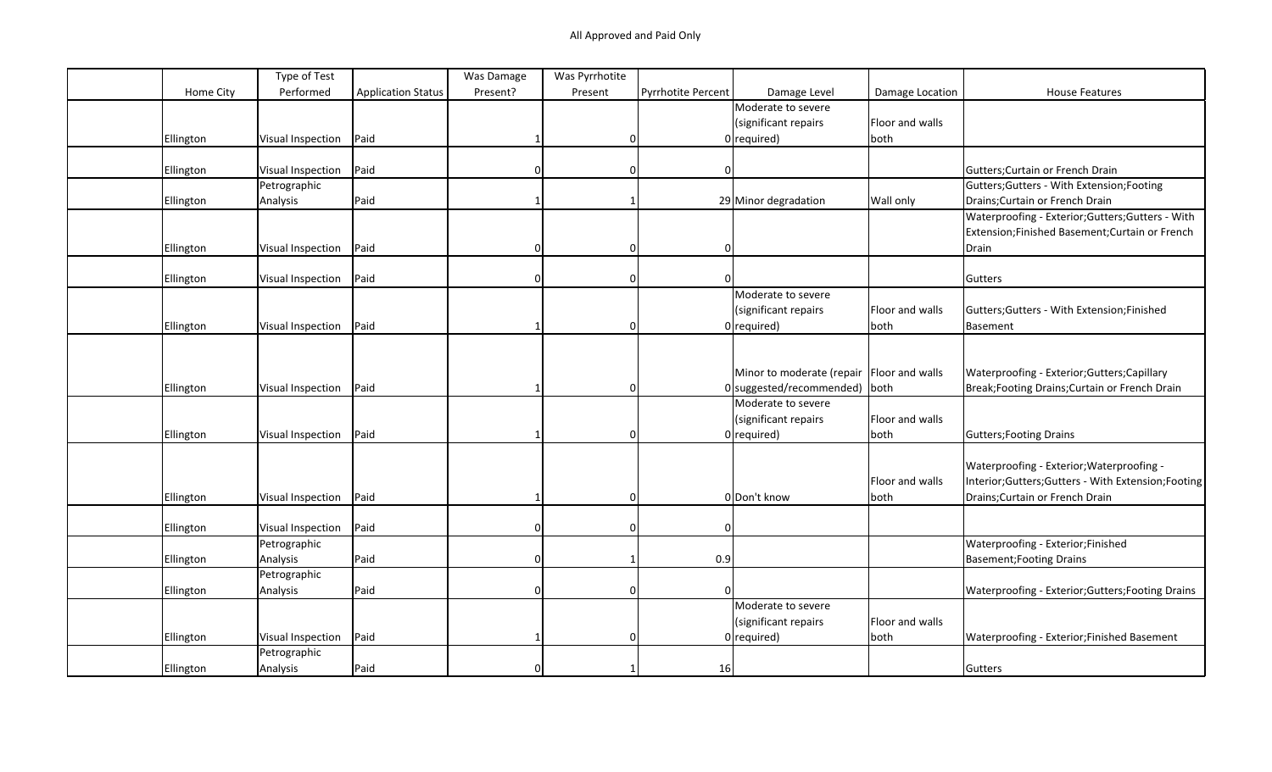|           | Type of Test             |                           | Was Damage | Was Pyrrhotite |                           |                                             |                 |                                                   |
|-----------|--------------------------|---------------------------|------------|----------------|---------------------------|---------------------------------------------|-----------------|---------------------------------------------------|
| Home City | Performed                | <b>Application Status</b> | Present?   | Present        | <b>Pyrrhotite Percent</b> | Damage Level                                | Damage Location | <b>House Features</b>                             |
|           |                          |                           |            |                |                           | Moderate to severe                          |                 |                                                   |
|           |                          |                           |            |                |                           | (significant repairs                        | Floor and walls |                                                   |
| Ellington | Visual Inspection        | Paid                      |            | 0              |                           | $0$ required)                               | both            |                                                   |
|           |                          |                           |            |                |                           |                                             |                 |                                                   |
| Ellington | Visual Inspection        | Paid                      | $\Omega$   | 0              | 01                        |                                             |                 | Gutters; Curtain or French Drain                  |
|           | Petrographic             |                           |            |                |                           |                                             |                 | Gutters; Gutters - With Extension; Footing        |
| Ellington | Analysis                 | Paid                      |            |                |                           | 29 Minor degradation                        | Wall only       | Drains; Curtain or French Drain                   |
|           |                          |                           |            |                |                           |                                             |                 | Waterproofing - Exterior; Gutters; Gutters - With |
|           |                          |                           |            |                |                           |                                             |                 | Extension;Finished Basement;Curtain or French     |
| Ellington | Visual Inspection        | Paid                      | $\Omega$   | 0              | $\Omega$                  |                                             |                 | Drain                                             |
|           |                          |                           |            |                |                           |                                             |                 |                                                   |
| Ellington | Visual Inspection        | Paid                      |            | ŋ              |                           |                                             |                 | Gutters                                           |
|           |                          |                           |            |                |                           | Moderate to severe                          |                 |                                                   |
|           |                          |                           |            |                |                           | (significant repairs                        | Floor and walls | Gutters; Gutters - With Extension; Finished       |
| Ellington | Visual Inspection        | Paid                      |            | 0              |                           | $0$ required)                               | both            | Basement                                          |
|           |                          |                           |            |                |                           |                                             |                 |                                                   |
|           |                          |                           |            |                |                           |                                             |                 |                                                   |
|           |                          |                           |            |                |                           | Minor to moderate (repair   Floor and walls |                 | Waterproofing - Exterior; Gutters; Capillary      |
| Ellington | <b>Visual Inspection</b> | Paid                      |            | 0              |                           | 0 suggested/recommended) both               |                 | Break; Footing Drains; Curtain or French Drain    |
|           |                          |                           |            |                |                           | Moderate to severe                          |                 |                                                   |
|           |                          |                           |            |                |                           | (significant repairs                        | Floor and walls |                                                   |
| Ellington | Visual Inspection        | Paid                      |            | 0              |                           | $0$ required)                               | both            | Gutters; Footing Drains                           |
|           |                          |                           |            |                |                           |                                             |                 |                                                   |
|           |                          |                           |            |                |                           |                                             |                 | Waterproofing - Exterior; Waterproofing -         |
|           |                          |                           |            |                |                           |                                             | Floor and walls | Interior;Gutters;Gutters - With Extension;Footing |
| Ellington | Visual Inspection        | Paid                      |            | $\Omega$       |                           | 0 Don't know                                | both            | Drains; Curtain or French Drain                   |
|           |                          |                           |            |                |                           |                                             |                 |                                                   |
| Ellington | Visual Inspection        | Paid                      |            | $\Omega$       | n                         |                                             |                 |                                                   |
|           | Petrographic             |                           |            |                |                           |                                             |                 | Waterproofing - Exterior; Finished                |
| Ellington | Analysis                 | Paid                      | ∩          |                | 0.9                       |                                             |                 | Basement; Footing Drains                          |
|           | Petrographic             |                           |            |                |                           |                                             |                 |                                                   |
| Ellington | Analysis                 | Paid                      | $\Omega$   | $\Omega$       | $\Omega$                  |                                             |                 | Waterproofing - Exterior; Gutters; Footing Drains |
|           |                          |                           |            |                |                           | Moderate to severe                          |                 |                                                   |
|           |                          |                           |            |                |                           | (significant repairs                        | Floor and walls |                                                   |
| Ellington | Visual Inspection        | Paid                      |            | 0              |                           | $0$ required)                               | both            | Waterproofing - Exterior; Finished Basement       |
|           | Petrographic             |                           |            |                |                           |                                             |                 |                                                   |
| Ellington | Analysis                 | Paid                      |            |                | 16                        |                                             |                 | Gutters                                           |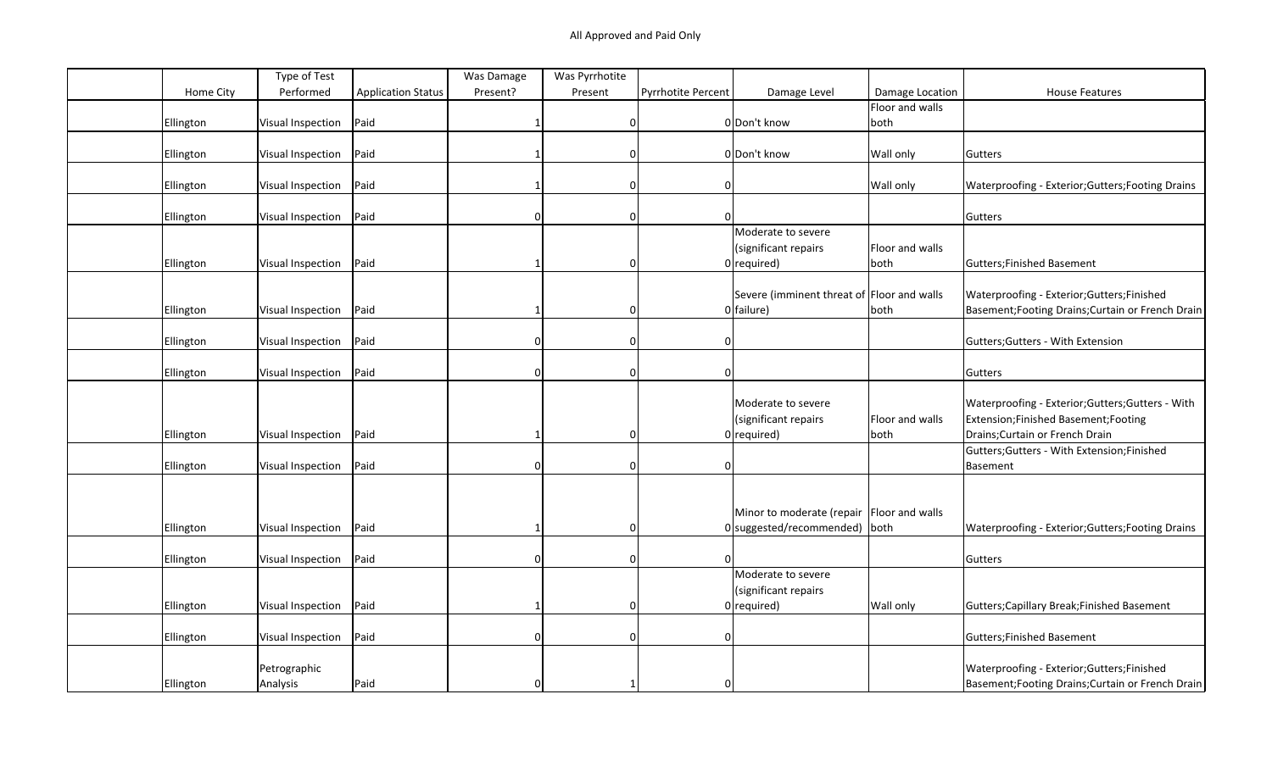|                  | Type of Test      |                           | Was Damage   | Was Pyrrhotite |                           |                                             |                 |                                                   |
|------------------|-------------------|---------------------------|--------------|----------------|---------------------------|---------------------------------------------|-----------------|---------------------------------------------------|
| Home City        | Performed         | <b>Application Status</b> | Present?     | Present        | <b>Pyrrhotite Percent</b> | Damage Level                                | Damage Location | <b>House Features</b>                             |
|                  |                   |                           |              |                |                           |                                             | Floor and walls |                                                   |
| Ellington        | Visual Inspection | Paid                      |              | $\mathbf 0$    |                           | 0 Don't know                                | both            |                                                   |
|                  |                   |                           |              |                |                           |                                             |                 |                                                   |
| Ellington        | Visual Inspection | Paid                      |              | <sup>0</sup>   |                           | 0 Don't know                                | Wall only       | Gutters                                           |
|                  |                   |                           |              |                |                           |                                             |                 |                                                   |
| Ellington        | Visual Inspection | Paid                      |              | $\Omega$       | 0                         |                                             | Wall only       | Waterproofing - Exterior; Gutters; Footing Drains |
|                  |                   |                           |              |                |                           |                                             |                 |                                                   |
| Ellington        | Visual Inspection | Paid                      |              | $\Omega$       |                           |                                             |                 | Gutters                                           |
|                  |                   |                           |              |                |                           | Moderate to severe                          |                 |                                                   |
|                  |                   |                           |              |                |                           | (significant repairs                        | Floor and walls |                                                   |
| Ellington        | Visual Inspection | Paid                      |              | $\Omega$       |                           | $0$ required)                               | both            | Gutters; Finished Basement                        |
|                  |                   |                           |              |                |                           |                                             |                 |                                                   |
|                  |                   |                           |              |                |                           | Severe (imminent threat of Floor and walls  |                 | Waterproofing - Exterior; Gutters; Finished       |
| Ellington        | Visual Inspection | Paid                      |              | $\Omega$       |                           | $0$ failure)                                | both            | Basement; Footing Drains; Curtain or French Drain |
|                  |                   |                           |              |                |                           |                                             |                 |                                                   |
| Ellington        | Visual Inspection | Paid                      |              | $\Omega$       | $\Omega$                  |                                             |                 | Gutters; Gutters - With Extension                 |
|                  |                   |                           |              |                |                           |                                             |                 |                                                   |
| Ellington        | Visual Inspection | Paid                      | $\Omega$     | $\mathbf 0$    | $\mathbf 0$               |                                             |                 | Gutters                                           |
|                  |                   |                           |              |                |                           |                                             |                 |                                                   |
|                  |                   |                           |              |                |                           | Moderate to severe                          |                 | Waterproofing - Exterior; Gutters; Gutters - With |
|                  |                   |                           |              |                |                           | (significant repairs                        | Floor and walls | Extension; Finished Basement; Footing             |
| Ellington        | Visual Inspection | Paid                      |              | 0              |                           | $0$ required)                               | both            | Drains; Curtain or French Drain                   |
|                  |                   |                           |              |                |                           |                                             |                 | Gutters; Gutters - With Extension; Finished       |
| Ellington        | Visual Inspection | Paid                      | <sup>0</sup> | $\mathbf 0$    | 0                         |                                             |                 | Basement                                          |
|                  |                   |                           |              |                |                           |                                             |                 |                                                   |
|                  |                   |                           |              |                |                           |                                             |                 |                                                   |
|                  |                   |                           |              |                |                           | Minor to moderate (repair   Floor and walls |                 |                                                   |
| <b>Ellington</b> | Visual Inspection | Paid                      |              | $\Omega$       |                           | 0 suggested/recommended) both               |                 | Waterproofing - Exterior; Gutters; Footing Drains |
|                  |                   |                           |              |                |                           |                                             |                 |                                                   |
| Ellington        | Visual Inspection | Paid                      | U            | $\Omega$       |                           |                                             |                 | Gutters                                           |
|                  |                   |                           |              |                |                           | Moderate to severe                          |                 |                                                   |
|                  |                   |                           |              |                |                           | (significant repairs                        |                 |                                                   |
| Ellington        | Visual Inspection | Paid                      |              | $\Omega$       |                           | $0$ required)                               | Wall only       | Gutters; Capillary Break; Finished Basement       |
|                  |                   |                           |              |                |                           |                                             |                 |                                                   |
| Ellington        | Visual Inspection | Paid                      | U            | $\Omega$       | $\Omega$                  |                                             |                 | Gutters; Finished Basement                        |
|                  |                   |                           |              |                |                           |                                             |                 |                                                   |
|                  | Petrographic      |                           |              |                |                           |                                             |                 | Waterproofing - Exterior; Gutters; Finished       |
| Ellington        | Analysis          | Paid                      |              |                | $\Omega$                  |                                             |                 | Basement; Footing Drains; Curtain or French Drain |
|                  |                   |                           |              |                |                           |                                             |                 |                                                   |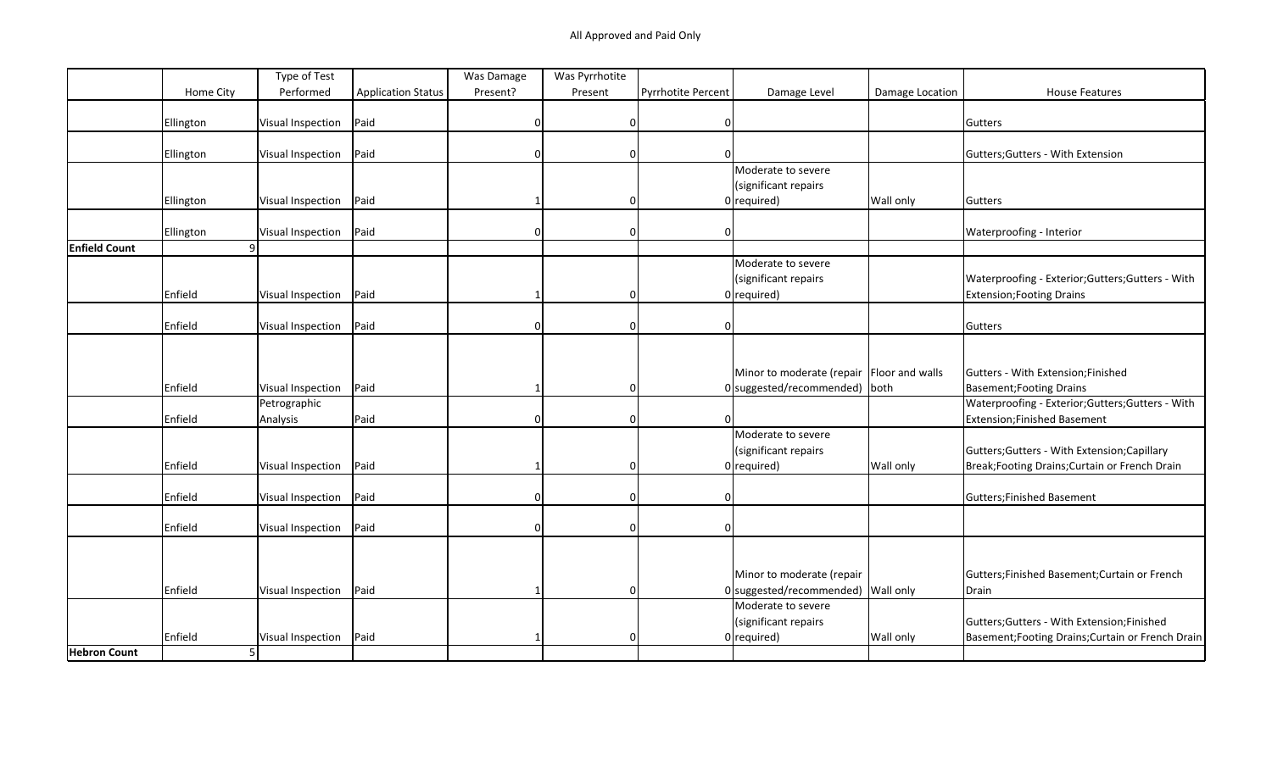|                      |           | Type of Test      |                           | Was Damage | Was Pyrrhotite |                    |                                           |                 |                                                   |
|----------------------|-----------|-------------------|---------------------------|------------|----------------|--------------------|-------------------------------------------|-----------------|---------------------------------------------------|
|                      | Home City | Performed         | <b>Application Status</b> | Present?   | Present        | Pyrrhotite Percent | Damage Level                              | Damage Location | <b>House Features</b>                             |
|                      |           |                   |                           |            |                |                    |                                           |                 |                                                   |
|                      | Ellington | Visual Inspection | Paid                      | $\Omega$   | $\Omega$       | 0                  |                                           |                 | Gutters                                           |
|                      |           |                   |                           |            |                |                    |                                           |                 |                                                   |
|                      | Ellington | Visual Inspection | Paid                      | n          | $\Omega$       |                    |                                           |                 | Gutters; Gutters - With Extension                 |
|                      |           |                   |                           |            |                |                    | Moderate to severe                        |                 |                                                   |
|                      |           |                   |                           |            |                |                    | (significant repairs                      |                 |                                                   |
|                      | Ellington | Visual Inspection | Paid                      |            | $\Omega$       |                    | $0$ required)                             | Wall only       | Gutters                                           |
|                      | Ellington | Visual Inspection | Paid                      | O          | $\Omega$       | 0                  |                                           |                 | Waterproofing - Interior                          |
| <b>Enfield Count</b> | q         |                   |                           |            |                |                    |                                           |                 |                                                   |
|                      |           |                   |                           |            |                |                    | Moderate to severe                        |                 |                                                   |
|                      |           |                   |                           |            |                |                    | (significant repairs                      |                 | Waterproofing - Exterior; Gutters; Gutters - With |
|                      | Enfield   | Visual Inspection | Paid                      |            | $\Omega$       |                    | $0$ required)                             |                 | <b>Extension; Footing Drains</b>                  |
|                      |           |                   |                           |            |                |                    |                                           |                 |                                                   |
|                      | Enfield   | Visual Inspection | Paid                      | $\Omega$   | $\mathbf 0$    | 0                  |                                           |                 | Gutters                                           |
|                      |           |                   |                           |            |                |                    |                                           |                 |                                                   |
|                      |           |                   |                           |            |                |                    |                                           |                 |                                                   |
|                      |           |                   |                           |            |                |                    | Minor to moderate (repair Floor and walls |                 | Gutters - With Extension; Finished                |
|                      | Enfield   | Visual Inspection | Paid                      |            |                |                    | $0$ suggested/recommended)   both         |                 | Basement; Footing Drains                          |
|                      |           | Petrographic      |                           |            |                |                    |                                           |                 | Waterproofing - Exterior; Gutters; Gutters - With |
|                      | Enfield   | Analysis          | Paid                      | $\Omega$   | $\Omega$       |                    |                                           |                 | Extension; Finished Basement                      |
|                      |           |                   |                           |            |                |                    | Moderate to severe                        |                 |                                                   |
|                      |           |                   |                           |            |                |                    | (significant repairs                      |                 | Gutters; Gutters - With Extension; Capillary      |
|                      | Enfield   | Visual Inspection | Paid                      |            | $\Omega$       |                    | $0$ required)                             | Wall only       | Break; Footing Drains; Curtain or French Drain    |
|                      |           |                   |                           |            |                |                    |                                           |                 |                                                   |
|                      | Enfield   | Visual Inspection | Paid                      | O          | $\Omega$       |                    |                                           |                 | Gutters; Finished Basement                        |
|                      |           |                   |                           |            |                |                    |                                           |                 |                                                   |
|                      | Enfield   | Visual Inspection | Paid                      | $\Omega$   | $\Omega$       | ი                  |                                           |                 |                                                   |
|                      |           |                   |                           |            |                |                    |                                           |                 |                                                   |
|                      |           |                   |                           |            |                |                    |                                           |                 |                                                   |
|                      |           |                   |                           |            |                |                    | Minor to moderate (repair                 |                 | Gutters; Finished Basement; Curtain or French     |
|                      | Enfield   | Visual Inspection | Paid                      |            | $\Omega$       |                    | $0$ suggested/recommended) Wall only      |                 | Drain                                             |
|                      |           |                   |                           |            |                |                    | Moderate to severe                        |                 |                                                   |
|                      |           |                   |                           |            |                |                    | (significant repairs                      |                 | Gutters; Gutters - With Extension; Finished       |
|                      | Enfield   | Visual Inspection | Paid                      |            | $\Omega$       |                    | $0$ required)                             | Wall only       | Basement; Footing Drains; Curtain or French Drain |
| <b>Hebron Count</b>  | 5         |                   |                           |            |                |                    |                                           |                 |                                                   |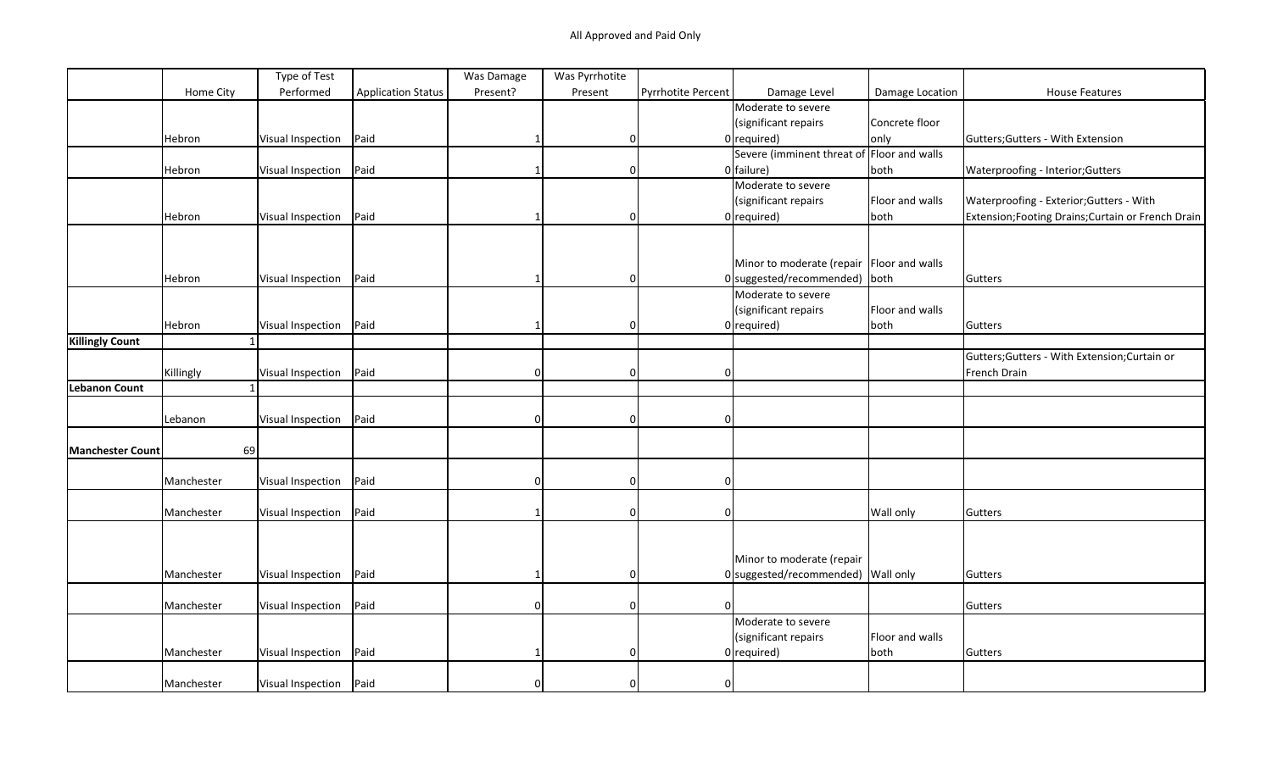|                         |            | Type of Test             |                           | Was Damage | Was Pyrrhotite |                    |                                             |                 |                                                    |
|-------------------------|------------|--------------------------|---------------------------|------------|----------------|--------------------|---------------------------------------------|-----------------|----------------------------------------------------|
|                         | Home City  | Performed                | <b>Application Status</b> | Present?   | Present        | Pyrrhotite Percent | Damage Level                                | Damage Location | <b>House Features</b>                              |
|                         |            |                          |                           |            |                |                    | Moderate to severe                          |                 |                                                    |
|                         |            |                          |                           |            |                |                    | (significant repairs                        | Concrete floor  |                                                    |
|                         | Hebron     | Visual Inspection        | Paid                      |            | 0              |                    | $0$ required)                               | only            | Gutters; Gutters - With Extension                  |
|                         |            |                          |                           |            |                |                    | Severe (imminent threat of Floor and walls  |                 |                                                    |
|                         | Hebron     | Visual Inspection        | Paid                      |            | 0              |                    | $0$ failure)                                | both            | Waterproofing - Interior; Gutters                  |
|                         |            |                          |                           |            |                |                    | Moderate to severe                          |                 |                                                    |
|                         |            |                          |                           |            |                |                    | (significant repairs                        | Floor and walls | Waterproofing - Exterior; Gutters - With           |
|                         | Hebron     | Visual Inspection        | Paid                      |            | $\Omega$       |                    | $0$ required)                               | both            | Extension; Footing Drains; Curtain or French Drain |
|                         |            |                          |                           |            |                |                    |                                             |                 |                                                    |
|                         |            |                          |                           |            |                |                    |                                             |                 |                                                    |
|                         |            |                          |                           |            |                |                    | Minor to moderate (repair   Floor and walls |                 |                                                    |
|                         | Hebron     | Visual Inspection        | Paid                      |            | $\Omega$       |                    | $0$  suggested/recommended)   both          |                 | Gutters                                            |
|                         |            |                          |                           |            |                |                    | Moderate to severe                          |                 |                                                    |
|                         |            |                          |                           |            |                |                    | (significant repairs                        | Floor and walls |                                                    |
|                         | Hebron     | Visual Inspection        | Paid                      |            | $\Omega$       |                    | $0$ required)                               | both            | Gutters                                            |
| <b>Killingly Count</b>  |            |                          |                           |            |                |                    |                                             |                 |                                                    |
|                         |            |                          |                           |            |                |                    |                                             |                 | Gutters; Gutters - With Extension; Curtain or      |
|                         | Killingly  | Visual Inspection        | Paid                      | $\Omega$   | $\mathbf 0$    | 0                  |                                             |                 | French Drain                                       |
| <b>Lebanon Count</b>    |            |                          |                           |            |                |                    |                                             |                 |                                                    |
|                         |            |                          |                           |            |                |                    |                                             |                 |                                                    |
|                         | Lebanon    | Visual Inspection        | Paid                      | $\Omega$   | $\Omega$       | U                  |                                             |                 |                                                    |
|                         |            |                          |                           |            |                |                    |                                             |                 |                                                    |
| <b>Manchester Count</b> | 69         |                          |                           |            |                |                    |                                             |                 |                                                    |
|                         |            |                          |                           |            |                |                    |                                             |                 |                                                    |
|                         | Manchester | Visual Inspection        | Paid                      | $\Omega$   | $\mathbf 0$    | $\Omega$           |                                             |                 |                                                    |
|                         |            |                          |                           |            |                |                    |                                             |                 |                                                    |
|                         | Manchester | Visual Inspection        | Paid                      |            | $\Omega$       |                    |                                             | Wall only       | Gutters                                            |
|                         |            |                          |                           |            |                |                    |                                             |                 |                                                    |
|                         |            |                          |                           |            |                |                    |                                             |                 |                                                    |
|                         |            |                          |                           |            |                |                    | Minor to moderate (repair                   |                 |                                                    |
|                         | Manchester | Visual Inspection        | Paid                      |            | $\Omega$       |                    | 0 suggested/recommended) Wall only          |                 | Gutters                                            |
|                         |            |                          |                           |            |                |                    |                                             |                 |                                                    |
|                         | Manchester |                          | Paid                      | $\Omega$   | $\Omega$       | ΩI                 |                                             |                 |                                                    |
|                         |            | Visual Inspection        |                           |            |                |                    | Moderate to severe                          |                 | Gutters                                            |
|                         |            |                          |                           |            |                |                    |                                             |                 |                                                    |
|                         |            |                          |                           |            |                |                    | (significant repairs                        | Floor and walls |                                                    |
|                         | Manchester | Visual Inspection        | Paid                      |            | $\Omega$       |                    | $0$ required)                               | both            | Gutters                                            |
|                         |            |                          |                           |            |                |                    |                                             |                 |                                                    |
|                         | Manchester | Visual Inspection   Paid |                           |            | $\Omega$       | 0                  |                                             |                 |                                                    |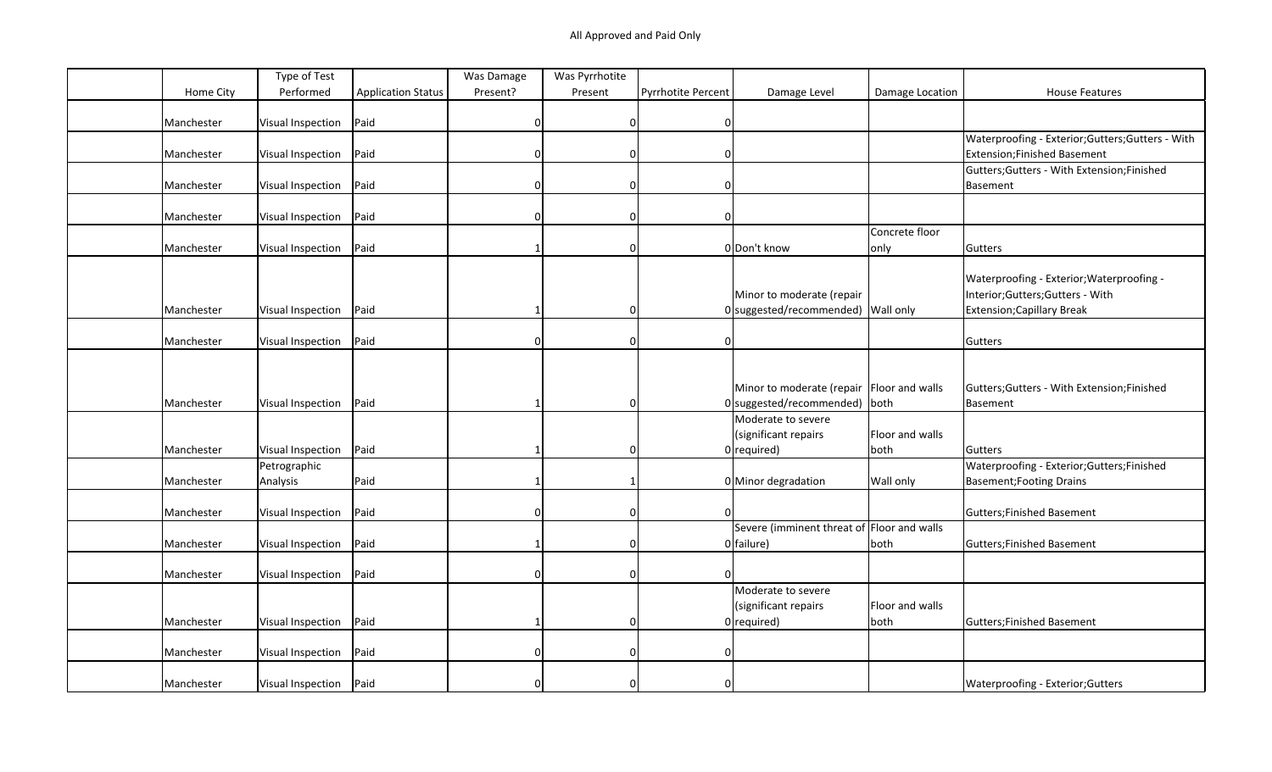|            | Type of Test             |                           | Was Damage | Was Pyrrhotite |                           |                                            |                 |                                                   |
|------------|--------------------------|---------------------------|------------|----------------|---------------------------|--------------------------------------------|-----------------|---------------------------------------------------|
| Home City  | Performed                | <b>Application Status</b> | Present?   | Present        | <b>Pyrrhotite Percent</b> | Damage Level                               | Damage Location | <b>House Features</b>                             |
|            |                          |                           |            |                |                           |                                            |                 |                                                   |
| Manchester | Visual Inspection        | Paid                      | O          | $\mathbf 0$    | $\mathbf{0}$              |                                            |                 |                                                   |
|            |                          |                           |            |                |                           |                                            |                 | Waterproofing - Exterior; Gutters; Gutters - With |
| Manchester | Visual Inspection        | Paid                      |            | $\mathbf 0$    | $\Omega$                  |                                            |                 | Extension; Finished Basement                      |
|            |                          |                           |            |                |                           |                                            |                 | Gutters; Gutters - With Extension; Finished       |
| Manchester | Visual Inspection        | Paid                      | U          | $\mathbf 0$    | $\Omega$                  |                                            |                 | Basement                                          |
|            |                          |                           |            |                |                           |                                            |                 |                                                   |
| Manchester | Visual Inspection        | Paid                      |            | $\Omega$       |                           |                                            |                 |                                                   |
|            |                          |                           |            |                |                           |                                            | Concrete floor  |                                                   |
| Manchester | Visual Inspection        | Paid                      |            | $\Omega$       |                           | 0 Don't know                               | only            | Gutters                                           |
|            |                          |                           |            |                |                           |                                            |                 |                                                   |
|            |                          |                           |            |                |                           |                                            |                 | Waterproofing - Exterior; Waterproofing -         |
|            |                          |                           |            |                |                           | Minor to moderate (repair                  |                 | Interior; Gutters; Gutters - With                 |
| Manchester | Visual Inspection        | Paid                      |            | $\mathbf 0$    |                           | 0 suggested/recommended) Wall only         |                 | Extension; Capillary Break                        |
|            |                          |                           |            |                |                           |                                            |                 |                                                   |
| Manchester | Visual Inspection        | Paid                      | ი          | $\mathbf 0$    | $\mathbf{0}$              |                                            |                 | Gutters                                           |
|            |                          |                           |            |                |                           |                                            |                 |                                                   |
|            |                          |                           |            |                |                           |                                            |                 |                                                   |
|            |                          |                           |            |                |                           | Minor to moderate (repair Floor and walls  |                 | Gutters; Gutters - With Extension; Finished       |
| Manchester | Visual Inspection        | Paid                      |            | $\mathbf 0$    |                           | 0 suggested/recommended) both              |                 | Basement                                          |
|            |                          |                           |            |                |                           | Moderate to severe                         |                 |                                                   |
|            |                          |                           |            |                |                           | (significant repairs                       | Floor and walls |                                                   |
| Manchester | Visual Inspection        | Paid                      |            | $\Omega$       |                           | $0$ required)                              | both            | Gutters                                           |
|            |                          |                           |            |                |                           |                                            |                 | Waterproofing - Exterior; Gutters; Finished       |
|            | Petrographic             |                           |            |                |                           |                                            |                 |                                                   |
| Manchester | Analysis                 | Paid                      |            |                |                           | 0 Minor degradation                        | Wall only       | <b>Basement; Footing Drains</b>                   |
|            |                          |                           |            |                |                           |                                            |                 |                                                   |
| Manchester | Visual Inspection        | Paid                      | 0          | $\Omega$       |                           |                                            |                 | Gutters; Finished Basement                        |
|            |                          |                           |            |                |                           | Severe (imminent threat of Floor and walls |                 |                                                   |
| Manchester | Visual Inspection        | Paid                      |            | $\Omega$       |                           | 0 failure)                                 | both            | Gutters; Finished Basement                        |
|            |                          |                           |            |                |                           |                                            |                 |                                                   |
| Manchester | Visual Inspection        | Paid                      |            | $\Omega$       |                           |                                            |                 |                                                   |
|            |                          |                           |            |                |                           | Moderate to severe                         |                 |                                                   |
|            |                          |                           |            |                |                           | (significant repairs                       | Floor and walls |                                                   |
| Manchester | Visual Inspection        | Paid                      |            | $\Omega$       |                           | $0$ required)                              | both            | Gutters; Finished Basement                        |
|            |                          |                           |            |                |                           |                                            |                 |                                                   |
| Manchester | Visual Inspection        | Paid                      |            | $\Omega$       | $\Omega$                  |                                            |                 |                                                   |
|            |                          |                           |            |                |                           |                                            |                 |                                                   |
| Manchester | Visual Inspection   Paid |                           |            |                |                           |                                            |                 | Waterproofing - Exterior; Gutters                 |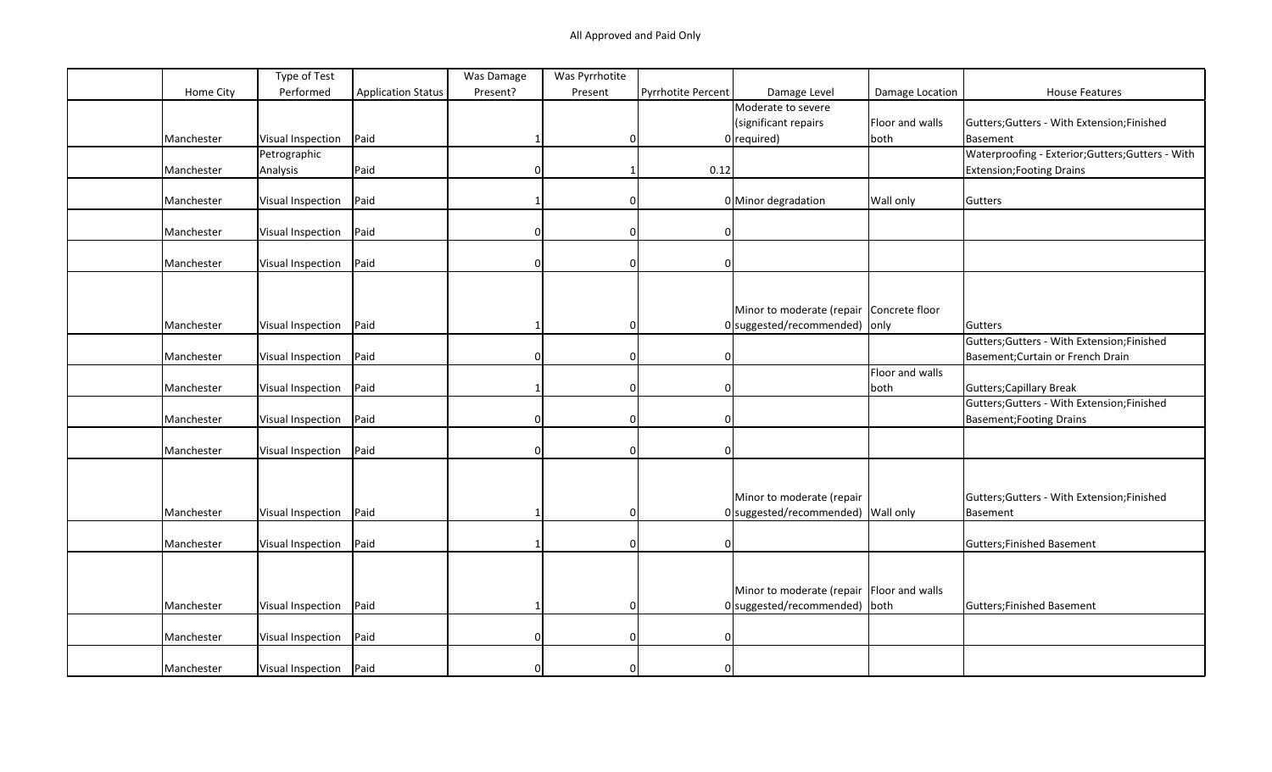| Performed<br>Home City<br><b>Application Status</b><br>Present?<br>Damage Level<br><b>House Features</b><br>Pyrrhotite Percent<br>Damage Location<br>Present<br>Moderate to severe<br>(significant repairs<br>Floor and walls<br>Gutters; Gutters - With Extension; Finished<br>Paid<br>Manchester<br>Visual Inspection<br>$0$ required)<br>both<br>Basement<br>0<br>Waterproofing - Exterior; Gutters; Gutters - With<br>Petrographic<br>Paid<br>Analysis<br>0.12<br>Manchester<br><b>Extension; Footing Drains</b><br>0<br>1<br>Paid<br>Manchester<br>Visual Inspection<br>0 Minor degradation<br>Wall only<br>Gutters<br>$\Omega$<br>Paid<br>Manchester<br>Visual Inspection<br>$\Omega$<br>$\Omega$<br>n<br>Paid<br>Manchester<br>Visual Inspection<br>0<br>n<br>Minor to moderate (repair Concrete floor<br>$0$ suggested/recommended) only<br>Paid<br>Manchester<br>Visual Inspection<br>Gutters<br>$\Omega$<br>Gutters; Gutters - With Extension; Finished<br>Paid<br>Manchester<br>Visual Inspection<br>Basement; Curtain or French Drain<br>$\Omega$<br>$\Omega$<br><sup>0</sup><br>Floor and walls<br>Paid<br>Gutters; Capillary Break<br>Manchester<br>Visual Inspection<br>both<br>0<br>Gutters; Gutters - With Extension; Finished<br>Paid<br>Manchester<br>Visual Inspection<br>$\Omega$<br><b>Basement; Footing Drains</b><br>$\Omega$<br>n<br>Paid<br>Manchester<br>Visual Inspection<br>O<br>Minor to moderate (repair<br>Gutters; Gutters - With Extension; Finished<br>Paid<br>$0$ suggested/recommended) Wall only<br>Manchester<br>Visual Inspection<br>0<br>Basement<br>Paid<br>Manchester<br>Visual Inspection<br>$\mathbf 0$<br>Gutters; Finished Basement<br>$\Omega$<br>Minor to moderate (repair Floor and walls<br>Paid<br>$0$ suggested/recommended) both<br>Manchester<br>Gutters; Finished Basement<br>Visual Inspection<br>$\Omega$ |            | Type of Test      |      | Was Damage | Was Pyrrhotite |   |  |  |
|---------------------------------------------------------------------------------------------------------------------------------------------------------------------------------------------------------------------------------------------------------------------------------------------------------------------------------------------------------------------------------------------------------------------------------------------------------------------------------------------------------------------------------------------------------------------------------------------------------------------------------------------------------------------------------------------------------------------------------------------------------------------------------------------------------------------------------------------------------------------------------------------------------------------------------------------------------------------------------------------------------------------------------------------------------------------------------------------------------------------------------------------------------------------------------------------------------------------------------------------------------------------------------------------------------------------------------------------------------------------------------------------------------------------------------------------------------------------------------------------------------------------------------------------------------------------------------------------------------------------------------------------------------------------------------------------------------------------------------------------------------------------------------------------------------------------------------------------------------------------|------------|-------------------|------|------------|----------------|---|--|--|
|                                                                                                                                                                                                                                                                                                                                                                                                                                                                                                                                                                                                                                                                                                                                                                                                                                                                                                                                                                                                                                                                                                                                                                                                                                                                                                                                                                                                                                                                                                                                                                                                                                                                                                                                                                                                                                                                     |            |                   |      |            |                |   |  |  |
|                                                                                                                                                                                                                                                                                                                                                                                                                                                                                                                                                                                                                                                                                                                                                                                                                                                                                                                                                                                                                                                                                                                                                                                                                                                                                                                                                                                                                                                                                                                                                                                                                                                                                                                                                                                                                                                                     |            |                   |      |            |                |   |  |  |
|                                                                                                                                                                                                                                                                                                                                                                                                                                                                                                                                                                                                                                                                                                                                                                                                                                                                                                                                                                                                                                                                                                                                                                                                                                                                                                                                                                                                                                                                                                                                                                                                                                                                                                                                                                                                                                                                     |            |                   |      |            |                |   |  |  |
|                                                                                                                                                                                                                                                                                                                                                                                                                                                                                                                                                                                                                                                                                                                                                                                                                                                                                                                                                                                                                                                                                                                                                                                                                                                                                                                                                                                                                                                                                                                                                                                                                                                                                                                                                                                                                                                                     |            |                   |      |            |                |   |  |  |
|                                                                                                                                                                                                                                                                                                                                                                                                                                                                                                                                                                                                                                                                                                                                                                                                                                                                                                                                                                                                                                                                                                                                                                                                                                                                                                                                                                                                                                                                                                                                                                                                                                                                                                                                                                                                                                                                     |            |                   |      |            |                |   |  |  |
|                                                                                                                                                                                                                                                                                                                                                                                                                                                                                                                                                                                                                                                                                                                                                                                                                                                                                                                                                                                                                                                                                                                                                                                                                                                                                                                                                                                                                                                                                                                                                                                                                                                                                                                                                                                                                                                                     |            |                   |      |            |                |   |  |  |
|                                                                                                                                                                                                                                                                                                                                                                                                                                                                                                                                                                                                                                                                                                                                                                                                                                                                                                                                                                                                                                                                                                                                                                                                                                                                                                                                                                                                                                                                                                                                                                                                                                                                                                                                                                                                                                                                     |            |                   |      |            |                |   |  |  |
|                                                                                                                                                                                                                                                                                                                                                                                                                                                                                                                                                                                                                                                                                                                                                                                                                                                                                                                                                                                                                                                                                                                                                                                                                                                                                                                                                                                                                                                                                                                                                                                                                                                                                                                                                                                                                                                                     |            |                   |      |            |                |   |  |  |
|                                                                                                                                                                                                                                                                                                                                                                                                                                                                                                                                                                                                                                                                                                                                                                                                                                                                                                                                                                                                                                                                                                                                                                                                                                                                                                                                                                                                                                                                                                                                                                                                                                                                                                                                                                                                                                                                     |            |                   |      |            |                |   |  |  |
|                                                                                                                                                                                                                                                                                                                                                                                                                                                                                                                                                                                                                                                                                                                                                                                                                                                                                                                                                                                                                                                                                                                                                                                                                                                                                                                                                                                                                                                                                                                                                                                                                                                                                                                                                                                                                                                                     |            |                   |      |            |                |   |  |  |
|                                                                                                                                                                                                                                                                                                                                                                                                                                                                                                                                                                                                                                                                                                                                                                                                                                                                                                                                                                                                                                                                                                                                                                                                                                                                                                                                                                                                                                                                                                                                                                                                                                                                                                                                                                                                                                                                     |            |                   |      |            |                |   |  |  |
|                                                                                                                                                                                                                                                                                                                                                                                                                                                                                                                                                                                                                                                                                                                                                                                                                                                                                                                                                                                                                                                                                                                                                                                                                                                                                                                                                                                                                                                                                                                                                                                                                                                                                                                                                                                                                                                                     |            |                   |      |            |                |   |  |  |
|                                                                                                                                                                                                                                                                                                                                                                                                                                                                                                                                                                                                                                                                                                                                                                                                                                                                                                                                                                                                                                                                                                                                                                                                                                                                                                                                                                                                                                                                                                                                                                                                                                                                                                                                                                                                                                                                     |            |                   |      |            |                |   |  |  |
|                                                                                                                                                                                                                                                                                                                                                                                                                                                                                                                                                                                                                                                                                                                                                                                                                                                                                                                                                                                                                                                                                                                                                                                                                                                                                                                                                                                                                                                                                                                                                                                                                                                                                                                                                                                                                                                                     |            |                   |      |            |                |   |  |  |
|                                                                                                                                                                                                                                                                                                                                                                                                                                                                                                                                                                                                                                                                                                                                                                                                                                                                                                                                                                                                                                                                                                                                                                                                                                                                                                                                                                                                                                                                                                                                                                                                                                                                                                                                                                                                                                                                     |            |                   |      |            |                |   |  |  |
|                                                                                                                                                                                                                                                                                                                                                                                                                                                                                                                                                                                                                                                                                                                                                                                                                                                                                                                                                                                                                                                                                                                                                                                                                                                                                                                                                                                                                                                                                                                                                                                                                                                                                                                                                                                                                                                                     |            |                   |      |            |                |   |  |  |
|                                                                                                                                                                                                                                                                                                                                                                                                                                                                                                                                                                                                                                                                                                                                                                                                                                                                                                                                                                                                                                                                                                                                                                                                                                                                                                                                                                                                                                                                                                                                                                                                                                                                                                                                                                                                                                                                     |            |                   |      |            |                |   |  |  |
|                                                                                                                                                                                                                                                                                                                                                                                                                                                                                                                                                                                                                                                                                                                                                                                                                                                                                                                                                                                                                                                                                                                                                                                                                                                                                                                                                                                                                                                                                                                                                                                                                                                                                                                                                                                                                                                                     |            |                   |      |            |                |   |  |  |
|                                                                                                                                                                                                                                                                                                                                                                                                                                                                                                                                                                                                                                                                                                                                                                                                                                                                                                                                                                                                                                                                                                                                                                                                                                                                                                                                                                                                                                                                                                                                                                                                                                                                                                                                                                                                                                                                     |            |                   |      |            |                |   |  |  |
|                                                                                                                                                                                                                                                                                                                                                                                                                                                                                                                                                                                                                                                                                                                                                                                                                                                                                                                                                                                                                                                                                                                                                                                                                                                                                                                                                                                                                                                                                                                                                                                                                                                                                                                                                                                                                                                                     |            |                   |      |            |                |   |  |  |
|                                                                                                                                                                                                                                                                                                                                                                                                                                                                                                                                                                                                                                                                                                                                                                                                                                                                                                                                                                                                                                                                                                                                                                                                                                                                                                                                                                                                                                                                                                                                                                                                                                                                                                                                                                                                                                                                     |            |                   |      |            |                |   |  |  |
|                                                                                                                                                                                                                                                                                                                                                                                                                                                                                                                                                                                                                                                                                                                                                                                                                                                                                                                                                                                                                                                                                                                                                                                                                                                                                                                                                                                                                                                                                                                                                                                                                                                                                                                                                                                                                                                                     |            |                   |      |            |                |   |  |  |
|                                                                                                                                                                                                                                                                                                                                                                                                                                                                                                                                                                                                                                                                                                                                                                                                                                                                                                                                                                                                                                                                                                                                                                                                                                                                                                                                                                                                                                                                                                                                                                                                                                                                                                                                                                                                                                                                     |            |                   |      |            |                |   |  |  |
|                                                                                                                                                                                                                                                                                                                                                                                                                                                                                                                                                                                                                                                                                                                                                                                                                                                                                                                                                                                                                                                                                                                                                                                                                                                                                                                                                                                                                                                                                                                                                                                                                                                                                                                                                                                                                                                                     |            |                   |      |            |                |   |  |  |
|                                                                                                                                                                                                                                                                                                                                                                                                                                                                                                                                                                                                                                                                                                                                                                                                                                                                                                                                                                                                                                                                                                                                                                                                                                                                                                                                                                                                                                                                                                                                                                                                                                                                                                                                                                                                                                                                     |            |                   |      |            |                |   |  |  |
|                                                                                                                                                                                                                                                                                                                                                                                                                                                                                                                                                                                                                                                                                                                                                                                                                                                                                                                                                                                                                                                                                                                                                                                                                                                                                                                                                                                                                                                                                                                                                                                                                                                                                                                                                                                                                                                                     |            |                   |      |            |                |   |  |  |
|                                                                                                                                                                                                                                                                                                                                                                                                                                                                                                                                                                                                                                                                                                                                                                                                                                                                                                                                                                                                                                                                                                                                                                                                                                                                                                                                                                                                                                                                                                                                                                                                                                                                                                                                                                                                                                                                     |            |                   |      |            |                |   |  |  |
|                                                                                                                                                                                                                                                                                                                                                                                                                                                                                                                                                                                                                                                                                                                                                                                                                                                                                                                                                                                                                                                                                                                                                                                                                                                                                                                                                                                                                                                                                                                                                                                                                                                                                                                                                                                                                                                                     |            |                   |      |            |                |   |  |  |
|                                                                                                                                                                                                                                                                                                                                                                                                                                                                                                                                                                                                                                                                                                                                                                                                                                                                                                                                                                                                                                                                                                                                                                                                                                                                                                                                                                                                                                                                                                                                                                                                                                                                                                                                                                                                                                                                     |            |                   |      |            |                |   |  |  |
|                                                                                                                                                                                                                                                                                                                                                                                                                                                                                                                                                                                                                                                                                                                                                                                                                                                                                                                                                                                                                                                                                                                                                                                                                                                                                                                                                                                                                                                                                                                                                                                                                                                                                                                                                                                                                                                                     |            |                   |      |            |                |   |  |  |
|                                                                                                                                                                                                                                                                                                                                                                                                                                                                                                                                                                                                                                                                                                                                                                                                                                                                                                                                                                                                                                                                                                                                                                                                                                                                                                                                                                                                                                                                                                                                                                                                                                                                                                                                                                                                                                                                     |            |                   |      |            |                |   |  |  |
|                                                                                                                                                                                                                                                                                                                                                                                                                                                                                                                                                                                                                                                                                                                                                                                                                                                                                                                                                                                                                                                                                                                                                                                                                                                                                                                                                                                                                                                                                                                                                                                                                                                                                                                                                                                                                                                                     |            |                   |      |            |                |   |  |  |
|                                                                                                                                                                                                                                                                                                                                                                                                                                                                                                                                                                                                                                                                                                                                                                                                                                                                                                                                                                                                                                                                                                                                                                                                                                                                                                                                                                                                                                                                                                                                                                                                                                                                                                                                                                                                                                                                     |            |                   |      |            |                |   |  |  |
|                                                                                                                                                                                                                                                                                                                                                                                                                                                                                                                                                                                                                                                                                                                                                                                                                                                                                                                                                                                                                                                                                                                                                                                                                                                                                                                                                                                                                                                                                                                                                                                                                                                                                                                                                                                                                                                                     |            |                   |      |            |                |   |  |  |
|                                                                                                                                                                                                                                                                                                                                                                                                                                                                                                                                                                                                                                                                                                                                                                                                                                                                                                                                                                                                                                                                                                                                                                                                                                                                                                                                                                                                                                                                                                                                                                                                                                                                                                                                                                                                                                                                     |            |                   |      |            |                |   |  |  |
|                                                                                                                                                                                                                                                                                                                                                                                                                                                                                                                                                                                                                                                                                                                                                                                                                                                                                                                                                                                                                                                                                                                                                                                                                                                                                                                                                                                                                                                                                                                                                                                                                                                                                                                                                                                                                                                                     | Manchester | Visual Inspection | Paid | $\Omega$   | 0              | 0 |  |  |
|                                                                                                                                                                                                                                                                                                                                                                                                                                                                                                                                                                                                                                                                                                                                                                                                                                                                                                                                                                                                                                                                                                                                                                                                                                                                                                                                                                                                                                                                                                                                                                                                                                                                                                                                                                                                                                                                     |            |                   |      |            |                |   |  |  |
| Paid<br>Manchester<br>Visual Inspection<br>$\Omega$<br>$\Omega$                                                                                                                                                                                                                                                                                                                                                                                                                                                                                                                                                                                                                                                                                                                                                                                                                                                                                                                                                                                                                                                                                                                                                                                                                                                                                                                                                                                                                                                                                                                                                                                                                                                                                                                                                                                                     |            |                   |      |            |                |   |  |  |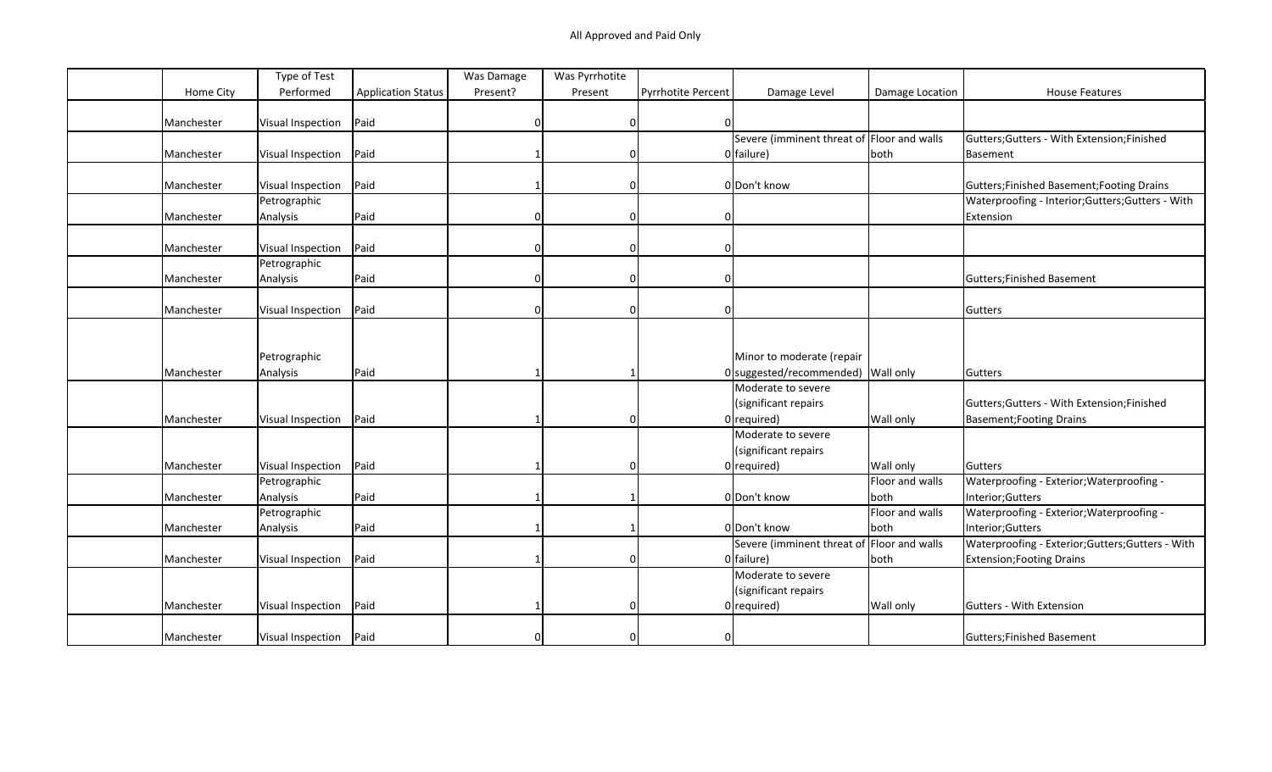|            | Type of Test             |                           | Was Damage | Was Pyrrhotite |                           |                                            |                 |                                                   |
|------------|--------------------------|---------------------------|------------|----------------|---------------------------|--------------------------------------------|-----------------|---------------------------------------------------|
| Home City  | Performed                | <b>Application Status</b> | Present?   | Present        | <b>Pyrrhotite Percent</b> | Damage Level                               | Damage Location | <b>House Features</b>                             |
|            |                          |                           |            |                |                           |                                            |                 |                                                   |
| Manchester | Visual Inspection        | Paid                      | $\Omega$   | 0              | $\Omega$                  |                                            |                 |                                                   |
|            |                          |                           |            |                |                           | Severe (imminent threat of Floor and walls |                 | Gutters; Gutters - With Extension; Finished       |
| Manchester | Visual Inspection        | Paid                      |            | $\Omega$       |                           | $0$ failure)                               | both            | Basement                                          |
|            |                          |                           |            |                |                           |                                            |                 |                                                   |
| Manchester | Visual Inspection        | Paid                      |            | $\Omega$       |                           | O Don't know                               |                 | Gutters; Finished Basement; Footing Drains        |
|            | Petrographic             |                           |            |                |                           |                                            |                 | Waterproofing - Interior; Gutters; Gutters - With |
| Manchester | Analysis                 | Paid                      |            | $\Omega$       |                           |                                            |                 | Extension                                         |
|            |                          |                           |            |                |                           |                                            |                 |                                                   |
| Manchester | Visual Inspection        | Paid                      |            | $\Omega$       |                           |                                            |                 |                                                   |
|            | Petrographic             |                           |            |                |                           |                                            |                 |                                                   |
| Manchester | Analysis                 | Paid                      |            | $\Omega$       |                           |                                            |                 | Gutters; Finished Basement                        |
|            |                          |                           |            |                |                           |                                            |                 |                                                   |
| Manchester | Visual Inspection        | Paid                      | $\Omega$   | $\Omega$       |                           |                                            |                 | Gutters                                           |
|            |                          |                           |            |                |                           |                                            |                 |                                                   |
|            |                          |                           |            |                |                           |                                            |                 |                                                   |
|            | Petrographic             |                           |            |                |                           | Minor to moderate (repair                  |                 |                                                   |
| Manchester | Analysis                 | Paid                      |            |                |                           | 0 suggested/recommended) Wall only         |                 | Gutters                                           |
|            |                          |                           |            |                |                           | Moderate to severe                         |                 |                                                   |
|            |                          |                           |            |                |                           | (significant repairs                       |                 | Gutters; Gutters - With Extension; Finished       |
| Manchester | Visual Inspection        | Paid                      |            | $\Omega$       |                           | $0$ required)                              | Wall only       | <b>Basement; Footing Drains</b>                   |
|            |                          |                           |            |                |                           | Moderate to severe                         |                 |                                                   |
|            |                          |                           |            |                |                           | (significant repairs                       |                 |                                                   |
| Manchester | Visual Inspection        | Paid                      |            | $\Omega$       |                           | $0$ required)                              | Wall only       | Gutters                                           |
|            | Petrographic             |                           |            |                |                           |                                            | Floor and walls | Waterproofing - Exterior; Waterproofing -         |
| Manchester | Analysis                 | Paid                      |            |                |                           | 0 Don't know                               | both            | Interior; Gutters                                 |
|            |                          |                           |            |                |                           |                                            | Floor and walls |                                                   |
|            | Petrographic             |                           |            |                |                           |                                            |                 | Waterproofing - Exterior; Waterproofing -         |
| Manchester | Analysis                 | Paid                      |            |                |                           | 0 Don't know                               | both            | Interior; Gutters                                 |
|            |                          |                           |            |                |                           | Severe (imminent threat of Floor and walls |                 | Waterproofing - Exterior; Gutters; Gutters - With |
| Manchester | Visual Inspection        | Paid                      |            | $\Omega$       |                           | $0$ failure)                               | both            | <b>Extension; Footing Drains</b>                  |
|            |                          |                           |            |                |                           | Moderate to severe                         |                 |                                                   |
|            |                          |                           |            |                |                           | (significant repairs                       |                 |                                                   |
| Manchester | Visual Inspection        | Paid                      |            | $\Omega$       |                           | $0$ required)                              | Wall only       | Gutters - With Extension                          |
|            |                          |                           |            |                |                           |                                            |                 |                                                   |
| Manchester | Visual Inspection   Paid |                           |            | $\Omega$       | $\Omega$                  |                                            |                 | Gutters; Finished Basement                        |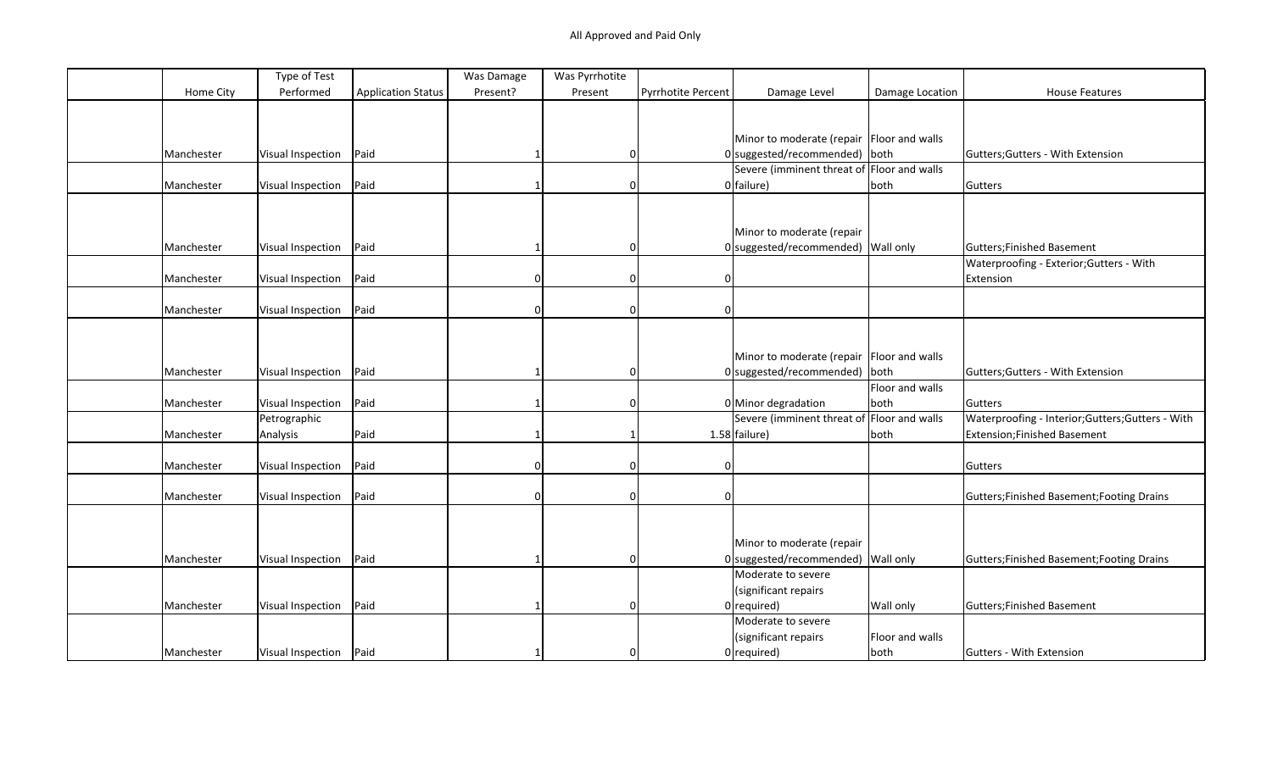|            | Type of Test             |                           | Was Damage | Was Pyrrhotite |                    |                                             |                 |                                                   |
|------------|--------------------------|---------------------------|------------|----------------|--------------------|---------------------------------------------|-----------------|---------------------------------------------------|
| Home City  | Performed                | <b>Application Status</b> | Present?   | Present        | Pyrrhotite Percent | Damage Level                                | Damage Location | <b>House Features</b>                             |
|            |                          |                           |            |                |                    |                                             |                 |                                                   |
|            |                          |                           |            |                |                    |                                             |                 |                                                   |
|            |                          |                           |            |                |                    | Minor to moderate (repair   Floor and walls |                 |                                                   |
| Manchester | Visual Inspection        | Paid                      |            | 0              |                    | 0 suggested/recommended) both               |                 | Gutters; Gutters - With Extension                 |
|            |                          |                           |            |                |                    | Severe (imminent threat of Floor and walls  |                 |                                                   |
| Manchester | Visual Inspection        | Paid                      |            | $\Omega$       |                    | $0$ failure)                                | both            | Gutters                                           |
|            |                          |                           |            |                |                    |                                             |                 |                                                   |
|            |                          |                           |            |                |                    |                                             |                 |                                                   |
|            |                          |                           |            |                |                    | Minor to moderate (repair                   |                 |                                                   |
| Manchester | Visual Inspection        | Paid                      |            | $\Omega$       |                    | 0 suggested/recommended) Wall only          |                 | Gutters; Finished Basement                        |
|            |                          |                           |            |                |                    |                                             |                 | Waterproofing - Exterior; Gutters - With          |
| Manchester |                          | Paid                      |            | 0              | 0                  |                                             |                 | Extension                                         |
|            | Visual Inspection        |                           |            |                |                    |                                             |                 |                                                   |
|            |                          |                           |            |                |                    |                                             |                 |                                                   |
| Manchester | Visual Inspection        | Paid                      | $\Omega$   | 0              | $\Omega$           |                                             |                 |                                                   |
|            |                          |                           |            |                |                    |                                             |                 |                                                   |
|            |                          |                           |            |                |                    |                                             |                 |                                                   |
|            |                          |                           |            |                |                    | Minor to moderate (repair Floor and walls   |                 |                                                   |
| Manchester | Visual Inspection        | Paid                      |            | $\Omega$       |                    | $0$ suggested/recommended)                  | both            | Gutters; Gutters - With Extension                 |
|            |                          |                           |            |                |                    |                                             | Floor and walls |                                                   |
| Manchester | Visual Inspection        | Paid                      |            | $\Omega$       |                    | $0$ Minor degradation                       | both            | Gutters                                           |
|            | Petrographic             |                           |            |                |                    | Severe (imminent threat of                  | Floor and walls | Waterproofing - Interior; Gutters; Gutters - With |
| Manchester | Analysis                 | Paid                      |            |                |                    | $1.58$ failure)                             | both            | Extension; Finished Basement                      |
|            |                          |                           |            |                |                    |                                             |                 |                                                   |
| Manchester | Visual Inspection        | Paid                      |            | $\Omega$       |                    |                                             |                 | Gutters                                           |
|            |                          |                           |            |                |                    |                                             |                 |                                                   |
| Manchester | Visual Inspection        | Paid                      | $\Omega$   | $\Omega$       | $\Omega$           |                                             |                 | Gutters; Finished Basement; Footing Drains        |
|            |                          |                           |            |                |                    |                                             |                 |                                                   |
|            |                          |                           |            |                |                    |                                             |                 |                                                   |
|            |                          |                           |            |                |                    | Minor to moderate (repair                   |                 |                                                   |
| Manchester | Visual Inspection        | Paid                      |            | $\Omega$       |                    | 0 suggested/recommended) Wall only          |                 | Gutters; Finished Basement; Footing Drains        |
|            |                          |                           |            |                |                    | Moderate to severe                          |                 |                                                   |
|            |                          |                           |            |                |                    | (significant repairs                        |                 |                                                   |
| Manchester | Visual Inspection        | Paid                      |            | $\Omega$       |                    | $0$ required)                               | Wall only       | Gutters; Finished Basement                        |
|            |                          |                           |            |                |                    | Moderate to severe                          |                 |                                                   |
|            |                          |                           |            |                |                    |                                             |                 |                                                   |
|            |                          |                           |            |                |                    | (significant repairs                        | Floor and walls |                                                   |
| Manchester | Visual Inspection   Paid |                           |            | $\Omega$       |                    | $0$ required)                               | both            | Gutters - With Extension                          |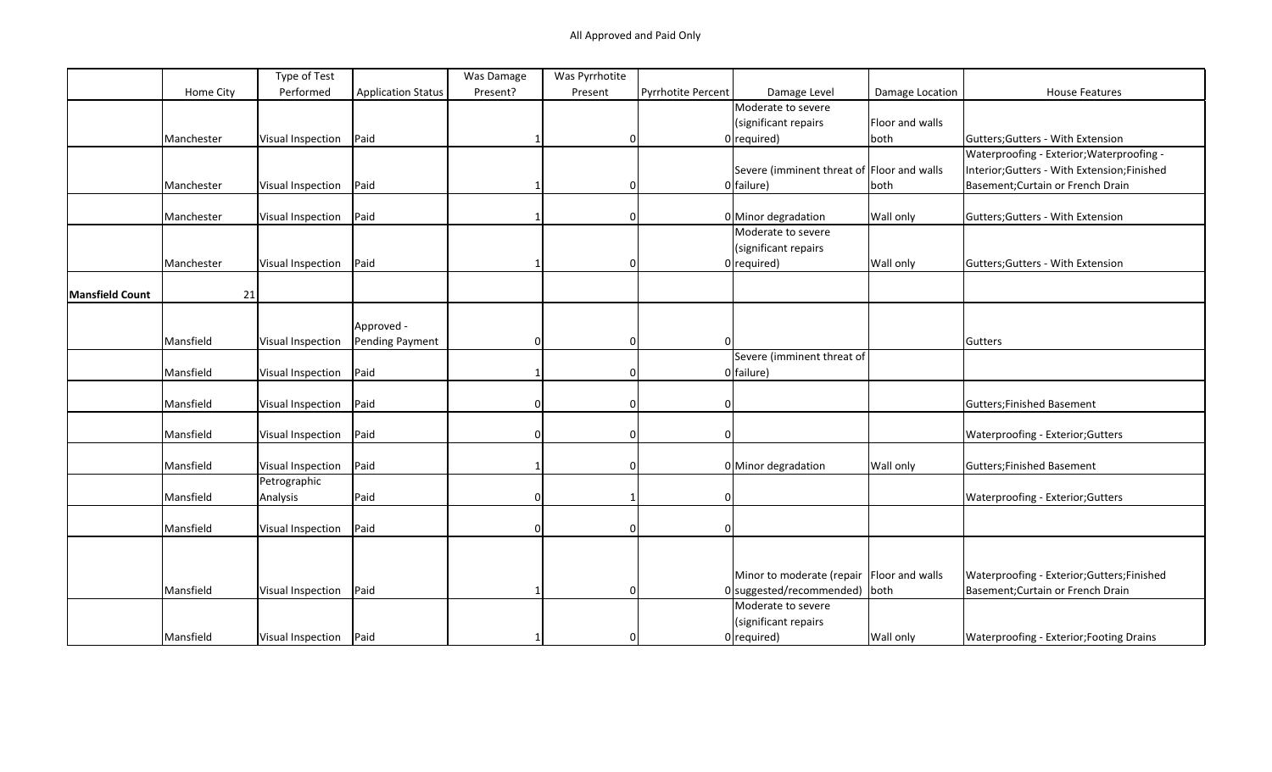|                        |            | Type of Test             |                           | Was Damage | Was Pyrrhotite |                    |                                             |                 |                                                 |
|------------------------|------------|--------------------------|---------------------------|------------|----------------|--------------------|---------------------------------------------|-----------------|-------------------------------------------------|
|                        | Home City  | Performed                | <b>Application Status</b> | Present?   | Present        | Pyrrhotite Percent | Damage Level                                | Damage Location | <b>House Features</b>                           |
|                        |            |                          |                           |            |                |                    | Moderate to severe                          |                 |                                                 |
|                        |            |                          |                           |            |                |                    | (significant repairs                        | Floor and walls |                                                 |
|                        | Manchester | Visual Inspection        | Paid                      |            | $\mathbf 0$    |                    | $0$ required)                               | both            | Gutters; Gutters - With Extension               |
|                        |            |                          |                           |            |                |                    |                                             |                 | Waterproofing - Exterior; Waterproofing -       |
|                        |            |                          |                           |            |                |                    | Severe (imminent threat of Floor and walls  |                 | Interior; Gutters - With Extension; Finished    |
|                        | Manchester | Visual Inspection        | Paid                      |            | $\mathbf 0$    |                    | $0$ failure)                                | both            | Basement; Curtain or French Drain               |
|                        |            |                          |                           |            |                |                    |                                             |                 |                                                 |
|                        | Manchester | Visual Inspection        | Paid                      |            | 0              |                    | 0 Minor degradation                         | Wall only       | Gutters; Gutters - With Extension               |
|                        |            |                          |                           |            |                |                    | Moderate to severe                          |                 |                                                 |
|                        |            |                          |                           |            |                |                    | (significant repairs                        |                 |                                                 |
|                        | Manchester | Visual Inspection        | Paid                      |            | 0              |                    | $0$ required)                               | Wall only       | Gutters; Gutters - With Extension               |
|                        |            |                          |                           |            |                |                    |                                             |                 |                                                 |
| <b>Mansfield Count</b> | 21         |                          |                           |            |                |                    |                                             |                 |                                                 |
|                        |            |                          |                           |            |                |                    |                                             |                 |                                                 |
|                        |            |                          | Approved -                |            |                |                    |                                             |                 |                                                 |
|                        | Mansfield  | Visual Inspection        | Pending Payment           | $\Omega$   | $\mathbf 0$    |                    |                                             |                 | Gutters                                         |
|                        |            |                          |                           |            |                |                    | Severe (imminent threat of                  |                 |                                                 |
|                        | Mansfield  | Visual Inspection        | Paid                      |            | $\mathbf 0$    |                    | $0$ failure)                                |                 |                                                 |
|                        |            |                          |                           |            |                |                    |                                             |                 |                                                 |
|                        | Mansfield  | Visual Inspection        | Paid                      | 0          | 0              | 0                  |                                             |                 | Gutters; Finished Basement                      |
|                        |            |                          |                           |            |                |                    |                                             |                 |                                                 |
|                        | Mansfield  | Visual Inspection        | Paid                      | $\Omega$   | 0              | 0                  |                                             |                 | Waterproofing - Exterior; Gutters               |
|                        |            |                          |                           |            |                |                    |                                             |                 |                                                 |
|                        | Mansfield  | Visual Inspection        | Paid                      |            | 0              |                    | 0 Minor degradation                         | Wall only       | Gutters; Finished Basement                      |
|                        |            | Petrographic             |                           |            |                |                    |                                             |                 |                                                 |
|                        | Mansfield  | Analysis                 | Paid                      | $\Omega$   | 1              | $\Omega$           |                                             |                 | Waterproofing - Exterior; Gutters               |
|                        |            |                          |                           |            |                |                    |                                             |                 |                                                 |
|                        | Mansfield  | Visual Inspection        | Paid                      | $\Omega$   | $\mathbf 0$    | 0                  |                                             |                 |                                                 |
|                        |            |                          |                           |            |                |                    |                                             |                 |                                                 |
|                        |            |                          |                           |            |                |                    |                                             |                 |                                                 |
|                        |            |                          |                           |            |                |                    | Minor to moderate (repair   Floor and walls |                 | Waterproofing - Exterior; Gutters; Finished     |
|                        | Mansfield  | Visual Inspection        | Paid                      |            | $\mathbf 0$    |                    | $0$ suggested/recommended) both             |                 | Basement; Curtain or French Drain               |
|                        |            |                          |                           |            |                |                    | Moderate to severe                          |                 |                                                 |
|                        |            |                          |                           |            |                |                    | (significant repairs                        |                 |                                                 |
|                        | Mansfield  | Visual Inspection   Paid |                           |            | <sup>0</sup>   |                    | $0$ required)                               | Wall only       | <b>Waterproofing - Exterior; Footing Drains</b> |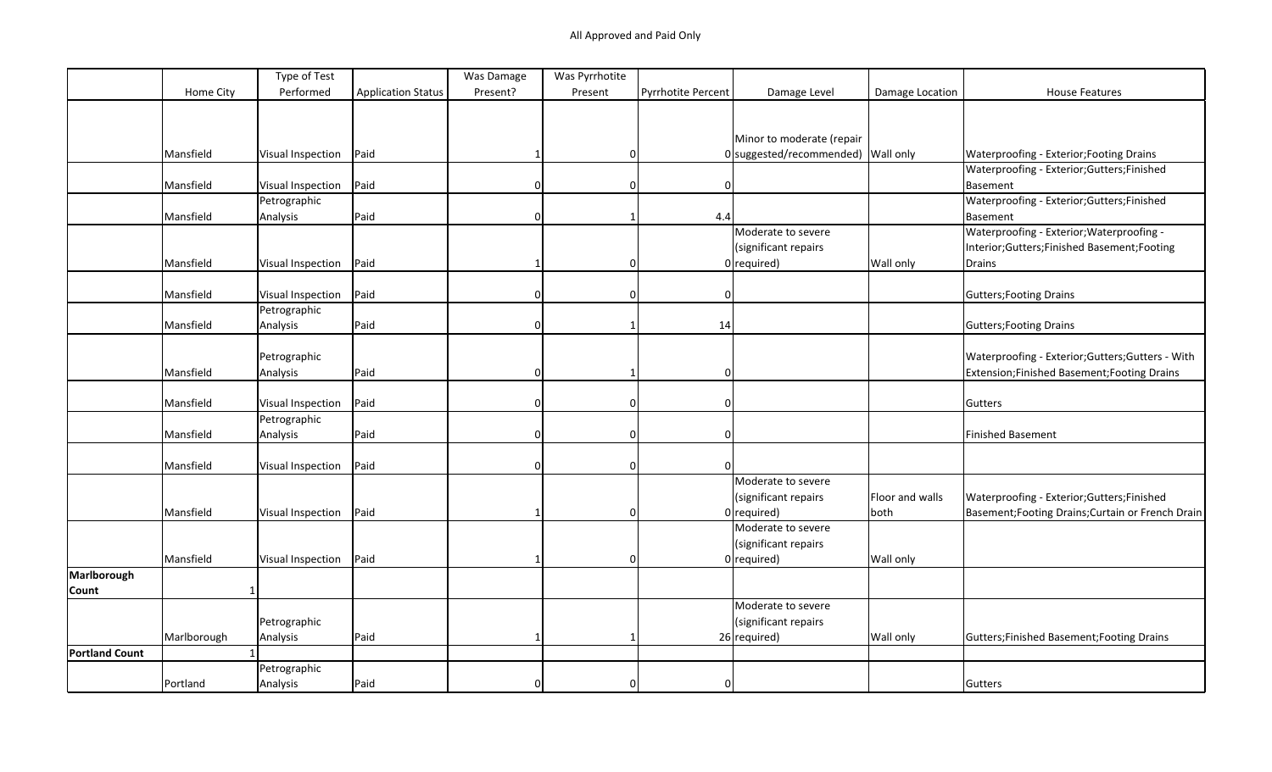|                       |              | Type of Test             |                           | Was Damage | Was Pyrrhotite |                           |                                      |                 |                                                   |
|-----------------------|--------------|--------------------------|---------------------------|------------|----------------|---------------------------|--------------------------------------|-----------------|---------------------------------------------------|
|                       | Home City    | Performed                | <b>Application Status</b> | Present?   | Present        | <b>Pyrrhotite Percent</b> | Damage Level                         | Damage Location | <b>House Features</b>                             |
|                       |              |                          |                           |            |                |                           |                                      |                 |                                                   |
|                       |              |                          |                           |            |                |                           |                                      |                 |                                                   |
|                       |              |                          |                           |            |                |                           | Minor to moderate (repair            |                 |                                                   |
|                       | Mansfield    | <b>Visual Inspection</b> | Paid                      |            | $\Omega$       |                           | $0$ suggested/recommended) Wall only |                 | Waterproofing - Exterior; Footing Drains          |
|                       |              |                          |                           |            |                |                           |                                      |                 | Waterproofing - Exterior;Gutters;Finished         |
|                       | Mansfield    | Visual Inspection        | Paid                      | $\Omega$   | 0              | $\Omega$                  |                                      |                 | Basement                                          |
|                       |              | Petrographic             |                           |            |                |                           |                                      |                 | Waterproofing - Exterior;Gutters;Finished         |
|                       | Mansfield    | Analysis                 | Paid                      | $\Omega$   |                | 4.4                       |                                      |                 | Basement                                          |
|                       |              |                          |                           |            |                |                           | Moderate to severe                   |                 | Waterproofing - Exterior; Waterproofing -         |
|                       |              |                          |                           |            |                |                           | (significant repairs                 |                 | Interior;Gutters;Finished Basement;Footing        |
|                       | Mansfield    | Visual Inspection        | Paid                      |            | $\Omega$       |                           | $0$ required)                        | Wall only       | Drains                                            |
|                       |              |                          |                           |            |                |                           |                                      |                 |                                                   |
|                       | Mansfield    | <b>Visual Inspection</b> | Paid                      | $\Omega$   | 0              | $\mathbf 0$               |                                      |                 | <b>Gutters; Footing Drains</b>                    |
|                       |              | Petrographic             |                           |            |                |                           |                                      |                 |                                                   |
|                       | Mansfield    | Analysis                 | Paid                      |            |                | 14                        |                                      |                 | <b>Gutters; Footing Drains</b>                    |
|                       |              |                          |                           |            |                |                           |                                      |                 |                                                   |
|                       |              | Petrographic             |                           |            |                |                           |                                      |                 | Waterproofing - Exterior; Gutters; Gutters - With |
|                       | Mansfield    | Analysis                 | Paid                      | $\Omega$   |                | $\mathbf 0$               |                                      |                 | Extension;Finished Basement;Footing Drains        |
|                       |              |                          |                           |            |                |                           |                                      |                 |                                                   |
|                       | Mansfield    | <b>Visual Inspection</b> | Paid                      | $\Omega$   | 0              | $\Omega$                  |                                      |                 | Gutters                                           |
|                       |              | Petrographic             |                           |            |                |                           |                                      |                 |                                                   |
|                       | Mansfield    | Analysis                 | Paid                      | $\Omega$   | 0              | $\mathbf 0$               |                                      |                 | <b>Finished Basement</b>                          |
|                       |              |                          |                           |            |                |                           |                                      |                 |                                                   |
|                       | Mansfield    | Visual Inspection        | Paid                      | $\Omega$   | 0              | $\Omega$                  |                                      |                 |                                                   |
|                       |              |                          |                           |            |                |                           | Moderate to severe                   |                 |                                                   |
|                       |              |                          |                           |            |                |                           | (significant repairs                 | Floor and walls | Waterproofing - Exterior; Gutters; Finished       |
|                       | Mansfield    | <b>Visual Inspection</b> | Paid                      |            | $\Omega$       |                           | $0$ required)                        | both            | Basement; Footing Drains; Curtain or French Drain |
|                       |              |                          |                           |            |                |                           | Moderate to severe                   |                 |                                                   |
|                       |              |                          |                           |            |                |                           | (significant repairs                 |                 |                                                   |
|                       | Mansfield    | Visual Inspection        | Paid                      |            | $\Omega$       |                           | $0$ required)                        | Wall only       |                                                   |
| Marlborough           |              |                          |                           |            |                |                           |                                      |                 |                                                   |
| Count                 | $\mathbf{1}$ |                          |                           |            |                |                           |                                      |                 |                                                   |
|                       |              |                          |                           |            |                |                           | Moderate to severe                   |                 |                                                   |
|                       |              | Petrographic             |                           |            |                |                           | (significant repairs                 |                 |                                                   |
|                       | Marlborough  | Analysis                 | Paid                      |            |                |                           | 26 required)                         | Wall only       | Gutters; Finished Basement; Footing Drains        |
| <b>Portland Count</b> |              |                          |                           |            |                |                           |                                      |                 |                                                   |
|                       |              | Petrographic             |                           |            |                |                           |                                      |                 |                                                   |
|                       | Portland     | Analysis                 | Paid                      |            | $\Omega$       | $\Omega$                  |                                      |                 | Gutters                                           |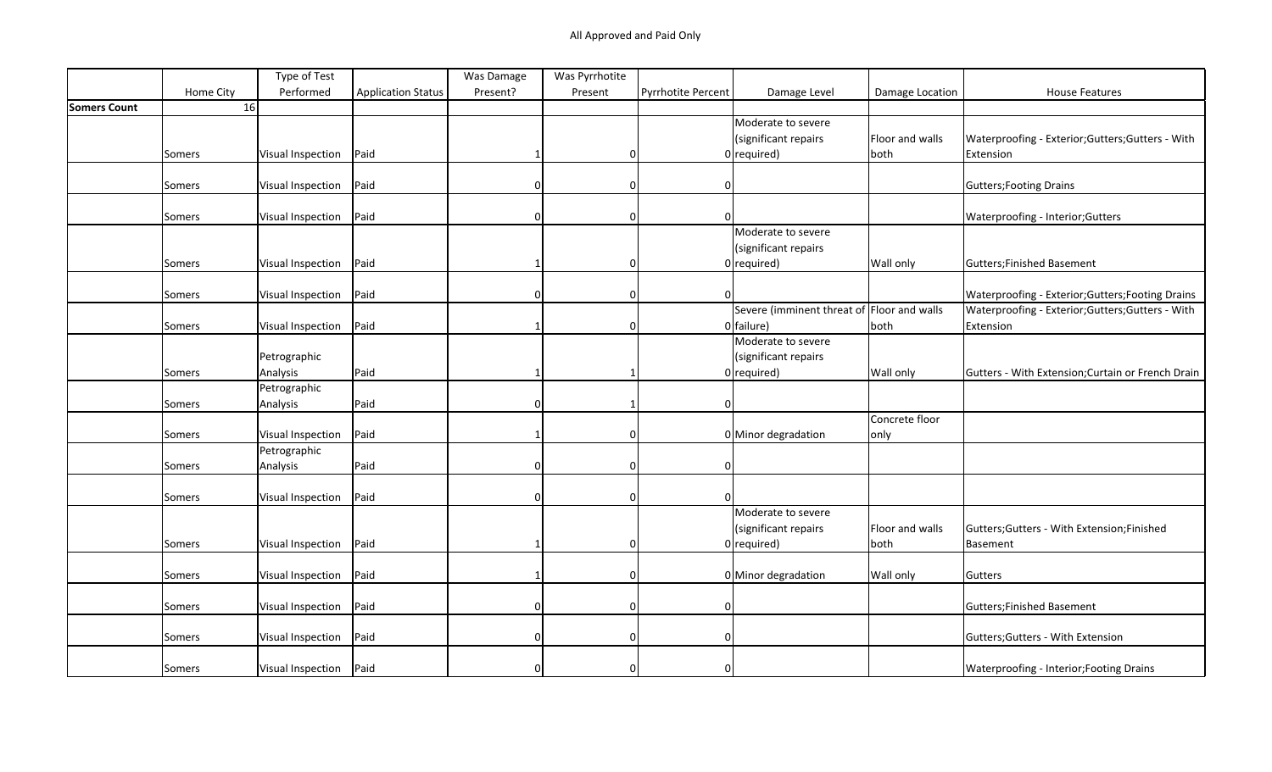|                     |           | Type of Test             |                           | Was Damage | Was Pyrrhotite |                    |                                            |                 |                                                   |
|---------------------|-----------|--------------------------|---------------------------|------------|----------------|--------------------|--------------------------------------------|-----------------|---------------------------------------------------|
|                     | Home City | Performed                | <b>Application Status</b> | Present?   | Present        | Pyrrhotite Percent | Damage Level                               | Damage Location | <b>House Features</b>                             |
| <b>Somers Count</b> | 16        |                          |                           |            |                |                    |                                            |                 |                                                   |
|                     |           |                          |                           |            |                |                    | Moderate to severe                         |                 |                                                   |
|                     |           |                          |                           |            |                |                    | (significant repairs                       | Floor and walls | Waterproofing - Exterior; Gutters; Gutters - With |
|                     | Somers    | Visual Inspection        | Paid                      |            | 0              |                    | $0$ required)                              | both            | Extension                                         |
|                     |           |                          |                           |            |                |                    |                                            |                 |                                                   |
|                     | Somers    | Visual Inspection        | Paid                      |            | 0              | 0                  |                                            |                 | <b>Gutters; Footing Drains</b>                    |
|                     |           |                          |                           |            |                |                    |                                            |                 |                                                   |
|                     | Somers    | Visual Inspection        | Paid                      |            | 0              |                    |                                            |                 | Waterproofing - Interior; Gutters                 |
|                     |           |                          |                           |            |                |                    | Moderate to severe                         |                 |                                                   |
|                     |           |                          |                           |            |                |                    | (significant repairs                       |                 |                                                   |
|                     | Somers    | Visual Inspection        | Paid                      |            | 0              |                    | $0$ required)                              | Wall only       | Gutters; Finished Basement                        |
|                     |           |                          |                           |            |                |                    |                                            |                 |                                                   |
|                     | Somers    | Visual Inspection        | Paid                      |            | 0              | <sup>0</sup>       |                                            |                 | Waterproofing - Exterior; Gutters; Footing Drains |
|                     |           |                          |                           |            |                |                    | Severe (imminent threat of Floor and walls |                 | Waterproofing - Exterior;Gutters;Gutters - With   |
|                     | Somers    | Visual Inspection        | Paid                      |            | $\Omega$       |                    | $0$ failure)                               | both            | Extension                                         |
|                     |           |                          |                           |            |                |                    | Moderate to severe                         |                 |                                                   |
|                     |           | Petrographic             |                           |            |                |                    | (significant repairs                       |                 |                                                   |
|                     | Somers    | Analysis                 | Paid                      |            |                |                    | $0$ required)                              | Wall only       | Gutters - With Extension; Curtain or French Drain |
|                     |           | Petrographic             |                           |            |                |                    |                                            |                 |                                                   |
|                     | Somers    | Analysis                 | Paid                      | O          |                | 0                  |                                            |                 |                                                   |
|                     |           |                          |                           |            |                |                    |                                            | Concrete floor  |                                                   |
|                     | Somers    | Visual Inspection        | Paid                      |            | 0              |                    | 0 Minor degradation                        | only            |                                                   |
|                     |           | Petrographic             |                           |            |                |                    |                                            |                 |                                                   |
|                     | Somers    | Analysis                 | Paid                      |            | $\Omega$       | 0                  |                                            |                 |                                                   |
|                     |           |                          |                           |            |                |                    |                                            |                 |                                                   |
|                     | Somers    | Visual Inspection        | Paid                      |            | 0              | <sup>0</sup>       |                                            |                 |                                                   |
|                     |           |                          |                           |            |                |                    | Moderate to severe                         |                 |                                                   |
|                     |           |                          |                           |            |                |                    | (significant repairs                       | Floor and walls | Gutters; Gutters - With Extension; Finished       |
|                     | Somers    | Visual Inspection        | Paid                      |            | 0              |                    | $0$ required)                              | both            | Basement                                          |
|                     |           |                          |                           |            |                |                    |                                            |                 |                                                   |
|                     | Somers    | Visual Inspection        | Paid                      |            | 0              |                    | 0 Minor degradation                        | Wall only       | Gutters                                           |
|                     |           |                          | Paid                      |            | 0              |                    |                                            |                 |                                                   |
|                     | Somers    | Visual Inspection        |                           |            |                | 0                  |                                            |                 | Gutters; Finished Basement                        |
|                     |           | Visual Inspection        | Paid                      |            | $\Omega$       | 0                  |                                            |                 | Gutters; Gutters - With Extension                 |
|                     | Somers    |                          |                           |            |                |                    |                                            |                 |                                                   |
|                     |           |                          |                           |            | 0              | 0                  |                                            |                 |                                                   |
|                     | Somers    | Visual Inspection   Paid |                           |            |                |                    |                                            |                 | Waterproofing - Interior; Footing Drains          |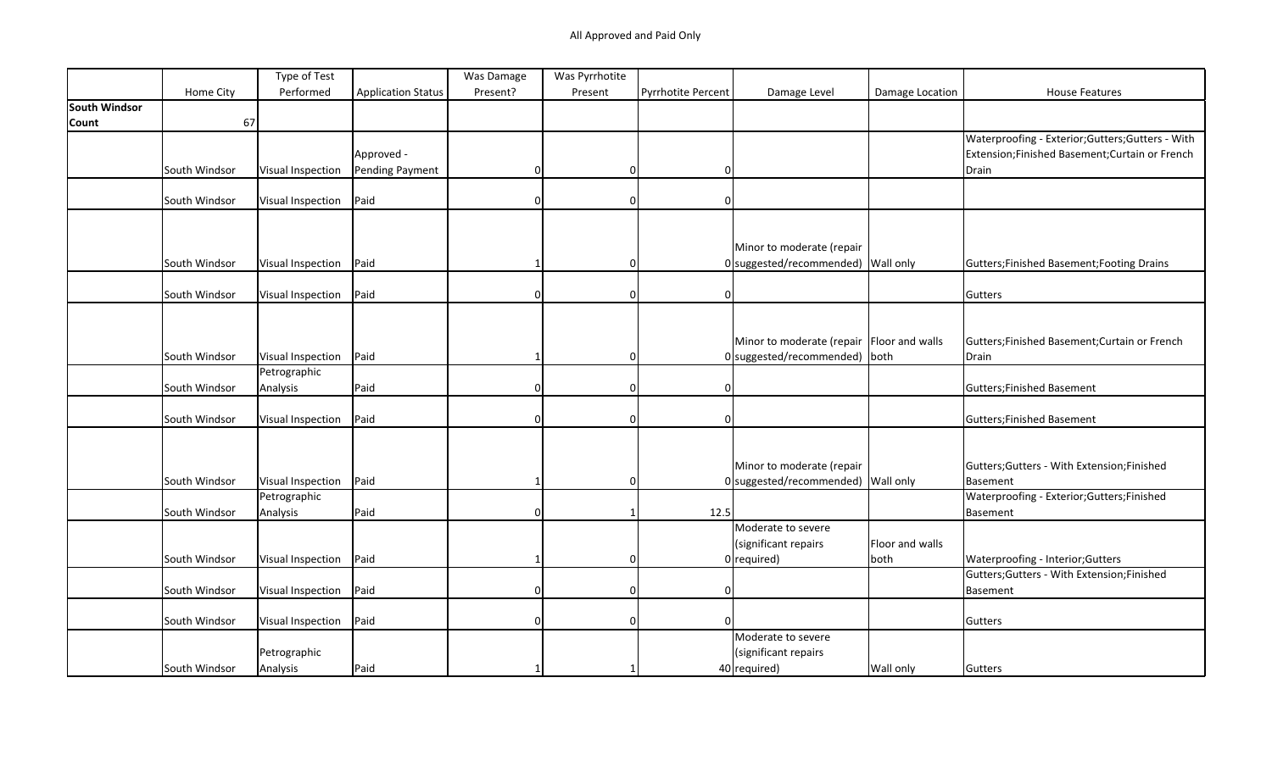|               |               | Type of Test      |                           | Was Damage | Was Pyrrhotite |                    |                                           |                 |                                                   |
|---------------|---------------|-------------------|---------------------------|------------|----------------|--------------------|-------------------------------------------|-----------------|---------------------------------------------------|
|               | Home City     | Performed         | <b>Application Status</b> | Present?   | Present        | Pyrrhotite Percent | Damage Level                              | Damage Location | <b>House Features</b>                             |
| South Windsor |               |                   |                           |            |                |                    |                                           |                 |                                                   |
| Count         | 67            |                   |                           |            |                |                    |                                           |                 |                                                   |
|               |               |                   |                           |            |                |                    |                                           |                 | Waterproofing - Exterior; Gutters; Gutters - With |
|               |               |                   | Approved -                |            |                |                    |                                           |                 | Extension;Finished Basement;Curtain or French     |
|               | South Windsor | Visual Inspection | Pending Payment           | $\Omega$   | 0              | 01                 |                                           |                 | Drain                                             |
|               |               |                   |                           |            |                |                    |                                           |                 |                                                   |
|               | South Windsor | Visual Inspection | Paid                      |            | $\Omega$       | $\Omega$           |                                           |                 |                                                   |
|               |               |                   |                           |            |                |                    |                                           |                 |                                                   |
|               |               |                   |                           |            |                |                    |                                           |                 |                                                   |
|               |               |                   |                           |            |                |                    | Minor to moderate (repair                 |                 |                                                   |
|               | South Windsor | Visual Inspection | Paid                      |            |                |                    | 0 suggested/recommended) Wall only        |                 | Gutters; Finished Basement; Footing Drains        |
|               |               |                   |                           |            |                |                    |                                           |                 |                                                   |
|               | South Windsor | Visual Inspection | Paid                      |            | $\Omega$       | $\Omega$           |                                           |                 | Gutters                                           |
|               |               |                   |                           |            |                |                    |                                           |                 |                                                   |
|               |               |                   |                           |            |                |                    |                                           |                 |                                                   |
|               |               |                   |                           |            |                |                    | Minor to moderate (repair Floor and walls |                 | Gutters;Finished Basement;Curtain or French       |
|               | South Windsor | Visual Inspection | Paid                      |            | $\Omega$       |                    | 0 suggested/recommended) both             |                 | Drain                                             |
|               |               | Petrographic      |                           | ∩          |                |                    |                                           |                 |                                                   |
|               | South Windsor | Analysis          | Paid                      |            | 0              | $\Omega$           |                                           |                 | Gutters; Finished Basement                        |
|               | South Windsor |                   | Paid                      | $\Omega$   | 0              | <sup>n</sup>       |                                           |                 |                                                   |
|               |               | Visual Inspection |                           |            |                |                    |                                           |                 | Gutters; Finished Basement                        |
|               |               |                   |                           |            |                |                    |                                           |                 |                                                   |
|               |               |                   |                           |            |                |                    | Minor to moderate (repair                 |                 | Gutters; Gutters - With Extension; Finished       |
|               | South Windsor | Visual Inspection | Paid                      |            | $\Omega$       |                    | 0 suggested/recommended) Wall only        |                 | Basement                                          |
|               |               | Petrographic      |                           |            |                |                    |                                           |                 | Waterproofing - Exterior; Gutters; Finished       |
|               | South Windsor | Analysis          | Paid                      | $\Omega$   | -1             | 12.5               |                                           |                 | Basement                                          |
|               |               |                   |                           |            |                |                    | Moderate to severe                        |                 |                                                   |
|               |               |                   |                           |            |                |                    | (significant repairs                      | Floor and walls |                                                   |
|               | South Windsor | Visual Inspection | Paid                      |            | 0              |                    | $0$ required)                             | both            | Waterproofing - Interior; Gutters                 |
|               |               |                   |                           |            |                |                    |                                           |                 | Gutters; Gutters - With Extension; Finished       |
|               | South Windsor | Visual Inspection | Paid                      | $\Omega$   | $\Omega$       | $\Omega$           |                                           |                 | Basement                                          |
|               |               |                   |                           |            |                |                    |                                           |                 |                                                   |
|               | South Windsor | Visual Inspection | Paid                      |            | $\Omega$       |                    |                                           |                 | Gutters                                           |
|               |               |                   |                           |            |                |                    | Moderate to severe                        |                 |                                                   |
|               |               | Petrographic      |                           |            |                |                    | (significant repairs                      |                 |                                                   |
|               | South Windsor | Analysis          | Paid                      |            |                |                    | $40$ required)                            | Wall only       | Gutters                                           |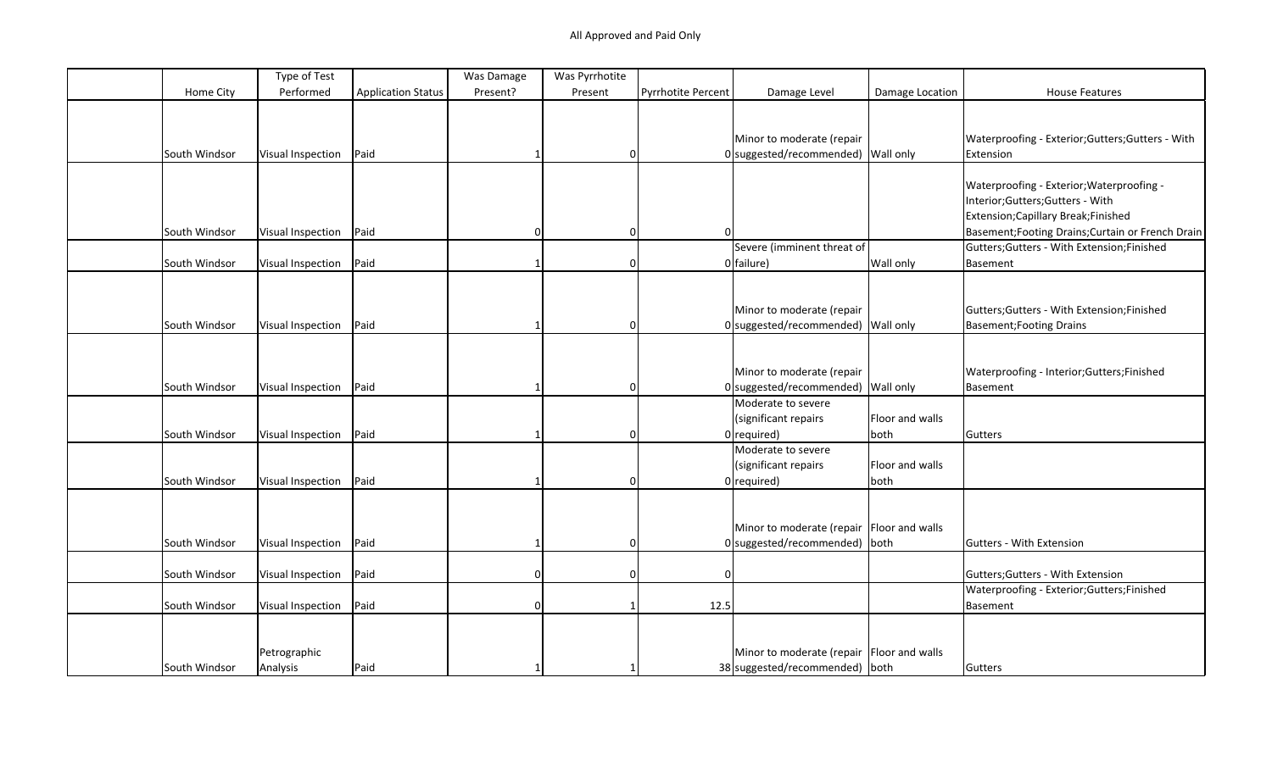|               | Type of Test      |                           | Was Damage | Was Pyrrhotite |                           |                                             |                 |                                                   |
|---------------|-------------------|---------------------------|------------|----------------|---------------------------|---------------------------------------------|-----------------|---------------------------------------------------|
| Home City     | Performed         | <b>Application Status</b> | Present?   | Present        | <b>Pyrrhotite Percent</b> | Damage Level                                | Damage Location | <b>House Features</b>                             |
|               |                   |                           |            |                |                           |                                             |                 |                                                   |
|               |                   |                           |            |                |                           |                                             |                 |                                                   |
|               |                   |                           |            |                |                           | Minor to moderate (repair                   |                 | Waterproofing - Exterior; Gutters; Gutters - With |
| South Windsor | Visual Inspection | Paid                      |            | 0              |                           | 0 suggested/recommended) Wall only          |                 | Extension                                         |
|               |                   |                           |            |                |                           |                                             |                 |                                                   |
|               |                   |                           |            |                |                           |                                             |                 | Waterproofing - Exterior; Waterproofing -         |
|               |                   |                           |            |                |                           |                                             |                 | Interior;Gutters;Gutters - With                   |
|               |                   |                           |            |                |                           |                                             |                 | Extension; Capillary Break; Finished              |
| South Windsor | Visual Inspection | Paid                      | $\Omega$   | 0              |                           |                                             |                 | Basement; Footing Drains; Curtain or French Drain |
|               |                   |                           |            |                |                           | Severe (imminent threat of                  |                 | Gutters; Gutters - With Extension; Finished       |
| South Windsor | Visual Inspection | Paid                      |            | 0              |                           | $0$ failure)                                | Wall only       | Basement                                          |
|               |                   |                           |            |                |                           |                                             |                 |                                                   |
|               |                   |                           |            |                |                           |                                             |                 |                                                   |
|               |                   |                           |            |                |                           | Minor to moderate (repair                   |                 | Gutters; Gutters - With Extension; Finished       |
| South Windsor | Visual Inspection | Paid                      |            | 0              |                           | 0 suggested/recommended) Wall only          |                 | <b>Basement; Footing Drains</b>                   |
|               |                   |                           |            |                |                           |                                             |                 |                                                   |
|               |                   |                           |            |                |                           |                                             |                 |                                                   |
|               |                   |                           |            |                |                           | Minor to moderate (repair                   |                 | Waterproofing - Interior; Gutters; Finished       |
| South Windsor | Visual Inspection | Paid                      |            | $\Omega$       |                           | 0 suggested/recommended) Wall only          |                 | Basement                                          |
|               |                   |                           |            |                |                           | Moderate to severe                          |                 |                                                   |
|               |                   |                           |            |                |                           | (significant repairs                        | Floor and walls |                                                   |
| South Windsor | Visual Inspection | Paid                      |            | $\Omega$       |                           | $0$ required)                               | both            | Gutters                                           |
|               |                   |                           |            |                |                           | Moderate to severe                          |                 |                                                   |
|               |                   |                           |            |                |                           | (significant repairs                        | Floor and walls |                                                   |
| South Windsor | Visual Inspection | Paid                      |            | $\Omega$       |                           | $0$ required)                               | both            |                                                   |
|               |                   |                           |            |                |                           |                                             |                 |                                                   |
|               |                   |                           |            |                |                           |                                             |                 |                                                   |
|               |                   |                           |            |                |                           | Minor to moderate (repair Floor and walls   |                 |                                                   |
| South Windsor |                   | Paid                      |            | $\Omega$       |                           | $0$ suggested/recommended) both             |                 | Gutters - With Extension                          |
|               | Visual Inspection |                           |            |                |                           |                                             |                 |                                                   |
|               |                   | Paid                      | $\Omega$   | $\Omega$       | $\Omega$                  |                                             |                 |                                                   |
| South Windsor | Visual Inspection |                           |            |                |                           |                                             |                 | Gutters; Gutters - With Extension                 |
|               |                   |                           |            |                |                           |                                             |                 | Waterproofing - Exterior; Gutters; Finished       |
| South Windsor | Visual Inspection | Paid                      | $\Omega$   |                | 12.5                      |                                             |                 | Basement                                          |
|               |                   |                           |            |                |                           |                                             |                 |                                                   |
|               |                   |                           |            |                |                           |                                             |                 |                                                   |
|               | Petrographic      |                           |            |                |                           | Minor to moderate (repair   Floor and walls |                 |                                                   |
| South Windsor | Analysis          | Paid                      |            |                |                           | 38 suggested/recommended) both              |                 | Gutters                                           |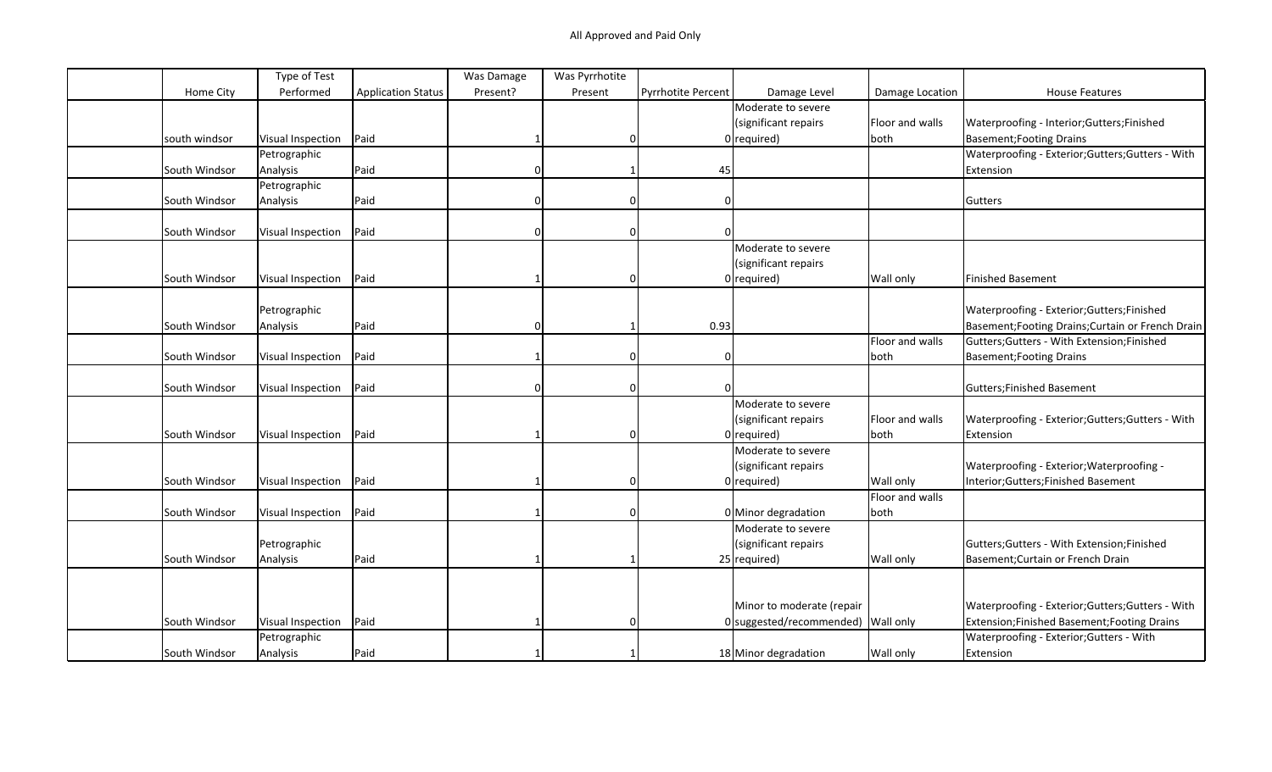|               | Type of Test      |                           | Was Damage | Was Pyrrhotite |                    |                                    |                 |                                                   |
|---------------|-------------------|---------------------------|------------|----------------|--------------------|------------------------------------|-----------------|---------------------------------------------------|
| Home City     | Performed         | <b>Application Status</b> | Present?   | Present        | Pyrrhotite Percent | Damage Level                       | Damage Location | <b>House Features</b>                             |
|               |                   |                           |            |                |                    | Moderate to severe                 |                 |                                                   |
|               |                   |                           |            |                |                    | (significant repairs               | Floor and walls | Waterproofing - Interior; Gutters; Finished       |
| south windsor | Visual Inspection | Paid                      |            | $\Omega$       |                    | $0$ required)                      | both            | <b>Basement; Footing Drains</b>                   |
|               | Petrographic      |                           |            |                |                    |                                    |                 | Waterproofing - Exterior; Gutters; Gutters - With |
| South Windsor | Analysis          | Paid                      |            |                | 45                 |                                    |                 | Extension                                         |
|               | Petrographic      |                           |            |                |                    |                                    |                 |                                                   |
| South Windsor | Analysis          | Paid                      |            | $\Omega$       |                    |                                    |                 | Gutters                                           |
|               |                   |                           |            |                |                    |                                    |                 |                                                   |
| South Windsor | Visual Inspection | Paid                      |            | $\Omega$       |                    |                                    |                 |                                                   |
|               |                   |                           |            |                |                    | Moderate to severe                 |                 |                                                   |
|               |                   |                           |            |                |                    | (significant repairs               |                 |                                                   |
| South Windsor | Visual Inspection | Paid                      |            | $\Omega$       |                    | $0$ required)                      | Wall only       | Finished Basement                                 |
|               |                   |                           |            |                |                    |                                    |                 |                                                   |
|               | Petrographic      |                           |            |                |                    |                                    |                 | Waterproofing - Exterior; Gutters; Finished       |
| South Windsor | Analysis          | Paid                      | 0          |                | 0.93               |                                    |                 | Basement; Footing Drains; Curtain or French Drain |
|               |                   |                           |            |                |                    |                                    | Floor and walls | Gutters; Gutters - With Extension; Finished       |
| South Windsor | Visual Inspection | Paid                      |            | $\mathbf 0$    | $\mathbf{0}$       |                                    | both            | Basement; Footing Drains                          |
|               |                   |                           |            |                |                    |                                    |                 |                                                   |
| South Windsor | Visual Inspection | Paid                      | 0          | $\mathbf 0$    | $\Omega$           |                                    |                 | Gutters; Finished Basement                        |
|               |                   |                           |            |                |                    | Moderate to severe                 |                 |                                                   |
|               |                   |                           |            |                |                    | (significant repairs               | Floor and walls | Waterproofing - Exterior; Gutters; Gutters - With |
| South Windsor | Visual Inspection | Paid                      |            | $\Omega$       |                    | $0$ required)                      | both            | Extension                                         |
|               |                   |                           |            |                |                    | Moderate to severe                 |                 |                                                   |
|               |                   |                           |            |                |                    | (significant repairs               |                 | Waterproofing - Exterior; Waterproofing -         |
| South Windsor | Visual Inspection | Paid                      |            | $\Omega$       |                    | $0$ required)                      | Wall only       | Interior; Gutters; Finished Basement              |
|               |                   |                           |            |                |                    |                                    | Floor and walls |                                                   |
| South Windsor | Visual Inspection | Paid                      |            | $\mathbf 0$    |                    | 0 Minor degradation                | both            |                                                   |
|               |                   |                           |            |                |                    | Moderate to severe                 |                 |                                                   |
|               | Petrographic      |                           |            |                |                    | (significant repairs               |                 | Gutters; Gutters - With Extension; Finished       |
| South Windsor | Analysis          | Paid                      |            |                |                    | $25$ required)                     | Wall only       | Basement; Curtain or French Drain                 |
|               |                   |                           |            |                |                    |                                    |                 |                                                   |
|               |                   |                           |            |                |                    |                                    |                 |                                                   |
|               |                   |                           |            |                |                    | Minor to moderate (repair          |                 | Waterproofing - Exterior; Gutters; Gutters - With |
| South Windsor | Visual Inspection | Paid                      |            | $\Omega$       |                    | 0 suggested/recommended) Wall only |                 | Extension;Finished Basement;Footing Drains        |
|               | Petrographic      |                           |            |                |                    |                                    |                 | Waterproofing - Exterior; Gutters - With          |
| South Windsor | Analysis          | Paid                      |            |                |                    | 18 Minor degradation               | Wall only       | Extension                                         |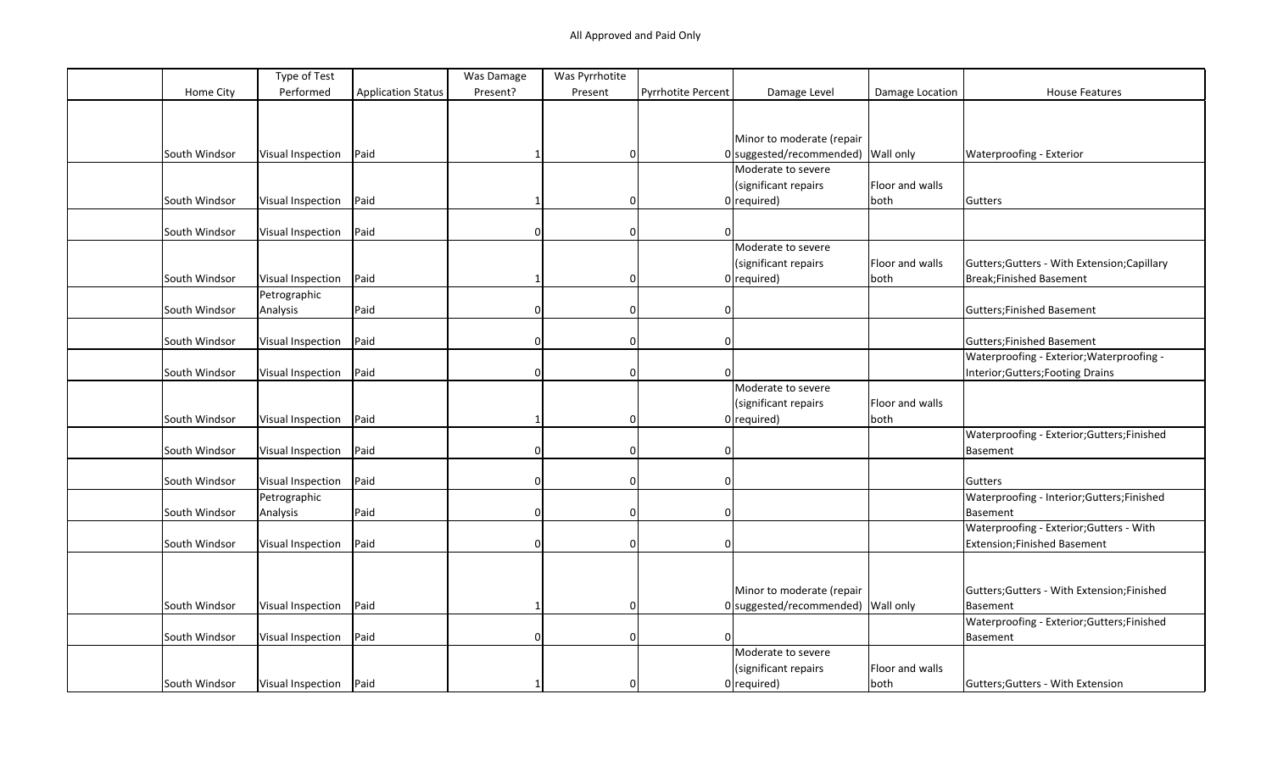|               | Type of Test             |                           | Was Damage | Was Pyrrhotite |                    |                                      |                 |                                              |
|---------------|--------------------------|---------------------------|------------|----------------|--------------------|--------------------------------------|-----------------|----------------------------------------------|
| Home City     | Performed                | <b>Application Status</b> | Present?   | Present        | Pyrrhotite Percent | Damage Level                         | Damage Location | <b>House Features</b>                        |
|               |                          |                           |            |                |                    |                                      |                 |                                              |
|               |                          |                           |            |                |                    |                                      |                 |                                              |
|               |                          |                           |            |                |                    | Minor to moderate (repair            |                 |                                              |
| South Windsor | Visual Inspection        | Paid                      |            | $\Omega$       |                    | $0$ suggested/recommended) Wall only |                 | Waterproofing - Exterior                     |
|               |                          |                           |            |                |                    | Moderate to severe                   |                 |                                              |
|               |                          |                           |            |                |                    | (significant repairs                 | Floor and walls |                                              |
| South Windsor | <b>Visual Inspection</b> | Paid                      |            | $\Omega$       |                    | $0$ required)                        | both            | Gutters                                      |
|               |                          |                           |            |                |                    |                                      |                 |                                              |
| South Windsor | <b>Visual Inspection</b> | Paid                      | $\Omega$   | $\mathbf 0$    | $\Omega$           |                                      |                 |                                              |
|               |                          |                           |            |                |                    | Moderate to severe                   |                 |                                              |
|               |                          |                           |            |                |                    | (significant repairs                 | Floor and walls | Gutters; Gutters - With Extension; Capillary |
| South Windsor | Visual Inspection        | Paid                      |            | $\mathbf 0$    |                    | $0$ required)                        | both            | Break; Finished Basement                     |
|               | Petrographic             |                           |            |                |                    |                                      |                 |                                              |
| South Windsor | Analysis                 | Paid                      | 0          | $\mathbf 0$    | 0                  |                                      |                 | Gutters; Finished Basement                   |
|               |                          |                           |            |                |                    |                                      |                 |                                              |
| South Windsor | Visual Inspection        | Paid                      |            | $\Omega$       | $\Omega$           |                                      |                 | Gutters; Finished Basement                   |
|               |                          |                           |            |                |                    |                                      |                 | Waterproofing - Exterior; Waterproofing -    |
| South Windsor | Visual Inspection        | Paid                      | 0          | $\mathbf 0$    | $\Omega$           |                                      |                 | Interior; Gutters; Footing Drains            |
|               |                          |                           |            |                |                    | Moderate to severe                   |                 |                                              |
|               |                          |                           |            |                |                    | (significant repairs                 | Floor and walls |                                              |
|               |                          | Paid                      |            |                |                    | $0$ required)                        |                 |                                              |
| South Windsor | Visual Inspection        |                           |            | $\mathbf 0$    |                    |                                      | both            | Waterproofing - Exterior; Gutters; Finished  |
|               |                          |                           |            |                | $\Omega$           |                                      |                 |                                              |
| South Windsor | Visual Inspection        | Paid                      |            | $\mathbf 0$    |                    |                                      |                 | Basement                                     |
|               |                          | Paid                      |            |                |                    |                                      |                 |                                              |
| South Windsor | Visual Inspection        |                           | 0          | $\mathbf 0$    | $\mathbf{0}$       |                                      |                 | Gutters                                      |
|               | Petrographic             |                           |            |                | $\Omega$           |                                      |                 | Waterproofing - Interior; Gutters; Finished  |
| South Windsor | Analysis                 | Paid                      | 0          | $\mathbf 0$    |                    |                                      |                 | Basement                                     |
|               |                          |                           |            |                |                    |                                      |                 | Waterproofing - Exterior; Gutters - With     |
| South Windsor | Visual Inspection        | Paid                      | 0          | $\mathbf 0$    | $\Omega$           |                                      |                 | Extension; Finished Basement                 |
|               |                          |                           |            |                |                    |                                      |                 |                                              |
|               |                          |                           |            |                |                    |                                      |                 |                                              |
|               |                          |                           |            |                |                    | Minor to moderate (repair            |                 | Gutters; Gutters - With Extension; Finished  |
| South Windsor | Visual Inspection        | Paid                      |            | $\mathbf 0$    |                    | $0$ suggested/recommended) Wall only |                 | Basement                                     |
|               |                          |                           |            |                |                    |                                      |                 | Waterproofing - Exterior; Gutters; Finished  |
| South Windsor | Visual Inspection        | Paid                      | 0          | $\mathbf 0$    | $\Omega$           |                                      |                 | Basement                                     |
|               |                          |                           |            |                |                    | Moderate to severe                   |                 |                                              |
|               |                          |                           |            |                |                    | (significant repairs                 | Floor and walls |                                              |
| South Windsor | Visual Inspection        | Paid                      |            | $\Omega$       |                    | $0$ required)                        | both            | Gutters; Gutters - With Extension            |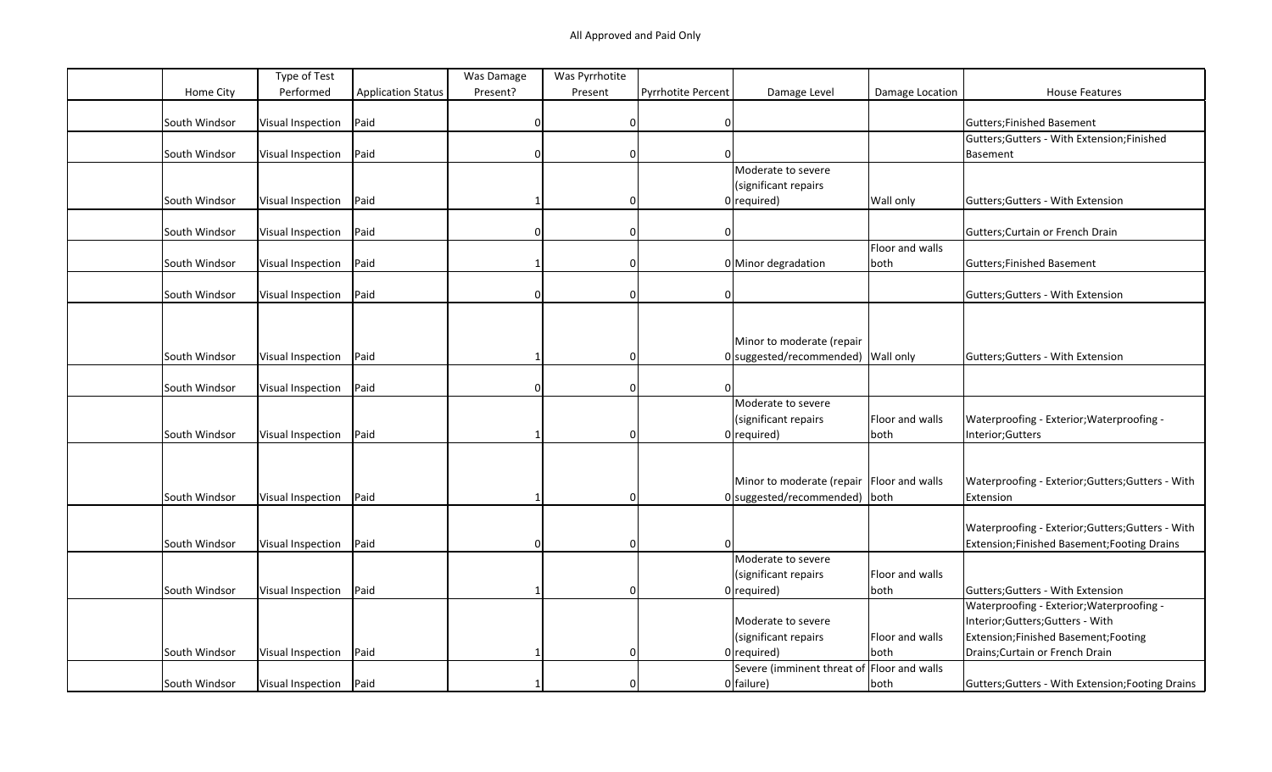|               | Type of Test      |                           | Was Damage | Was Pyrrhotite |                    |                                             |                 |                                                   |
|---------------|-------------------|---------------------------|------------|----------------|--------------------|---------------------------------------------|-----------------|---------------------------------------------------|
| Home City     | Performed         | <b>Application Status</b> | Present?   | Present        | Pyrrhotite Percent | Damage Level                                | Damage Location | <b>House Features</b>                             |
|               |                   |                           |            |                |                    |                                             |                 |                                                   |
| South Windsor | Visual Inspection | Paid                      | $\Omega$   | 0              | 0                  |                                             |                 | Gutters; Finished Basement                        |
|               |                   |                           |            |                |                    |                                             |                 | Gutters; Gutters - With Extension; Finished       |
| South Windsor | Visual Inspection | Paid                      |            | $\Omega$       |                    |                                             |                 | Basement                                          |
|               |                   |                           |            |                |                    | Moderate to severe                          |                 |                                                   |
|               |                   |                           |            |                |                    | (significant repairs                        |                 |                                                   |
| South Windsor | Visual Inspection | Paid                      |            | $\Omega$       |                    | $0$ required)                               | Wall only       | Gutters; Gutters - With Extension                 |
|               |                   |                           |            |                |                    |                                             |                 |                                                   |
| South Windsor | Visual Inspection | Paid                      | $\Omega$   | 0              | 0                  |                                             |                 | Gutters; Curtain or French Drain                  |
|               |                   |                           |            |                |                    |                                             | Floor and walls |                                                   |
| South Windsor | Visual Inspection | Paid                      |            | $\Omega$       |                    | 0 Minor degradation                         | both            | Gutters; Finished Basement                        |
|               |                   |                           |            |                |                    |                                             |                 |                                                   |
| South Windsor | Visual Inspection | Paid                      | $\Omega$   | $\mathbf 0$    | $\Omega$           |                                             |                 | Gutters; Gutters - With Extension                 |
|               |                   |                           |            |                |                    |                                             |                 |                                                   |
|               |                   |                           |            |                |                    |                                             |                 |                                                   |
|               |                   |                           |            |                |                    | Minor to moderate (repair                   |                 |                                                   |
| South Windsor | Visual Inspection | Paid                      |            | $\Omega$       |                    | 0 suggested/recommended) Wall only          |                 | Gutters; Gutters - With Extension                 |
|               |                   |                           |            |                |                    |                                             |                 |                                                   |
| South Windsor | Visual Inspection | Paid                      |            | $\Omega$       |                    |                                             |                 |                                                   |
|               |                   |                           |            |                |                    | Moderate to severe                          |                 |                                                   |
|               |                   |                           |            |                |                    | (significant repairs                        | Floor and walls | Waterproofing - Exterior; Waterproofing -         |
| South Windsor | Visual Inspection | Paid                      |            | $\Omega$       |                    | $0$ required)                               | both            | Interior; Gutters                                 |
|               |                   |                           |            |                |                    |                                             |                 |                                                   |
|               |                   |                           |            |                |                    |                                             |                 |                                                   |
|               |                   |                           |            |                |                    | Minor to moderate (repair   Floor and walls |                 | Waterproofing - Exterior; Gutters; Gutters - With |
| South Windsor | Visual Inspection | Paid                      |            | $\Omega$       |                    | $0$ suggested/recommended) both             |                 | Extension                                         |
|               |                   |                           |            |                |                    |                                             |                 |                                                   |
|               |                   |                           |            |                |                    |                                             |                 | Waterproofing - Exterior; Gutters; Gutters - With |
| South Windsor | Visual Inspection | Paid                      | $\Omega$   | 0              |                    |                                             |                 | Extension; Finished Basement; Footing Drains      |
|               |                   |                           |            |                |                    | Moderate to severe                          |                 |                                                   |
|               |                   |                           |            |                |                    | (significant repairs                        | Floor and walls |                                                   |
| South Windsor | Visual Inspection | Paid                      |            | $\Omega$       |                    | $0$ required)                               | both            | Gutters; Gutters - With Extension                 |
|               |                   |                           |            |                |                    |                                             |                 | Waterproofing - Exterior; Waterproofing -         |
|               |                   |                           |            |                |                    | Moderate to severe                          |                 | Interior;Gutters;Gutters - With                   |
|               |                   |                           |            |                |                    | (significant repairs                        | Floor and walls | Extension;Finished Basement;Footing               |
| South Windsor | Visual Inspection | Paid                      |            | $\Omega$       |                    | $0$ required)                               | both            | Drains; Curtain or French Drain                   |
|               |                   |                           |            |                |                    | Severe (imminent threat of Floor and walls  |                 |                                                   |
| South Windsor |                   | Paid                      |            | $\Omega$       |                    |                                             |                 |                                                   |
|               | Visual Inspection |                           |            |                |                    | $0$ failure)                                | both            | Gutters; Gutters - With Extension; Footing Drains |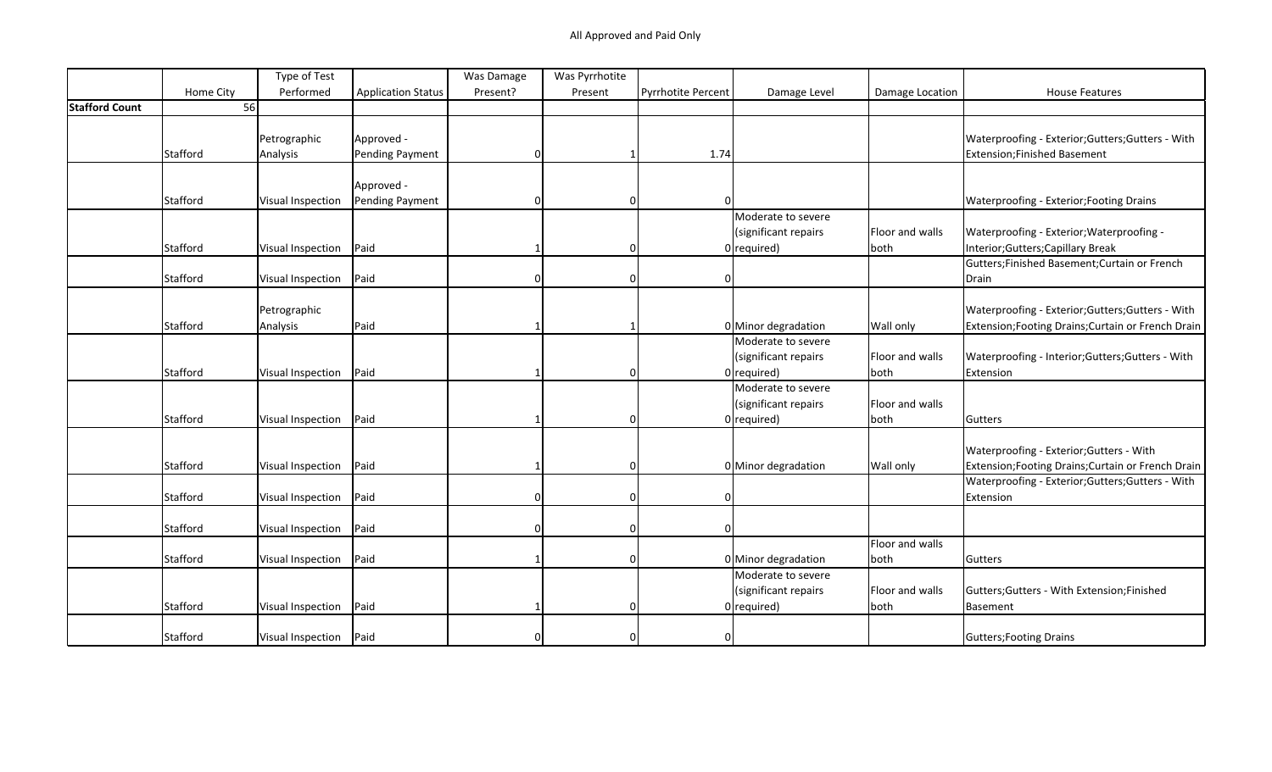|                       |           | Type of Test      |                           | Was Damage | Was Pyrrhotite |                    |                      |                 |                                                    |
|-----------------------|-----------|-------------------|---------------------------|------------|----------------|--------------------|----------------------|-----------------|----------------------------------------------------|
|                       | Home City | Performed         | <b>Application Status</b> | Present?   | Present        | Pyrrhotite Percent | Damage Level         | Damage Location | <b>House Features</b>                              |
| <b>Stafford Count</b> | 56        |                   |                           |            |                |                    |                      |                 |                                                    |
|                       |           |                   |                           |            |                |                    |                      |                 |                                                    |
|                       |           | Petrographic      | Approved -                |            |                |                    |                      |                 | Waterproofing - Exterior; Gutters; Gutters - With  |
|                       | Stafford  | Analysis          | Pending Payment           |            |                | 1.74               |                      |                 | Extension; Finished Basement                       |
|                       |           |                   | Approved -                |            |                |                    |                      |                 |                                                    |
|                       | Stafford  | Visual Inspection | Pending Payment           | ი          | $\Omega$       |                    |                      |                 | Waterproofing - Exterior; Footing Drains           |
|                       |           |                   |                           |            |                |                    | Moderate to severe   |                 |                                                    |
|                       |           |                   |                           |            |                |                    | (significant repairs | Floor and walls | Waterproofing - Exterior; Waterproofing -          |
|                       | Stafford  | Visual Inspection | Paid                      |            | $\Omega$       |                    | $0$ required)        | both            | Interior; Gutters; Capillary Break                 |
|                       |           |                   |                           |            |                |                    |                      |                 | Gutters; Finished Basement; Curtain or French      |
|                       | Stafford  | Visual Inspection | Paid                      | 0          | 0              |                    |                      |                 | Drain                                              |
|                       |           |                   |                           |            |                |                    |                      |                 |                                                    |
|                       |           | Petrographic      |                           |            |                |                    |                      |                 | Waterproofing - Exterior; Gutters; Gutters - With  |
|                       | Stafford  | Analysis          | Paid                      |            | -1             |                    | 0 Minor degradation  | Wall only       | Extension; Footing Drains; Curtain or French Drain |
|                       |           |                   |                           |            |                |                    | Moderate to severe   |                 |                                                    |
|                       |           |                   |                           |            |                |                    | (significant repairs | Floor and walls | Waterproofing - Interior; Gutters; Gutters - With  |
|                       | Stafford  | Visual Inspection | Paid                      |            | $\Omega$       |                    | $0$ required)        | both            | Extension                                          |
|                       |           |                   |                           |            |                |                    | Moderate to severe   |                 |                                                    |
|                       |           |                   |                           |            |                |                    | (significant repairs | Floor and walls |                                                    |
|                       | Stafford  | Visual Inspection | Paid                      |            | $\Omega$       |                    | $0$ required)        | both            | Gutters                                            |
|                       |           |                   |                           |            |                |                    |                      |                 |                                                    |
|                       |           |                   |                           |            |                |                    |                      |                 | Waterproofing - Exterior; Gutters - With           |
|                       | Stafford  |                   | Paid                      |            | $\Omega$       |                    |                      |                 | Extension; Footing Drains; Curtain or French Drain |
|                       |           | Visual Inspection |                           |            |                |                    | 0 Minor degradation  | Wall only       | Waterproofing - Exterior; Gutters; Gutters - With  |
|                       |           |                   | Paid                      | 0          | $\Omega$       |                    |                      |                 |                                                    |
|                       | Stafford  | Visual Inspection |                           |            |                |                    |                      |                 | Extension                                          |
|                       |           |                   |                           |            |                |                    |                      |                 |                                                    |
|                       | Stafford  | Visual Inspection | Paid                      | 0          | $\Omega$       |                    |                      |                 |                                                    |
|                       |           |                   |                           |            |                |                    |                      | Floor and walls |                                                    |
|                       | Stafford  | Visual Inspection | Paid                      |            | $\Omega$       |                    | 0 Minor degradation  | both            | Gutters                                            |
|                       |           |                   |                           |            |                |                    | Moderate to severe   |                 |                                                    |
|                       |           |                   |                           |            |                |                    | (significant repairs | Floor and walls | Gutters; Gutters - With Extension; Finished        |
|                       | Stafford  | Visual Inspection | Paid                      |            | $\Omega$       |                    | $0$ required)        | both            | Basement                                           |
|                       |           |                   |                           |            |                |                    |                      |                 |                                                    |
|                       | Stafford  | Visual Inspection | Paid                      |            | $\Omega$       |                    |                      |                 | Gutters; Footing Drains                            |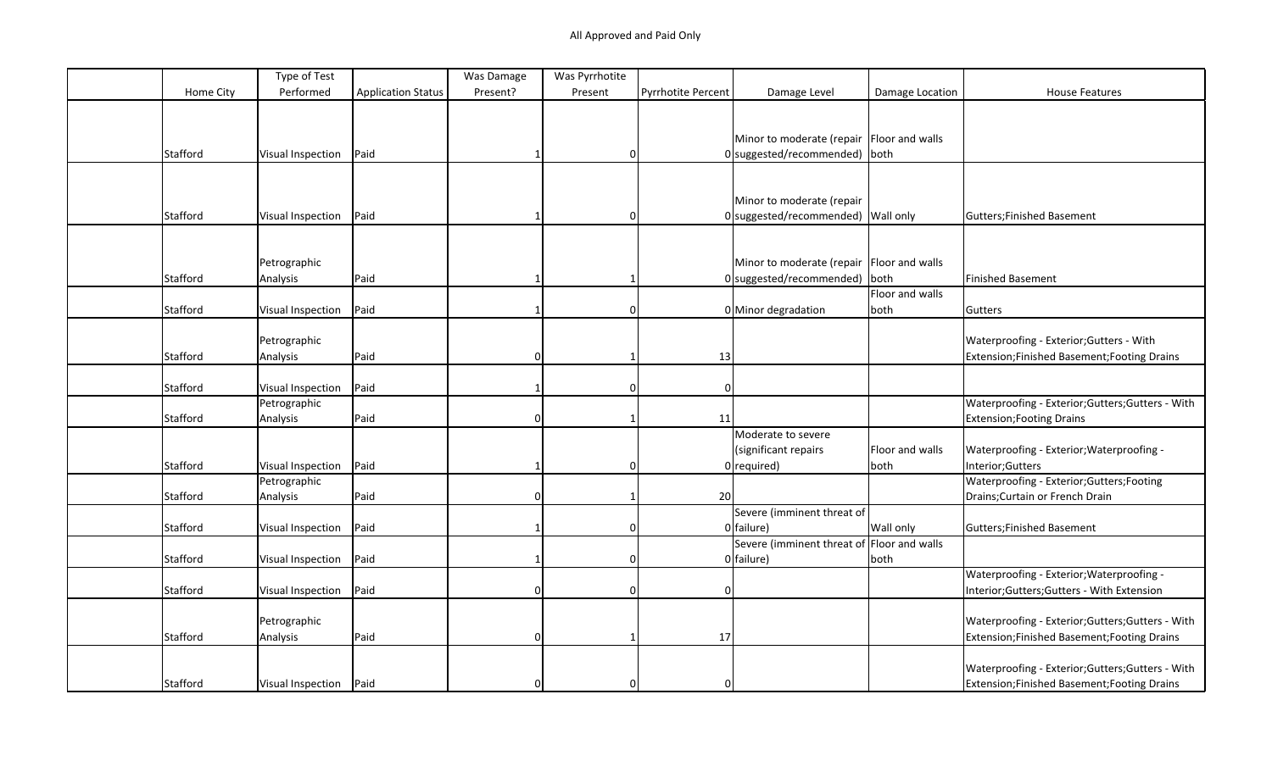|           | Type of Test             |                           | Was Damage | Was Pyrrhotite |                           |                                             |                 |                                                   |
|-----------|--------------------------|---------------------------|------------|----------------|---------------------------|---------------------------------------------|-----------------|---------------------------------------------------|
| Home City | Performed                | <b>Application Status</b> | Present?   | Present        | <b>Pyrrhotite Percent</b> | Damage Level                                | Damage Location | <b>House Features</b>                             |
|           |                          |                           |            |                |                           |                                             |                 |                                                   |
|           |                          |                           |            |                |                           |                                             |                 |                                                   |
|           |                          |                           |            |                |                           | Minor to moderate (repair   Floor and walls |                 |                                                   |
| Stafford  | <b>Visual Inspection</b> | Paid                      |            | <sup>0</sup>   |                           | 0 suggested/recommended) both               |                 |                                                   |
|           |                          |                           |            |                |                           |                                             |                 |                                                   |
|           |                          |                           |            |                |                           |                                             |                 |                                                   |
|           |                          |                           |            |                |                           | Minor to moderate (repair                   |                 |                                                   |
| Stafford  | Visual Inspection        | Paid                      |            | 0              |                           | 0 suggested/recommended) Wall only          |                 | Gutters; Finished Basement                        |
|           |                          |                           |            |                |                           |                                             |                 |                                                   |
|           |                          |                           |            |                |                           |                                             |                 |                                                   |
|           | Petrographic             |                           |            |                |                           | Minor to moderate (repair   Floor and walls |                 |                                                   |
| Stafford  | Analysis                 | Paid                      |            |                |                           | $0$ suggested/recommended) both             |                 | Finished Basement                                 |
|           |                          |                           |            |                |                           |                                             | Floor and walls |                                                   |
| Stafford  | Visual Inspection        | Paid                      |            | $\mathbf 0$    |                           | 0 Minor degradation                         | both            | Gutters                                           |
|           |                          |                           |            |                |                           |                                             |                 |                                                   |
|           | Petrographic             |                           |            |                |                           |                                             |                 | Waterproofing - Exterior; Gutters - With          |
| Stafford  | Analysis                 | Paid                      | $\Omega$   | -1             | 13                        |                                             |                 | Extension;Finished Basement;Footing Drains        |
|           |                          |                           |            |                |                           |                                             |                 |                                                   |
| Stafford  | Visual Inspection        | Paid                      |            | $\mathbf 0$    | $\Omega$                  |                                             |                 |                                                   |
|           | Petrographic             |                           |            |                |                           |                                             |                 | Waterproofing - Exterior; Gutters; Gutters - With |
| Stafford  | Analysis                 | Paid                      | 0          |                | 11                        |                                             |                 | <b>Extension; Footing Drains</b>                  |
|           |                          |                           |            |                |                           | Moderate to severe                          |                 |                                                   |
|           |                          |                           |            |                |                           | (significant repairs                        | Floor and walls | Waterproofing - Exterior; Waterproofing -         |
| Stafford  | <b>Visual Inspection</b> | Paid                      |            | $\Omega$       |                           | $0$ required)                               | both            | Interior; Gutters                                 |
|           | Petrographic             |                           |            |                |                           |                                             |                 | Waterproofing - Exterior; Gutters; Footing        |
| Stafford  | Analysis                 | Paid                      |            |                | 20                        |                                             |                 | Drains; Curtain or French Drain                   |
|           |                          |                           |            |                |                           | Severe (imminent threat of                  |                 |                                                   |
| Stafford  | Visual Inspection        | Paid                      |            | $\Omega$       |                           | $0$ failure)                                | Wall only       | Gutters; Finished Basement                        |
|           |                          |                           |            |                |                           | Severe (imminent threat of Floor and walls  |                 |                                                   |
| Stafford  | Visual Inspection        | Paid                      |            | $\Omega$       |                           | $0$ failure)                                | both            |                                                   |
|           |                          |                           |            |                |                           |                                             |                 | Waterproofing - Exterior; Waterproofing -         |
| Stafford  | <b>Visual Inspection</b> | Paid                      | ი          | $\mathbf 0$    | $\mathbf{0}$              |                                             |                 | Interior; Gutters; Gutters - With Extension       |
|           |                          |                           |            |                |                           |                                             |                 |                                                   |
|           | Petrographic             |                           |            |                |                           |                                             |                 | Waterproofing - Exterior; Gutters; Gutters - With |
| Stafford  | Analysis                 | Paid                      | $\Omega$   |                | 17                        |                                             |                 | Extension;Finished Basement;Footing Drains        |
|           |                          |                           |            |                |                           |                                             |                 |                                                   |
|           |                          |                           |            |                |                           |                                             |                 |                                                   |
|           |                          |                           |            |                |                           |                                             |                 | Waterproofing - Exterior; Gutters; Gutters - With |
| Stafford  | Visual Inspection        | Paid                      |            | <sup>0</sup>   | $\Omega$                  |                                             |                 | Extension;Finished Basement;Footing Drains        |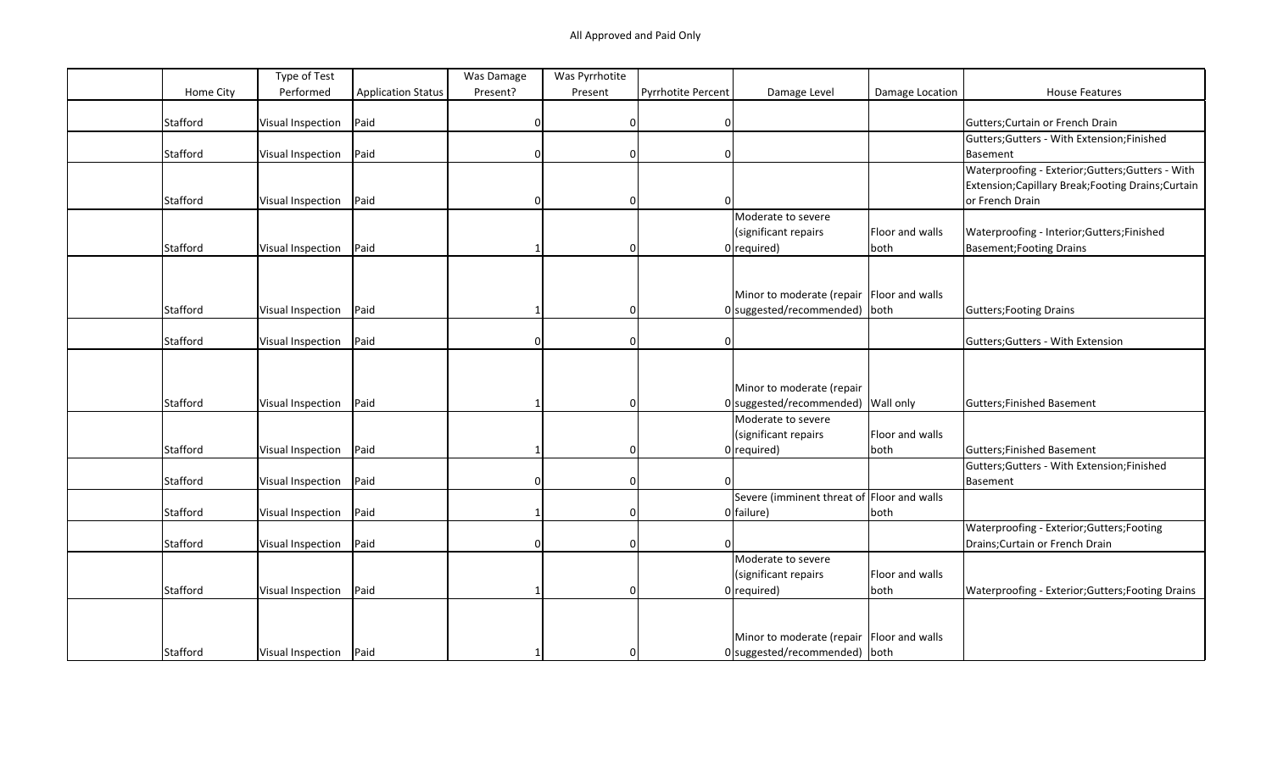|           | Type of Test      |                           | Was Damage | Was Pyrrhotite |                           |                                             |                 |                                                     |
|-----------|-------------------|---------------------------|------------|----------------|---------------------------|---------------------------------------------|-----------------|-----------------------------------------------------|
| Home City | Performed         | <b>Application Status</b> | Present?   | Present        | <b>Pyrrhotite Percent</b> | Damage Level                                | Damage Location | <b>House Features</b>                               |
|           |                   |                           |            |                |                           |                                             |                 |                                                     |
| Stafford  | Visual Inspection | Paid                      | 0          | $\Omega$       | 0                         |                                             |                 | Gutters; Curtain or French Drain                    |
|           |                   |                           |            |                |                           |                                             |                 | Gutters; Gutters - With Extension; Finished         |
| Stafford  | Visual Inspection | Paid                      |            | $\Omega$       | $\mathbf{0}$              |                                             |                 | Basement                                            |
|           |                   |                           |            |                |                           |                                             |                 | Waterproofing - Exterior; Gutters; Gutters - With   |
|           |                   |                           |            |                |                           |                                             |                 | Extension; Capillary Break; Footing Drains; Curtain |
| Stafford  | Visual Inspection | Paid                      |            | $\Omega$       | $\Omega$                  |                                             |                 | or French Drain                                     |
|           |                   |                           |            |                |                           | Moderate to severe                          |                 |                                                     |
|           |                   |                           |            |                |                           | (significant repairs                        | Floor and walls | Waterproofing - Interior; Gutters; Finished         |
| Stafford  | Visual Inspection | Paid                      |            | $\mathbf 0$    |                           | $0$ required)                               | both            | Basement; Footing Drains                            |
|           |                   |                           |            |                |                           |                                             |                 |                                                     |
|           |                   |                           |            |                |                           |                                             |                 |                                                     |
|           |                   |                           |            |                |                           | Minor to moderate (repair Floor and walls   |                 |                                                     |
| Stafford  | Visual Inspection | Paid                      |            | $\Omega$       |                           | 0 suggested/recommended) both               |                 | Gutters; Footing Drains                             |
|           |                   |                           |            |                |                           |                                             |                 |                                                     |
| Stafford  | Visual Inspection | Paid                      | U          | $\Omega$       | $\Omega$                  |                                             |                 | Gutters; Gutters - With Extension                   |
|           |                   |                           |            |                |                           |                                             |                 |                                                     |
|           |                   |                           |            |                |                           |                                             |                 |                                                     |
|           |                   |                           |            |                |                           | Minor to moderate (repair                   |                 |                                                     |
| Stafford  | Visual Inspection | Paid                      |            | $\mathbf 0$    |                           | $0$ suggested/recommended) Wall only        |                 | Gutters; Finished Basement                          |
|           |                   |                           |            |                |                           | Moderate to severe                          |                 |                                                     |
|           |                   |                           |            |                |                           | (significant repairs                        | Floor and walls |                                                     |
| Stafford  | Visual Inspection | Paid                      |            | $\Omega$       |                           | $0$ required)                               | both            | Gutters; Finished Basement                          |
|           |                   |                           |            |                |                           |                                             |                 | Gutters; Gutters - With Extension; Finished         |
| Stafford  | Visual Inspection | Paid                      |            | 0              |                           |                                             |                 | Basement                                            |
|           |                   |                           |            |                |                           | Severe (imminent threat of Floor and walls  |                 |                                                     |
| Stafford  | Visual Inspection | Paid                      |            |                |                           | 0 failure)                                  | both            |                                                     |
|           |                   |                           |            |                |                           |                                             |                 | Waterproofing - Exterior; Gutters; Footing          |
| Stafford  | Visual Inspection | Paid                      |            | $\Omega$       |                           |                                             |                 | Drains; Curtain or French Drain                     |
|           |                   |                           |            |                |                           | Moderate to severe                          |                 |                                                     |
|           |                   |                           |            |                |                           | (significant repairs                        | Floor and walls |                                                     |
| Stafford  | Visual Inspection | Paid                      |            | $\Omega$       |                           | $0$ required)                               | both            | Waterproofing - Exterior; Gutters; Footing Drains   |
|           |                   |                           |            |                |                           |                                             |                 |                                                     |
|           |                   |                           |            |                |                           |                                             |                 |                                                     |
|           |                   |                           |            |                |                           | Minor to moderate (repair   Floor and walls |                 |                                                     |
| Stafford  | Visual Inspection | Paid                      |            | <sup>0</sup>   |                           | $0$ suggested/recommended) both             |                 |                                                     |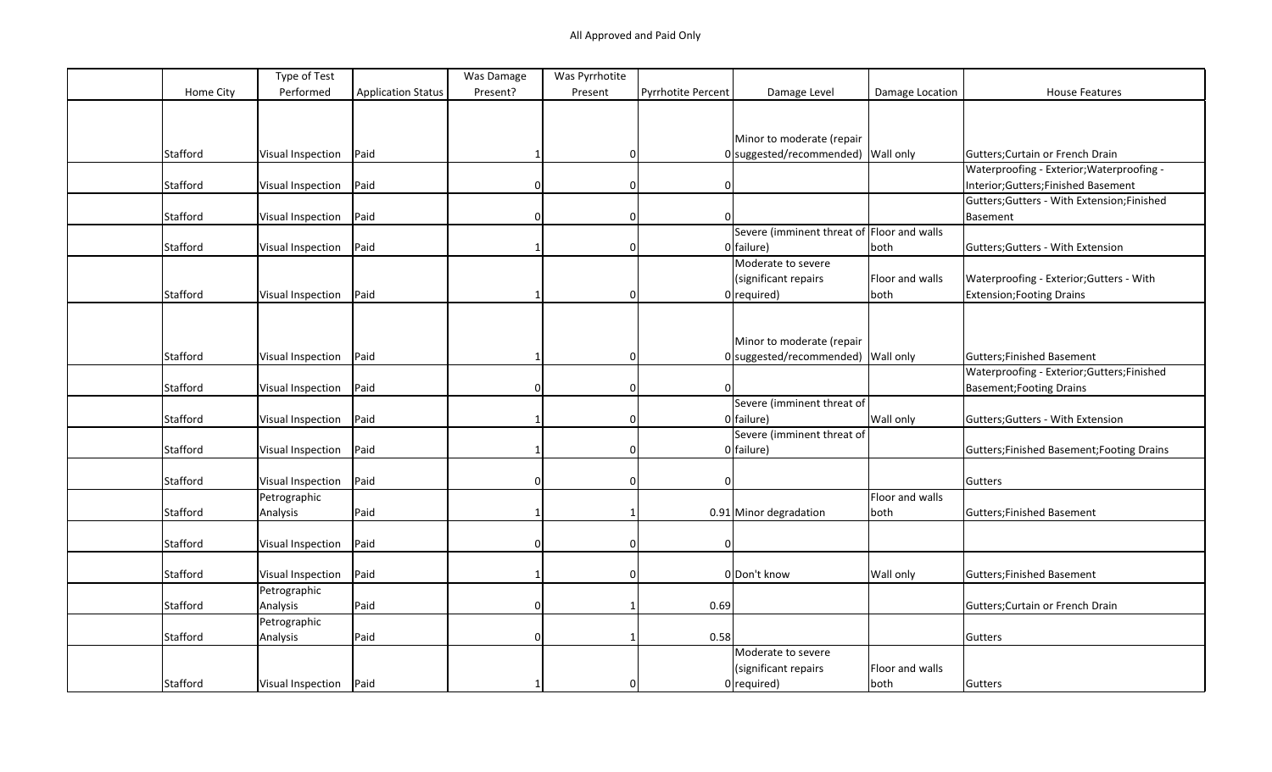|           | Type of Test      |                           | Was Damage   | Was Pyrrhotite |                           |                                            |                 |                                             |
|-----------|-------------------|---------------------------|--------------|----------------|---------------------------|--------------------------------------------|-----------------|---------------------------------------------|
| Home City | Performed         | <b>Application Status</b> | Present?     | Present        | <b>Pyrrhotite Percent</b> | Damage Level                               | Damage Location | <b>House Features</b>                       |
|           |                   |                           |              |                |                           |                                            |                 |                                             |
|           |                   |                           |              |                |                           |                                            |                 |                                             |
|           |                   |                           |              |                |                           | Minor to moderate (repair                  |                 |                                             |
| Stafford  | Visual Inspection | Paid                      |              | <sup>0</sup>   |                           | 0 suggested/recommended) Wall only         |                 | Gutters; Curtain or French Drain            |
|           |                   |                           |              |                |                           |                                            |                 | Waterproofing - Exterior; Waterproofing -   |
| Stafford  | Visual Inspection | Paid                      | 0            | $\mathbf 0$    | $\mathbf 0$               |                                            |                 | Interior; Gutters; Finished Basement        |
|           |                   |                           |              |                |                           |                                            |                 | Gutters; Gutters - With Extension; Finished |
| Stafford  | Visual Inspection | Paid                      |              | $\Omega$       |                           |                                            |                 | Basement                                    |
|           |                   |                           |              |                |                           | Severe (imminent threat of Floor and walls |                 |                                             |
| Stafford  | Visual Inspection | Paid                      |              | $\mathbf 0$    |                           | $0$ failure)                               | both            | Gutters; Gutters - With Extension           |
|           |                   |                           |              |                |                           | Moderate to severe                         |                 |                                             |
|           |                   |                           |              |                |                           | (significant repairs                       | Floor and walls | Waterproofing - Exterior; Gutters - With    |
| Stafford  | Visual Inspection | Paid                      |              | $\mathbf 0$    |                           | $0$ required)                              | both            | <b>Extension; Footing Drains</b>            |
|           |                   |                           |              |                |                           |                                            |                 |                                             |
|           |                   |                           |              |                |                           |                                            |                 |                                             |
|           |                   |                           |              |                |                           | Minor to moderate (repair                  |                 |                                             |
| Stafford  | Visual Inspection | Paid                      |              | $\mathbf 0$    |                           | 0 suggested/recommended) Wall only         |                 | Gutters; Finished Basement                  |
|           |                   |                           |              |                |                           |                                            |                 | Waterproofing - Exterior; Gutters; Finished |
| Stafford  | Visual Inspection | Paid                      | <sup>0</sup> | $\mathbf 0$    | $\Omega$                  |                                            |                 | <b>Basement; Footing Drains</b>             |
|           |                   |                           |              |                |                           | Severe (imminent threat of                 |                 |                                             |
| Stafford  | Visual Inspection | Paid                      |              | 0              |                           | $0$ failure)                               | Wall only       | Gutters; Gutters - With Extension           |
|           |                   |                           |              |                |                           | Severe (imminent threat of                 |                 |                                             |
| Stafford  | Visual Inspection | Paid                      |              | $\mathbf 0$    |                           | $0$ failure)                               |                 | Gutters; Finished Basement; Footing Drains  |
|           |                   |                           |              |                |                           |                                            |                 |                                             |
|           |                   | Paid                      |              |                |                           |                                            |                 |                                             |
| Stafford  | Visual Inspection |                           | $\Omega$     | $\mathbf 0$    | $\mathbf{0}$              |                                            |                 | Gutters                                     |
|           | Petrographic      |                           |              |                |                           |                                            | Floor and walls |                                             |
| Stafford  | Analysis          | Paid                      |              |                |                           | 0.91 Minor degradation                     | both            | Gutters; Finished Basement                  |
|           |                   |                           |              |                |                           |                                            |                 |                                             |
| Stafford  | Visual Inspection | Paid                      | U            | $\Omega$       | $\Omega$                  |                                            |                 |                                             |
|           |                   |                           |              |                |                           |                                            |                 |                                             |
| Stafford  | Visual Inspection | Paid                      |              | $\Omega$       |                           | 0 Don't know                               | Wall only       | Gutters; Finished Basement                  |
|           | Petrographic      |                           |              |                |                           |                                            |                 |                                             |
| Stafford  | Analysis          | Paid                      | 0            |                | 0.69                      |                                            |                 | Gutters; Curtain or French Drain            |
|           | Petrographic      |                           |              |                |                           |                                            |                 |                                             |
| Stafford  | Analysis          | Paid                      | <sup>0</sup> |                | 0.58                      |                                            |                 | Gutters                                     |
|           |                   |                           |              |                |                           | Moderate to severe                         |                 |                                             |
|           |                   |                           |              |                |                           | (significant repairs                       | Floor and walls |                                             |
| Stafford  | Visual Inspection | Paid                      |              | 0              |                           | $0$ required)                              | both            | Gutters                                     |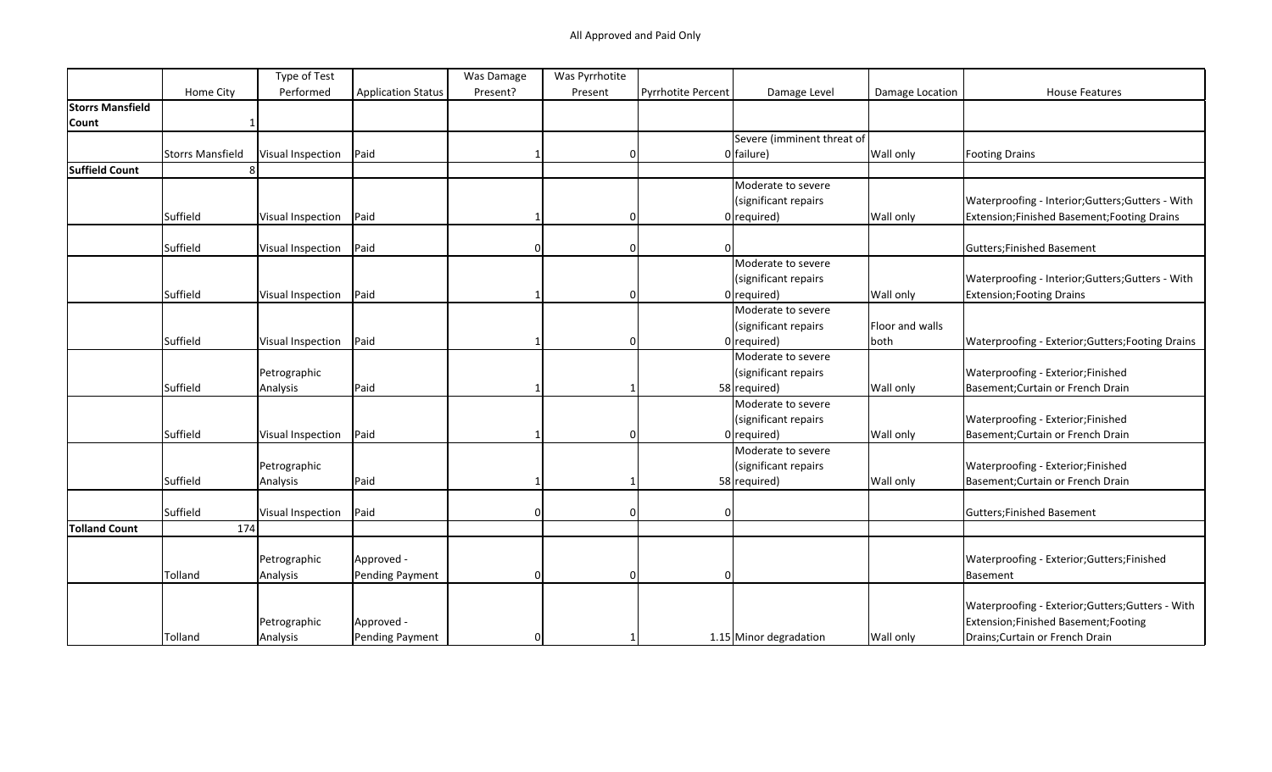|                         |                  | Type of Test      |                           | Was Damage | Was Pyrrhotite |                    |                            |                 |                                                   |
|-------------------------|------------------|-------------------|---------------------------|------------|----------------|--------------------|----------------------------|-----------------|---------------------------------------------------|
|                         | Home City        | Performed         | <b>Application Status</b> | Present?   | Present        | Pyrrhotite Percent | Damage Level               | Damage Location | <b>House Features</b>                             |
| <b>Storrs Mansfield</b> |                  |                   |                           |            |                |                    |                            |                 |                                                   |
| Count                   |                  |                   |                           |            |                |                    |                            |                 |                                                   |
|                         |                  |                   |                           |            |                |                    | Severe (imminent threat of |                 |                                                   |
|                         | Storrs Mansfield | Visual Inspection | Paid                      |            | $\Omega$       |                    | 0 failure)                 | Wall only       | <b>Footing Drains</b>                             |
| <b>Suffield Count</b>   |                  |                   |                           |            |                |                    |                            |                 |                                                   |
|                         |                  |                   |                           |            |                |                    | Moderate to severe         |                 |                                                   |
|                         |                  |                   |                           |            |                |                    | (significant repairs       |                 | Waterproofing - Interior; Gutters; Gutters - With |
|                         | Suffield         | Visual Inspection | Paid                      |            | $\Omega$       |                    | $0$ required)              | Wall only       | Extension; Finished Basement; Footing Drains      |
|                         |                  |                   |                           |            |                |                    |                            |                 |                                                   |
|                         | Suffield         | Visual Inspection | Paid                      | 0          | $\Omega$       |                    |                            |                 | <b>Gutters;Finished Basement</b>                  |
|                         |                  |                   |                           |            |                |                    | Moderate to severe         |                 |                                                   |
|                         |                  |                   |                           |            |                |                    | (significant repairs       |                 | Waterproofing - Interior; Gutters; Gutters - With |
|                         | Suffield         | Visual Inspection | Paid                      |            | $\Omega$       |                    | $0$ required)              | Wall only       | <b>Extension; Footing Drains</b>                  |
|                         |                  |                   |                           |            |                |                    | Moderate to severe         |                 |                                                   |
|                         |                  |                   |                           |            |                |                    | (significant repairs       | Floor and walls |                                                   |
|                         | Suffield         | Visual Inspection | Paid                      |            | $\Omega$       |                    | $0$ required)              | both            | Waterproofing - Exterior; Gutters; Footing Drains |
|                         |                  |                   |                           |            |                |                    | Moderate to severe         |                 |                                                   |
|                         |                  | Petrographic      |                           |            |                |                    | (significant repairs       |                 | Waterproofing - Exterior;Finished                 |
|                         | Suffield         | Analysis          | Paid                      |            |                |                    | 58 required)               | Wall only       | Basement; Curtain or French Drain                 |
|                         |                  |                   |                           |            |                |                    | Moderate to severe         |                 |                                                   |
|                         |                  |                   |                           |            |                |                    | (significant repairs       |                 | Waterproofing - Exterior;Finished                 |
|                         | Suffield         | Visual Inspection | Paid                      |            | $\Omega$       |                    | $0$ required)              | Wall only       | Basement; Curtain or French Drain                 |
|                         |                  |                   |                           |            |                |                    | Moderate to severe         |                 |                                                   |
|                         |                  | Petrographic      |                           |            |                |                    | (significant repairs       |                 | Waterproofing - Exterior;Finished                 |
|                         | Suffield         | Analysis          | Paid                      |            |                |                    | 58 required)               | Wall only       | Basement; Curtain or French Drain                 |
|                         |                  |                   |                           |            |                |                    |                            |                 |                                                   |
|                         | Suffield         | Visual Inspection | Paid                      | 0          | $\Omega$       |                    |                            |                 | Gutters; Finished Basement                        |
| <b>Tolland Count</b>    | 174              |                   |                           |            |                |                    |                            |                 |                                                   |
|                         |                  |                   |                           |            |                |                    |                            |                 |                                                   |
|                         |                  | Petrographic      | Approved -                |            |                |                    |                            |                 | Waterproofing - Exterior;Gutters;Finished         |
|                         | Tolland          | Analysis          | Pending Payment           | 0          | $\Omega$       |                    |                            |                 | Basement                                          |
|                         |                  |                   |                           |            |                |                    |                            |                 |                                                   |
|                         |                  |                   |                           |            |                |                    |                            |                 | Waterproofing - Exterior; Gutters; Gutters - With |
|                         |                  | Petrographic      | Approved -                |            |                |                    |                            |                 | Extension;Finished Basement;Footing               |
|                         | Tolland          | Analysis          | Pending Payment           | 0          |                |                    | 1.15 Minor degradation     | Wall only       | Drains; Curtain or French Drain                   |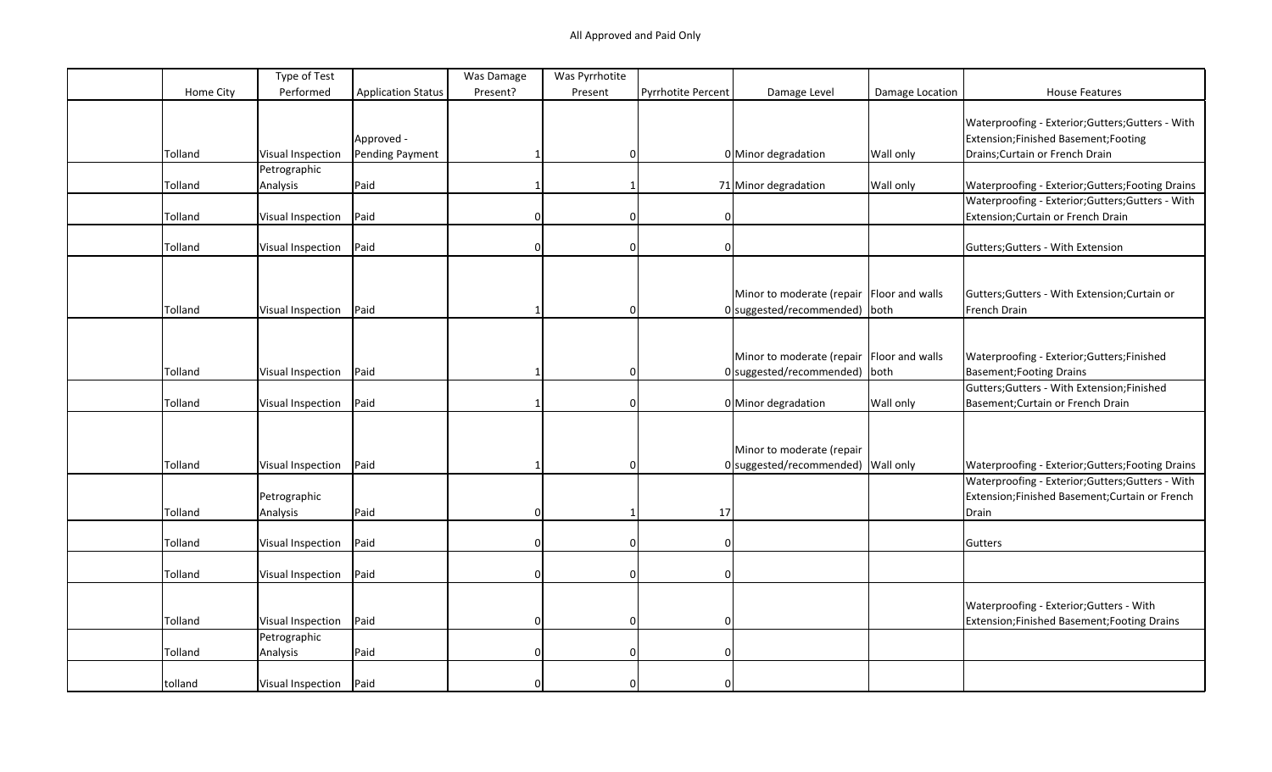|           | Type of Test      |                           | Was Damage | Was Pyrrhotite |                           |                                             |                 |                                                   |
|-----------|-------------------|---------------------------|------------|----------------|---------------------------|---------------------------------------------|-----------------|---------------------------------------------------|
| Home City | Performed         | <b>Application Status</b> | Present?   | Present        | <b>Pyrrhotite Percent</b> | Damage Level                                | Damage Location | <b>House Features</b>                             |
|           |                   |                           |            |                |                           |                                             |                 |                                                   |
|           |                   |                           |            |                |                           |                                             |                 | Waterproofing - Exterior;Gutters;Gutters - With   |
|           |                   | Approved -                |            |                |                           |                                             |                 | Extension; Finished Basement; Footing             |
| Tolland   | Visual Inspection | Pending Payment           |            | $\Omega$       |                           | 0 Minor degradation                         | Wall only       | Drains; Curtain or French Drain                   |
|           | Petrographic      |                           |            |                |                           |                                             |                 |                                                   |
| Tolland   | Analysis          | Paid                      |            | $\mathbf 1$    |                           | 71 Minor degradation                        | Wall only       | Waterproofing - Exterior; Gutters; Footing Drains |
|           |                   |                           |            |                |                           |                                             |                 | Waterproofing - Exterior; Gutters; Gutters - With |
| Tolland   | Visual Inspection | Paid                      | $\Omega$   | $\Omega$       |                           |                                             |                 | Extension; Curtain or French Drain                |
|           |                   |                           |            |                |                           |                                             |                 |                                                   |
| Tolland   | Visual Inspection | Paid                      | $\Omega$   | $\Omega$       | $\Omega$                  |                                             |                 | Gutters; Gutters - With Extension                 |
|           |                   |                           |            |                |                           |                                             |                 |                                                   |
|           |                   |                           |            |                |                           |                                             |                 |                                                   |
|           |                   |                           |            |                |                           | Minor to moderate (repair   Floor and walls |                 | Gutters; Gutters - With Extension; Curtain or     |
| Tolland   | Visual Inspection | Paid                      |            | $\Omega$       |                           | 0 suggested/recommended) both               |                 | French Drain                                      |
|           |                   |                           |            |                |                           |                                             |                 |                                                   |
|           |                   |                           |            |                |                           |                                             |                 |                                                   |
|           |                   |                           |            |                |                           | Minor to moderate (repair Floor and walls   |                 | Waterproofing - Exterior; Gutters; Finished       |
| Tolland   | Visual Inspection | Paid                      |            | 0              |                           | 0 suggested/recommended) both               |                 | <b>Basement; Footing Drains</b>                   |
|           |                   |                           |            |                |                           |                                             |                 | Gutters; Gutters - With Extension; Finished       |
| Tolland   | Visual Inspection | Paid                      |            | $\Omega$       |                           | 0 Minor degradation                         | Wall only       | Basement; Curtain or French Drain                 |
|           |                   |                           |            |                |                           |                                             |                 |                                                   |
|           |                   |                           |            |                |                           |                                             |                 |                                                   |
|           |                   |                           |            |                |                           | Minor to moderate (repair                   |                 |                                                   |
| Tolland   | Visual Inspection | Paid                      |            | $\Omega$       |                           | $0$ suggested/recommended) Wall only        |                 | Waterproofing - Exterior; Gutters; Footing Drains |
|           |                   |                           |            |                |                           |                                             |                 | Waterproofing - Exterior;Gutters;Gutters - With   |
|           | Petrographic      |                           |            |                |                           |                                             |                 | Extension;Finished Basement;Curtain or French     |
| Tolland   | Analysis          | Paid                      | 0          |                | 17                        |                                             |                 | Drain                                             |
|           |                   |                           |            |                |                           |                                             |                 |                                                   |
| Tolland   | Visual Inspection | Paid                      | 0          | $\Omega$       | $\Omega$                  |                                             |                 | Gutters                                           |
|           |                   |                           |            |                |                           |                                             |                 |                                                   |
| Tolland   | Visual Inspection | Paid                      | 0          | $\Omega$       | $\Omega$                  |                                             |                 |                                                   |
|           |                   |                           |            |                |                           |                                             |                 |                                                   |
|           |                   |                           |            |                |                           |                                             |                 | Waterproofing - Exterior; Gutters - With          |
| Tolland   | Visual Inspection | Paid                      | 0          | $\Omega$       | <sup>0</sup>              |                                             |                 | Extension; Finished Basement; Footing Drains      |
|           | Petrographic      |                           |            |                |                           |                                             |                 |                                                   |
| Tolland   | Analysis          | Paid                      | 0          | $\Omega$       | $\Omega$                  |                                             |                 |                                                   |
|           |                   |                           |            |                |                           |                                             |                 |                                                   |
| tolland   | Visual Inspection | Paid                      |            |                |                           |                                             |                 |                                                   |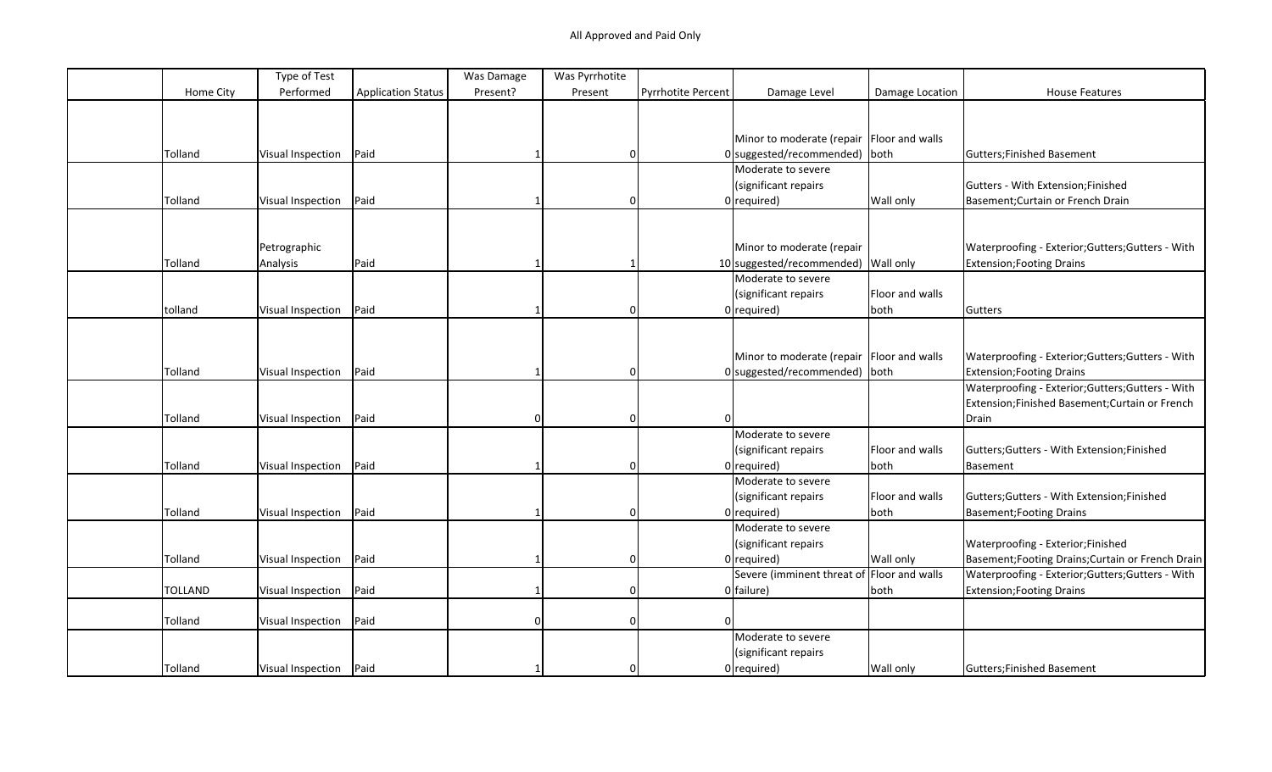|                | Type of Test             |                           | Was Damage | Was Pyrrhotite |                           |                                             |                 |                                                   |
|----------------|--------------------------|---------------------------|------------|----------------|---------------------------|---------------------------------------------|-----------------|---------------------------------------------------|
| Home City      | Performed                | <b>Application Status</b> | Present?   | Present        | <b>Pyrrhotite Percent</b> | Damage Level                                | Damage Location | <b>House Features</b>                             |
|                |                          |                           |            |                |                           |                                             |                 |                                                   |
|                |                          |                           |            |                |                           |                                             |                 |                                                   |
|                |                          |                           |            |                |                           | Minor to moderate (repair Floor and walls   |                 |                                                   |
| Tolland        | Visual Inspection        | Paid                      |            | $\mathbf{0}$   |                           | $0$ suggested/recommended) both             |                 | Gutters; Finished Basement                        |
|                |                          |                           |            |                |                           | Moderate to severe                          |                 |                                                   |
|                |                          |                           |            |                |                           | (significant repairs                        |                 | Gutters - With Extension;Finished                 |
| Tolland        | Visual Inspection        | Paid                      |            | $\mathbf{0}$   |                           | $0$ required)                               | Wall only       | Basement; Curtain or French Drain                 |
|                |                          |                           |            |                |                           |                                             |                 |                                                   |
|                |                          |                           |            |                |                           |                                             |                 |                                                   |
|                | Petrographic             |                           |            |                |                           | Minor to moderate (repair                   |                 | Waterproofing - Exterior; Gutters; Gutters - With |
| Tolland        | Analysis                 | Paid                      |            |                |                           | 10 suggested/recommended) Wall only         |                 | <b>Extension; Footing Drains</b>                  |
|                |                          |                           |            |                |                           | Moderate to severe                          |                 |                                                   |
|                |                          |                           |            |                |                           | (significant repairs                        | Floor and walls |                                                   |
| tolland        | Visual Inspection        | Paid                      |            | $\Omega$       |                           | $0$ required)                               | both            | Gutters                                           |
|                |                          |                           |            |                |                           |                                             |                 |                                                   |
|                |                          |                           |            |                |                           |                                             |                 |                                                   |
|                |                          |                           |            |                |                           | Minor to moderate (repair   Floor and walls |                 | Waterproofing - Exterior; Gutters; Gutters - With |
| Tolland        | Visual Inspection        | Paid                      |            | $\Omega$       |                           | 0 suggested/recommended) both               |                 | Extension; Footing Drains                         |
|                |                          |                           |            |                |                           |                                             |                 | Waterproofing - Exterior; Gutters; Gutters - With |
|                |                          |                           |            |                |                           |                                             |                 | Extension;Finished Basement;Curtain or French     |
| Tolland        | Visual Inspection        | Paid                      | $\Omega$   | $\mathbf 0$    |                           |                                             |                 | Drain                                             |
|                |                          |                           |            |                |                           | Moderate to severe                          |                 |                                                   |
|                |                          |                           |            |                |                           | (significant repairs                        | Floor and walls | Gutters; Gutters - With Extension; Finished       |
| Tolland        | <b>Visual Inspection</b> | Paid                      |            | $\mathbf 0$    |                           | $0$ required)                               | both            | Basement                                          |
|                |                          |                           |            |                |                           | Moderate to severe                          |                 |                                                   |
|                |                          |                           |            |                |                           | (significant repairs                        | Floor and walls | Gutters; Gutters - With Extension; Finished       |
| Tolland        | Visual Inspection        | Paid                      |            | $\Omega$       |                           | $0$ required)                               | both            | Basement; Footing Drains                          |
|                |                          |                           |            |                |                           | Moderate to severe                          |                 |                                                   |
|                |                          |                           |            |                |                           | (significant repairs                        |                 | Waterproofing - Exterior;Finished                 |
| Tolland        | Visual Inspection        | Paid                      |            | $\Omega$       |                           | $0$ required)                               | Wall only       | Basement; Footing Drains; Curtain or French Drain |
|                |                          |                           |            |                |                           | Severe (imminent threat of Floor and walls  |                 | Waterproofing - Exterior; Gutters; Gutters - With |
| TOLLAND        | Visual Inspection        | Paid                      |            | $\Omega$       |                           | $0$ failure)                                | both            | <b>Extension; Footing Drains</b>                  |
|                |                          |                           |            |                |                           |                                             |                 |                                                   |
| Tolland        | Visual Inspection        | Paid                      |            | $\mathbf 0$    |                           |                                             |                 |                                                   |
|                |                          |                           |            |                |                           | Moderate to severe                          |                 |                                                   |
|                |                          |                           |            |                |                           | (significant repairs                        |                 |                                                   |
| <b>Tolland</b> | Visual Inspection   Paid |                           |            | $\mathbf{0}$   |                           | $0$ required)                               | Wall only       | Gutters; Finished Basement                        |
|                |                          |                           |            |                |                           |                                             |                 |                                                   |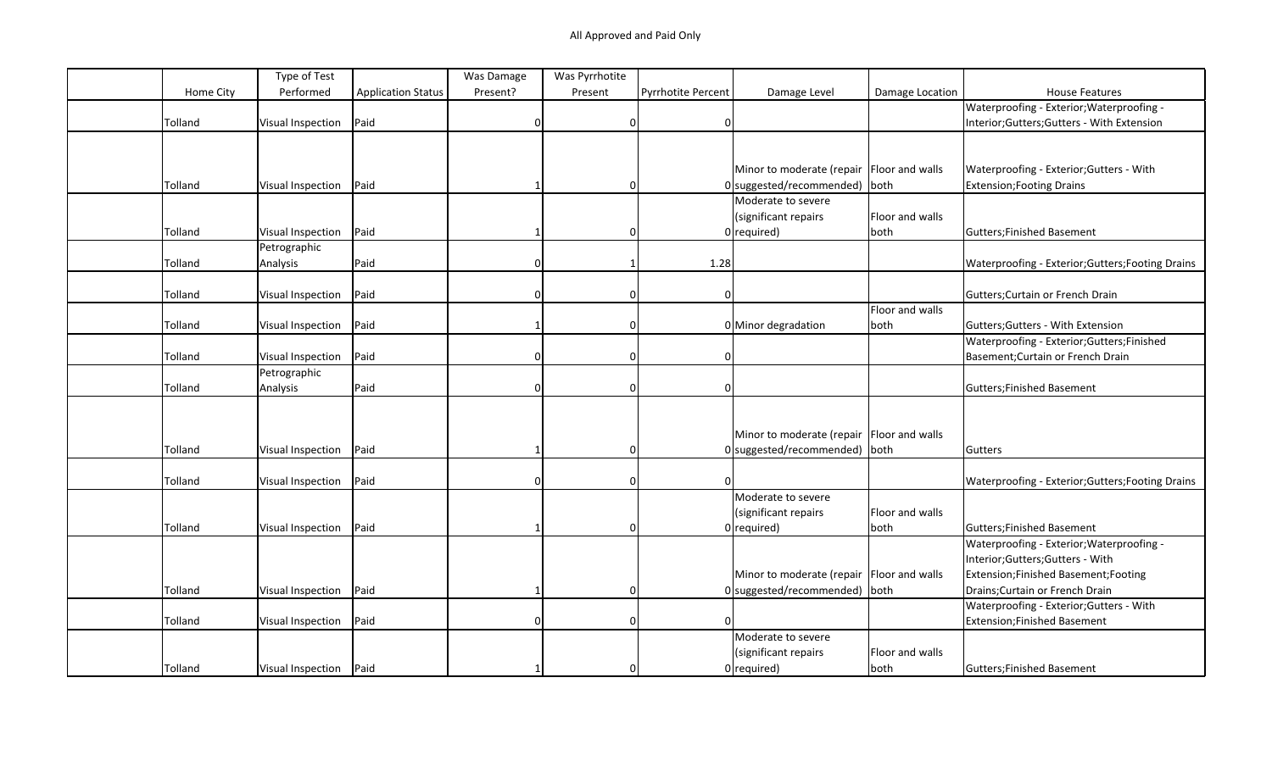|           | Type of Test             |                           | Was Damage   | Was Pyrrhotite |                    |                                             |                 |                                                   |
|-----------|--------------------------|---------------------------|--------------|----------------|--------------------|---------------------------------------------|-----------------|---------------------------------------------------|
| Home City | Performed                | <b>Application Status</b> | Present?     | Present        | Pyrrhotite Percent | Damage Level                                | Damage Location | <b>House Features</b>                             |
|           |                          |                           |              |                |                    |                                             |                 | Waterproofing - Exterior; Waterproofing -         |
| Tolland   | <b>Visual Inspection</b> | Paid                      | $\Omega$     | $\Omega$       | <sup>0</sup>       |                                             |                 | Interior;Gutters;Gutters - With Extension         |
|           |                          |                           |              |                |                    |                                             |                 |                                                   |
|           |                          |                           |              |                |                    |                                             |                 |                                                   |
|           |                          |                           |              |                |                    | Minor to moderate (repair Floor and walls   |                 | Waterproofing - Exterior; Gutters - With          |
| Tolland   | Visual Inspection        | Paid                      |              | $\Omega$       |                    | 0 suggested/recommended) both               |                 | <b>Extension; Footing Drains</b>                  |
|           |                          |                           |              |                |                    | Moderate to severe                          |                 |                                                   |
|           |                          |                           |              |                |                    | (significant repairs                        | Floor and walls |                                                   |
| Tolland   | <b>Visual Inspection</b> | Paid                      |              | 0              |                    | $0$ required)                               | both            | <b>Gutters;Finished Basement</b>                  |
|           | Petrographic             |                           |              |                |                    |                                             |                 |                                                   |
| Tolland   | Analysis                 | Paid                      | $\Omega$     |                | 1.28               |                                             |                 | Waterproofing - Exterior; Gutters; Footing Drains |
|           |                          |                           |              |                |                    |                                             |                 |                                                   |
| Tolland   | <b>Visual Inspection</b> | Paid                      |              | $\Omega$       |                    |                                             |                 | Gutters; Curtain or French Drain                  |
|           |                          |                           |              |                |                    |                                             | Floor and walls |                                                   |
| Tolland   | Visual Inspection        | Paid                      |              | $\Omega$       |                    | 0 Minor degradation                         | both            | Gutters; Gutters - With Extension                 |
|           |                          |                           |              |                |                    |                                             |                 | Waterproofing - Exterior;Gutters;Finished         |
| Tolland   | <b>Visual Inspection</b> | Paid                      | $\Omega$     | 0              | 0                  |                                             |                 | Basement; Curtain or French Drain                 |
|           | Petrographic             |                           |              |                |                    |                                             |                 |                                                   |
| Tolland   | Analysis                 | Paid                      |              | 0              |                    |                                             |                 | <b>Gutters;Finished Basement</b>                  |
|           |                          |                           |              |                |                    |                                             |                 |                                                   |
|           |                          |                           |              |                |                    |                                             |                 |                                                   |
|           |                          |                           |              |                |                    | Minor to moderate (repair   Floor and walls |                 |                                                   |
| Tolland   | Visual Inspection        | Paid                      |              | $\Omega$       |                    | $0$ suggested/recommended) both             |                 | Gutters                                           |
|           |                          |                           |              |                |                    |                                             |                 |                                                   |
| Tolland   | Visual Inspection        | Paid                      | <sup>n</sup> | 0              | <sup>0</sup>       |                                             |                 | Waterproofing - Exterior; Gutters; Footing Drains |
|           |                          |                           |              |                |                    | Moderate to severe                          |                 |                                                   |
|           |                          |                           |              |                |                    | (significant repairs                        | Floor and walls |                                                   |
| Tolland   | Visual Inspection        | Paid                      |              | $\Omega$       |                    | $0$ required)                               | both            | <b>Gutters;Finished Basement</b>                  |
|           |                          |                           |              |                |                    |                                             |                 | Waterproofing - Exterior; Waterproofing -         |
|           |                          |                           |              |                |                    |                                             |                 | Interior;Gutters;Gutters - With                   |
|           |                          |                           |              |                |                    | Minor to moderate (repair   Floor and walls |                 | Extension; Finished Basement; Footing             |
| Tolland   | Visual Inspection        | Paid                      |              | $\Omega$       |                    | 0 suggested/recommended) both               |                 | Drains; Curtain or French Drain                   |
|           |                          |                           |              |                |                    |                                             |                 | Waterproofing - Exterior; Gutters - With          |
| Tolland   | Visual Inspection        | Paid                      |              | $\Omega$       |                    |                                             |                 | Extension; Finished Basement                      |
|           |                          |                           |              |                |                    | Moderate to severe                          |                 |                                                   |
|           |                          |                           |              |                |                    | (significant repairs                        | Floor and walls |                                                   |
| Tolland   | Visual Inspection   Paid |                           |              | $\Omega$       |                    | $0$ required)                               | both            | Gutters; Finished Basement                        |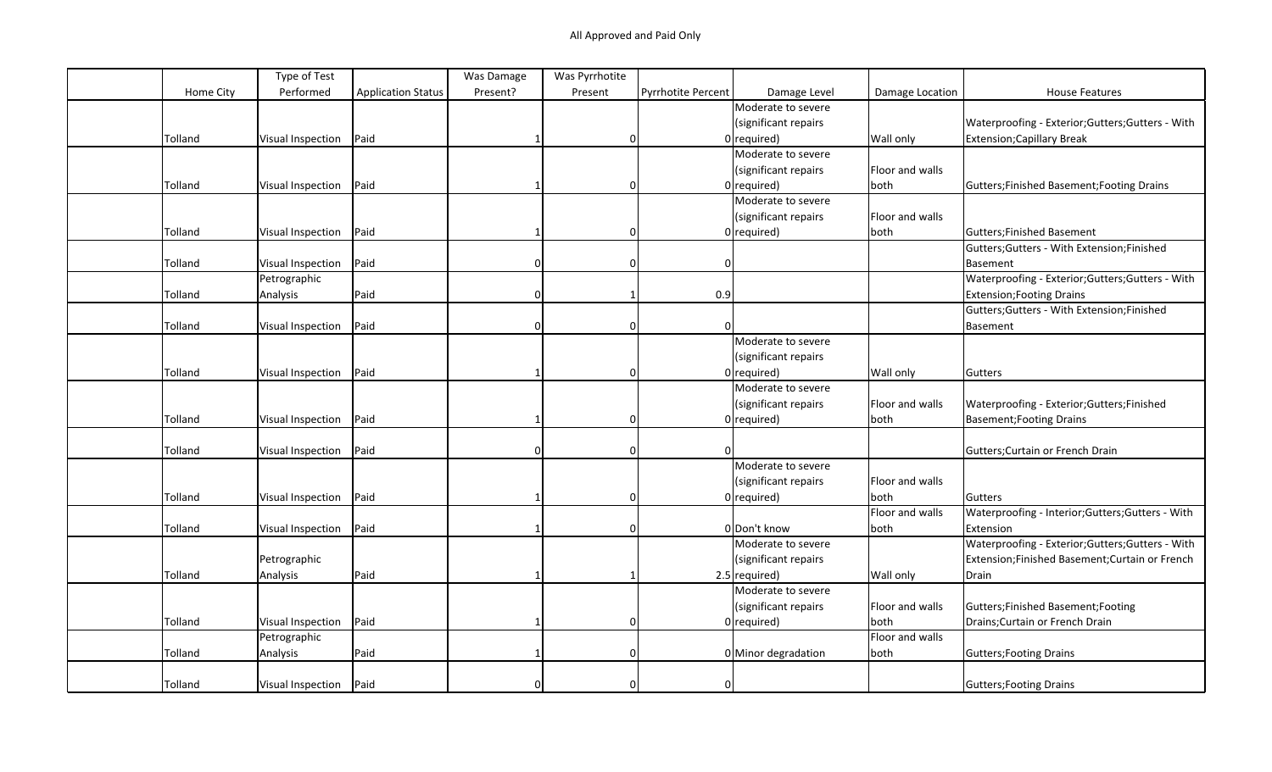|                | Type of Test      |                           | Was Damage   | Was Pyrrhotite |                           |                      |                 |                                                   |
|----------------|-------------------|---------------------------|--------------|----------------|---------------------------|----------------------|-----------------|---------------------------------------------------|
| Home City      | Performed         | <b>Application Status</b> | Present?     | Present        | <b>Pyrrhotite Percent</b> | Damage Level         | Damage Location | <b>House Features</b>                             |
|                |                   |                           |              |                |                           | Moderate to severe   |                 |                                                   |
|                |                   |                           |              |                |                           | (significant repairs |                 | Waterproofing - Exterior; Gutters; Gutters - With |
| Tolland        | Visual Inspection | Paid                      |              | $\mathbf{0}$   |                           | $0$ required)        | Wall only       | Extension; Capillary Break                        |
|                |                   |                           |              |                |                           | Moderate to severe   |                 |                                                   |
|                |                   |                           |              |                |                           | (significant repairs | Floor and walls |                                                   |
| Tolland        | Visual Inspection | Paid                      |              | 0              |                           | $0$ required)        | both            | Gutters; Finished Basement; Footing Drains        |
|                |                   |                           |              |                |                           | Moderate to severe   |                 |                                                   |
|                |                   |                           |              |                |                           | (significant repairs | Floor and walls |                                                   |
| <b>Tolland</b> | Visual Inspection | Paid                      |              | $\Omega$       |                           | $0$ required)        | both            | Gutters; Finished Basement                        |
|                |                   |                           |              |                |                           |                      |                 | Gutters; Gutters - With Extension; Finished       |
| Tolland        | Visual Inspection | Paid                      |              | $\mathbf 0$    |                           |                      |                 | Basement                                          |
|                | Petrographic      |                           |              |                |                           |                      |                 | Waterproofing - Exterior; Gutters; Gutters - With |
| Tolland        | Analysis          | Paid                      | $\Omega$     |                | 0.9                       |                      |                 | <b>Extension; Footing Drains</b>                  |
|                |                   |                           |              |                |                           |                      |                 | Gutters; Gutters - With Extension; Finished       |
| Tolland        | Visual Inspection | Paid                      | ŋ            | $\Omega$       | $\Omega$                  |                      |                 | Basement                                          |
|                |                   |                           |              |                |                           | Moderate to severe   |                 |                                                   |
|                |                   |                           |              |                |                           | (significant repairs |                 |                                                   |
| Tolland        | Visual Inspection | Paid                      |              | $\mathbf 0$    |                           | $0$ required)        | Wall only       | Gutters                                           |
|                |                   |                           |              |                |                           | Moderate to severe   |                 |                                                   |
|                |                   |                           |              |                |                           | (significant repairs | Floor and walls | Waterproofing - Exterior; Gutters; Finished       |
| Tolland        | Visual Inspection | Paid                      |              | $\mathbf 0$    |                           | $0$ required)        | both            | Basement; Footing Drains                          |
|                |                   |                           |              |                |                           |                      |                 |                                                   |
| Tolland        | Visual Inspection | Paid                      | <sup>0</sup> | $\mathbf 0$    |                           |                      |                 | Gutters: Curtain or French Drain                  |
|                |                   |                           |              |                |                           | Moderate to severe   |                 |                                                   |
|                |                   |                           |              |                |                           | (significant repairs | Floor and walls |                                                   |
| Tolland        | Visual Inspection | Paid                      |              | $\Omega$       |                           | $0$ required)        | both            | Gutters                                           |
|                |                   |                           |              |                |                           |                      | Floor and walls | Waterproofing - Interior; Gutters; Gutters - With |
| Tolland        | Visual Inspection | Paid                      |              | $\mathbf 0$    |                           | 0 Don't know         | both            | Extension                                         |
|                |                   |                           |              |                |                           | Moderate to severe   |                 | Waterproofing - Exterior; Gutters; Gutters - With |
|                | Petrographic      |                           |              |                |                           | (significant repairs |                 | Extension;Finished Basement;Curtain or French     |
| Tolland        | Analysis          | Paid                      |              |                |                           | $2.5$ required)      | Wall only       | Drain                                             |
|                |                   |                           |              |                |                           | Moderate to severe   |                 |                                                   |
|                |                   |                           |              |                |                           | (significant repairs | Floor and walls | Gutters; Finished Basement; Footing               |
| Tolland        | Visual Inspection | Paid                      |              | $\mathbf 0$    |                           | $0$ required)        | both            | Drains; Curtain or French Drain                   |
|                | Petrographic      |                           |              |                |                           |                      | Floor and walls |                                                   |
| Tolland        | Analysis          | Paid                      |              | $\Omega$       |                           | 0 Minor degradation  | both            | Gutters; Footing Drains                           |
|                |                   |                           |              |                |                           |                      |                 |                                                   |
| Tolland        | Visual Inspection | Paid                      |              | $\Omega$       | 0                         |                      |                 | Gutters; Footing Drains                           |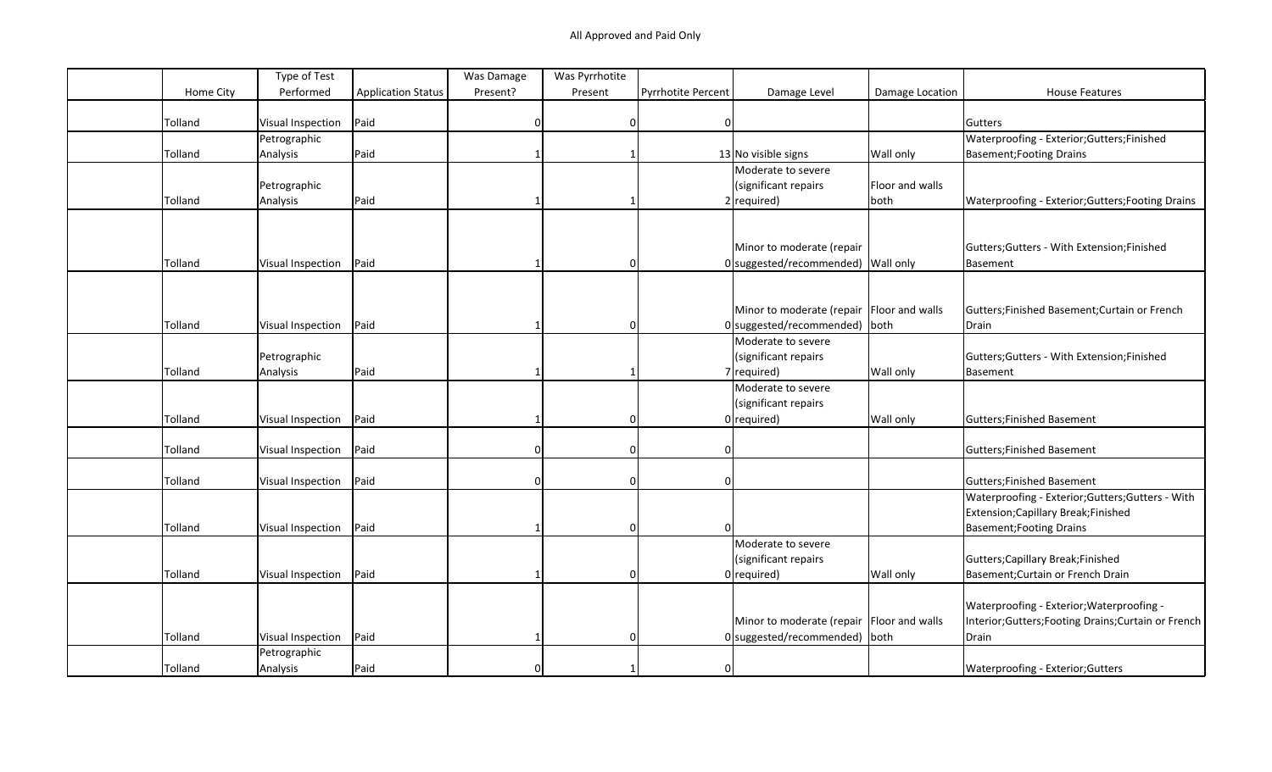| Performed<br>Home City<br><b>Application Status</b><br>Present?<br><b>Pyrrhotite Percent</b><br>Damage Level<br><b>House Features</b><br>Present<br>Damage Location<br>Paid<br>Tolland<br>Visual Inspection<br>Gutters<br>0<br>$\Omega$<br>Waterproofing - Exterior; Gutters; Finished<br>Petrographic<br>Tolland<br>Analysis<br>Paid<br>13 No visible signs<br>Basement; Footing Drains<br>Wall only<br>Moderate to severe<br>Petrographic<br>(significant repairs<br>Floor and walls<br>Paid<br>$2 $ required)<br>Tolland<br>Analysis<br>both<br>Waterproofing - Exterior; Gutters; Footing Drains<br>Minor to moderate (repair<br>Gutters; Gutters - With Extension; Finished<br>Paid<br>Tolland<br>0 suggested/recommended) Wall only<br>Visual Inspection<br>Basement<br>Minor to moderate (repair Floor and walls<br>Gutters; Finished Basement; Curtain or French<br>Tolland<br>Paid<br>0 suggested/recommended) both<br>Visual Inspection<br>Drain<br>0<br>Moderate to severe<br>(significant repairs<br>Petrographic<br>Gutters; Gutters - With Extension; Finished<br>Paid<br>Tolland<br>$7$ required)<br>Wall only<br>Analysis<br>Basement<br>Moderate to severe<br>(significant repairs<br>Paid<br>Tolland<br>$0$ required)<br>Wall only<br>Visual Inspection<br>Gutters; Finished Basement<br>0<br>Paid<br>Tolland<br>Gutters; Finished Basement<br>Visual Inspection<br>0<br>$\Omega$<br>Paid<br>Tolland<br>Gutters; Finished Basement<br>Visual Inspection<br>$\Omega$<br>$\Omega$<br>Waterproofing - Exterior; Gutters; Gutters - With |  | Type of Test | Was Damage | Was Pyrrhotite |  |                                      |
|--------------------------------------------------------------------------------------------------------------------------------------------------------------------------------------------------------------------------------------------------------------------------------------------------------------------------------------------------------------------------------------------------------------------------------------------------------------------------------------------------------------------------------------------------------------------------------------------------------------------------------------------------------------------------------------------------------------------------------------------------------------------------------------------------------------------------------------------------------------------------------------------------------------------------------------------------------------------------------------------------------------------------------------------------------------------------------------------------------------------------------------------------------------------------------------------------------------------------------------------------------------------------------------------------------------------------------------------------------------------------------------------------------------------------------------------------------------------------------------------------------------------------------------------------------|--|--------------|------------|----------------|--|--------------------------------------|
|                                                                                                                                                                                                                                                                                                                                                                                                                                                                                                                                                                                                                                                                                                                                                                                                                                                                                                                                                                                                                                                                                                                                                                                                                                                                                                                                                                                                                                                                                                                                                        |  |              |            |                |  |                                      |
|                                                                                                                                                                                                                                                                                                                                                                                                                                                                                                                                                                                                                                                                                                                                                                                                                                                                                                                                                                                                                                                                                                                                                                                                                                                                                                                                                                                                                                                                                                                                                        |  |              |            |                |  |                                      |
|                                                                                                                                                                                                                                                                                                                                                                                                                                                                                                                                                                                                                                                                                                                                                                                                                                                                                                                                                                                                                                                                                                                                                                                                                                                                                                                                                                                                                                                                                                                                                        |  |              |            |                |  |                                      |
|                                                                                                                                                                                                                                                                                                                                                                                                                                                                                                                                                                                                                                                                                                                                                                                                                                                                                                                                                                                                                                                                                                                                                                                                                                                                                                                                                                                                                                                                                                                                                        |  |              |            |                |  |                                      |
|                                                                                                                                                                                                                                                                                                                                                                                                                                                                                                                                                                                                                                                                                                                                                                                                                                                                                                                                                                                                                                                                                                                                                                                                                                                                                                                                                                                                                                                                                                                                                        |  |              |            |                |  |                                      |
|                                                                                                                                                                                                                                                                                                                                                                                                                                                                                                                                                                                                                                                                                                                                                                                                                                                                                                                                                                                                                                                                                                                                                                                                                                                                                                                                                                                                                                                                                                                                                        |  |              |            |                |  |                                      |
|                                                                                                                                                                                                                                                                                                                                                                                                                                                                                                                                                                                                                                                                                                                                                                                                                                                                                                                                                                                                                                                                                                                                                                                                                                                                                                                                                                                                                                                                                                                                                        |  |              |            |                |  |                                      |
|                                                                                                                                                                                                                                                                                                                                                                                                                                                                                                                                                                                                                                                                                                                                                                                                                                                                                                                                                                                                                                                                                                                                                                                                                                                                                                                                                                                                                                                                                                                                                        |  |              |            |                |  |                                      |
|                                                                                                                                                                                                                                                                                                                                                                                                                                                                                                                                                                                                                                                                                                                                                                                                                                                                                                                                                                                                                                                                                                                                                                                                                                                                                                                                                                                                                                                                                                                                                        |  |              |            |                |  |                                      |
|                                                                                                                                                                                                                                                                                                                                                                                                                                                                                                                                                                                                                                                                                                                                                                                                                                                                                                                                                                                                                                                                                                                                                                                                                                                                                                                                                                                                                                                                                                                                                        |  |              |            |                |  |                                      |
|                                                                                                                                                                                                                                                                                                                                                                                                                                                                                                                                                                                                                                                                                                                                                                                                                                                                                                                                                                                                                                                                                                                                                                                                                                                                                                                                                                                                                                                                                                                                                        |  |              |            |                |  |                                      |
|                                                                                                                                                                                                                                                                                                                                                                                                                                                                                                                                                                                                                                                                                                                                                                                                                                                                                                                                                                                                                                                                                                                                                                                                                                                                                                                                                                                                                                                                                                                                                        |  |              |            |                |  |                                      |
|                                                                                                                                                                                                                                                                                                                                                                                                                                                                                                                                                                                                                                                                                                                                                                                                                                                                                                                                                                                                                                                                                                                                                                                                                                                                                                                                                                                                                                                                                                                                                        |  |              |            |                |  |                                      |
|                                                                                                                                                                                                                                                                                                                                                                                                                                                                                                                                                                                                                                                                                                                                                                                                                                                                                                                                                                                                                                                                                                                                                                                                                                                                                                                                                                                                                                                                                                                                                        |  |              |            |                |  |                                      |
|                                                                                                                                                                                                                                                                                                                                                                                                                                                                                                                                                                                                                                                                                                                                                                                                                                                                                                                                                                                                                                                                                                                                                                                                                                                                                                                                                                                                                                                                                                                                                        |  |              |            |                |  |                                      |
|                                                                                                                                                                                                                                                                                                                                                                                                                                                                                                                                                                                                                                                                                                                                                                                                                                                                                                                                                                                                                                                                                                                                                                                                                                                                                                                                                                                                                                                                                                                                                        |  |              |            |                |  |                                      |
|                                                                                                                                                                                                                                                                                                                                                                                                                                                                                                                                                                                                                                                                                                                                                                                                                                                                                                                                                                                                                                                                                                                                                                                                                                                                                                                                                                                                                                                                                                                                                        |  |              |            |                |  |                                      |
|                                                                                                                                                                                                                                                                                                                                                                                                                                                                                                                                                                                                                                                                                                                                                                                                                                                                                                                                                                                                                                                                                                                                                                                                                                                                                                                                                                                                                                                                                                                                                        |  |              |            |                |  |                                      |
|                                                                                                                                                                                                                                                                                                                                                                                                                                                                                                                                                                                                                                                                                                                                                                                                                                                                                                                                                                                                                                                                                                                                                                                                                                                                                                                                                                                                                                                                                                                                                        |  |              |            |                |  |                                      |
|                                                                                                                                                                                                                                                                                                                                                                                                                                                                                                                                                                                                                                                                                                                                                                                                                                                                                                                                                                                                                                                                                                                                                                                                                                                                                                                                                                                                                                                                                                                                                        |  |              |            |                |  |                                      |
|                                                                                                                                                                                                                                                                                                                                                                                                                                                                                                                                                                                                                                                                                                                                                                                                                                                                                                                                                                                                                                                                                                                                                                                                                                                                                                                                                                                                                                                                                                                                                        |  |              |            |                |  |                                      |
|                                                                                                                                                                                                                                                                                                                                                                                                                                                                                                                                                                                                                                                                                                                                                                                                                                                                                                                                                                                                                                                                                                                                                                                                                                                                                                                                                                                                                                                                                                                                                        |  |              |            |                |  |                                      |
|                                                                                                                                                                                                                                                                                                                                                                                                                                                                                                                                                                                                                                                                                                                                                                                                                                                                                                                                                                                                                                                                                                                                                                                                                                                                                                                                                                                                                                                                                                                                                        |  |              |            |                |  |                                      |
|                                                                                                                                                                                                                                                                                                                                                                                                                                                                                                                                                                                                                                                                                                                                                                                                                                                                                                                                                                                                                                                                                                                                                                                                                                                                                                                                                                                                                                                                                                                                                        |  |              |            |                |  |                                      |
|                                                                                                                                                                                                                                                                                                                                                                                                                                                                                                                                                                                                                                                                                                                                                                                                                                                                                                                                                                                                                                                                                                                                                                                                                                                                                                                                                                                                                                                                                                                                                        |  |              |            |                |  |                                      |
|                                                                                                                                                                                                                                                                                                                                                                                                                                                                                                                                                                                                                                                                                                                                                                                                                                                                                                                                                                                                                                                                                                                                                                                                                                                                                                                                                                                                                                                                                                                                                        |  |              |            |                |  |                                      |
|                                                                                                                                                                                                                                                                                                                                                                                                                                                                                                                                                                                                                                                                                                                                                                                                                                                                                                                                                                                                                                                                                                                                                                                                                                                                                                                                                                                                                                                                                                                                                        |  |              |            |                |  |                                      |
|                                                                                                                                                                                                                                                                                                                                                                                                                                                                                                                                                                                                                                                                                                                                                                                                                                                                                                                                                                                                                                                                                                                                                                                                                                                                                                                                                                                                                                                                                                                                                        |  |              |            |                |  | Extension; Capillary Break; Finished |
| Paid<br>Tolland<br><b>Basement; Footing Drains</b><br>Visual Inspection<br>$\Omega$                                                                                                                                                                                                                                                                                                                                                                                                                                                                                                                                                                                                                                                                                                                                                                                                                                                                                                                                                                                                                                                                                                                                                                                                                                                                                                                                                                                                                                                                    |  |              |            |                |  |                                      |
| Moderate to severe                                                                                                                                                                                                                                                                                                                                                                                                                                                                                                                                                                                                                                                                                                                                                                                                                                                                                                                                                                                                                                                                                                                                                                                                                                                                                                                                                                                                                                                                                                                                     |  |              |            |                |  |                                      |
| (significant repairs<br>Gutters; Capillary Break; Finished                                                                                                                                                                                                                                                                                                                                                                                                                                                                                                                                                                                                                                                                                                                                                                                                                                                                                                                                                                                                                                                                                                                                                                                                                                                                                                                                                                                                                                                                                             |  |              |            |                |  |                                      |
| Paid<br>Tolland<br>$0$ required)<br>Wall only<br>Basement; Curtain or French Drain<br>Visual Inspection<br>$\Omega$                                                                                                                                                                                                                                                                                                                                                                                                                                                                                                                                                                                                                                                                                                                                                                                                                                                                                                                                                                                                                                                                                                                                                                                                                                                                                                                                                                                                                                    |  |              |            |                |  |                                      |
|                                                                                                                                                                                                                                                                                                                                                                                                                                                                                                                                                                                                                                                                                                                                                                                                                                                                                                                                                                                                                                                                                                                                                                                                                                                                                                                                                                                                                                                                                                                                                        |  |              |            |                |  |                                      |
| Waterproofing - Exterior; Waterproofing -                                                                                                                                                                                                                                                                                                                                                                                                                                                                                                                                                                                                                                                                                                                                                                                                                                                                                                                                                                                                                                                                                                                                                                                                                                                                                                                                                                                                                                                                                                              |  |              |            |                |  |                                      |
| Minor to moderate (repair   Floor and walls<br>Interior; Gutters; Footing Drains; Curtain or French                                                                                                                                                                                                                                                                                                                                                                                                                                                                                                                                                                                                                                                                                                                                                                                                                                                                                                                                                                                                                                                                                                                                                                                                                                                                                                                                                                                                                                                    |  |              |            |                |  |                                      |
| Paid<br>Tolland<br>0 suggested/recommended) both<br>Visual Inspection<br>Drain<br>$\Omega$                                                                                                                                                                                                                                                                                                                                                                                                                                                                                                                                                                                                                                                                                                                                                                                                                                                                                                                                                                                                                                                                                                                                                                                                                                                                                                                                                                                                                                                             |  |              |            |                |  |                                      |
| Petrographic                                                                                                                                                                                                                                                                                                                                                                                                                                                                                                                                                                                                                                                                                                                                                                                                                                                                                                                                                                                                                                                                                                                                                                                                                                                                                                                                                                                                                                                                                                                                           |  |              |            |                |  |                                      |
| Paid<br>Tolland<br>Analysis<br>Waterproofing - Exterior; Gutters<br>$\Omega$<br>$\Omega$                                                                                                                                                                                                                                                                                                                                                                                                                                                                                                                                                                                                                                                                                                                                                                                                                                                                                                                                                                                                                                                                                                                                                                                                                                                                                                                                                                                                                                                               |  |              |            |                |  |                                      |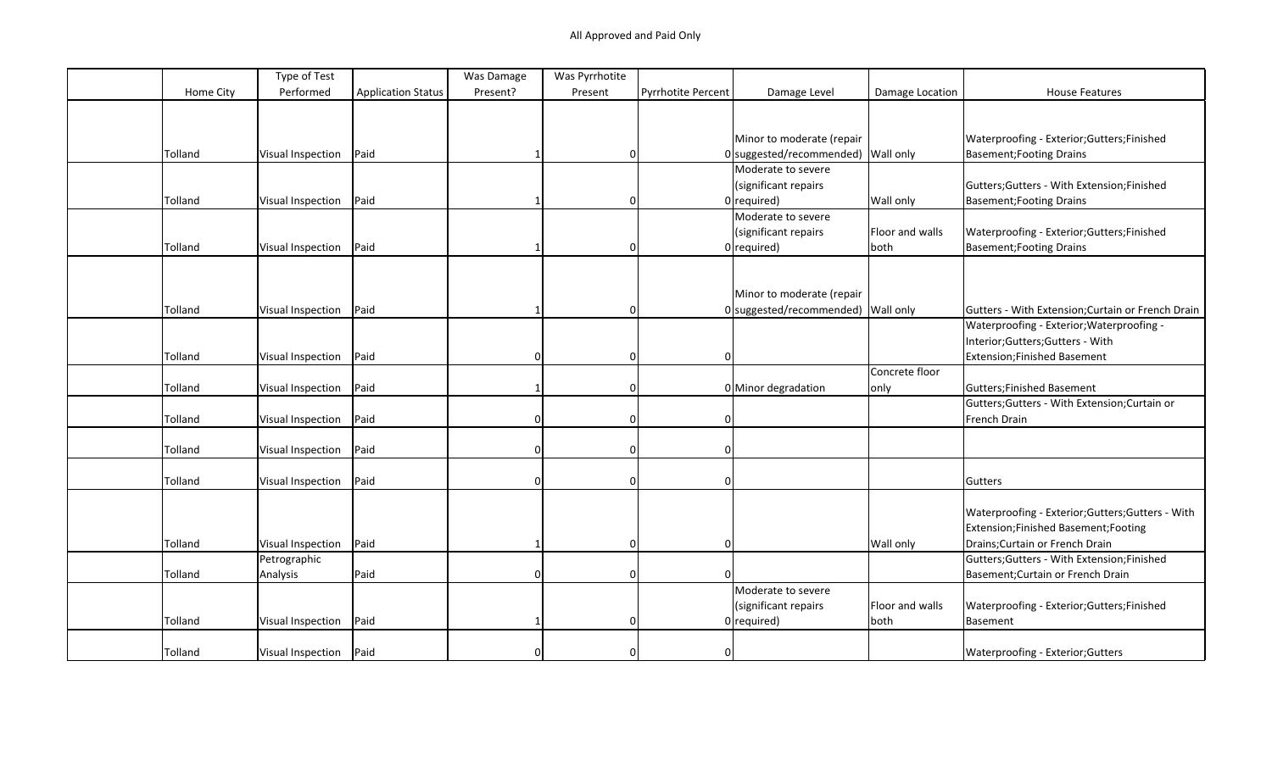|           | Type of Test      |                           | Was Damage | Was Pyrrhotite |                    |                                    |                 |                                                   |
|-----------|-------------------|---------------------------|------------|----------------|--------------------|------------------------------------|-----------------|---------------------------------------------------|
| Home City | Performed         | <b>Application Status</b> | Present?   | Present        | Pyrrhotite Percent | Damage Level                       | Damage Location | <b>House Features</b>                             |
|           |                   |                           |            |                |                    |                                    |                 |                                                   |
|           |                   |                           |            |                |                    |                                    |                 |                                                   |
|           |                   |                           |            |                |                    | Minor to moderate (repair          |                 | Waterproofing - Exterior; Gutters; Finished       |
| Tolland   | Visual Inspection | Paid                      |            | $\Omega$       |                    | 0 suggested/recommended) Wall only |                 | <b>Basement; Footing Drains</b>                   |
|           |                   |                           |            |                |                    | Moderate to severe                 |                 |                                                   |
|           |                   |                           |            |                |                    | (significant repairs               |                 | Gutters; Gutters - With Extension; Finished       |
| Tolland   | Visual Inspection | Paid                      |            | $\Omega$       |                    | $0$ required)                      | Wall only       | <b>Basement; Footing Drains</b>                   |
|           |                   |                           |            |                |                    | Moderate to severe                 |                 |                                                   |
|           |                   |                           |            |                |                    | (significant repairs               | Floor and walls | Waterproofing - Exterior; Gutters; Finished       |
| Tolland   | Visual Inspection | Paid                      |            | $\Omega$       |                    | $0$ required)                      | both            | <b>Basement; Footing Drains</b>                   |
|           |                   |                           |            |                |                    |                                    |                 |                                                   |
|           |                   |                           |            |                |                    |                                    |                 |                                                   |
|           |                   |                           |            |                |                    | Minor to moderate (repair          |                 |                                                   |
| Tolland   | Visual Inspection | Paid                      |            | $\Omega$       |                    | 0 suggested/recommended) Wall only |                 | Gutters - With Extension; Curtain or French Drain |
|           |                   |                           |            |                |                    |                                    |                 | Waterproofing - Exterior; Waterproofing -         |
|           |                   |                           |            |                |                    |                                    |                 | Interior;Gutters;Gutters - With                   |
| Tolland   | Visual Inspection | Paid                      | $\Omega$   | 0              | 01                 |                                    |                 | Extension; Finished Basement                      |
|           |                   |                           |            |                |                    |                                    | Concrete floor  |                                                   |
| Tolland   | Visual Inspection | Paid                      |            | $\Omega$       |                    | 0 Minor degradation                | only            | Gutters; Finished Basement                        |
|           |                   |                           |            |                |                    |                                    |                 | Gutters; Gutters - With Extension; Curtain or     |
| Tolland   | Visual Inspection | Paid                      | $\Omega$   | 0              | 0                  |                                    |                 | French Drain                                      |
|           |                   |                           |            |                |                    |                                    |                 |                                                   |
| Tolland   | Visual Inspection | Paid                      |            | $\Omega$       |                    |                                    |                 |                                                   |
|           |                   |                           |            |                |                    |                                    |                 |                                                   |
| Tolland   | Visual Inspection | Paid                      |            | 0              | $\Omega$           |                                    |                 | Gutters                                           |
|           |                   |                           |            |                |                    |                                    |                 |                                                   |
|           |                   |                           |            |                |                    |                                    |                 | Waterproofing - Exterior; Gutters; Gutters - With |
|           |                   |                           |            |                |                    |                                    |                 | Extension;Finished Basement;Footing               |
| Tolland   | Visual Inspection | Paid                      |            | 0              | $\Omega$           |                                    | Wall only       | Drains; Curtain or French Drain                   |
|           | Petrographic      |                           |            |                |                    |                                    |                 | Gutters; Gutters - With Extension; Finished       |
| Tolland   | Analysis          | Paid                      | $\Omega$   | $\Omega$       |                    |                                    |                 | Basement; Curtain or French Drain                 |
|           |                   |                           |            |                |                    | Moderate to severe                 |                 |                                                   |
|           |                   |                           |            |                |                    | (significant repairs               | Floor and walls | Waterproofing - Exterior; Gutters; Finished       |
| Tolland   | Visual Inspection | Paid                      |            | $\Omega$       |                    | $0$ required)                      | both            | Basement                                          |
|           |                   |                           |            |                |                    |                                    |                 |                                                   |
| Tolland   | Visual Inspection | Paid                      |            |                |                    |                                    |                 | Waterproofing - Exterior; Gutters                 |
|           |                   |                           |            |                |                    |                                    |                 |                                                   |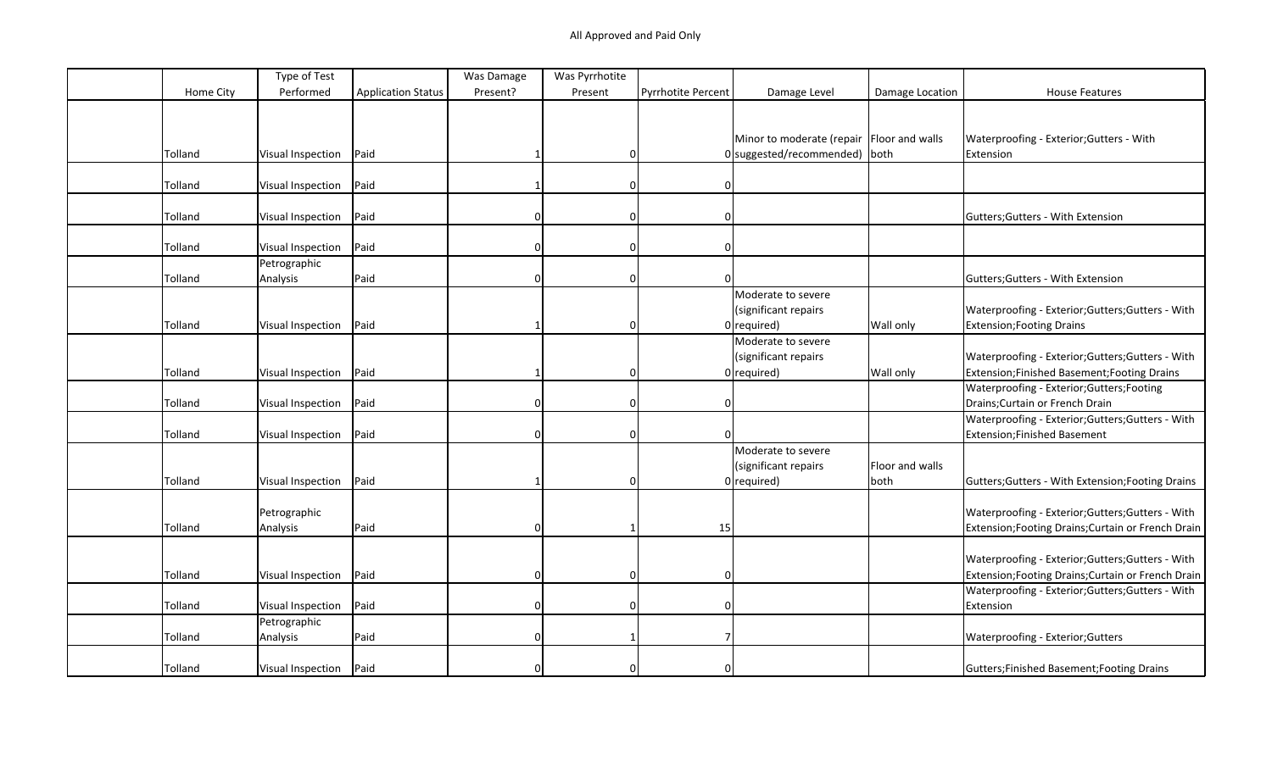|           | Type of Test             |                           | Was Damage | Was Pyrrhotite |                    |                                             |                 |                                                                |
|-----------|--------------------------|---------------------------|------------|----------------|--------------------|---------------------------------------------|-----------------|----------------------------------------------------------------|
| Home City | Performed                | <b>Application Status</b> | Present?   | Present        | Pyrrhotite Percent | Damage Level                                | Damage Location | <b>House Features</b>                                          |
|           |                          |                           |            |                |                    |                                             |                 |                                                                |
|           |                          |                           |            |                |                    |                                             |                 |                                                                |
|           |                          |                           |            |                |                    | Minor to moderate (repair   Floor and walls |                 | Waterproofing - Exterior; Gutters - With                       |
| Tolland   | Visual Inspection        | Paid                      |            | 0              |                    | 0 suggested/recommended) both               |                 | Extension                                                      |
|           |                          |                           |            |                |                    |                                             |                 |                                                                |
| Tolland   | Visual Inspection        | Paid                      |            | 0              | $\mathbf{0}$       |                                             |                 |                                                                |
|           |                          |                           |            |                |                    |                                             |                 |                                                                |
| Tolland   | <b>Visual Inspection</b> | Paid                      | 0          | 0              | $\Omega$           |                                             |                 | Gutters; Gutters - With Extension                              |
|           |                          |                           |            |                |                    |                                             |                 |                                                                |
| Tolland   | Visual Inspection        | Paid                      | $\Omega$   | 0              | $\mathbf{0}$       |                                             |                 |                                                                |
|           | Petrographic             |                           |            |                |                    |                                             |                 |                                                                |
| Tolland   | Analysis                 | Paid                      |            | $\Omega$       |                    |                                             |                 | Gutters; Gutters - With Extension                              |
|           |                          |                           |            |                |                    | Moderate to severe                          |                 |                                                                |
|           |                          |                           |            |                |                    | (significant repairs                        |                 | Waterproofing - Exterior;Gutters;Gutters - With                |
| Tolland   | Visual Inspection        | Paid                      |            | 0              |                    | $0$ required)                               | Wall only       | <b>Extension; Footing Drains</b>                               |
|           |                          |                           |            |                |                    | Moderate to severe                          |                 |                                                                |
|           |                          |                           |            |                |                    | (significant repairs                        |                 | Waterproofing - Exterior; Gutters; Gutters - With              |
| Tolland   | Visual Inspection        | Paid                      |            | $\Omega$       |                    | $0$ required)                               | Wall only       | Extension;Finished Basement;Footing Drains                     |
|           |                          |                           |            |                |                    |                                             |                 | Waterproofing - Exterior;Gutters;Footing                       |
| Tolland   | Visual Inspection        | Paid                      | $\Omega$   | 0              | $\Omega$           |                                             |                 | Drains; Curtain or French Drain                                |
|           |                          |                           |            |                |                    |                                             |                 | Waterproofing - Exterior; Gutters; Gutters - With              |
| Tolland   | Visual Inspection        | Paid                      |            | $\Omega$       |                    |                                             |                 | <b>Extension;Finished Basement</b>                             |
|           |                          |                           |            |                |                    | Moderate to severe                          |                 |                                                                |
|           |                          |                           |            |                |                    | (significant repairs                        | Floor and walls |                                                                |
| Tolland   | Visual Inspection        | Paid                      |            | 0              |                    | $0$ required)                               | both            | Gutters; Gutters - With Extension; Footing Drains              |
|           |                          |                           |            |                |                    |                                             |                 |                                                                |
|           | Petrographic             |                           |            |                |                    |                                             |                 | Waterproofing - Exterior; Gutters; Gutters - With              |
| Tolland   | Analysis                 | Paid                      | $\Omega$   |                | 15                 |                                             |                 | Extension; Footing Drains; Curtain or French Drain             |
|           |                          |                           |            |                |                    |                                             |                 |                                                                |
|           |                          |                           |            |                |                    |                                             |                 | Waterproofing - Exterior;Gutters;Gutters - With                |
| Tolland   | Visual Inspection        | Paid                      | 0          | 0              | $\mathbf 0$        |                                             |                 | Extension; Footing Drains; Curtain or French Drain             |
|           |                          |                           |            |                |                    |                                             |                 |                                                                |
| Tolland   |                          | Paid                      |            | 0              | $\mathbf 0$        |                                             |                 | Waterproofing - Exterior; Gutters; Gutters - With<br>Extension |
|           | Visual Inspection        |                           | 0          |                |                    |                                             |                 |                                                                |
|           | Petrographic             |                           |            |                |                    |                                             |                 |                                                                |
| Tolland   | Analysis                 | Paid                      |            |                |                    |                                             |                 | Waterproofing - Exterior; Gutters                              |
|           |                          |                           |            |                |                    |                                             |                 |                                                                |
| Tolland   | Visual Inspection        | Paid                      |            | 0              | $\Omega$           |                                             |                 | Gutters; Finished Basement; Footing Drains                     |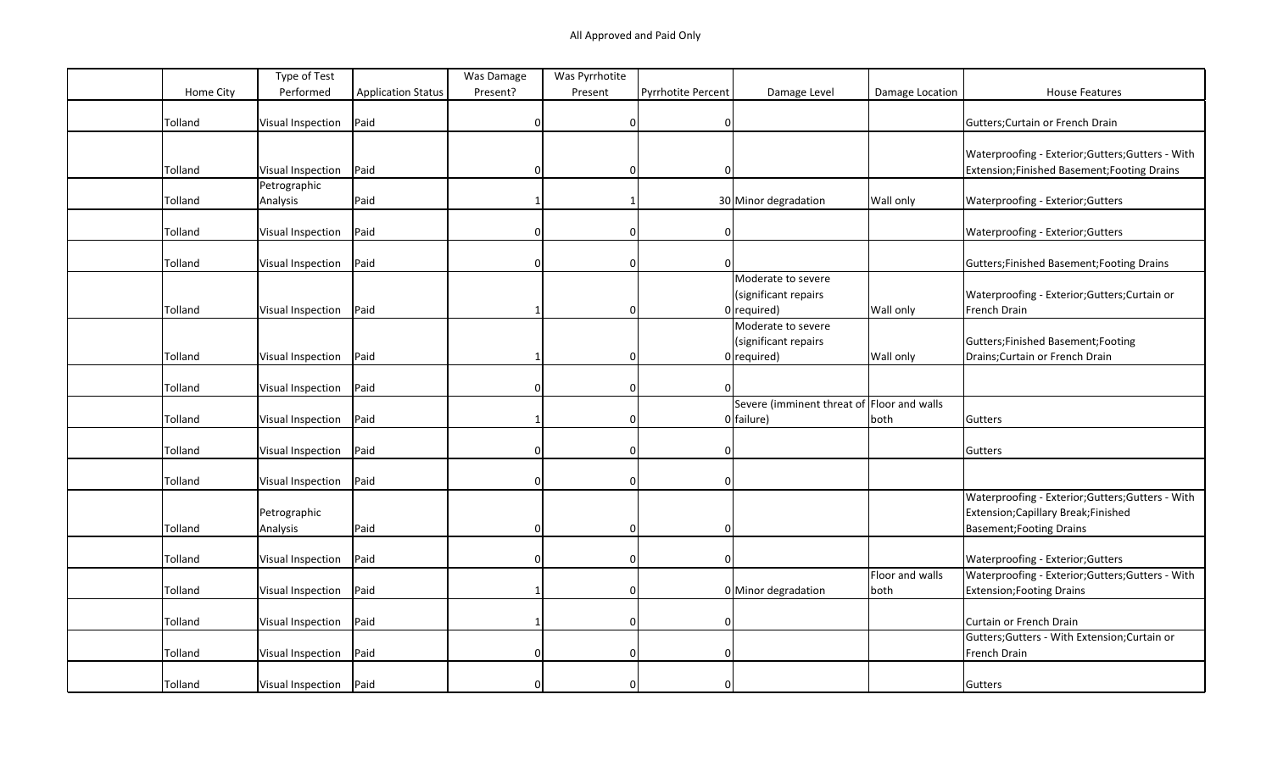|           | Type of Test      |                           | Was Damage | Was Pyrrhotite |                           |                                            |                 |                                                   |
|-----------|-------------------|---------------------------|------------|----------------|---------------------------|--------------------------------------------|-----------------|---------------------------------------------------|
| Home City | Performed         | <b>Application Status</b> | Present?   | Present        | <b>Pyrrhotite Percent</b> | Damage Level                               | Damage Location | <b>House Features</b>                             |
|           |                   |                           |            |                |                           |                                            |                 |                                                   |
| Tolland   | Visual Inspection | Paid                      | U          | $\mathbf 0$    | $\mathbf 0$               |                                            |                 | Gutters; Curtain or French Drain                  |
|           |                   |                           |            |                |                           |                                            |                 |                                                   |
|           |                   |                           |            |                |                           |                                            |                 | Waterproofing - Exterior; Gutters; Gutters - With |
| Tolland   | Visual Inspection | Paid                      | 0          | 0              | $\Omega$                  |                                            |                 | Extension; Finished Basement; Footing Drains      |
|           | Petrographic      |                           |            |                |                           |                                            |                 |                                                   |
| Tolland   | Analysis          | Paid                      |            |                |                           | 30 Minor degradation                       | Wall only       | Waterproofing - Exterior; Gutters                 |
|           |                   |                           |            |                |                           |                                            |                 |                                                   |
| Tolland   | Visual Inspection | Paid                      |            | $\Omega$       | $\mathbf{0}$              |                                            |                 | Waterproofing - Exterior; Gutters                 |
|           |                   |                           |            |                |                           |                                            |                 |                                                   |
| Tolland   | Visual Inspection | Paid                      |            | $\Omega$       |                           |                                            |                 | Gutters; Finished Basement; Footing Drains        |
|           |                   |                           |            |                |                           | Moderate to severe                         |                 |                                                   |
|           |                   |                           |            |                |                           | (significant repairs                       |                 | Waterproofing - Exterior; Gutters; Curtain or     |
| Tolland   | Visual Inspection | Paid                      |            | $\Omega$       |                           | $0$ required)                              | Wall only       | French Drain                                      |
|           |                   |                           |            |                |                           | Moderate to severe                         |                 |                                                   |
|           |                   |                           |            |                |                           | (significant repairs                       |                 | Gutters;Finished Basement;Footing                 |
| Tolland   | Visual Inspection | Paid                      |            | $\mathbf 0$    |                           | $0$ required)                              | Wall only       | Drains; Curtain or French Drain                   |
|           |                   |                           |            |                |                           |                                            |                 |                                                   |
| Tolland   | Visual Inspection | Paid                      |            | $\mathbf 0$    |                           |                                            |                 |                                                   |
|           |                   |                           |            |                |                           | Severe (imminent threat of Floor and walls |                 |                                                   |
| Tolland   | Visual Inspection | Paid                      |            | $\Omega$       |                           | $0$ failure)                               | both            | Gutters                                           |
|           |                   |                           |            |                |                           |                                            |                 |                                                   |
| Tolland   | Visual Inspection | Paid                      |            | $\Omega$       | $\mathbf{0}$              |                                            |                 | Gutters                                           |
|           |                   |                           |            |                |                           |                                            |                 |                                                   |
| Tolland   | Visual Inspection | Paid                      | 0          | $\mathbf 0$    | $\mathbf{0}$              |                                            |                 |                                                   |
|           |                   |                           |            |                |                           |                                            |                 | Waterproofing - Exterior; Gutters; Gutters - With |
|           | Petrographic      |                           |            |                |                           |                                            |                 | Extension; Capillary Break; Finished              |
| Tolland   | Analysis          | Paid                      | $\Omega$   | $\Omega$       | $\Omega$                  |                                            |                 | Basement; Footing Drains                          |
|           |                   |                           |            |                |                           |                                            |                 |                                                   |
| Tolland   | Visual Inspection | Paid                      |            | $\Omega$       |                           |                                            |                 | Waterproofing - Exterior; Gutters                 |
|           |                   |                           |            |                |                           |                                            | Floor and walls | Waterproofing - Exterior; Gutters; Gutters - With |
| Tolland   | Visual Inspection | Paid                      |            | $\mathbf 0$    |                           | 0 Minor degradation                        | both            | Extension; Footing Drains                         |
|           |                   |                           |            |                |                           |                                            |                 |                                                   |
| Tolland   | Visual Inspection | Paid                      |            | $\mathbf 0$    | $\Omega$                  |                                            |                 | Curtain or French Drain                           |
|           |                   |                           |            |                |                           |                                            |                 | Gutters; Gutters - With Extension; Curtain or     |
| Tolland   | Visual Inspection | Paid                      | 0          | $\mathbf 0$    | $\mathbf{0}$              |                                            |                 | French Drain                                      |
|           |                   |                           |            |                |                           |                                            |                 |                                                   |
| Tolland   | Visual Inspection | Paid                      |            | 0              | 0                         |                                            |                 | Gutters                                           |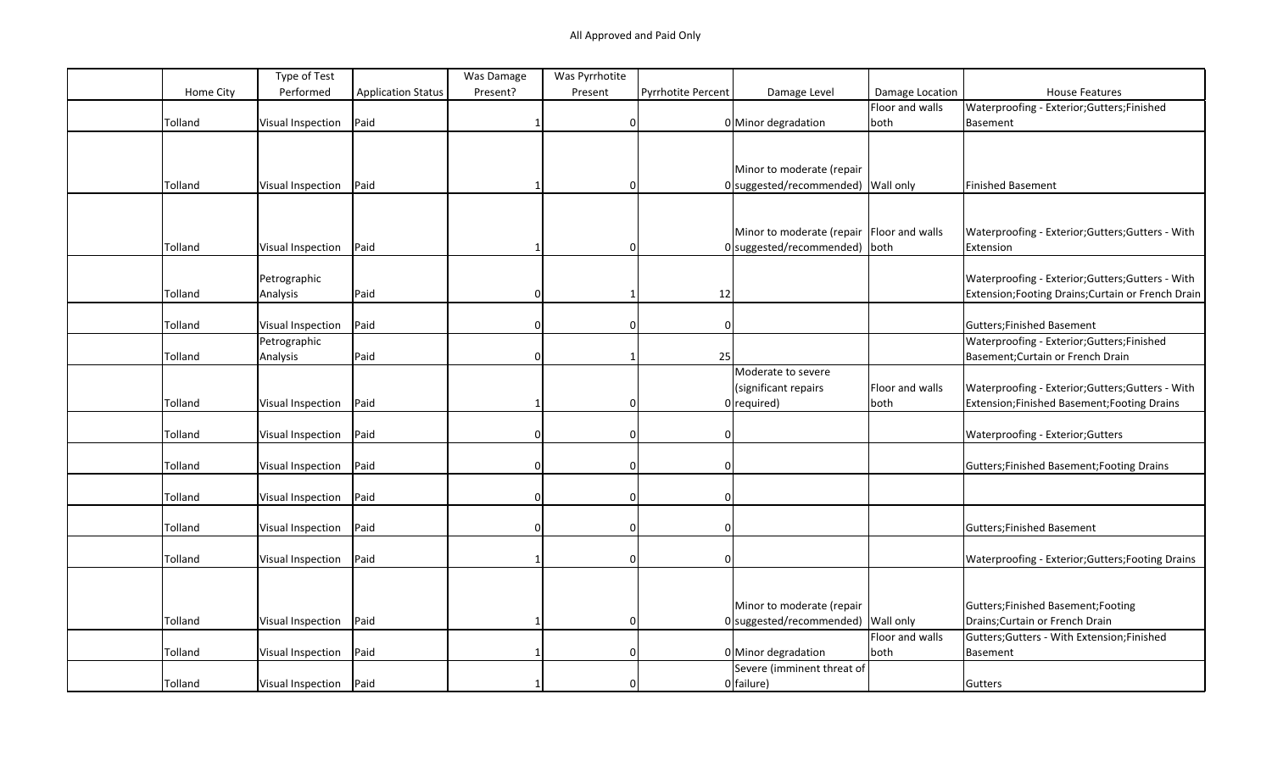|           | Type of Test             |                           | Was Damage   | Was Pyrrhotite |                           |                                           |                  |                                                    |
|-----------|--------------------------|---------------------------|--------------|----------------|---------------------------|-------------------------------------------|------------------|----------------------------------------------------|
| Home City | Performed                | <b>Application Status</b> | Present?     | Present        | <b>Pyrrhotite Percent</b> | Damage Level                              | Damage Location  | <b>House Features</b>                              |
|           |                          |                           |              |                |                           |                                           | Floor and walls  | Waterproofing - Exterior; Gutters; Finished        |
| Tolland   | Visual Inspection        | Paid                      |              | $\mathbf 0$    |                           | 0 Minor degradation                       | both             | Basement                                           |
|           |                          |                           |              |                |                           |                                           |                  |                                                    |
|           |                          |                           |              |                |                           |                                           |                  |                                                    |
|           |                          |                           |              |                |                           | Minor to moderate (repair                 |                  |                                                    |
| Tolland   | Visual Inspection        | Paid                      |              | $\Omega$       |                           | 0 suggested/recommended) Wall only        |                  | <b>Finished Basement</b>                           |
|           |                          |                           |              |                |                           |                                           |                  |                                                    |
|           |                          |                           |              |                |                           |                                           |                  |                                                    |
|           |                          |                           |              |                |                           | Minor to moderate (repair Floor and walls |                  | Waterproofing - Exterior; Gutters; Gutters - With  |
| Tolland   | Visual Inspection        | Paid                      |              | 0              |                           | 0 suggested/recommended) both             |                  | Extension                                          |
|           |                          |                           |              |                |                           |                                           |                  |                                                    |
|           | Petrographic             |                           |              |                |                           |                                           |                  | Waterproofing - Exterior; Gutters; Gutters - With  |
| Tolland   | Analysis                 | Paid                      | $\Omega$     | -1             | 12                        |                                           |                  | Extension; Footing Drains; Curtain or French Drain |
|           |                          |                           |              |                |                           |                                           |                  |                                                    |
| Tolland   | Visual Inspection        | Paid                      |              | $\Omega$       | $\Omega$                  |                                           |                  | Gutters; Finished Basement                         |
|           | Petrographic             |                           |              |                |                           |                                           |                  | Waterproofing - Exterior; Gutters; Finished        |
| Tolland   | Analysis                 | Paid                      | ŋ            | -1             | 25                        |                                           |                  | Basement; Curtain or French Drain                  |
|           |                          |                           |              |                |                           | Moderate to severe                        |                  |                                                    |
|           |                          |                           |              |                |                           | (significant repairs                      | Floor and walls  | Waterproofing - Exterior; Gutters; Gutters - With  |
| Tolland   | Visual Inspection        | Paid                      |              | $\Omega$       |                           | $0$ required)                             | both             | Extension; Finished Basement; Footing Drains       |
|           |                          |                           |              |                |                           |                                           |                  |                                                    |
| Tolland   | Visual Inspection        | Paid                      | $\Omega$     | $\Omega$       |                           |                                           |                  | Waterproofing - Exterior; Gutters                  |
|           |                          |                           |              |                |                           |                                           |                  |                                                    |
| Tolland   | <b>Visual Inspection</b> | Paid                      | n            | $\Omega$       |                           |                                           |                  | Gutters; Finished Basement; Footing Drains         |
|           |                          |                           |              |                |                           |                                           |                  |                                                    |
| Tolland   | Visual Inspection        | Paid                      | n            | $\Omega$       |                           |                                           |                  |                                                    |
|           |                          |                           |              |                |                           |                                           |                  |                                                    |
| Tolland   | Visual Inspection        | Paid                      | <sup>n</sup> | $\mathbf 0$    | $\Omega$                  |                                           |                  | Gutters; Finished Basement                         |
|           |                          |                           |              |                |                           |                                           |                  |                                                    |
| Tolland   | Visual Inspection        | Paid                      |              | $\Omega$       |                           |                                           |                  | Waterproofing - Exterior; Gutters; Footing Drains  |
|           |                          |                           |              |                |                           |                                           |                  |                                                    |
|           |                          |                           |              |                |                           |                                           |                  |                                                    |
|           |                          |                           |              |                |                           | Minor to moderate (repair                 |                  | Gutters;Finished Basement;Footing                  |
| Tolland   | Visual Inspection        | Paid                      |              | $\Omega$       |                           | $0$ suggested/recommended)                | <b>Wall only</b> | Drains; Curtain or French Drain                    |
|           |                          |                           |              |                |                           |                                           | Floor and walls  | Gutters; Gutters - With Extension; Finished        |
| Tolland   | Visual Inspection        | Paid                      |              | $\Omega$       |                           | 0 Minor degradation                       | both             | Basement                                           |
|           |                          |                           |              |                |                           | Severe (imminent threat of                |                  |                                                    |
| Tolland   | Visual Inspection        | Paid                      |              | $\Omega$       |                           | $0$ failure)                              |                  | Gutters                                            |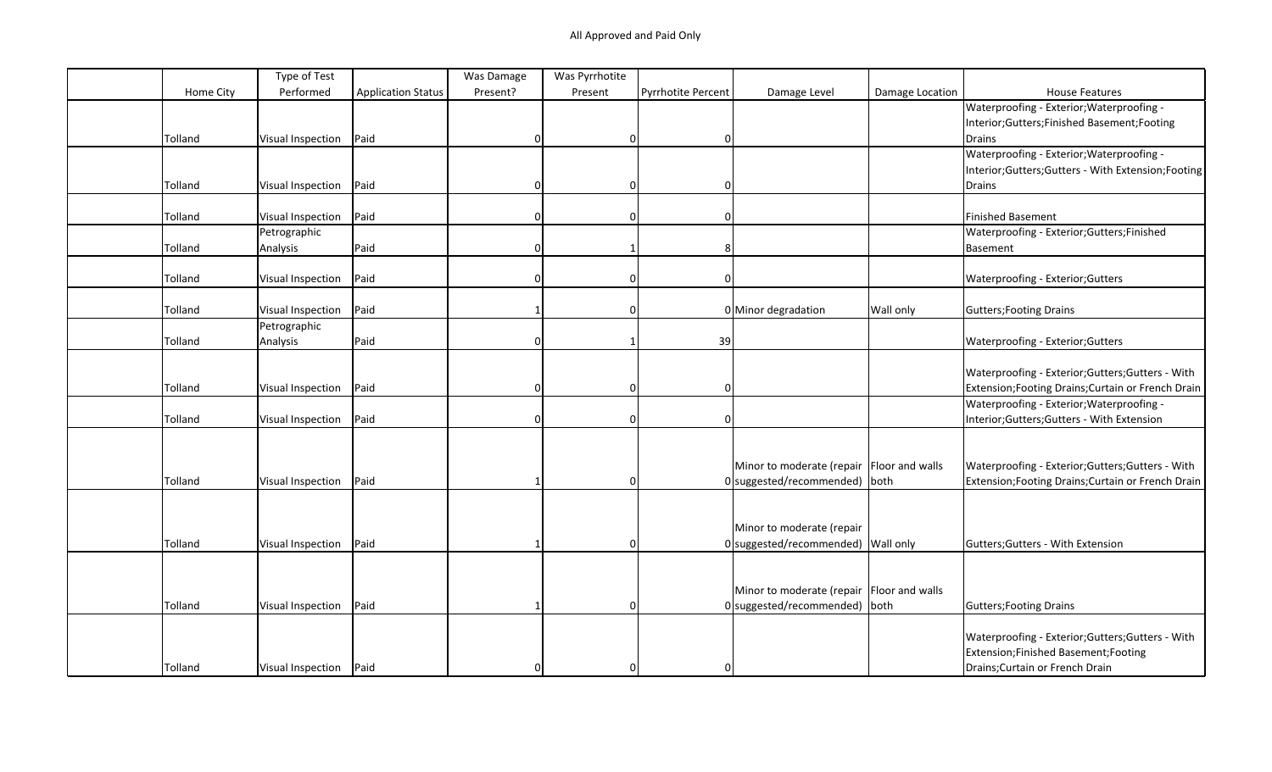|         |           | Type of Test             |                           | Was Damage   | Was Pyrrhotite |                           |                                             |                 |                                                    |
|---------|-----------|--------------------------|---------------------------|--------------|----------------|---------------------------|---------------------------------------------|-----------------|----------------------------------------------------|
|         | Home City | Performed                | <b>Application Status</b> | Present?     | Present        | <b>Pyrrhotite Percent</b> | Damage Level                                | Damage Location | <b>House Features</b>                              |
|         |           |                          |                           |              |                |                           |                                             |                 | Waterproofing - Exterior; Waterproofing -          |
|         |           |                          |                           |              |                |                           |                                             |                 | Interior;Gutters;Finished Basement;Footing         |
| Tolland |           | Visual Inspection        | Paid                      |              | 0              | $\Omega$                  |                                             |                 | Drains                                             |
|         |           |                          |                           |              |                |                           |                                             |                 | Waterproofing - Exterior; Waterproofing -          |
|         |           |                          |                           |              |                |                           |                                             |                 | Interior;Gutters;Gutters - With Extension;Footing  |
| Tolland |           | Visual Inspection        | Paid                      | 0            | 0              | $\mathbf{0}$              |                                             |                 | Drains                                             |
|         |           |                          |                           |              |                |                           |                                             |                 |                                                    |
| Tolland |           | Visual Inspection        | Paid                      | <sup>0</sup> | $\Omega$       | 0                         |                                             |                 | <b>Finished Basement</b>                           |
|         |           | Petrographic             |                           |              |                |                           |                                             |                 | Waterproofing - Exterior; Gutters; Finished        |
| Tolland |           | Analysis                 | Paid                      | $\Omega$     |                | 8                         |                                             |                 | Basement                                           |
|         |           |                          |                           |              |                |                           |                                             |                 |                                                    |
| Tolland |           | <b>Visual Inspection</b> | Paid                      | 0            | 0              | $\mathbf{0}$              |                                             |                 | Waterproofing - Exterior; Gutters                  |
|         |           |                          |                           |              |                |                           |                                             |                 |                                                    |
| Tolland |           | Visual Inspection        | Paid                      |              | $\Omega$       |                           | 0 Minor degradation                         | Wall only       | Gutters; Footing Drains                            |
|         |           | Petrographic             |                           |              |                |                           |                                             |                 |                                                    |
| Tolland |           | Analysis                 | Paid                      | $\Omega$     |                | 39                        |                                             |                 | Waterproofing - Exterior; Gutters                  |
|         |           |                          |                           |              |                |                           |                                             |                 |                                                    |
|         |           |                          |                           |              |                |                           |                                             |                 | Waterproofing - Exterior; Gutters; Gutters - With  |
| Tolland |           | Visual Inspection        | Paid                      | $\Omega$     | $\Omega$       | $\Omega$                  |                                             |                 | Extension; Footing Drains; Curtain or French Drain |
|         |           |                          |                           |              |                |                           |                                             |                 | Waterproofing - Exterior; Waterproofing -          |
| Tolland |           | <b>Visual Inspection</b> | Paid                      | $\Omega$     | 0              | $\Omega$                  |                                             |                 | Interior;Gutters;Gutters - With Extension          |
|         |           |                          |                           |              |                |                           |                                             |                 |                                                    |
|         |           |                          |                           |              |                |                           |                                             |                 |                                                    |
|         |           |                          |                           |              |                |                           | Minor to moderate (repair   Floor and walls |                 | Waterproofing - Exterior; Gutters; Gutters - With  |
| Tolland |           | <b>Visual Inspection</b> | Paid                      |              | $\Omega$       |                           | $0$ suggested/recommended) both             |                 | Extension; Footing Drains; Curtain or French Drain |
|         |           |                          |                           |              |                |                           |                                             |                 |                                                    |
|         |           |                          |                           |              |                |                           |                                             |                 |                                                    |
|         |           |                          |                           |              |                |                           | Minor to moderate (repair                   |                 |                                                    |
| Tolland |           | Visual Inspection        | Paid                      |              | $\Omega$       |                           | $0$ suggested/recommended) Wall only        |                 | Gutters; Gutters - With Extension                  |
|         |           |                          |                           |              |                |                           |                                             |                 |                                                    |
|         |           |                          |                           |              |                |                           |                                             |                 |                                                    |
|         |           |                          |                           |              |                |                           | Minor to moderate (repair   Floor and walls |                 |                                                    |
| Tolland |           | Visual Inspection        | Paid                      |              | 0              |                           | 0 suggested/recommended) both               |                 | Gutters; Footing Drains                            |
|         |           |                          |                           |              |                |                           |                                             |                 |                                                    |
|         |           |                          |                           |              |                |                           |                                             |                 | Waterproofing - Exterior; Gutters; Gutters - With  |
|         |           |                          |                           |              |                |                           |                                             |                 | Extension; Finished Basement; Footing              |
| Tolland |           | Visual Inspection        | Paid                      |              | $\Omega$       | $\Omega$                  |                                             |                 | Drains; Curtain or French Drain                    |
|         |           |                          |                           |              |                |                           |                                             |                 |                                                    |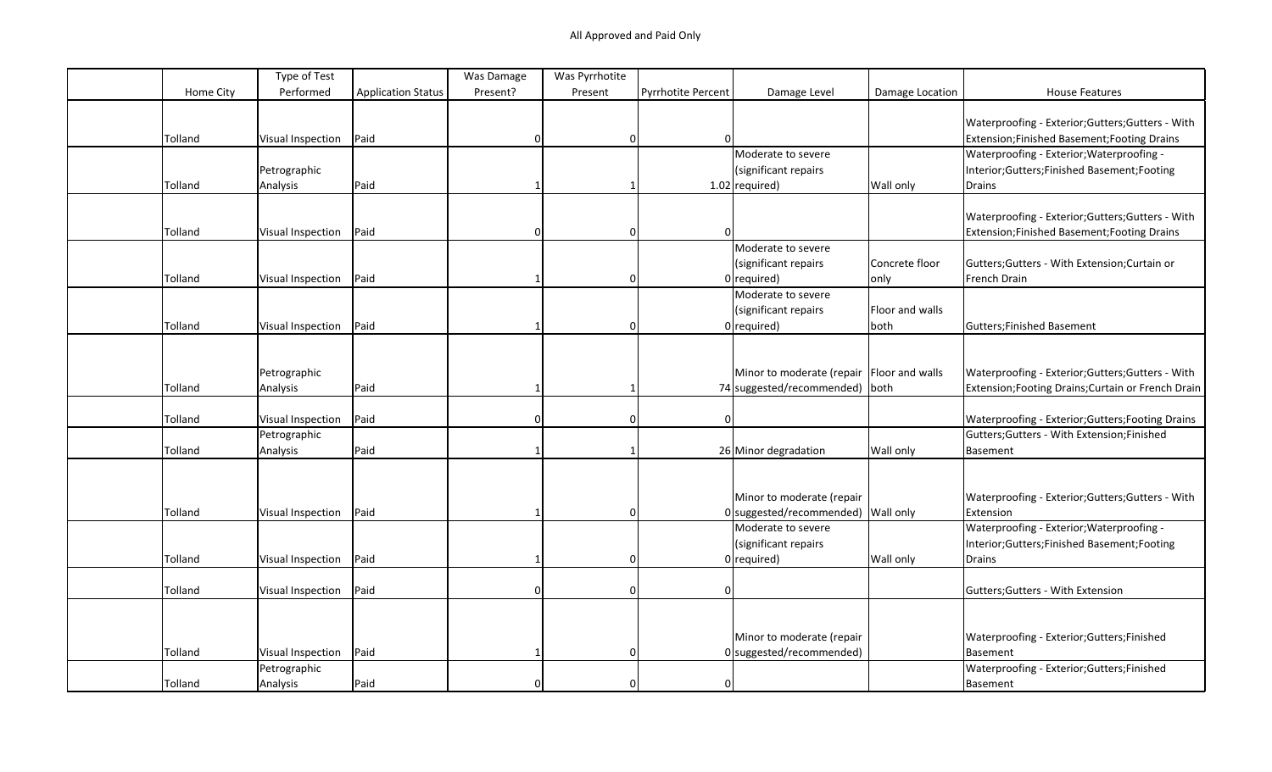|           | Type of Test             |                           | Was Damage | Was Pyrrhotite |                           |                                             |                 |                                                    |
|-----------|--------------------------|---------------------------|------------|----------------|---------------------------|---------------------------------------------|-----------------|----------------------------------------------------|
| Home City | Performed                | <b>Application Status</b> | Present?   | Present        | <b>Pyrrhotite Percent</b> | Damage Level                                | Damage Location | <b>House Features</b>                              |
|           |                          |                           |            |                |                           |                                             |                 |                                                    |
|           |                          |                           |            |                |                           |                                             |                 | Waterproofing - Exterior; Gutters; Gutters - With  |
| Tolland   | Visual Inspection        | Paid                      |            | $\Omega$       | ΩI                        |                                             |                 | Extension; Finished Basement; Footing Drains       |
|           |                          |                           |            |                |                           | Moderate to severe                          |                 | Waterproofing - Exterior; Waterproofing -          |
|           | Petrographic             |                           |            |                |                           | (significant repairs                        |                 | Interior; Gutters; Finished Basement; Footing      |
| Tolland   | Analysis                 | Paid                      |            |                |                           | $1.02$ required)                            | Wall only       | Drains                                             |
|           |                          |                           |            |                |                           |                                             |                 |                                                    |
|           |                          |                           |            |                |                           |                                             |                 | Waterproofing - Exterior; Gutters; Gutters - With  |
| Tolland   | Visual Inspection        | Paid                      |            | $\Omega$       |                           |                                             |                 | Extension; Finished Basement; Footing Drains       |
|           |                          |                           |            |                |                           | Moderate to severe                          |                 |                                                    |
|           |                          |                           |            |                |                           | (significant repairs                        | Concrete floor  | Gutters; Gutters - With Extension; Curtain or      |
| Tolland   | Visual Inspection        | Paid                      |            | $\Omega$       |                           | $0$ required)                               | only            | French Drain                                       |
|           |                          |                           |            |                |                           | Moderate to severe                          |                 |                                                    |
|           |                          |                           |            |                |                           | (significant repairs                        | Floor and walls |                                                    |
| Tolland   | Visual Inspection        | Paid                      |            | $\Omega$       |                           | $0$ required)                               | both            | Gutters; Finished Basement                         |
|           |                          |                           |            |                |                           |                                             |                 |                                                    |
|           |                          |                           |            |                |                           |                                             |                 |                                                    |
|           | Petrographic             |                           |            |                |                           | Minor to moderate (repair   Floor and walls |                 | Waterproofing - Exterior; Gutters; Gutters - With  |
| Tolland   | Analysis                 | Paid                      |            |                |                           | 74 suggested/recommended) both              |                 | Extension; Footing Drains; Curtain or French Drain |
|           |                          |                           |            |                |                           |                                             |                 |                                                    |
| Tolland   | <b>Visual Inspection</b> | Paid                      |            | 0              | $\Omega$                  |                                             |                 | Waterproofing - Exterior; Gutters; Footing Drains  |
|           | Petrographic             |                           |            |                |                           |                                             |                 | Gutters; Gutters - With Extension; Finished        |
| Tolland   | Analysis                 | Paid                      |            |                |                           | 26 Minor degradation                        | Wall only       | Basement                                           |
|           |                          |                           |            |                |                           |                                             |                 |                                                    |
|           |                          |                           |            |                |                           |                                             |                 |                                                    |
|           |                          |                           |            |                |                           | Minor to moderate (repair                   |                 | Waterproofing - Exterior; Gutters; Gutters - With  |
| Tolland   | Visual Inspection        | Paid                      |            | $\Omega$       |                           | 0 suggested/recommended) Wall only          |                 | Extension                                          |
|           |                          |                           |            |                |                           | Moderate to severe                          |                 | Waterproofing - Exterior; Waterproofing -          |
|           |                          |                           |            |                |                           | (significant repairs                        |                 | Interior;Gutters;Finished Basement;Footing         |
| Tolland   | Visual Inspection        | Paid                      |            | $\Omega$       |                           | $0$ required)                               | Wall only       | Drains                                             |
|           |                          |                           |            |                |                           |                                             |                 |                                                    |
| Tolland   | Visual Inspection        | Paid                      |            | $\Omega$       | $\Omega$                  |                                             |                 | Gutters; Gutters - With Extension                  |
|           |                          |                           |            |                |                           |                                             |                 |                                                    |
|           |                          |                           |            |                |                           |                                             |                 |                                                    |
|           |                          |                           |            |                |                           | Minor to moderate (repair                   |                 | Waterproofing - Exterior; Gutters; Finished        |
| Tolland   | Visual Inspection        | Paid                      |            | $\Omega$       |                           | $0$ suggested/recommended)                  |                 | Basement                                           |
|           | Petrographic             |                           |            |                |                           |                                             |                 | Waterproofing - Exterior; Gutters; Finished        |
| Tolland   | Analysis                 | Paid                      |            | $\Omega$       | $\Omega$                  |                                             |                 | Basement                                           |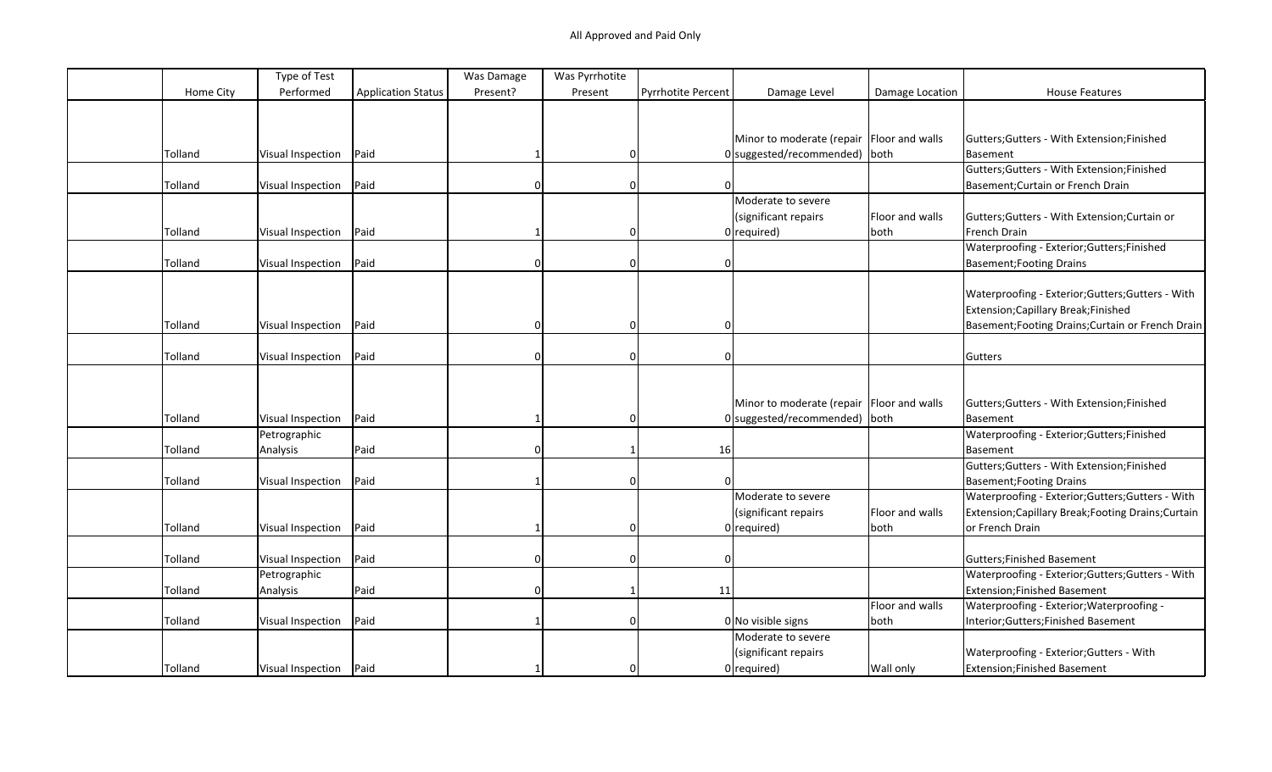|           | Type of Test             |                           | Was Damage | Was Pyrrhotite |                    |                                             |                 |                                                     |
|-----------|--------------------------|---------------------------|------------|----------------|--------------------|---------------------------------------------|-----------------|-----------------------------------------------------|
| Home City | Performed                | <b>Application Status</b> | Present?   | Present        | Pyrrhotite Percent | Damage Level                                | Damage Location | <b>House Features</b>                               |
|           |                          |                           |            |                |                    |                                             |                 |                                                     |
|           |                          |                           |            |                |                    |                                             |                 |                                                     |
|           |                          |                           |            |                |                    | Minor to moderate (repair   Floor and walls |                 | Gutters; Gutters - With Extension; Finished         |
| Tolland   | Visual Inspection        | Paid                      |            | 0              |                    | $0$  suggested/recommended)   both          |                 | <b>Basement</b>                                     |
|           |                          |                           |            |                |                    |                                             |                 | Gutters; Gutters - With Extension; Finished         |
| Tolland   | Visual Inspection        | Paid                      |            | $\Omega$       | 0                  |                                             |                 | Basement; Curtain or French Drain                   |
|           |                          |                           |            |                |                    | Moderate to severe                          |                 |                                                     |
|           |                          |                           |            |                |                    | (significant repairs                        | Floor and walls | Gutters; Gutters - With Extension; Curtain or       |
| Tolland   | Visual Inspection        | Paid                      |            | $\Omega$       |                    | $0$ required)                               | both            | French Drain                                        |
|           |                          |                           |            |                |                    |                                             |                 | Waterproofing - Exterior; Gutters; Finished         |
| Tolland   | Visual Inspection        | Paid                      |            | $\Omega$       | 0                  |                                             |                 | <b>Basement; Footing Drains</b>                     |
|           |                          |                           |            |                |                    |                                             |                 |                                                     |
|           |                          |                           |            |                |                    |                                             |                 | Waterproofing - Exterior; Gutters; Gutters - With   |
|           |                          |                           |            |                |                    |                                             |                 | Extension; Capillary Break; Finished                |
| Tolland   | Visual Inspection        | Paid                      | $\Omega$   | $\Omega$       | O                  |                                             |                 | Basement; Footing Drains; Curtain or French Drain   |
|           |                          |                           |            |                |                    |                                             |                 |                                                     |
| Tolland   | Visual Inspection        | Paid                      |            | $\Omega$       | 0                  |                                             |                 | Gutters                                             |
|           |                          |                           |            |                |                    |                                             |                 |                                                     |
|           |                          |                           |            |                |                    |                                             |                 |                                                     |
|           |                          |                           |            |                |                    | Minor to moderate (repair   Floor and walls |                 | Gutters; Gutters - With Extension; Finished         |
| Tolland   | <b>Visual Inspection</b> | Paid                      |            | $\Omega$       |                    | 0 suggested/recommended) both               |                 | <b>Basement</b>                                     |
|           | Petrographic             |                           |            |                |                    |                                             |                 | Waterproofing - Exterior; Gutters; Finished         |
| Tolland   | Analysis                 | Paid                      |            |                | 16                 |                                             |                 | <b>Basement</b>                                     |
|           |                          |                           |            |                |                    |                                             |                 | Gutters; Gutters - With Extension; Finished         |
| Tolland   | Visual Inspection        | Paid                      |            | 0              | $\Omega$           |                                             |                 | <b>Basement; Footing Drains</b>                     |
|           |                          |                           |            |                |                    | Moderate to severe                          |                 | Waterproofing - Exterior; Gutters; Gutters - With   |
|           |                          |                           |            |                |                    | (significant repairs                        | Floor and walls | Extension; Capillary Break; Footing Drains; Curtain |
| Tolland   | <b>Visual Inspection</b> | Paid                      |            | 0              |                    | $0$ required)                               | both            | or French Drain                                     |
|           |                          |                           |            |                |                    |                                             |                 |                                                     |
| Tolland   | Visual Inspection        | Paid                      |            | $\Omega$       | $\Omega$           |                                             |                 | Gutters; Finished Basement                          |
|           | Petrographic             |                           |            |                |                    |                                             |                 | Waterproofing - Exterior;Gutters;Gutters - With     |
| Tolland   | Analysis                 | Paid                      | $\Omega$   |                | 11                 |                                             |                 | <b>Extension;Finished Basement</b>                  |
|           |                          |                           |            |                |                    |                                             | Floor and walls | Waterproofing - Exterior; Waterproofing -           |
| Tolland   | <b>Visual Inspection</b> | Paid                      |            | $\Omega$       |                    | $0 $ No visible signs                       | both            | Interior; Gutters; Finished Basement                |
|           |                          |                           |            |                |                    | Moderate to severe                          |                 |                                                     |
|           |                          |                           |            |                |                    | (significant repairs                        |                 | Waterproofing - Exterior; Gutters - With            |
| Tolland   | Visual Inspection   Paid |                           |            | $\Omega$       |                    | $0$ required)                               | Wall only       | <b>Extension;Finished Basement</b>                  |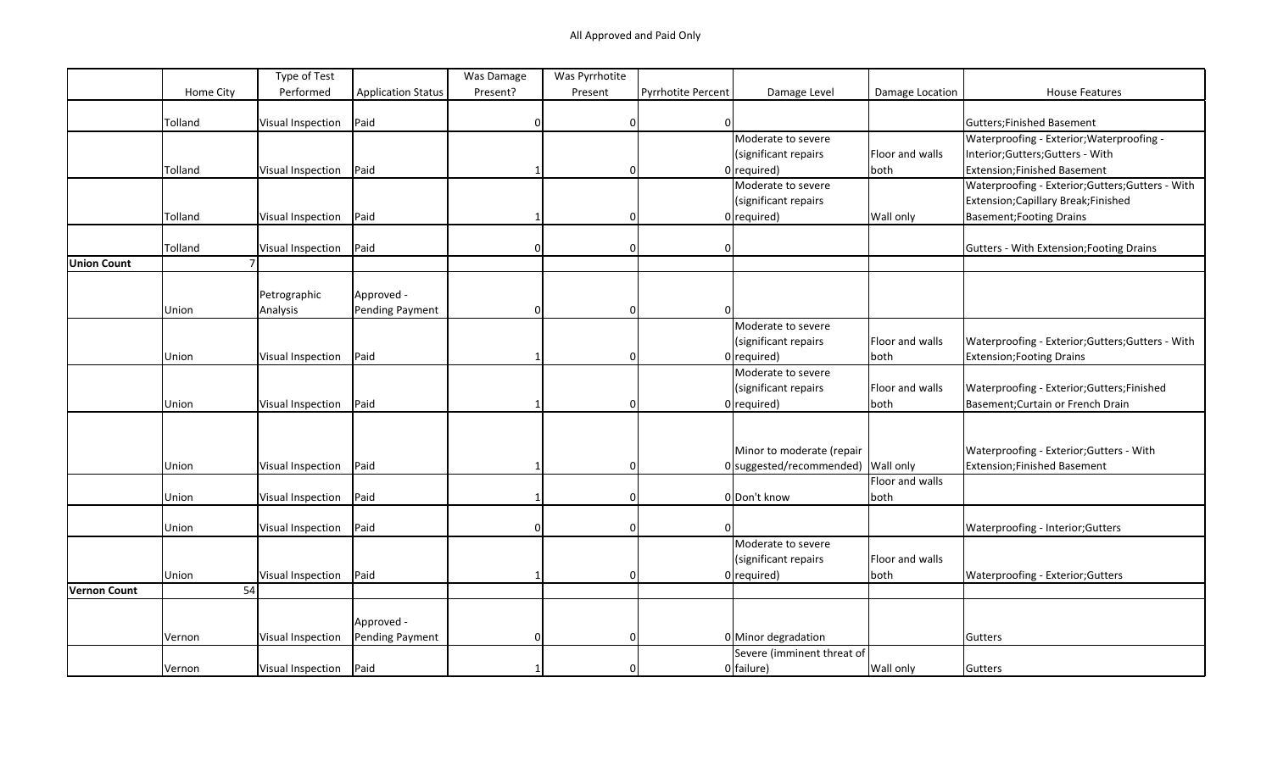|                    |           | Type of Test             |                           | Was Damage | Was Pyrrhotite |                           |                            |                 |                                                   |
|--------------------|-----------|--------------------------|---------------------------|------------|----------------|---------------------------|----------------------------|-----------------|---------------------------------------------------|
|                    | Home City | Performed                | <b>Application Status</b> | Present?   | Present        | <b>Pyrrhotite Percent</b> | Damage Level               | Damage Location | <b>House Features</b>                             |
|                    |           |                          |                           |            |                |                           |                            |                 |                                                   |
|                    | Tolland   | Visual Inspection        | Paid                      |            | 0              | $\Omega$                  |                            |                 | Gutters;Finished Basement                         |
|                    |           |                          |                           |            |                |                           | Moderate to severe         |                 | Waterproofing - Exterior; Waterproofing -         |
|                    |           |                          |                           |            |                |                           | (significant repairs       | Floor and walls | Interior; Gutters; Gutters - With                 |
|                    | Tolland   | Visual Inspection        | Paid                      |            | 0              |                           | $0$ required)              | both            | Extension; Finished Basement                      |
|                    |           |                          |                           |            |                |                           | Moderate to severe         |                 | Waterproofing - Exterior; Gutters; Gutters - With |
|                    |           |                          |                           |            |                |                           | (significant repairs       |                 | Extension; Capillary Break; Finished              |
|                    | Tolland   | Visual Inspection        | Paid                      |            | 0              |                           | $0$ required)              | Wall only       | Basement; Footing Drains                          |
|                    |           |                          |                           |            |                |                           |                            |                 |                                                   |
|                    | Tolland   | Visual Inspection        | Paid                      | $\Omega$   | 0              | $\Omega$                  |                            |                 | Gutters - With Extension; Footing Drains          |
| <b>Union Count</b> |           |                          |                           |            |                |                           |                            |                 |                                                   |
|                    |           |                          |                           |            |                |                           |                            |                 |                                                   |
|                    |           | Petrographic             | Approved -                |            |                |                           |                            |                 |                                                   |
|                    | Union     | Analysis                 | Pending Payment           | $\Omega$   | $\Omega$       | $\Omega$                  |                            |                 |                                                   |
|                    |           |                          |                           |            |                |                           | Moderate to severe         |                 |                                                   |
|                    |           |                          |                           |            |                |                           | (significant repairs       | Floor and walls | Waterproofing - Exterior; Gutters; Gutters - With |
|                    | Union     | <b>Visual Inspection</b> | Paid                      |            | $\Omega$       |                           | $0$ required)              | both            | Extension; Footing Drains                         |
|                    |           |                          |                           |            |                |                           | Moderate to severe         |                 |                                                   |
|                    |           |                          |                           |            |                |                           | (significant repairs       | Floor and walls | Waterproofing - Exterior; Gutters; Finished       |
|                    | Union     | Visual Inspection        | Paid                      |            | $\Omega$       |                           | $0$ required)              | both            | Basement; Curtain or French Drain                 |
|                    |           |                          |                           |            |                |                           |                            |                 |                                                   |
|                    |           |                          |                           |            |                |                           |                            |                 |                                                   |
|                    |           |                          |                           |            |                |                           | Minor to moderate (repair  |                 | Waterproofing - Exterior; Gutters - With          |
|                    | Union     | Visual Inspection        | Paid                      |            | $\Omega$       |                           | $0$ suggested/recommended) | Wall only       | Extension; Finished Basement                      |
|                    |           |                          |                           |            |                |                           |                            | Floor and walls |                                                   |
|                    | Union     | Visual Inspection        | Paid                      |            | $\mathbf 0$    |                           | 0 Don't know               | both            |                                                   |
|                    |           |                          |                           |            |                |                           |                            |                 |                                                   |
|                    | Union     | Visual Inspection        | Paid                      |            | $\Omega$       |                           |                            |                 | Waterproofing - Interior; Gutters                 |
|                    |           |                          |                           |            |                |                           | Moderate to severe         |                 |                                                   |
|                    |           |                          |                           |            |                |                           | (significant repairs       | Floor and walls |                                                   |
|                    | Union     | Visual Inspection        | Paid                      |            | 0              |                           | $0$ required)              | both            | Waterproofing - Exterior; Gutters                 |
| Vernon Count       | 54        |                          |                           |            |                |                           |                            |                 |                                                   |
|                    |           |                          |                           |            |                |                           |                            |                 |                                                   |
|                    |           |                          | Approved -                |            |                |                           |                            |                 |                                                   |
|                    | Vernon    | Visual Inspection        | Pending Payment           | $\Omega$   | $\Omega$       |                           | 0 Minor degradation        |                 | Gutters                                           |
|                    |           |                          |                           |            |                |                           | Severe (imminent threat of |                 |                                                   |
|                    | Vernon    | Visual Inspection        | Paid                      |            | 0              |                           | 0 failure)                 | Wall only       | Gutters                                           |
|                    |           |                          |                           |            |                |                           |                            |                 |                                                   |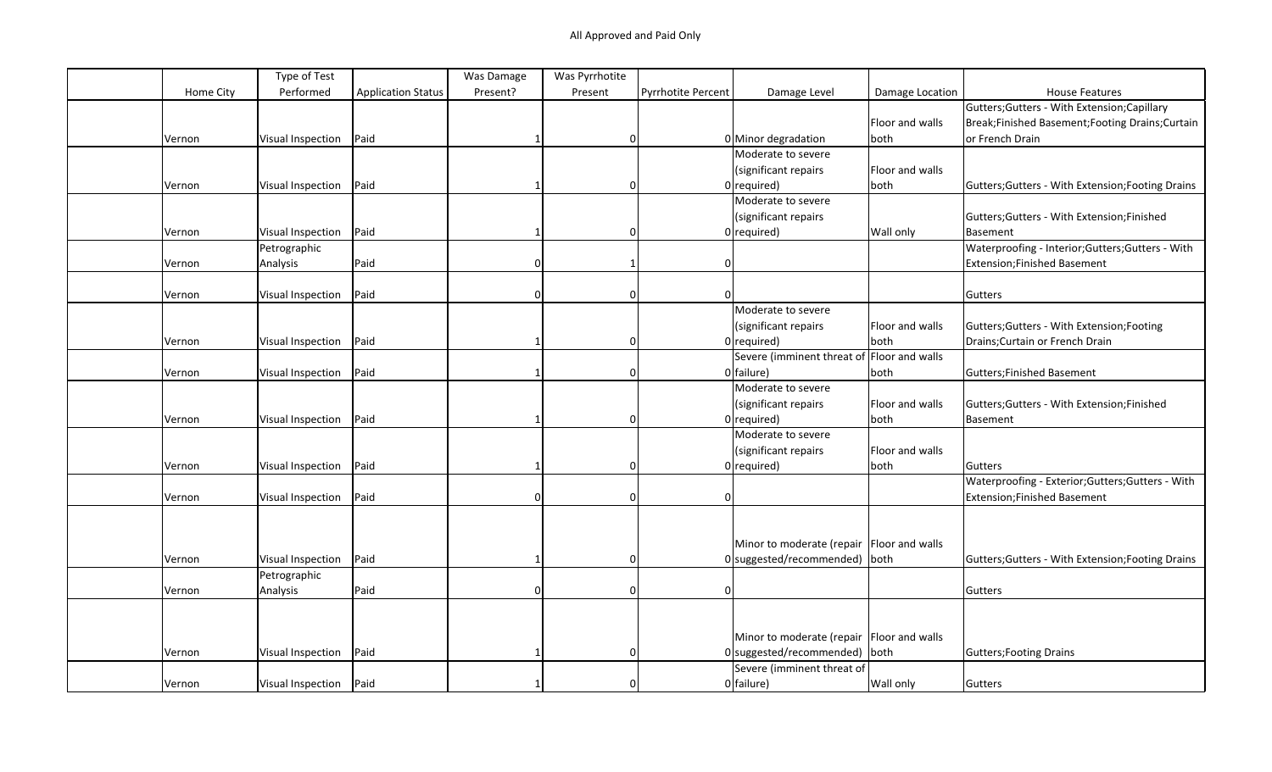|           | Type of Test      |                           | Was Damage | Was Pyrrhotite |                    |                                             |                 |                                                   |
|-----------|-------------------|---------------------------|------------|----------------|--------------------|---------------------------------------------|-----------------|---------------------------------------------------|
| Home City | Performed         | <b>Application Status</b> | Present?   | Present        | Pyrrhotite Percent | Damage Level                                | Damage Location | <b>House Features</b>                             |
|           |                   |                           |            |                |                    |                                             |                 | Gutters; Gutters - With Extension; Capillary      |
|           |                   |                           |            |                |                    |                                             | Floor and walls | Break;Finished Basement;Footing Drains;Curtain    |
| Vernon    | Visual Inspection | Paid                      |            | 0              |                    | 0 Minor degradation                         | both            | or French Drain                                   |
|           |                   |                           |            |                |                    | Moderate to severe                          |                 |                                                   |
|           |                   |                           |            |                |                    | (significant repairs                        | Floor and walls |                                                   |
| Vernon    | Visual Inspection | Paid                      |            | $\Omega$       |                    | $0$ required)                               | both            | Gutters; Gutters - With Extension; Footing Drains |
|           |                   |                           |            |                |                    | Moderate to severe                          |                 |                                                   |
|           |                   |                           |            |                |                    | (significant repairs                        |                 | Gutters; Gutters - With Extension; Finished       |
| Vernon    | Visual Inspection | Paid                      |            | $\Omega$       |                    | $0$ required)                               | Wall only       | Basement                                          |
|           | Petrographic      |                           |            |                |                    |                                             |                 | Waterproofing - Interior; Gutters; Gutters - With |
| Vernon    | Analysis          | Paid                      |            |                |                    |                                             |                 | Extension; Finished Basement                      |
|           |                   |                           |            |                |                    |                                             |                 |                                                   |
| Vernon    | Visual Inspection | Paid                      |            | $\Omega$       |                    |                                             |                 | Gutters                                           |
|           |                   |                           |            |                |                    | Moderate to severe                          |                 |                                                   |
|           |                   |                           |            |                |                    | (significant repairs                        | Floor and walls | Gutters; Gutters - With Extension; Footing        |
| Vernon    | Visual Inspection | Paid                      |            | 0              |                    | $0$ required)                               | both            | Drains; Curtain or French Drain                   |
|           |                   |                           |            |                |                    | Severe (imminent threat of Floor and walls  |                 |                                                   |
| Vernon    | Visual Inspection | Paid                      |            | $\Omega$       |                    | $0$ failure)                                | both            | Gutters; Finished Basement                        |
|           |                   |                           |            |                |                    | Moderate to severe                          |                 |                                                   |
|           |                   |                           |            |                |                    | (significant repairs                        | Floor and walls | Gutters; Gutters - With Extension; Finished       |
| Vernon    | Visual Inspection | Paid                      |            | $\Omega$       |                    | $0$ required)                               | both            | <b>Basement</b>                                   |
|           |                   |                           |            |                |                    | Moderate to severe                          |                 |                                                   |
|           |                   |                           |            |                |                    | (significant repairs                        | Floor and walls |                                                   |
| Vernon    | Visual Inspection | Paid                      |            | 0              |                    | $0$ required)                               | both            | Gutters                                           |
|           |                   |                           |            |                |                    |                                             |                 | Waterproofing - Exterior; Gutters; Gutters - With |
| Vernon    | Visual Inspection | Paid                      | O          | $\Omega$       |                    |                                             |                 | Extension; Finished Basement                      |
|           |                   |                           |            |                |                    |                                             |                 |                                                   |
|           |                   |                           |            |                |                    |                                             |                 |                                                   |
|           |                   |                           |            |                |                    | Minor to moderate (repair   Floor and walls |                 |                                                   |
| Vernon    | Visual Inspection | Paid                      |            | $\Omega$       |                    | $0$ suggested/recommended) both             |                 | Gutters; Gutters - With Extension; Footing Drains |
|           | Petrographic      |                           |            |                |                    |                                             |                 |                                                   |
| Vernon    | Analysis          | Paid                      | n          | $\Omega$       | $\Omega$           |                                             |                 | Gutters                                           |
|           |                   |                           |            |                |                    |                                             |                 |                                                   |
|           |                   |                           |            |                |                    |                                             |                 |                                                   |
|           |                   |                           |            |                |                    | Minor to moderate (repair   Floor and walls |                 |                                                   |
| Vernon    | Visual Inspection | Paid                      |            | $\Omega$       |                    | $0$ suggested/recommended) both             |                 | Gutters; Footing Drains                           |
|           |                   |                           |            |                |                    | Severe (imminent threat of                  |                 |                                                   |
| Vernon    | Visual Inspection | Paid                      |            |                |                    | 0 failure)                                  | Wall only       | Gutters                                           |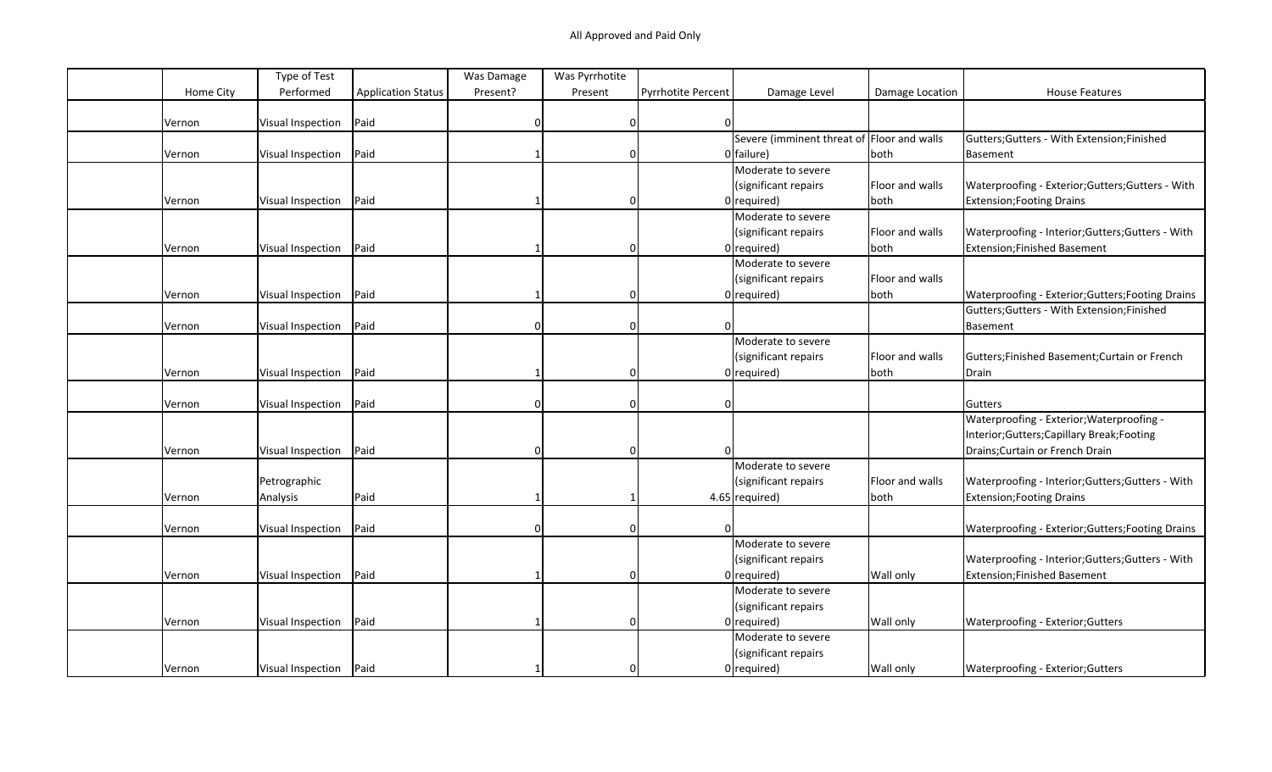|           | Type of Test             |                           | Was Damage | Was Pyrrhotite |                           |                                            |                 |                                                   |
|-----------|--------------------------|---------------------------|------------|----------------|---------------------------|--------------------------------------------|-----------------|---------------------------------------------------|
| Home City | Performed                | <b>Application Status</b> | Present?   | Present        | <b>Pyrrhotite Percent</b> | Damage Level                               | Damage Location | <b>House Features</b>                             |
|           |                          |                           |            |                |                           |                                            |                 |                                                   |
| Vernon    | Visual Inspection        | Paid                      |            | 0              | <sup>n</sup>              |                                            |                 |                                                   |
|           |                          |                           |            |                |                           | Severe (imminent threat of Floor and walls |                 | Gutters; Gutters - With Extension; Finished       |
| Vernon    | Visual Inspection        | Paid                      |            | $\Omega$       |                           | 0 failure)                                 | both            | Basement                                          |
|           |                          |                           |            |                |                           | Moderate to severe                         |                 |                                                   |
|           |                          |                           |            |                |                           | (significant repairs                       | Floor and walls | Waterproofing - Exterior; Gutters; Gutters - With |
| Vernon    | Visual Inspection        | Paid                      |            | 0              |                           | $0$ required)                              | both            | <b>Extension; Footing Drains</b>                  |
|           |                          |                           |            |                |                           | Moderate to severe                         |                 |                                                   |
|           |                          |                           |            |                |                           | (significant repairs                       | Floor and walls | Waterproofing - Interior; Gutters; Gutters - With |
| Vernon    | Visual Inspection        | Paid                      |            | O              |                           | $0$ required)                              | both            | <b>Extension;Finished Basement</b>                |
|           |                          |                           |            |                |                           | Moderate to severe                         |                 |                                                   |
|           |                          |                           |            |                |                           | (significant repairs                       | Floor and walls |                                                   |
| Vernon    | Visual Inspection        | Paid                      |            | O              |                           | $0$ required)                              | both            | Waterproofing - Exterior; Gutters; Footing Drains |
|           |                          |                           |            |                |                           |                                            |                 | Gutters; Gutters - With Extension; Finished       |
| Vernon    | Visual Inspection        | Paid                      | n          | $\Omega$       |                           |                                            |                 | Basement                                          |
|           |                          |                           |            |                |                           | Moderate to severe                         |                 |                                                   |
|           |                          |                           |            |                |                           | (significant repairs                       | Floor and walls | Gutters; Finished Basement; Curtain or French     |
| Vernon    | <b>Visual Inspection</b> | Paid                      |            |                |                           | $0$ required)                              | both            | Drain                                             |
|           |                          |                           |            |                |                           |                                            |                 |                                                   |
| Vernon    | Visual Inspection        | Paid                      |            | $\Omega$       |                           |                                            |                 | Gutters                                           |
|           |                          |                           |            |                |                           |                                            |                 | Waterproofing - Exterior; Waterproofing -         |
|           |                          |                           |            |                |                           |                                            |                 | Interior;Gutters;Capillary Break;Footing          |
| Vernon    | Visual Inspection        | Paid                      | $\Omega$   | 0              | <sup>0</sup>              |                                            |                 | Drains; Curtain or French Drain                   |
|           |                          |                           |            |                |                           | Moderate to severe                         |                 |                                                   |
|           | Petrographic             |                           |            |                |                           | (significant repairs                       | Floor and walls | Waterproofing - Interior; Gutters; Gutters - With |
| Vernon    | Analysis                 | Paid                      |            |                |                           | $4.65$ required)                           | both            | <b>Extension; Footing Drains</b>                  |
|           |                          |                           |            |                |                           |                                            |                 |                                                   |
| Vernon    | Visual Inspection        | Paid                      |            | $\Omega$       | <sup>n</sup>              |                                            |                 | Waterproofing - Exterior; Gutters; Footing Drains |
|           |                          |                           |            |                |                           | Moderate to severe                         |                 |                                                   |
|           |                          |                           |            |                |                           | (significant repairs                       |                 | Waterproofing - Interior; Gutters; Gutters - With |
| Vernon    | <b>Visual Inspection</b> | Paid                      |            | 0              |                           | $0$ required)                              | Wall only       | Extension; Finished Basement                      |
|           |                          |                           |            |                |                           | Moderate to severe                         |                 |                                                   |
|           |                          |                           |            |                |                           | (significant repairs                       |                 |                                                   |
| Vernon    | Visual Inspection        | Paid                      |            | 0              |                           | $0$ required)                              | Wall only       | Waterproofing - Exterior; Gutters                 |
|           |                          |                           |            |                |                           | Moderate to severe                         |                 |                                                   |
|           |                          |                           |            |                |                           | (significant repairs                       |                 |                                                   |
| Vernon    | Visual Inspection        | Paid                      |            | 0              |                           | $0$ required)                              | Wall only       | <b>Waterproofing - Exterior; Gutters</b>          |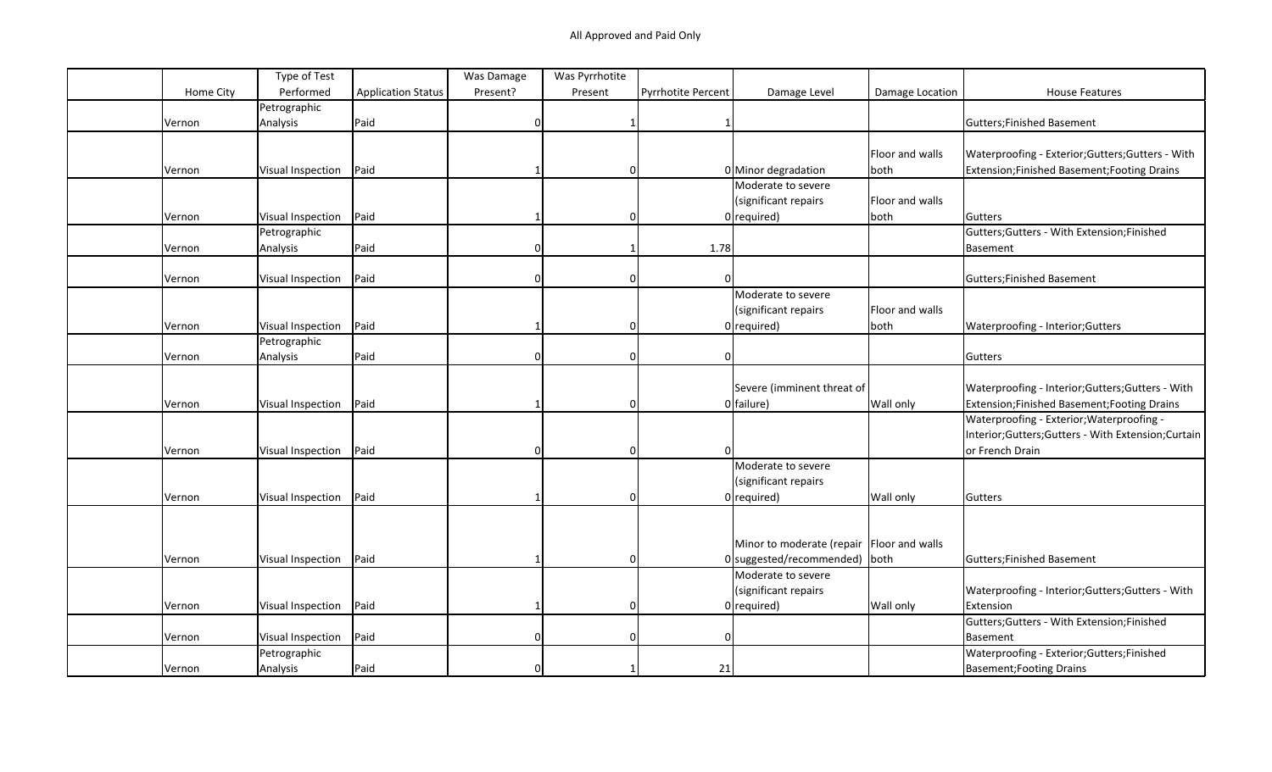|           | Type of Test             |                           | Was Damage | Was Pyrrhotite |                    |                                           |                 |                                                   |
|-----------|--------------------------|---------------------------|------------|----------------|--------------------|-------------------------------------------|-----------------|---------------------------------------------------|
| Home City | Performed                | <b>Application Status</b> | Present?   | Present        | Pyrrhotite Percent | Damage Level                              | Damage Location | <b>House Features</b>                             |
|           | Petrographic             |                           |            |                |                    |                                           |                 |                                                   |
| Vernon    | Analysis                 | Paid                      | O          |                |                    |                                           |                 | Gutters; Finished Basement                        |
|           |                          |                           |            |                |                    |                                           |                 |                                                   |
|           |                          |                           |            |                |                    |                                           | Floor and walls | Waterproofing - Exterior; Gutters; Gutters - With |
| Vernon    | Visual Inspection        | Paid                      |            | 0              |                    | 0 Minor degradation                       | both            | Extension;Finished Basement;Footing Drains        |
|           |                          |                           |            |                |                    | Moderate to severe                        |                 |                                                   |
|           |                          |                           |            |                |                    | (significant repairs                      | Floor and walls |                                                   |
| Vernon    | Visual Inspection        | Paid                      |            | 0              |                    | $0$ required)                             | both            | Gutters                                           |
|           | Petrographic             |                           |            |                |                    |                                           |                 | Gutters; Gutters - With Extension; Finished       |
| Vernon    | Analysis                 | Paid                      | $\Omega$   |                | 1.78               |                                           |                 | <b>Basement</b>                                   |
|           |                          |                           |            |                |                    |                                           |                 |                                                   |
| Vernon    | Visual Inspection        | Paid                      |            | $\Omega$       |                    |                                           |                 | Gutters; Finished Basement                        |
|           |                          |                           |            |                |                    | Moderate to severe                        |                 |                                                   |
|           |                          |                           |            |                |                    | (significant repairs                      | Floor and walls |                                                   |
| Vernon    | Visual Inspection        | Paid                      |            | $\Omega$       |                    | $0$ required)                             | both            | Waterproofing - Interior; Gutters                 |
|           | Petrographic             |                           |            |                |                    |                                           |                 |                                                   |
| Vernon    | Analysis                 | Paid                      |            | $\Omega$       |                    |                                           |                 | Gutters                                           |
|           |                          |                           |            |                |                    |                                           |                 |                                                   |
|           |                          |                           |            |                |                    | Severe (imminent threat of                |                 | Waterproofing - Interior; Gutters; Gutters - With |
| Vernon    | Visual Inspection        | Paid                      |            | $\Omega$       |                    | $0$ failure)                              | Wall only       | Extension;Finished Basement;Footing Drains        |
|           |                          |                           |            |                |                    |                                           |                 | Waterproofing - Exterior; Waterproofing -         |
|           |                          |                           |            |                |                    |                                           |                 | Interior;Gutters;Gutters - With Extension;Curtain |
| Vernon    | <b>Visual Inspection</b> | Paid                      | $\Omega$   | $\Omega$       |                    |                                           |                 | or French Drain                                   |
|           |                          |                           |            |                |                    | Moderate to severe                        |                 |                                                   |
|           |                          |                           |            |                |                    | (significant repairs                      |                 |                                                   |
| Vernon    | Visual Inspection        | Paid                      |            | $\Omega$       |                    | $0$ required)                             | Wall only       | Gutters                                           |
|           |                          |                           |            |                |                    |                                           |                 |                                                   |
|           |                          |                           |            |                |                    |                                           |                 |                                                   |
|           |                          |                           |            |                |                    | Minor to moderate (repair Floor and walls |                 |                                                   |
| Vernon    | Visual Inspection        | Paid                      |            | $\Omega$       |                    | 0 suggested/recommended) both             |                 | Gutters; Finished Basement                        |
|           |                          |                           |            |                |                    | Moderate to severe                        |                 |                                                   |
|           |                          |                           |            |                |                    | (significant repairs                      |                 | Waterproofing - Interior; Gutters; Gutters - With |
|           |                          | Paid                      |            | 0              |                    | $0$ required)                             | Wall only       | Extension                                         |
| Vernon    | Visual Inspection        |                           |            |                |                    |                                           |                 | Gutters; Gutters - With Extension; Finished       |
|           |                          | Paid                      |            | $\Omega$       |                    |                                           |                 |                                                   |
| Vernon    | Visual Inspection        |                           |            |                |                    |                                           |                 | Basement                                          |
|           | Petrographic             |                           |            |                |                    |                                           |                 | Waterproofing - Exterior; Gutters; Finished       |
| Vernon    | Analysis                 | Paid                      |            |                | 21                 |                                           |                 | <b>Basement; Footing Drains</b>                   |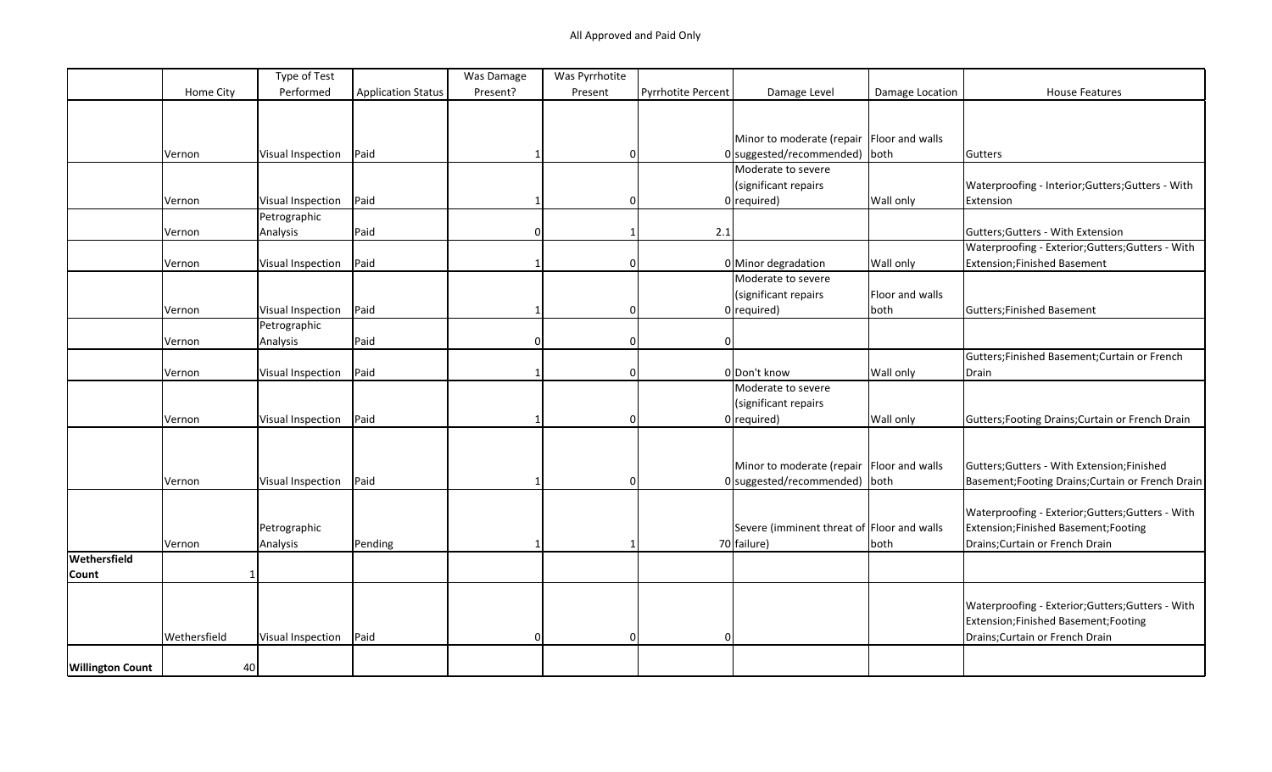|                         |              | Type of Test      |                           | Was Damage | Was Pyrrhotite |                    |                                             |                 |                                                   |
|-------------------------|--------------|-------------------|---------------------------|------------|----------------|--------------------|---------------------------------------------|-----------------|---------------------------------------------------|
|                         | Home City    | Performed         | <b>Application Status</b> | Present?   | Present        | Pyrrhotite Percent | Damage Level                                | Damage Location | <b>House Features</b>                             |
|                         |              |                   |                           |            |                |                    |                                             |                 |                                                   |
|                         |              |                   |                           |            |                |                    |                                             |                 |                                                   |
|                         |              |                   |                           |            |                |                    | Minor to moderate (repair Floor and walls   |                 |                                                   |
|                         | Vernon       | Visual Inspection | Paid                      |            | 0              |                    | $0$ suggested/recommended) both             |                 | Gutters                                           |
|                         |              |                   |                           |            |                |                    | Moderate to severe                          |                 |                                                   |
|                         |              |                   |                           |            |                |                    | (significant repairs                        |                 | Waterproofing - Interior; Gutters; Gutters - With |
|                         | Vernon       | Visual Inspection | Paid                      |            | 0              |                    | $0$ required)                               | Wall only       | Extension                                         |
|                         |              | Petrographic      |                           |            |                |                    |                                             |                 |                                                   |
|                         | Vernon       | Analysis          | Paid                      | $\Omega$   |                | 2.1                |                                             |                 | Gutters; Gutters - With Extension                 |
|                         |              |                   |                           |            |                |                    |                                             |                 | Waterproofing - Exterior; Gutters; Gutters - With |
|                         | Vernon       | Visual Inspection | Paid                      |            | O              |                    | 0 Minor degradation                         | Wall only       | Extension; Finished Basement                      |
|                         |              |                   |                           |            |                |                    | Moderate to severe                          |                 |                                                   |
|                         |              |                   |                           |            |                |                    | (significant repairs                        | Floor and walls |                                                   |
|                         | Vernon       | Visual Inspection | Paid                      |            | O              |                    | $0$ required)                               | both            | Gutters; Finished Basement                        |
|                         |              | Petrographic      |                           |            |                |                    |                                             |                 |                                                   |
|                         | Vernon       | Analysis          | Paid                      | n          | $\Omega$       | $\Omega$           |                                             |                 |                                                   |
|                         |              |                   |                           |            |                |                    |                                             |                 | Gutters;Finished Basement;Curtain or French       |
|                         | Vernon       | Visual Inspection | Paid                      |            | $\Omega$       |                    | 0 Don't know                                | Wall only       | Drain                                             |
|                         |              |                   |                           |            |                |                    | Moderate to severe                          |                 |                                                   |
|                         |              |                   |                           |            |                |                    | (significant repairs                        |                 |                                                   |
|                         |              |                   | Paid                      |            | $\Omega$       |                    |                                             |                 |                                                   |
|                         | Vernon       | Visual Inspection |                           |            |                |                    | $0$ required)                               | Wall only       | Gutters; Footing Drains; Curtain or French Drain  |
|                         |              |                   |                           |            |                |                    |                                             |                 |                                                   |
|                         |              |                   |                           |            |                |                    |                                             |                 |                                                   |
|                         |              |                   |                           |            |                |                    | Minor to moderate (repair   Floor and walls |                 | Gutters; Gutters - With Extension; Finished       |
|                         | Vernon       | Visual Inspection | Paid                      |            | 0              |                    | $0$ suggested/recommended) both             |                 | Basement; Footing Drains; Curtain or French Drain |
|                         |              |                   |                           |            |                |                    |                                             |                 |                                                   |
|                         |              |                   |                           |            |                |                    |                                             |                 | Waterproofing - Exterior; Gutters; Gutters - With |
|                         |              | Petrographic      |                           |            |                |                    | Severe (imminent threat of Floor and walls  |                 | Extension;Finished Basement;Footing               |
|                         | Vernon       | Analysis          | Pending                   |            |                |                    | 70 failure)                                 | both            | Drains; Curtain or French Drain                   |
| Wethersfield            |              |                   |                           |            |                |                    |                                             |                 |                                                   |
| Count                   |              |                   |                           |            |                |                    |                                             |                 |                                                   |
|                         |              |                   |                           |            |                |                    |                                             |                 |                                                   |
|                         |              |                   |                           |            |                |                    |                                             |                 | Waterproofing - Exterior; Gutters; Gutters - With |
|                         |              |                   |                           |            |                |                    |                                             |                 | Extension;Finished Basement;Footing               |
|                         | Wethersfield | Visual Inspection | Paid                      | n          | 0              |                    |                                             |                 | Drains; Curtain or French Drain                   |
|                         |              |                   |                           |            |                |                    |                                             |                 |                                                   |
| <b>Willington Count</b> | 40           |                   |                           |            |                |                    |                                             |                 |                                                   |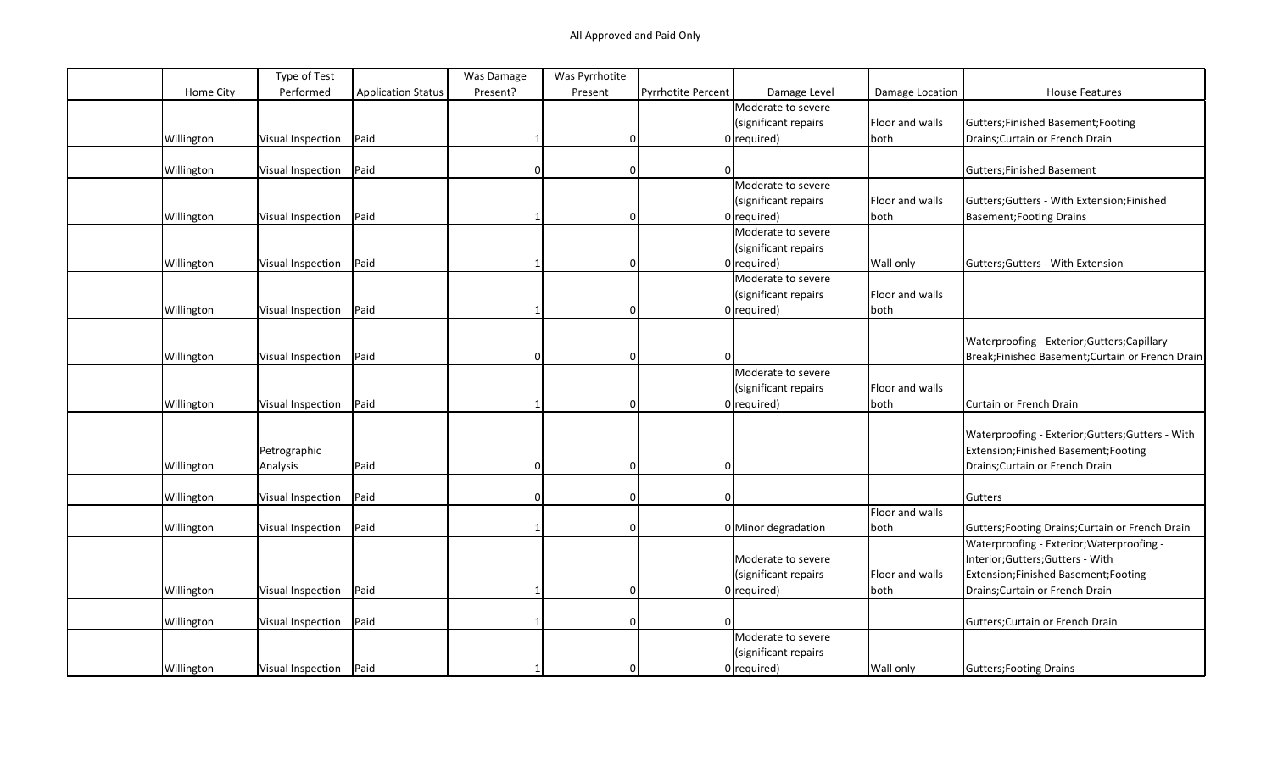|            | Type of Test      |                           | Was Damage | Was Pyrrhotite |                           |                      |                 |                                                   |
|------------|-------------------|---------------------------|------------|----------------|---------------------------|----------------------|-----------------|---------------------------------------------------|
| Home City  | Performed         | <b>Application Status</b> | Present?   | Present        | <b>Pyrrhotite Percent</b> | Damage Level         | Damage Location | <b>House Features</b>                             |
|            |                   |                           |            |                |                           | Moderate to severe   |                 |                                                   |
|            |                   |                           |            |                |                           | (significant repairs | Floor and walls | Gutters;Finished Basement;Footing                 |
| Willington | Visual Inspection | Paid                      |            | 0              |                           | $0$ required)        | both            | Drains; Curtain or French Drain                   |
|            |                   |                           |            |                |                           |                      |                 |                                                   |
| Willington | Visual Inspection | Paid                      | 0          | 0              | $\Omega$                  |                      |                 | Gutters; Finished Basement                        |
|            |                   |                           |            |                |                           | Moderate to severe   |                 |                                                   |
|            |                   |                           |            |                |                           | (significant repairs | Floor and walls | Gutters; Gutters - With Extension; Finished       |
| Willington | Visual Inspection | Paid                      |            | $\Omega$       |                           | $0$ required)        | both            | Basement; Footing Drains                          |
|            |                   |                           |            |                |                           | Moderate to severe   |                 |                                                   |
|            |                   |                           |            |                |                           | (significant repairs |                 |                                                   |
| Willington | Visual Inspection | Paid                      |            | 0              |                           | $0$ required)        | Wall only       | Gutters; Gutters - With Extension                 |
|            |                   |                           |            |                |                           | Moderate to severe   |                 |                                                   |
|            |                   |                           |            |                |                           | (significant repairs | Floor and walls |                                                   |
| Willington | Visual Inspection | Paid                      |            | $\Omega$       |                           | $0$ required)        | both            |                                                   |
|            |                   |                           |            |                |                           |                      |                 |                                                   |
|            |                   |                           |            |                |                           |                      |                 | Waterproofing - Exterior; Gutters; Capillary      |
| Willington | Visual Inspection | Paid                      | 0          | $\Omega$       |                           |                      |                 | Break;Finished Basement;Curtain or French Drain   |
|            |                   |                           |            |                |                           | Moderate to severe   |                 |                                                   |
|            |                   |                           |            |                |                           | (significant repairs | Floor and walls |                                                   |
| Willington | Visual Inspection | Paid                      |            | $\Omega$       |                           | $0$ required)        | both            | Curtain or French Drain                           |
|            |                   |                           |            |                |                           |                      |                 |                                                   |
|            |                   |                           |            |                |                           |                      |                 | Waterproofing - Exterior; Gutters; Gutters - With |
|            | Petrographic      |                           |            |                |                           |                      |                 | Extension; Finished Basement; Footing             |
| Willington | Analysis          | Paid                      |            | $\Omega$       |                           |                      |                 | Drains; Curtain or French Drain                   |
|            |                   |                           |            |                |                           |                      |                 |                                                   |
| Willington | Visual Inspection | Paid                      | U          | $\Omega$       | $\Omega$                  |                      |                 | Gutters                                           |
|            |                   |                           |            |                |                           |                      | Floor and walls |                                                   |
| Willington | Visual Inspection | Paid                      |            | $\Omega$       |                           | 0 Minor degradation  | both            | Gutters; Footing Drains; Curtain or French Drain  |
|            |                   |                           |            |                |                           |                      |                 | Waterproofing - Exterior; Waterproofing -         |
|            |                   |                           |            |                |                           | Moderate to severe   |                 | Interior; Gutters; Gutters - With                 |
|            |                   |                           |            |                |                           | (significant repairs | Floor and walls | Extension; Finished Basement; Footing             |
| Willington | Visual Inspection | Paid                      |            | $\Omega$       |                           | $0$ required)        | both            | Drains; Curtain or French Drain                   |
|            |                   |                           |            |                |                           |                      |                 |                                                   |
| Willington | Visual Inspection | Paid                      |            | $\Omega$       |                           |                      |                 | Gutters; Curtain or French Drain                  |
|            |                   |                           |            |                |                           | Moderate to severe   |                 |                                                   |
|            |                   |                           |            |                |                           | (significant repairs |                 |                                                   |
| Willington | Visual Inspection | Paid                      |            | $\Omega$       |                           | $0$ required)        | Wall only       | Gutters; Footing Drains                           |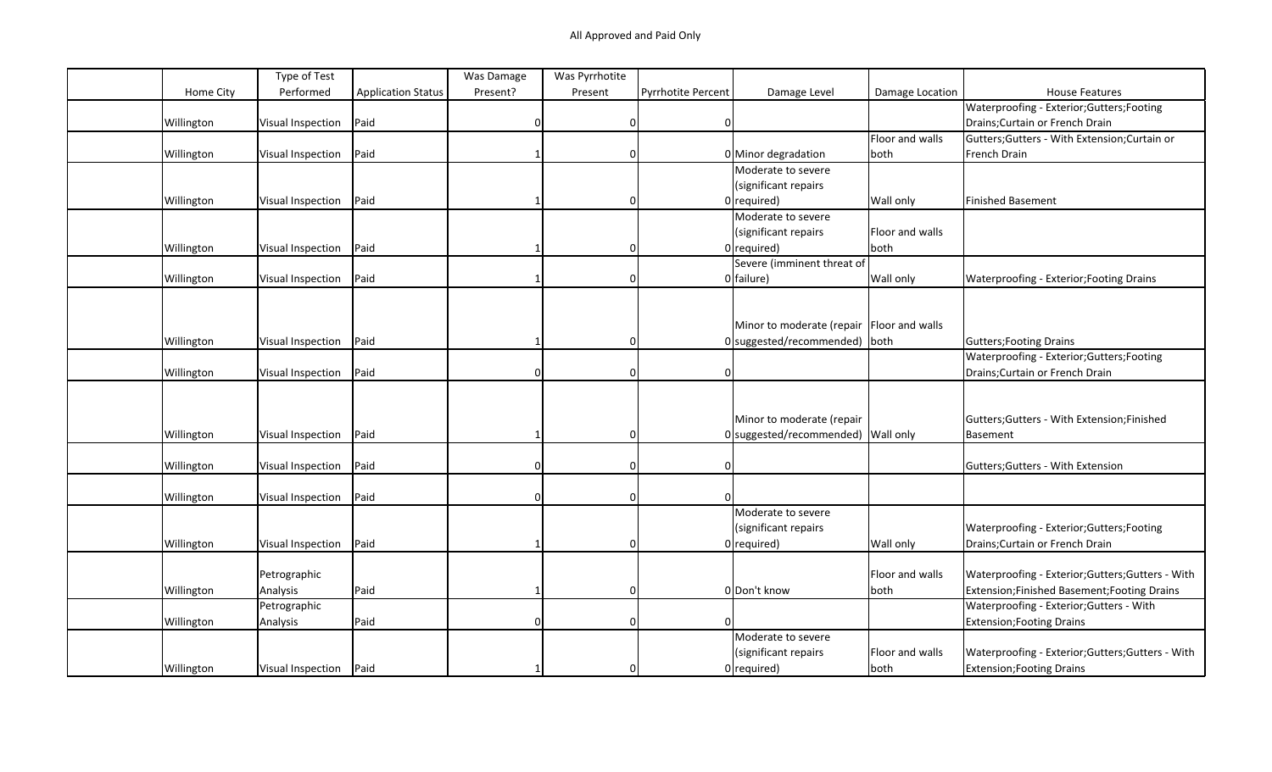|            | Type of Test      |                           | Was Damage | Was Pyrrhotite |                           |                                             |                 |                                                   |
|------------|-------------------|---------------------------|------------|----------------|---------------------------|---------------------------------------------|-----------------|---------------------------------------------------|
| Home City  | Performed         | <b>Application Status</b> | Present?   | Present        | <b>Pyrrhotite Percent</b> | Damage Level                                | Damage Location | <b>House Features</b>                             |
|            |                   |                           |            |                |                           |                                             |                 | Waterproofing - Exterior; Gutters; Footing        |
| Willington | Visual Inspection | Paid                      |            | $\Omega$       | $\mathbf 0$               |                                             |                 | Drains; Curtain or French Drain                   |
|            |                   |                           |            |                |                           |                                             | Floor and walls | Gutters; Gutters - With Extension; Curtain or     |
| Willington | Visual Inspection | Paid                      |            | $\Omega$       |                           | 0 Minor degradation                         | both            | French Drain                                      |
|            |                   |                           |            |                |                           | Moderate to severe                          |                 |                                                   |
|            |                   |                           |            |                |                           | (significant repairs                        |                 |                                                   |
| Willington | Visual Inspection | Paid                      |            | 0              |                           | $0$ required)                               | Wall only       | Finished Basement                                 |
|            |                   |                           |            |                |                           | Moderate to severe                          |                 |                                                   |
|            |                   |                           |            |                |                           | (significant repairs                        | Floor and walls |                                                   |
| Willington | Visual Inspection | Paid                      |            | $\Omega$       |                           | $0$ required)                               | both            |                                                   |
|            |                   |                           |            |                |                           | Severe (imminent threat of                  |                 |                                                   |
| Willington | Visual Inspection | Paid                      |            | $\Omega$       |                           | $0$ failure)                                | Wall only       | Waterproofing - Exterior; Footing Drains          |
|            |                   |                           |            |                |                           |                                             |                 |                                                   |
|            |                   |                           |            |                |                           |                                             |                 |                                                   |
|            |                   |                           |            |                |                           | Minor to moderate (repair   Floor and walls |                 |                                                   |
| Willington | Visual Inspection | Paid                      |            | 0              |                           | 0 suggested/recommended) both               |                 | Gutters; Footing Drains                           |
|            |                   |                           |            |                |                           |                                             |                 | Waterproofing - Exterior; Gutters; Footing        |
| Willington | Visual Inspection | Paid                      |            | $\Omega$       |                           |                                             |                 | Drains; Curtain or French Drain                   |
|            |                   |                           |            |                |                           |                                             |                 |                                                   |
|            |                   |                           |            |                |                           |                                             |                 |                                                   |
|            |                   |                           |            |                |                           | Minor to moderate (repair                   |                 | Gutters; Gutters - With Extension; Finished       |
| Willington | Visual Inspection | Paid                      |            | $\Omega$       |                           | 0 suggested/recommended) Wall only          |                 | Basement                                          |
|            |                   |                           |            |                |                           |                                             |                 |                                                   |
| Willington | Visual Inspection | Paid                      |            | $\mathbf 0$    | $\Omega$                  |                                             |                 | Gutters; Gutters - With Extension                 |
|            |                   |                           |            |                |                           |                                             |                 |                                                   |
| Willington | Visual Inspection | Paid                      | U          | $\Omega$       | $\Omega$                  |                                             |                 |                                                   |
|            |                   |                           |            |                |                           | Moderate to severe                          |                 |                                                   |
|            |                   |                           |            |                |                           | (significant repairs                        |                 | Waterproofing - Exterior; Gutters; Footing        |
| Willington | Visual Inspection | Paid                      |            | $\Omega$       |                           | $0$ required)                               | Wall only       | Drains; Curtain or French Drain                   |
|            |                   |                           |            |                |                           |                                             |                 |                                                   |
|            | Petrographic      |                           |            |                |                           |                                             | Floor and walls | Waterproofing - Exterior; Gutters; Gutters - With |
| Willington | Analysis          | Paid                      |            | $\mathbf 0$    |                           | 0 Don't know                                | both            | Extension;Finished Basement;Footing Drains        |
|            | Petrographic      |                           |            |                |                           |                                             |                 | Waterproofing - Exterior; Gutters - With          |
| Willington | Analysis          | Paid                      | O          | $\Omega$       |                           |                                             |                 | <b>Extension; Footing Drains</b>                  |
|            |                   |                           |            |                |                           | Moderate to severe                          |                 |                                                   |
|            |                   |                           |            |                |                           | (significant repairs                        | Floor and walls | Waterproofing - Exterior; Gutters; Gutters - With |
|            | Visual Inspection | Paid                      |            | $\Omega$       |                           | $0$ required)                               |                 |                                                   |
| Willington |                   |                           |            |                |                           |                                             | both            | <b>Extension; Footing Drains</b>                  |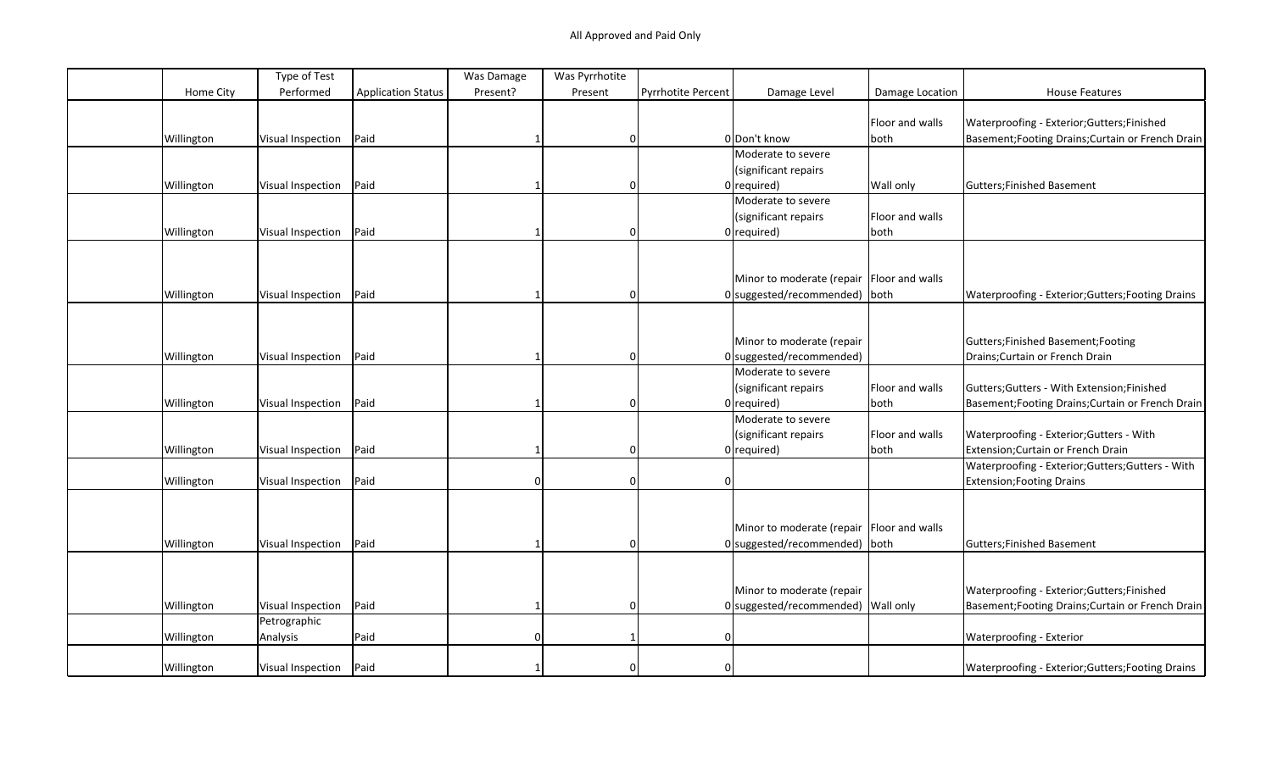|            | Type of Test             |                           | Was Damage | Was Pyrrhotite |                    |                                             |                 |                                                   |
|------------|--------------------------|---------------------------|------------|----------------|--------------------|---------------------------------------------|-----------------|---------------------------------------------------|
| Home City  | Performed                | <b>Application Status</b> | Present?   | Present        | Pyrrhotite Percent | Damage Level                                | Damage Location | <b>House Features</b>                             |
|            |                          |                           |            |                |                    |                                             |                 |                                                   |
|            |                          |                           |            |                |                    |                                             | Floor and walls | Waterproofing - Exterior; Gutters; Finished       |
| Willington | Visual Inspection        | Paid                      |            | $\Omega$       |                    | 0 Don't know                                | both            | Basement; Footing Drains; Curtain or French Drain |
|            |                          |                           |            |                |                    | Moderate to severe                          |                 |                                                   |
|            |                          |                           |            |                |                    | (significant repairs                        |                 |                                                   |
| Willington | Visual Inspection        | Paid                      |            | 0              |                    | $0$ required)                               | Wall only       | Gutters; Finished Basement                        |
|            |                          |                           |            |                |                    | Moderate to severe                          |                 |                                                   |
|            |                          |                           |            |                |                    | (significant repairs                        | Floor and walls |                                                   |
| Willington | Visual Inspection        | Paid                      |            | 0              |                    | $0$ required)                               | both            |                                                   |
|            |                          |                           |            |                |                    |                                             |                 |                                                   |
|            |                          |                           |            |                |                    |                                             |                 |                                                   |
|            |                          |                           |            |                |                    | Minor to moderate (repair   Floor and walls |                 |                                                   |
| Willington | Visual Inspection        | Paid                      |            | $\Omega$       |                    | 0 suggested/recommended) both               |                 | Waterproofing - Exterior; Gutters; Footing Drains |
|            |                          |                           |            |                |                    |                                             |                 |                                                   |
|            |                          |                           |            |                |                    |                                             |                 |                                                   |
|            |                          |                           |            |                |                    | Minor to moderate (repair                   |                 | Gutters;Finished Basement;Footing                 |
| Willington | Visual Inspection        | Paid                      |            | 0              |                    | 0 suggested/recommended)                    |                 | Drains; Curtain or French Drain                   |
|            |                          |                           |            |                |                    | Moderate to severe                          |                 |                                                   |
|            |                          |                           |            |                |                    | (significant repairs                        | Floor and walls | Gutters; Gutters - With Extension; Finished       |
| Willington | <b>Visual Inspection</b> | Paid                      |            | $\Omega$       |                    | $0$ required)                               | both            | Basement; Footing Drains; Curtain or French Drain |
|            |                          |                           |            |                |                    | Moderate to severe                          |                 |                                                   |
|            |                          |                           |            |                |                    | (significant repairs                        | Floor and walls | Waterproofing - Exterior; Gutters - With          |
| Willington | Visual Inspection        | Paid                      |            | $\Omega$       |                    | $0$ required)                               | both            | Extension; Curtain or French Drain                |
|            |                          |                           |            |                |                    |                                             |                 | Waterproofing - Exterior; Gutters; Gutters - With |
| Willington | Visual Inspection        | Paid                      |            | $\Omega$       | $\Omega$           |                                             |                 | <b>Extension; Footing Drains</b>                  |
|            |                          |                           |            |                |                    |                                             |                 |                                                   |
|            |                          |                           |            |                |                    |                                             |                 |                                                   |
|            |                          |                           |            |                |                    |                                             |                 |                                                   |
|            |                          |                           |            |                |                    | Minor to moderate (repair   Floor and walls |                 |                                                   |
| Willington | Visual Inspection        | Paid                      |            | $\Omega$       |                    | $0$ suggested/recommended) both             |                 | <b>Gutters;Finished Basement</b>                  |
|            |                          |                           |            |                |                    |                                             |                 |                                                   |
|            |                          |                           |            |                |                    |                                             |                 |                                                   |
|            |                          |                           |            |                |                    | Minor to moderate (repair                   |                 | Waterproofing - Exterior; Gutters; Finished       |
| Willington | <b>Visual Inspection</b> | Paid                      |            | $\Omega$       |                    | 0 suggested/recommended) Wall only          |                 | Basement; Footing Drains; Curtain or French Drain |
|            | Petrographic             |                           |            |                |                    |                                             |                 |                                                   |
| Willington | Analysis                 | Paid                      | $\Omega$   |                | $\mathbf 0$        |                                             |                 | Waterproofing - Exterior                          |
|            |                          |                           |            |                |                    |                                             |                 |                                                   |
| Willington | Visual Inspection        | Paid                      |            | $\Omega$       | $\Omega$           |                                             |                 | Waterproofing - Exterior; Gutters; Footing Drains |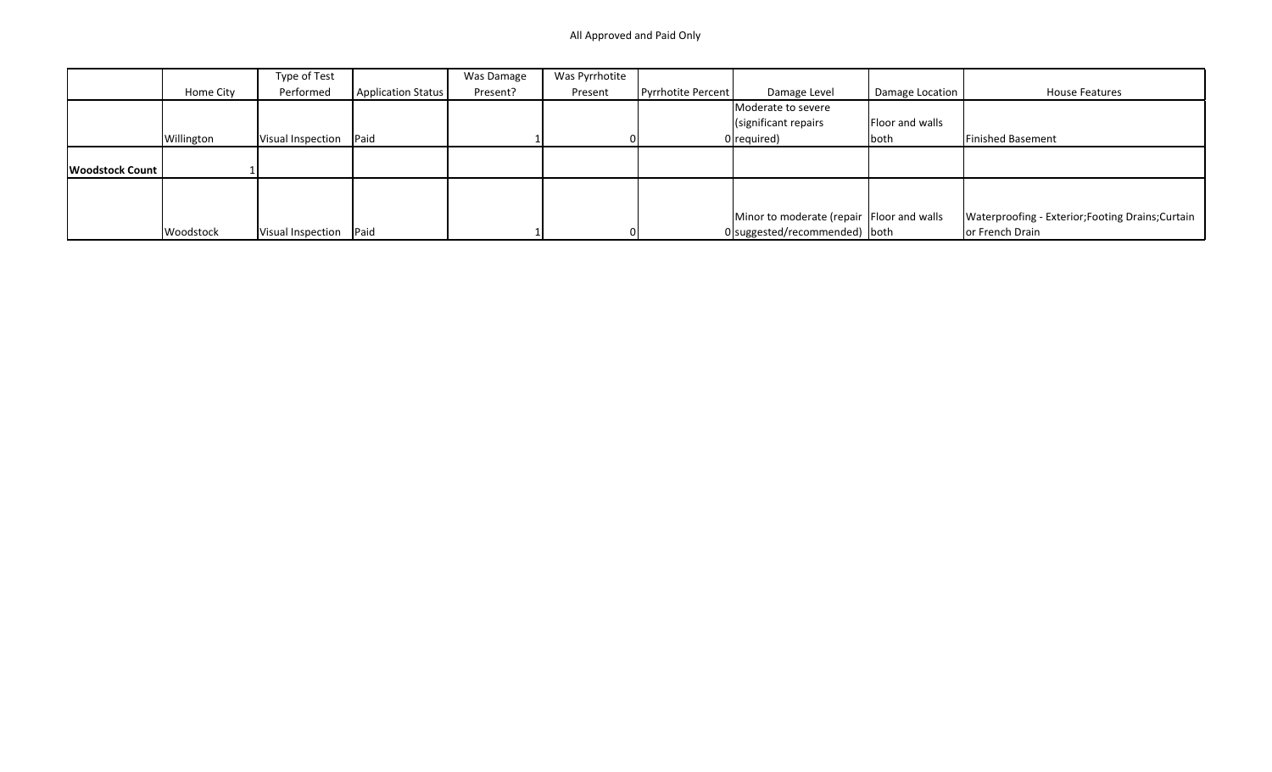## All Approved and Paid Only

|                        |            | Type of Test      |                    | Was Damage | Was Pyrrhotite |                    |                                           |                 |                                                   |
|------------------------|------------|-------------------|--------------------|------------|----------------|--------------------|-------------------------------------------|-----------------|---------------------------------------------------|
|                        | Home City  | Performed         | Application Status | Present?   | Present        | Pyrrhotite Percent | Damage Level                              | Damage Location | House Features                                    |
|                        |            |                   |                    |            |                |                    | Moderate to severe                        |                 |                                                   |
|                        |            |                   |                    |            |                |                    | (significant repairs                      | Floor and walls |                                                   |
|                        | Willington | Visual Inspection | Paid               |            |                |                    | $0$  required)                            | both            | Finished Basement                                 |
|                        |            |                   |                    |            |                |                    |                                           |                 |                                                   |
| <b>Woodstock Count</b> |            |                   |                    |            |                |                    |                                           |                 |                                                   |
|                        |            |                   |                    |            |                |                    |                                           |                 |                                                   |
|                        |            |                   |                    |            |                |                    |                                           |                 |                                                   |
|                        |            |                   |                    |            |                |                    | Minor to moderate (repair Floor and walls |                 | Waterproofing - Exterior; Footing Drains; Curtain |
|                        | Woodstock  | Visual Inspection | Paid               |            |                |                    | $0$  suggested/recommended)   both        |                 | or French Drain                                   |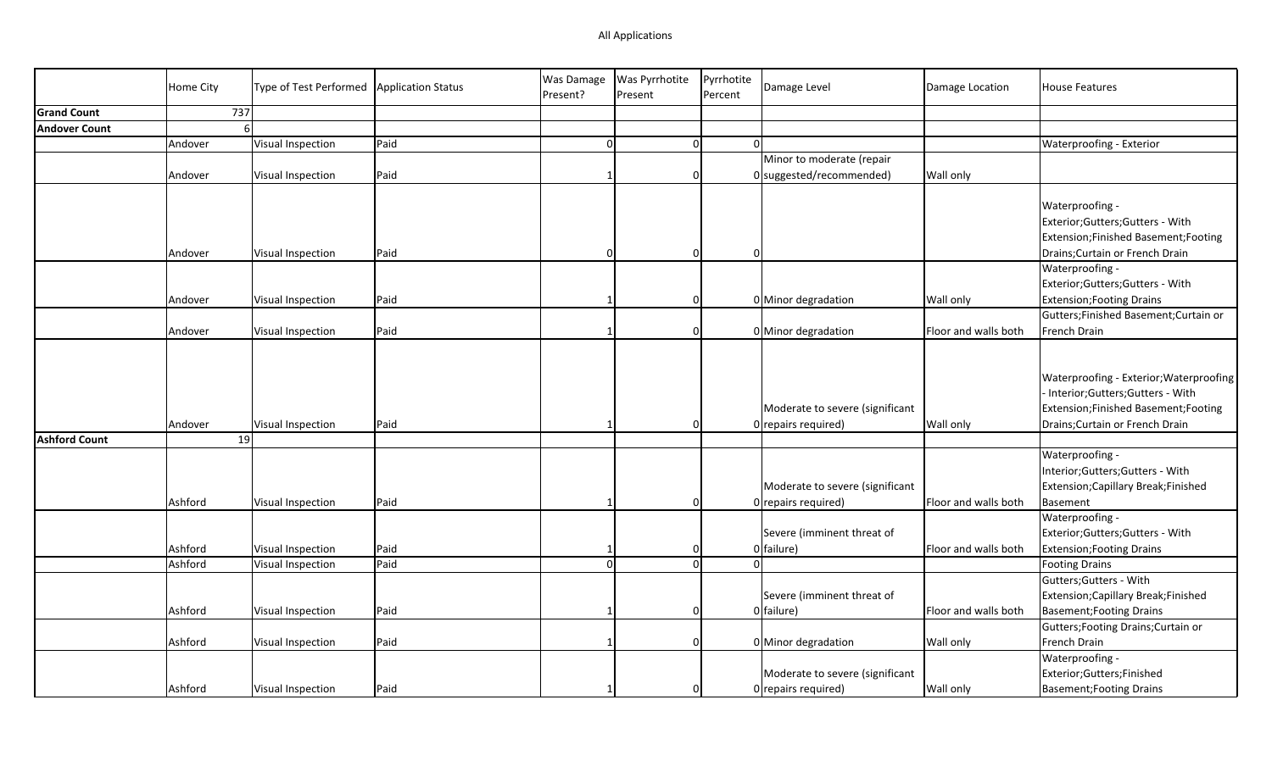|                      | <b>Home City</b> | Type of Test Performed | Application Status | Was Damage<br>Present? | Was Pyrrhotite<br>Present | Pyrrhotite<br>Percent | Damage Level                                           | Damage Location      | <b>House Features</b>                                                                                                                                |
|----------------------|------------------|------------------------|--------------------|------------------------|---------------------------|-----------------------|--------------------------------------------------------|----------------------|------------------------------------------------------------------------------------------------------------------------------------------------------|
| <b>Grand Count</b>   |                  | 737                    |                    |                        |                           |                       |                                                        |                      |                                                                                                                                                      |
| <b>Andover Count</b> |                  | $\mathsf{f}$           |                    |                        |                           |                       |                                                        |                      |                                                                                                                                                      |
|                      | Andover          | Visual Inspection      | Paid               | $\Omega$               | 0                         |                       | $\Omega$                                               |                      | Waterproofing - Exterior                                                                                                                             |
|                      |                  |                        |                    |                        |                           |                       | Minor to moderate (repair                              |                      |                                                                                                                                                      |
|                      | Andover          | Visual Inspection      | Paid               |                        | $\overline{0}$            |                       | 0 suggested/recommended)                               | <b>Wall only</b>     |                                                                                                                                                      |
|                      |                  |                        |                    |                        |                           |                       |                                                        |                      |                                                                                                                                                      |
|                      |                  |                        |                    |                        |                           |                       |                                                        |                      | Waterproofing -                                                                                                                                      |
|                      |                  |                        |                    |                        |                           |                       |                                                        |                      | Exterior;Gutters;Gutters - With                                                                                                                      |
|                      |                  |                        |                    |                        |                           |                       |                                                        |                      | Extension;Finished Basement;Footing                                                                                                                  |
|                      | Andover          | Visual Inspection      | Paid               |                        | $\Omega$                  |                       | $\Omega$                                               |                      | Drains; Curtain or French Drain                                                                                                                      |
|                      |                  |                        |                    |                        |                           |                       |                                                        |                      | Waterproofing -                                                                                                                                      |
|                      |                  |                        |                    |                        |                           |                       |                                                        |                      | Exterior;Gutters;Gutters - With                                                                                                                      |
|                      | Andover          | Visual Inspection      | Paid               |                        | $\overline{0}$            |                       | 0 Minor degradation                                    | <b>Wall only</b>     | <b>Extension; Footing Drains</b>                                                                                                                     |
|                      |                  |                        |                    |                        |                           |                       |                                                        |                      | Gutters; Finished Basement; Curtain or                                                                                                               |
|                      | Andover          | Visual Inspection      | Paid               |                        | $\overline{0}$            |                       | 0 Minor degradation                                    | Floor and walls both | French Drain                                                                                                                                         |
|                      | Andover          | Visual Inspection      | Paid               |                        | $\Omega$                  |                       | Moderate to severe (significant<br>0 repairs required) | <b>Wall only</b>     | Waterproofing - Exterior; Waterproofing<br>Interior;Gutters;Gutters - With<br>Extension;Finished Basement;Footing<br>Drains; Curtain or French Drain |
| <b>Ashford Count</b> |                  | 19                     |                    |                        |                           |                       |                                                        |                      |                                                                                                                                                      |
|                      | Ashford          | Visual Inspection      | Paid               |                        | $\overline{0}$            |                       | Moderate to severe (significant<br>0 repairs required) | Floor and walls both | Waterproofing -<br>Interior; Gutters; Gutters - With<br>Extension; Capillary Break; Finished<br>Basement                                             |
|                      |                  |                        |                    |                        |                           |                       |                                                        |                      | Waterproofing -                                                                                                                                      |
|                      |                  |                        |                    |                        |                           |                       | Severe (imminent threat of                             |                      | Exterior;Gutters;Gutters - With                                                                                                                      |
|                      | Ashford          | Visual Inspection      | Paid               |                        | 0                         |                       | 0 failure)                                             | Floor and walls both | <b>Extension; Footing Drains</b>                                                                                                                     |
|                      | Ashford          | Visual Inspection      | Paid               |                        | $\Omega$                  |                       |                                                        |                      | <b>Footing Drains</b>                                                                                                                                |
|                      |                  |                        |                    |                        |                           |                       |                                                        |                      | Gutters; Gutters - With                                                                                                                              |
|                      |                  |                        |                    |                        |                           |                       | Severe (imminent threat of                             |                      | Extension; Capillary Break; Finished                                                                                                                 |
|                      | Ashford          | Visual Inspection      | Paid               |                        | $\mathbf 0$               |                       | 0 failure)                                             | Floor and walls both | <b>Basement; Footing Drains</b>                                                                                                                      |
|                      |                  |                        |                    |                        |                           |                       |                                                        |                      | Gutters; Footing Drains; Curtain or                                                                                                                  |
|                      | Ashford          | Visual Inspection      | Paid               |                        | $\overline{0}$            |                       | 0 Minor degradation                                    | Wall only            | French Drain                                                                                                                                         |
|                      |                  |                        |                    |                        |                           |                       |                                                        |                      | Waterproofing -                                                                                                                                      |
|                      |                  |                        |                    |                        |                           |                       | Moderate to severe (significant                        |                      | Exterior;Gutters;Finished                                                                                                                            |
|                      | Ashford          | Visual Inspection      | Paid               |                        | $\overline{0}$            |                       | 0 repairs required)                                    | Wall only            | <b>Basement; Footing Drains</b>                                                                                                                      |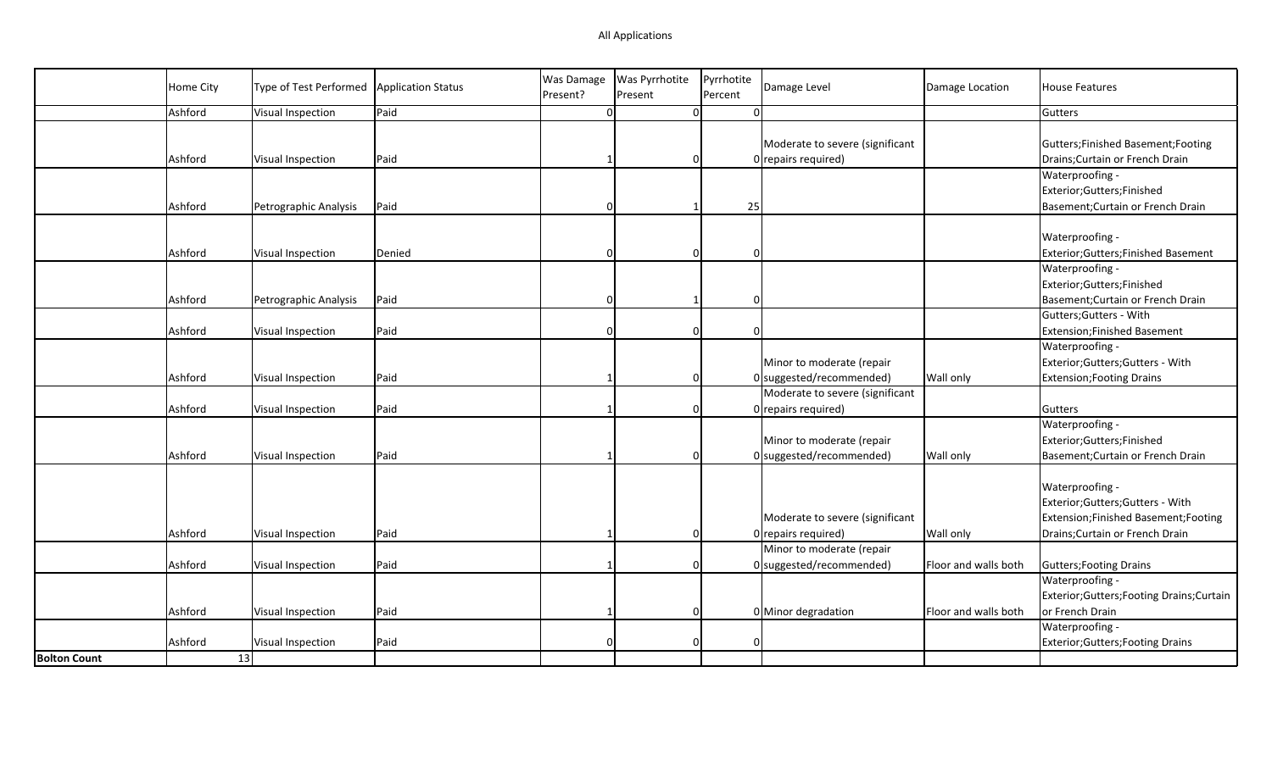| Home City                            | Type of Test Performed | <b>Application Status</b> | <b>Was Damage</b><br>Present? | Was Pyrrhotite<br>Present | Pyrrhotite<br>Damage Level<br>Percent                                      | Damage Location      | <b>House Features</b>                                                                                                        |
|--------------------------------------|------------------------|---------------------------|-------------------------------|---------------------------|----------------------------------------------------------------------------|----------------------|------------------------------------------------------------------------------------------------------------------------------|
| Ashford                              | Visual Inspection      | Paid                      |                               |                           | $\overline{0}$<br>$\Omega$                                                 |                      | Gutters                                                                                                                      |
| Ashford                              | Visual Inspection      | Paid                      |                               |                           | Moderate to severe (significant<br>$0$ repairs required)<br>$\overline{0}$ |                      | Gutters; Finished Basement; Footing<br>Drains; Curtain or French Drain                                                       |
| Ashford                              | Petrographic Analysis  | Paid                      |                               |                           | 25                                                                         |                      | Waterproofing -<br>Exterior;Gutters;Finished<br>Basement; Curtain or French Drain                                            |
| Ashford                              | Visual Inspection      | Denied                    |                               | $\Omega$                  | $\Omega$                                                                   |                      | Waterproofing -<br>Exterior;Gutters;Finished Basement                                                                        |
| Ashford                              | Petrographic Analysis  | Paid                      | n                             |                           | $\overline{0}$                                                             |                      | Waterproofing -<br>Exterior;Gutters;Finished<br>Basement; Curtain or French Drain                                            |
| Ashford                              | Visual Inspection      | Paid                      |                               | $\Omega$                  | $\Omega$                                                                   |                      | Gutters; Gutters - With<br>Extension; Finished Basement                                                                      |
| Ashford                              | Visual Inspection      | Paid                      |                               | $\Omega$                  | Minor to moderate (repair<br>$0$ suggested/recommended)                    | <b>Wall only</b>     | Waterproofing -<br>Exterior; Gutters; Gutters - With<br><b>Extension; Footing Drains</b>                                     |
| Ashford                              | Visual Inspection      | Paid                      |                               |                           | Moderate to severe (significant<br>$0$ repairs required)<br>$\overline{0}$ |                      | Gutters                                                                                                                      |
| Ashford                              | Visual Inspection      | Paid                      |                               | $\Omega$                  | Minor to moderate (repair<br>0 suggested/recommended)                      | <b>Wall only</b>     | Waterproofing -<br>Exterior;Gutters;Finished<br>Basement; Curtain or French Drain                                            |
| Ashford                              | Visual Inspection      | Paid                      |                               | $\Omega$                  | Moderate to severe (significant<br>0 repairs required)                     | Wall only            | Waterproofing -<br>Exterior;Gutters;Gutters - With<br>Extension;Finished Basement;Footing<br>Drains; Curtain or French Drain |
| Ashford                              | Visual Inspection      | Paid                      |                               | $\Omega$                  | Minor to moderate (repair<br>0 suggested/recommended)                      | Floor and walls both | Gutters; Footing Drains                                                                                                      |
| Ashford                              | Visual Inspection      | Paid                      |                               | $\Omega$                  | 0 Minor degradation                                                        | Floor and walls both | Waterproofing -<br>Exterior; Gutters; Footing Drains; Curtain<br>or French Drain                                             |
| Ashford<br>13<br><b>Bolton Count</b> | Visual Inspection      | Paid                      |                               | $\Omega$                  | 0                                                                          |                      | Waterproofing -<br>Exterior; Gutters; Footing Drains                                                                         |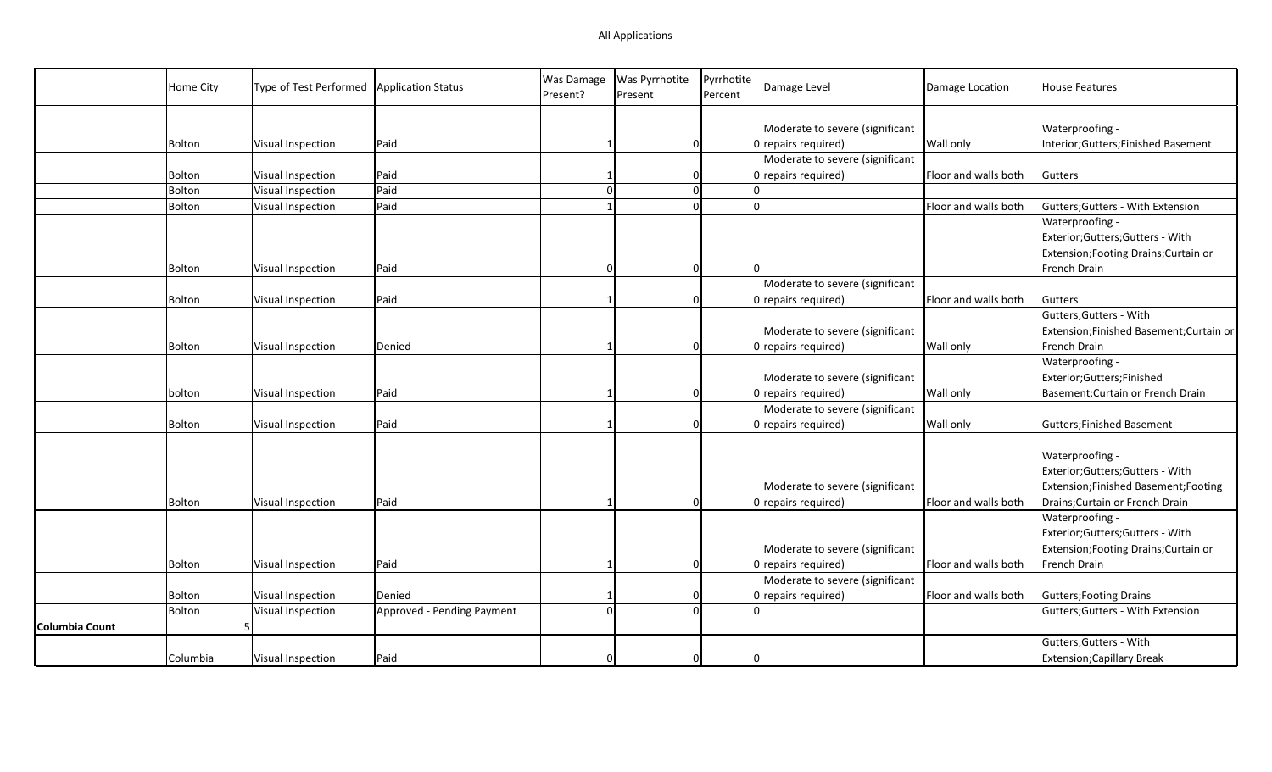|                       | Home City | Type of Test Performed | <b>Application Status</b>  | <b>Was Damage</b><br>Present? | Was Pyrrhotite<br>Present | Pyrrhotite<br>Percent | Damage Level                    | Damage Location      | House Features                           |
|-----------------------|-----------|------------------------|----------------------------|-------------------------------|---------------------------|-----------------------|---------------------------------|----------------------|------------------------------------------|
|                       |           |                        |                            |                               |                           |                       |                                 |                      |                                          |
|                       |           |                        |                            |                               |                           |                       | Moderate to severe (significant |                      | Waterproofing -                          |
|                       | Bolton    | Visual Inspection      | Paid                       |                               | $\overline{0}$            |                       | 0 repairs required)             | Wall only            | Interior;Gutters;Finished Basement       |
|                       |           |                        |                            |                               |                           |                       | Moderate to severe (significant |                      |                                          |
|                       | Bolton    | Visual Inspection      | Paid                       |                               | $\overline{0}$            |                       | 0 repairs required)             | Floor and walls both | Gutters                                  |
|                       | Bolton    | Visual Inspection      | Paid                       |                               | 0                         |                       | $\Omega$                        |                      |                                          |
|                       | Bolton    | Visual Inspection      | Paid                       |                               | $\Omega$                  |                       | $\Omega$                        | Floor and walls both | Gutters; Gutters - With Extension        |
|                       |           |                        |                            |                               |                           |                       |                                 |                      | Waterproofing -                          |
|                       |           |                        |                            |                               |                           |                       |                                 |                      | Exterior;Gutters;Gutters - With          |
|                       |           |                        |                            |                               |                           |                       |                                 |                      | Extension; Footing Drains; Curtain or    |
|                       | Bolton    | Visual Inspection      | Paid                       |                               | $\overline{0}$            |                       |                                 |                      | French Drain                             |
|                       |           |                        |                            |                               |                           |                       | Moderate to severe (significant |                      |                                          |
|                       | Bolton    | Visual Inspection      | Paid                       |                               | $\Omega$                  |                       | 0 repairs required)             | Floor and walls both | Gutters                                  |
|                       |           |                        |                            |                               |                           |                       |                                 |                      | Gutters; Gutters - With                  |
|                       |           |                        |                            |                               |                           |                       | Moderate to severe (significant |                      | Extension; Finished Basement; Curtain or |
|                       | Bolton    | Visual Inspection      | Denied                     |                               | $\Omega$                  |                       | 0 repairs required)             | Wall only            | French Drain                             |
|                       |           |                        |                            |                               |                           |                       |                                 |                      | Waterproofing -                          |
|                       |           |                        |                            |                               |                           |                       | Moderate to severe (significant |                      | Exterior;Gutters;Finished                |
|                       | bolton    | Visual Inspection      | Paid                       |                               | $\Omega$                  |                       | $0$ repairs required)           | Wall only            | Basement; Curtain or French Drain        |
|                       |           |                        |                            |                               |                           |                       | Moderate to severe (significant |                      |                                          |
|                       | Bolton    | Visual Inspection      | Paid                       |                               | $\Omega$                  |                       | 0 repairs required)             | Wall only            | Gutters; Finished Basement               |
|                       |           |                        |                            |                               |                           |                       |                                 |                      |                                          |
|                       |           |                        |                            |                               |                           |                       |                                 |                      | Waterproofing -                          |
|                       |           |                        |                            |                               |                           |                       |                                 |                      | Exterior;Gutters;Gutters - With          |
|                       |           |                        |                            |                               |                           |                       | Moderate to severe (significant |                      | Extension;Finished Basement;Footing      |
|                       |           | Visual Inspection      | Paid                       |                               | $\Omega$                  |                       | 0 repairs required)             | Floor and walls both | Drains; Curtain or French Drain          |
|                       | Bolton    |                        |                            |                               |                           |                       |                                 |                      | Waterproofing -                          |
|                       |           |                        |                            |                               |                           |                       |                                 |                      |                                          |
|                       |           |                        |                            |                               |                           |                       |                                 |                      | Exterior;Gutters;Gutters - With          |
|                       |           |                        |                            |                               |                           |                       | Moderate to severe (significant |                      | Extension; Footing Drains; Curtain or    |
|                       | Bolton    | Visual Inspection      | Paid                       |                               | $\overline{0}$            |                       | 0 repairs required)             | Floor and walls both | French Drain                             |
|                       |           |                        |                            |                               |                           |                       | Moderate to severe (significant |                      |                                          |
|                       | Bolton    | Visual Inspection      | Denied                     |                               |                           |                       | 0 repairs required)             | Floor and walls both | <b>Gutters; Footing Drains</b>           |
|                       | Bolton    | Visual Inspection      | Approved - Pending Payment |                               | $\overline{0}$            |                       | $\Omega$                        |                      | Gutters; Gutters - With Extension        |
| <b>Columbia Count</b> |           |                        |                            |                               |                           |                       |                                 |                      |                                          |
|                       |           |                        |                            |                               |                           |                       |                                 |                      | Gutters; Gutters - With                  |
|                       | Columbia  | Visual Inspection      | Paid                       |                               | $\overline{0}$            |                       |                                 |                      | <b>Extension; Capillary Break</b>        |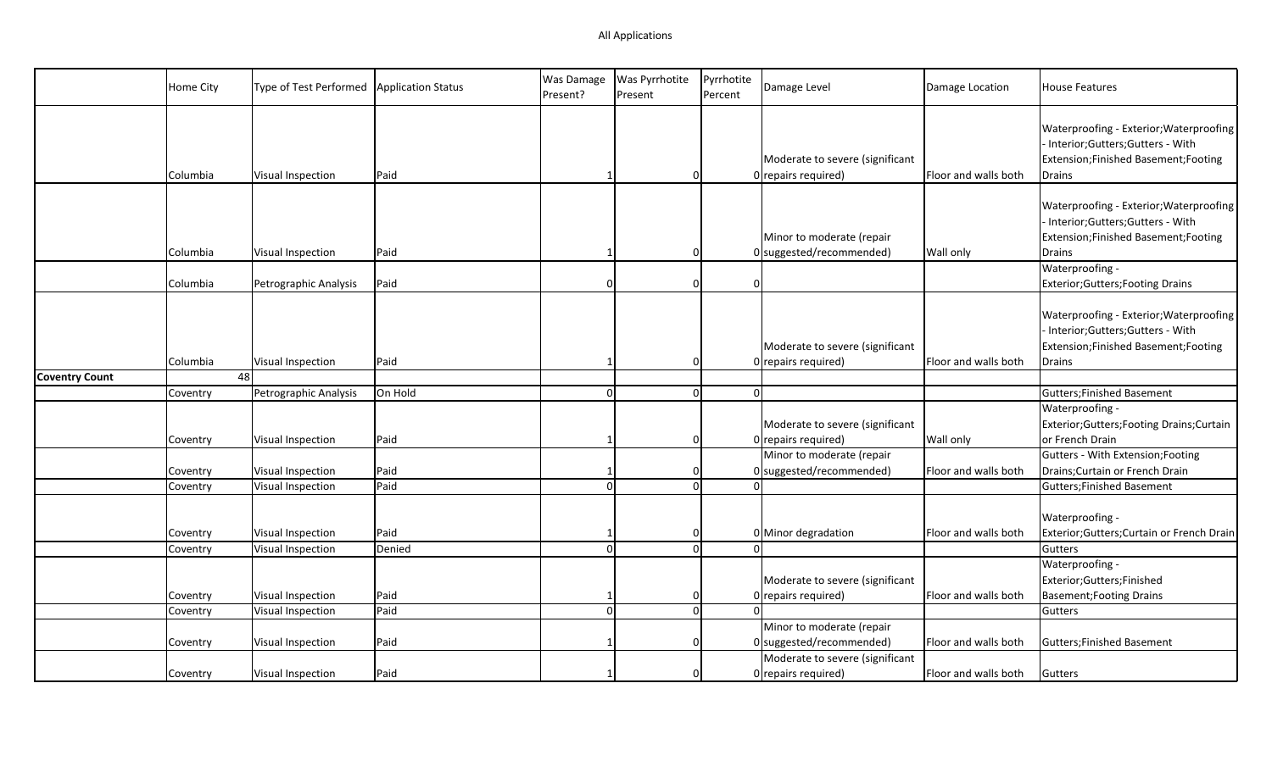|                       | Home City            | Type of Test Performed                 | <b>Application Status</b> | Was Damage<br>Present? | Was Pyrrhotite<br>Present | Pyrrhotite<br>Percent | Damage Level                                                                        | Damage Location      | <b>House Features</b>                                                                                                         |
|-----------------------|----------------------|----------------------------------------|---------------------------|------------------------|---------------------------|-----------------------|-------------------------------------------------------------------------------------|----------------------|-------------------------------------------------------------------------------------------------------------------------------|
|                       | Columbia             | Visual Inspection                      | Paid                      |                        | $\Omega$                  |                       | Moderate to severe (significant<br>0 repairs required)                              | Floor and walls both | Waterproofing - Exterior; Waterproofing<br>Interior;Gutters;Gutters - With<br>Extension;Finished Basement;Footing<br>Drains   |
|                       | Columbia             | Visual Inspection                      | Paid                      |                        | $\Omega$                  |                       | Minor to moderate (repair<br>$0$ suggested/recommended)                             | <b>Wall only</b>     | Waterproofing - Exterior; Waterproofing<br>Interior; Gutters; Gutters - With<br>Extension;Finished Basement;Footing<br>Drains |
|                       | Columbia             | Petrographic Analysis                  | Paid                      | $\Omega$               | $\Omega$                  | $\Omega$              |                                                                                     |                      | Waterproofing -<br><b>Exterior; Gutters; Footing Drains</b>                                                                   |
| <b>Coventry Count</b> | Columbia             | Visual Inspection<br>48                | Paid                      |                        | 0                         |                       | Moderate to severe (significant<br>0 repairs required)                              | Floor and walls both | Waterproofing - Exterior; Waterproofing<br>- Interior;Gutters;Gutters - With<br>Extension;Finished Basement;Footing<br>Drains |
|                       | Coventry             | Petrographic Analysis                  | On Hold                   | $\Omega$               | 0                         |                       | $\Omega$                                                                            |                      | <b>Gutters;Finished Basement</b>                                                                                              |
|                       | Coventry             | Visual Inspection                      | Paid                      |                        | 0                         |                       | Moderate to severe (significant<br>0 repairs required)<br>Minor to moderate (repair | Wall only            | Waterproofing -<br>Exterior;Gutters;Footing Drains;Curtain<br>or French Drain<br>Gutters - With Extension; Footing            |
|                       | Coventry             | Visual Inspection                      | Paid                      |                        | 0                         |                       | 0 suggested/recommended)                                                            | Floor and walls both | Drains; Curtain or French Drain                                                                                               |
|                       | Coventry             | Visual Inspection                      | Paid                      | $\Omega$               | <sub>0</sub>              |                       |                                                                                     |                      | <b>Gutters;Finished Basement</b>                                                                                              |
|                       | Coventry<br>Coventry | Visual Inspection<br>Visual Inspection | Paid<br>Denied            | $\Omega$               | 0<br>$\Omega$             |                       | 0 Minor degradation                                                                 | Floor and walls both | Waterproofing -<br>Exterior;Gutters;Curtain or French Drain<br>Gutters<br>Waterproofing -                                     |
|                       | Coventry<br>Coventry | Visual Inspection<br>Visual Inspection | Paid<br>Paid              | $\Omega$               | 0<br> 0                   |                       | Moderate to severe (significant<br>0 repairs required)<br>$\Omega$                  | Floor and walls both | Exterior;Gutters;Finished<br><b>Basement; Footing Drains</b><br>Gutters                                                       |
|                       | Coventry             | Visual Inspection                      | Paid                      |                        | $\Omega$                  |                       | Minor to moderate (repair<br>$0$ suggested/recommended)                             | Floor and walls both | <b>Gutters; Finished Basement</b>                                                                                             |
|                       | Coventry             | Visual Inspection                      | Paid                      |                        | $\Omega$                  |                       | Moderate to severe (significant<br>0 repairs required)                              | Floor and walls both | Gutters                                                                                                                       |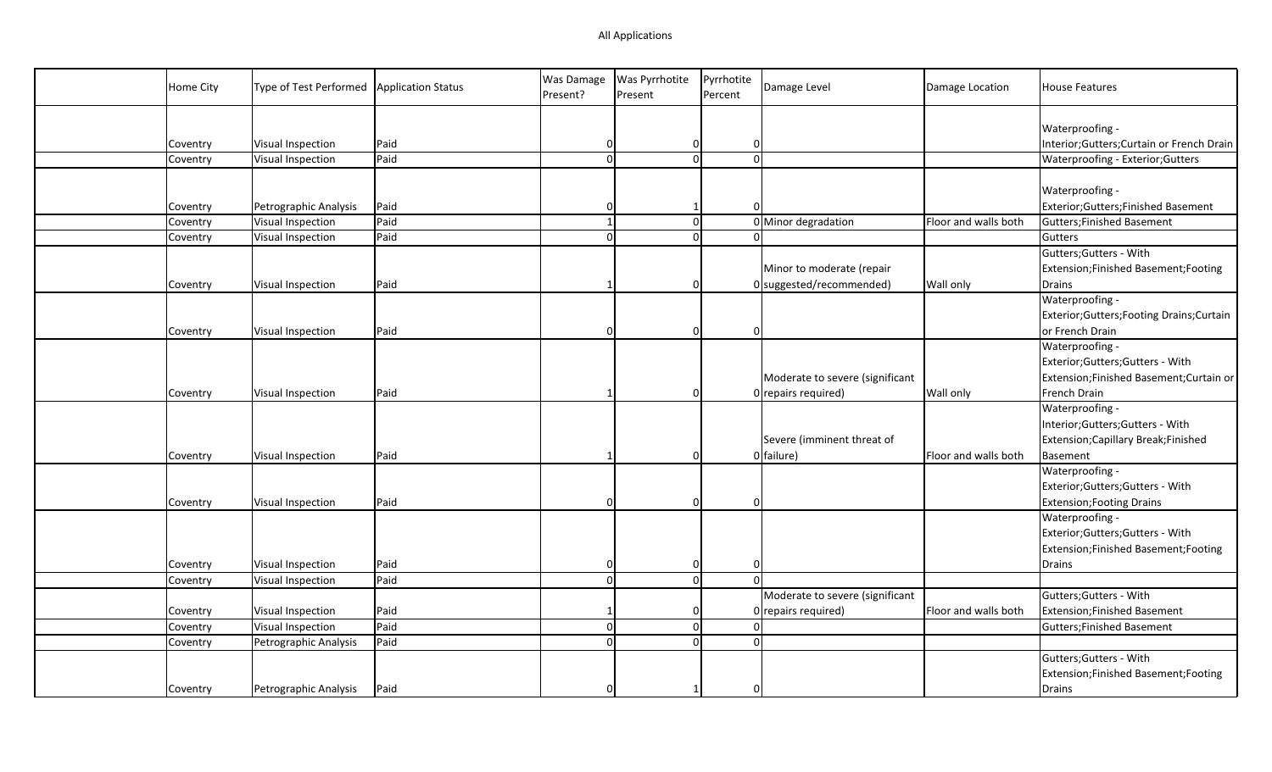| Home City | Type of Test Performed | <b>Application Status</b> | Was Damage<br>Present? | Was Pyrrhotite<br>Present | Pyrrhotite<br>Percent | Damage Level                    | Damage Location      | <b>House Features</b>                      |
|-----------|------------------------|---------------------------|------------------------|---------------------------|-----------------------|---------------------------------|----------------------|--------------------------------------------|
|           |                        |                           |                        |                           |                       |                                 |                      | Waterproofing -                            |
| Coventry  | Visual Inspection      | Paid                      | $\Omega$               | 0                         |                       | $\overline{0}$                  |                      | Interior; Gutters; Curtain or French Drain |
| Coventry  | Visual Inspection      | Paid                      | $\Omega$               | $\Omega$                  |                       | $\Omega$                        |                      | Waterproofing - Exterior; Gutters          |
|           |                        |                           |                        |                           |                       |                                 |                      |                                            |
|           |                        |                           |                        |                           |                       |                                 |                      | Waterproofing -                            |
| Coventry  | Petrographic Analysis  | Paid                      | O                      | 1                         |                       | $\Omega$                        |                      | Exterior;Gutters;Finished Basement         |
| Coventry  | Visual Inspection      | Paid                      |                        | $\overline{0}$            |                       | 0 Minor degradation             | Floor and walls both | Gutters; Finished Basement                 |
| Coventry  | Visual Inspection      | Paid                      | $\Omega$               | $\Omega$                  |                       | $\Omega$                        |                      | Gutters                                    |
|           |                        |                           |                        |                           |                       |                                 |                      | Gutters; Gutters - With                    |
|           |                        |                           |                        |                           |                       | Minor to moderate (repair       |                      | Extension;Finished Basement;Footing        |
| Coventry  | Visual Inspection      | Paid                      |                        | 0                         |                       | $0$ suggested/recommended)      | Wall only            | Drains                                     |
|           |                        |                           |                        |                           |                       |                                 |                      | Waterproofing -                            |
|           |                        |                           |                        |                           |                       |                                 |                      | Exterior;Gutters;Footing Drains;Curtain    |
| Coventry  | Visual Inspection      | Paid                      |                        | $\Omega$                  |                       | $\Omega$                        |                      | or French Drain                            |
|           |                        |                           |                        |                           |                       |                                 |                      | Waterproofing -                            |
|           |                        |                           |                        |                           |                       |                                 |                      | Exterior;Gutters;Gutters - With            |
|           |                        |                           |                        |                           |                       | Moderate to severe (significant |                      | Extension;Finished Basement;Curtain or     |
| Coventry  | Visual Inspection      | Paid                      |                        | $\Omega$                  |                       | 0 repairs required)             | Wall only            | French Drain                               |
|           |                        |                           |                        |                           |                       |                                 |                      | Waterproofing -                            |
|           |                        |                           |                        |                           |                       |                                 |                      | Interior;Gutters;Gutters - With            |
|           |                        |                           |                        |                           |                       | Severe (imminent threat of      |                      | Extension; Capillary Break; Finished       |
| Coventry  | Visual Inspection      | Paid                      |                        | $\Omega$                  |                       | 0 failure)                      | Floor and walls both | Basement                                   |
|           |                        |                           |                        |                           |                       |                                 |                      | Waterproofing -                            |
|           |                        |                           |                        |                           |                       |                                 |                      | Exterior;Gutters;Gutters - With            |
| Coventry  | Visual Inspection      | Paid                      | $\Omega$               | 0                         |                       | $\Omega$                        |                      | <b>Extension; Footing Drains</b>           |
|           |                        |                           |                        |                           |                       |                                 |                      | Waterproofing -                            |
|           |                        |                           |                        |                           |                       |                                 |                      | Exterior;Gutters;Gutters - With            |
|           |                        |                           |                        |                           |                       |                                 |                      | Extension;Finished Basement;Footing        |
| Coventry  | Visual Inspection      | Paid                      | $\Omega$               | 0                         |                       | $\overline{0}$                  |                      | Drains                                     |
| Coventry  | Visual Inspection      | Paid                      | $\Omega$               | 0                         |                       | $\Omega$                        |                      |                                            |
|           |                        |                           |                        |                           |                       | Moderate to severe (significant |                      | Gutters; Gutters - With                    |
| Coventry  | Visual Inspection      | Paid                      |                        | 0                         |                       | 0 repairs required)             | Floor and walls both | Extension; Finished Basement               |
| Coventry  | Visual Inspection      | Paid                      | $\Omega$               | 0                         |                       | $\overline{0}$                  |                      | Gutters; Finished Basement                 |
| Coventry  | Petrographic Analysis  | Paid                      | $\Omega$               | $\overline{0}$            |                       | $\overline{0}$                  |                      |                                            |
|           |                        |                           |                        |                           |                       |                                 |                      | Gutters; Gutters - With                    |
|           |                        |                           |                        |                           |                       |                                 |                      | Extension;Finished Basement;Footing        |
| Coventry  | Petrographic Analysis  | Paid                      |                        |                           |                       |                                 |                      | Drains                                     |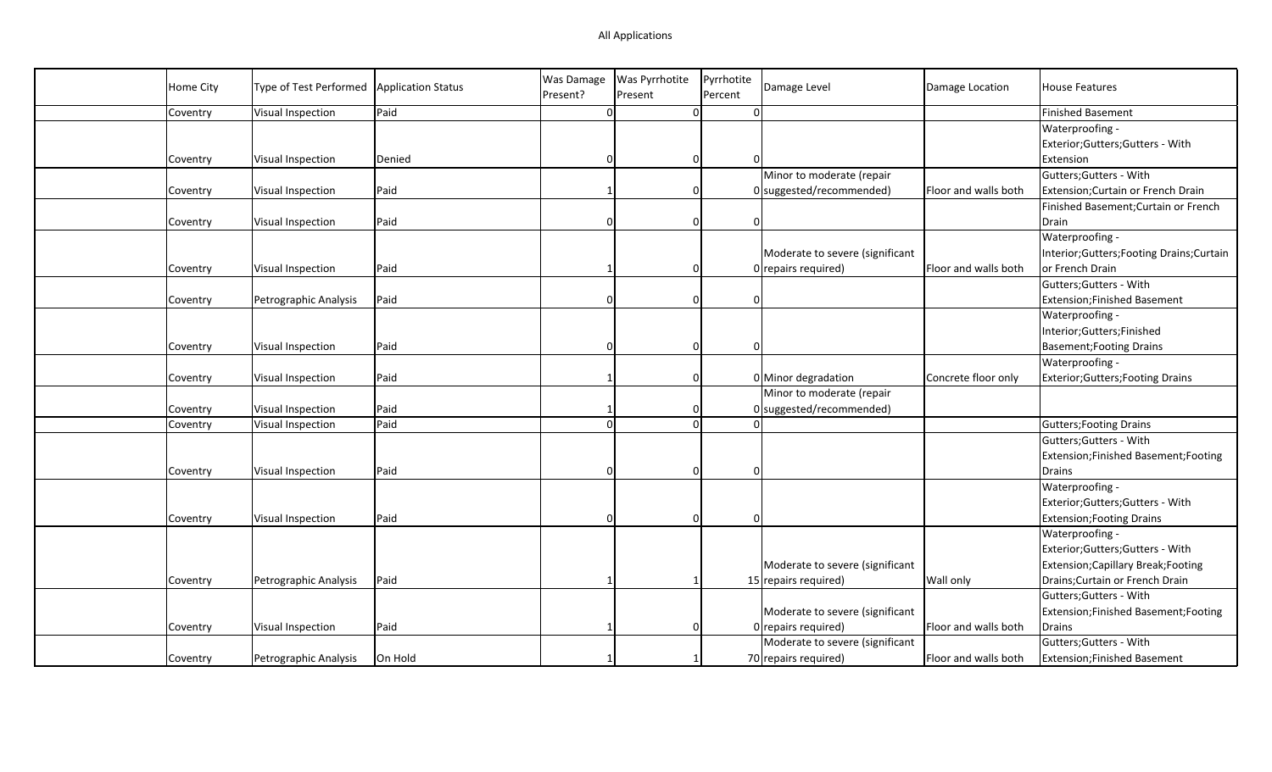| Home City | Type of Test Performed | <b>Application Status</b> | Was Damage<br>Present? | <b>Was Pyrrhotite</b><br>Present | Pyrrhotite<br>Percent | Damage Level                    | Damage Location      | <b>House Features</b>                      |
|-----------|------------------------|---------------------------|------------------------|----------------------------------|-----------------------|---------------------------------|----------------------|--------------------------------------------|
| Coventry  | Visual Inspection      | Paid                      | $\Omega$               | $\mathbf{0}$                     |                       | $\Omega$                        |                      | <b>Finished Basement</b>                   |
|           |                        |                           |                        |                                  |                       |                                 |                      | Waterproofing -                            |
|           |                        |                           |                        |                                  |                       |                                 |                      | Exterior;Gutters;Gutters - With            |
| Coventry  | Visual Inspection      | Denied                    |                        | $\overline{0}$                   |                       |                                 |                      | Extension                                  |
|           |                        |                           |                        |                                  |                       | Minor to moderate (repair       |                      | Gutters; Gutters - With                    |
| Coventry  | Visual Inspection      | Paid                      |                        | $\Omega$                         |                       | 0 suggested/recommended)        | Floor and walls both | Extension; Curtain or French Drain         |
|           |                        |                           |                        |                                  |                       |                                 |                      | Finished Basement; Curtain or French       |
| Coventry  | Visual Inspection      | Paid                      |                        | $\Omega$                         |                       |                                 |                      | Drain                                      |
|           |                        |                           |                        |                                  |                       |                                 |                      | Waterproofing -                            |
|           |                        |                           |                        |                                  |                       | Moderate to severe (significant |                      | Interior; Gutters; Footing Drains; Curtain |
| Coventry  | Visual Inspection      | Paid                      |                        | $\Omega$                         |                       | 0 repairs required)             | Floor and walls both | or French Drain                            |
|           |                        |                           |                        |                                  |                       |                                 |                      | Gutters; Gutters - With                    |
| Coventry  | Petrographic Analysis  | Paid                      |                        | $\Omega$                         |                       | $\Omega$                        |                      | Extension; Finished Basement               |
|           |                        |                           |                        |                                  |                       |                                 |                      | Waterproofing -                            |
|           |                        |                           |                        |                                  |                       |                                 |                      | Interior;Gutters;Finished                  |
| Coventry  | Visual Inspection      | Paid                      |                        | $\Omega$                         |                       | $\Omega$                        |                      | <b>Basement; Footing Drains</b>            |
|           |                        |                           |                        |                                  |                       |                                 |                      | Waterproofing -                            |
| Coventry  | Visual Inspection      | Paid                      |                        | $\Omega$                         |                       | 0 Minor degradation             | Concrete floor only  | Exterior; Gutters; Footing Drains          |
|           |                        |                           |                        |                                  |                       | Minor to moderate (repair       |                      |                                            |
| Coventry  | Visual Inspection      | Paid                      |                        | $\Omega$                         |                       | $0$ suggested/recommended)      |                      |                                            |
| Coventry  | Visual Inspection      | Paid                      |                        | $\overline{0}$                   |                       |                                 |                      | <b>Gutters; Footing Drains</b>             |
|           |                        |                           |                        |                                  |                       |                                 |                      | Gutters; Gutters - With                    |
|           |                        |                           |                        |                                  |                       |                                 |                      | Extension; Finished Basement; Footing      |
| Coventry  | Visual Inspection      | Paid                      |                        | $\overline{0}$                   |                       | $\Omega$                        |                      | Drains                                     |
|           |                        |                           |                        |                                  |                       |                                 |                      | Waterproofing -                            |
|           |                        |                           |                        |                                  |                       |                                 |                      | Exterior;Gutters;Gutters - With            |
| Coventry  | Visual Inspection      | Paid                      |                        | $\Omega$                         |                       |                                 |                      | <b>Extension; Footing Drains</b>           |
|           |                        |                           |                        |                                  |                       |                                 |                      | Waterproofing -                            |
|           |                        |                           |                        |                                  |                       |                                 |                      | Exterior;Gutters;Gutters - With            |
|           |                        |                           |                        |                                  |                       | Moderate to severe (significant |                      | Extension; Capillary Break; Footing        |
| Coventry  | Petrographic Analysis  | Paid                      |                        |                                  |                       | 15 repairs required)            | <b>Wall only</b>     | Drains; Curtain or French Drain            |
|           |                        |                           |                        |                                  |                       |                                 |                      | Gutters; Gutters - With                    |
|           |                        |                           |                        |                                  |                       | Moderate to severe (significant |                      | Extension;Finished Basement;Footing        |
| Coventry  | Visual Inspection      | Paid                      |                        | $\Omega$                         |                       | 0 repairs required)             | Floor and walls both | Drains                                     |
|           |                        |                           |                        |                                  |                       | Moderate to severe (significant |                      | Gutters; Gutters - With                    |
| Coventry  | Petrographic Analysis  | On Hold                   |                        |                                  |                       | 70 repairs required)            | Floor and walls both | Extension; Finished Basement               |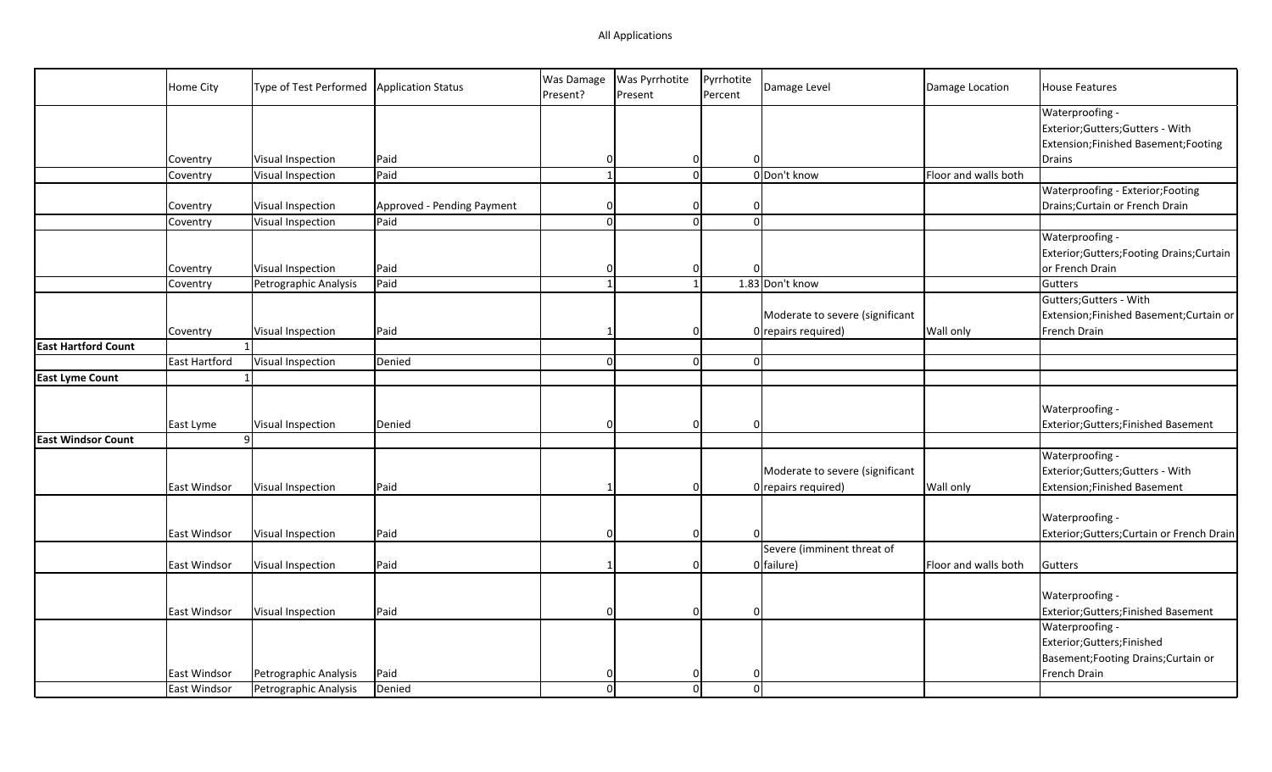|                            | Home City     | Type of Test Performed   Application Status |                            | Was Damage<br>Present? | Was Pyrrhotite<br>Present | Pyrrhotite<br>Percent | Damage Level                    | Damage Location      | <b>House Features</b>                                |
|----------------------------|---------------|---------------------------------------------|----------------------------|------------------------|---------------------------|-----------------------|---------------------------------|----------------------|------------------------------------------------------|
|                            |               |                                             |                            |                        |                           |                       |                                 |                      | Waterproofing -<br>Exterior; Gutters; Gutters - With |
|                            |               |                                             |                            |                        |                           |                       |                                 |                      | Extension;Finished Basement;Footing                  |
|                            | Coventry      | Visual Inspection                           | Paid                       | $\Omega$               | $\mathbf 0$               |                       | $\Omega$                        |                      | Drains                                               |
|                            | Coventry      | Visual Inspection                           | Paid                       | $\mathbf{1}$           | $\overline{0}$            |                       | 0 Don't know                    | Floor and walls both |                                                      |
|                            |               |                                             |                            |                        |                           |                       |                                 |                      | Waterproofing - Exterior; Footing                    |
|                            | Coventry      | Visual Inspection                           | Approved - Pending Payment | $\Omega$               | $\mathbf 0$               |                       | $\Omega$                        |                      | Drains; Curtain or French Drain                      |
|                            | Coventry      | Visual Inspection                           | Paid                       | $\Omega$               | $\Omega$                  |                       | $\Omega$                        |                      |                                                      |
|                            |               |                                             |                            |                        |                           |                       |                                 |                      | Waterproofing -                                      |
|                            |               |                                             |                            |                        |                           |                       |                                 |                      | Exterior; Gutters; Footing Drains; Curtain           |
|                            | Coventry      | Visual Inspection                           | Paid                       | $\Omega$               | $\mathbf 0$               |                       |                                 |                      | or French Drain                                      |
|                            | Coventry      | Petrographic Analysis                       | Paid                       | $\overline{1}$         | $\mathbf{1}$              |                       | 1.83 Don't know                 |                      | Gutters                                              |
|                            |               |                                             |                            |                        |                           |                       |                                 |                      | Gutters; Gutters - With                              |
|                            |               |                                             |                            |                        |                           |                       | Moderate to severe (significant |                      | Extension;Finished Basement;Curtain or               |
|                            | Coventry      | Visual Inspection                           | Paid                       |                        | $\Omega$                  |                       | $0$ repairs required)           | <b>Wall only</b>     | French Drain                                         |
| <b>East Hartford Count</b> |               |                                             |                            |                        |                           |                       |                                 |                      |                                                      |
|                            | East Hartford | Visual Inspection                           | Denied                     | $\Omega$               | $\overline{0}$            |                       | $\Omega$                        |                      |                                                      |
| <b>East Lyme Count</b>     |               |                                             |                            |                        |                           |                       |                                 |                      |                                                      |
|                            |               |                                             |                            |                        |                           |                       |                                 |                      |                                                      |
|                            |               |                                             |                            |                        |                           |                       |                                 |                      | Waterproofing -                                      |
|                            | East Lyme     | Visual Inspection                           | Denied                     | $\Omega$               | $\Omega$                  |                       | $\Omega$                        |                      | Exterior; Gutters; Finished Basement                 |
| <b>East Windsor Count</b>  |               | 9                                           |                            |                        |                           |                       |                                 |                      |                                                      |
|                            |               |                                             |                            |                        |                           |                       |                                 |                      | Waterproofing -                                      |
|                            |               |                                             |                            |                        |                           |                       | Moderate to severe (significant |                      | Exterior; Gutters; Gutters - With                    |
|                            | East Windsor  | Visual Inspection                           | Paid                       |                        | $\Omega$                  |                       | $0$ repairs required)           | <b>Wall only</b>     | <b>Extension;Finished Basement</b>                   |
|                            |               |                                             |                            |                        |                           |                       |                                 |                      |                                                      |
|                            |               |                                             |                            |                        |                           |                       |                                 |                      | Waterproofing -                                      |
|                            | East Windsor  | Visual Inspection                           | Paid                       | $\Omega$               | $\Omega$                  |                       |                                 |                      | Exterior;Gutters;Curtain or French Drain             |
|                            |               |                                             |                            |                        |                           |                       | Severe (imminent threat of      |                      |                                                      |
|                            | East Windsor  | Visual Inspection                           | Paid                       |                        | $\mathbf 0$               |                       | 0 failure)                      | Floor and walls both | Gutters                                              |
|                            |               |                                             |                            |                        |                           |                       |                                 |                      |                                                      |
|                            |               |                                             |                            |                        |                           |                       |                                 |                      | Waterproofing -                                      |
|                            | East Windsor  | Visual Inspection                           | Paid                       | $\Omega$               | $\Omega$                  |                       | $\Omega$                        |                      | Exterior; Gutters; Finished Basement                 |
|                            |               |                                             |                            |                        |                           |                       |                                 |                      | Waterproofing -                                      |
|                            |               |                                             |                            |                        |                           |                       |                                 |                      | Exterior; Gutters; Finished                          |
|                            |               |                                             |                            |                        |                           |                       |                                 |                      | Basement; Footing Drains; Curtain or                 |
|                            | East Windsor  | Petrographic Analysis                       | Paid                       | $\Omega$               | $\Omega$                  |                       | $\Omega$                        |                      | French Drain                                         |
|                            | East Windsor  | Petrographic Analysis                       | Denied                     | $\Omega$               | $\Omega$                  |                       | $\Omega$                        |                      |                                                      |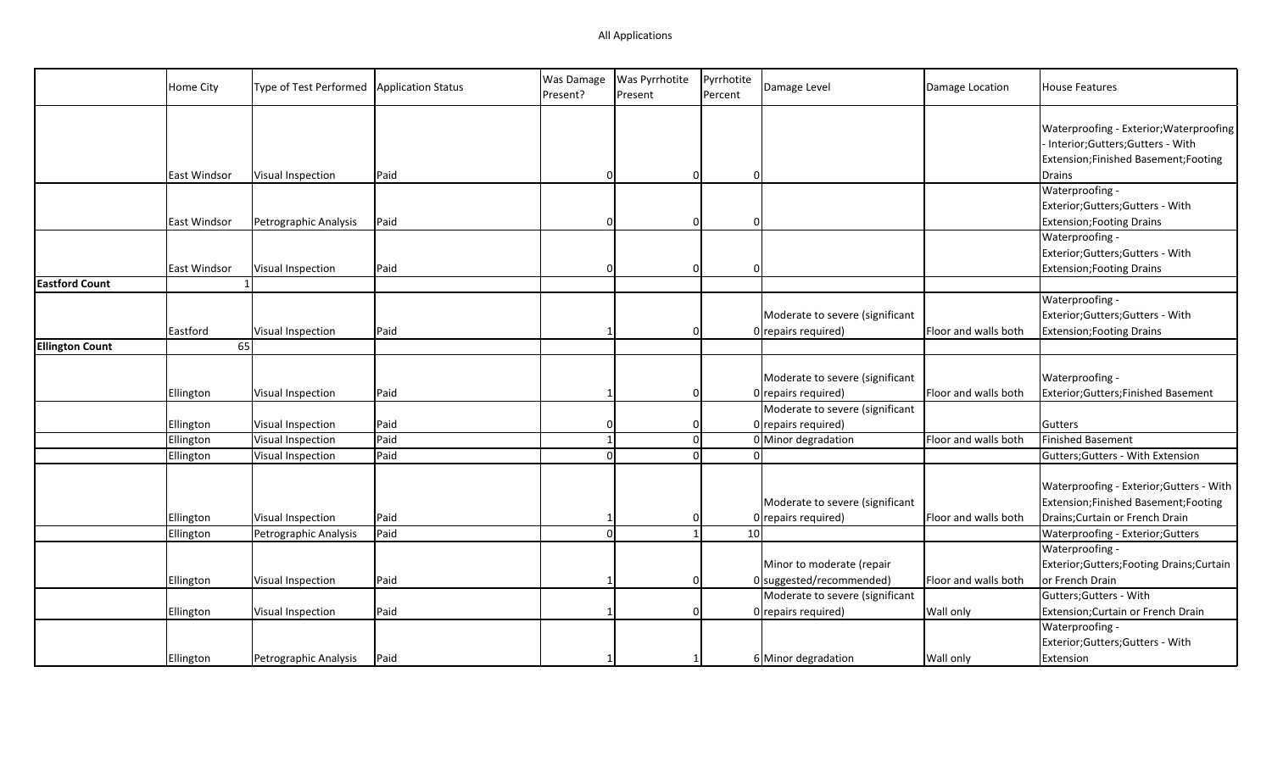|                        | Home City           | Type of Test Performed | <b>Application Status</b> | Was Damage<br>Present? | <b>Was Pyrrhotite</b><br>Present | Pyrrhotite<br>Percent | Damage Level                                             | Damage Location      | <b>House Features</b>                                                                                              |
|------------------------|---------------------|------------------------|---------------------------|------------------------|----------------------------------|-----------------------|----------------------------------------------------------|----------------------|--------------------------------------------------------------------------------------------------------------------|
|                        |                     |                        |                           |                        |                                  |                       |                                                          |                      | Waterproofing - Exterior; Waterproofing<br>Interior;Gutters;Gutters - With<br>Extension;Finished Basement;Footing  |
|                        | East Windsor        | Visual Inspection      | Paid                      |                        | $\overline{0}$                   | $\Omega$              |                                                          |                      | <b>Drains</b>                                                                                                      |
|                        |                     |                        |                           |                        |                                  |                       |                                                          |                      | Waterproofing -                                                                                                    |
|                        |                     |                        |                           |                        |                                  |                       |                                                          |                      | Exterior;Gutters;Gutters - With                                                                                    |
|                        | <b>East Windsor</b> | Petrographic Analysis  | Paid                      |                        | $\Omega$                         |                       |                                                          |                      | <b>Extension; Footing Drains</b>                                                                                   |
|                        |                     |                        |                           |                        |                                  |                       |                                                          |                      | Waterproofing -                                                                                                    |
|                        |                     |                        |                           |                        |                                  |                       |                                                          |                      | Exterior;Gutters;Gutters - With                                                                                    |
|                        | East Windsor        | Visual Inspection      | Paid                      | n                      | $\Omega$                         | $\Omega$              |                                                          |                      | <b>Extension; Footing Drains</b>                                                                                   |
| <b>Eastford Count</b>  |                     |                        |                           |                        |                                  |                       |                                                          |                      |                                                                                                                    |
|                        |                     |                        |                           |                        |                                  |                       |                                                          |                      | Waterproofing -                                                                                                    |
|                        |                     |                        |                           |                        |                                  |                       | Moderate to severe (significant                          |                      | Exterior; Gutters; Gutters - With                                                                                  |
|                        | Eastford            | Visual Inspection      | Paid                      |                        | $\Omega$                         |                       | $0$ repairs required)                                    | Floor and walls both | <b>Extension; Footing Drains</b>                                                                                   |
| <b>Ellington Count</b> | 65                  |                        |                           |                        |                                  |                       |                                                          |                      |                                                                                                                    |
|                        |                     |                        |                           |                        |                                  |                       |                                                          |                      |                                                                                                                    |
|                        |                     |                        |                           |                        |                                  |                       | Moderate to severe (significant                          |                      | Waterproofing -                                                                                                    |
|                        | Ellington           | Visual Inspection      | Paid                      |                        | 0                                |                       | $0$ repairs required)                                    | Floor and walls both | Exterior; Gutters; Finished Basement                                                                               |
|                        |                     |                        |                           |                        |                                  |                       | Moderate to severe (significant                          |                      |                                                                                                                    |
|                        | Ellington           | Visual Inspection      | Paid                      |                        | $\overline{0}$                   |                       | $0$ repairs required)                                    |                      | Gutters                                                                                                            |
|                        | Ellington           | Visual Inspection      | Paid                      |                        | $\mathbf 0$                      |                       | 0 Minor degradation                                      | Floor and walls both | Finished Basement                                                                                                  |
|                        | Ellington           | Visual Inspection      | Paid                      |                        | $\Omega$                         |                       |                                                          |                      | Gutters; Gutters - With Extension                                                                                  |
|                        | Ellington           | Visual Inspection      | Paid                      |                        | 0                                |                       | Moderate to severe (significant<br>$0$ repairs required) | Floor and walls both | Waterproofing - Exterior; Gutters - With<br>Extension;Finished Basement;Footing<br>Drains; Curtain or French Drain |
|                        | Ellington           | Petrographic Analysis  | Paid                      |                        |                                  | 10                    |                                                          |                      | Waterproofing - Exterior; Gutters                                                                                  |
|                        |                     |                        |                           |                        |                                  |                       |                                                          |                      | Waterproofing -                                                                                                    |
|                        |                     |                        |                           |                        |                                  |                       | Minor to moderate (repair                                |                      | Exterior; Gutters; Footing Drains; Curtain                                                                         |
|                        | Ellington           | Visual Inspection      | Paid                      |                        | $\Omega$                         |                       | 0 suggested/recommended)                                 | Floor and walls both | or French Drain                                                                                                    |
|                        |                     |                        |                           |                        |                                  |                       | Moderate to severe (significant                          |                      | Gutters; Gutters - With                                                                                            |
|                        | Ellington           | Visual Inspection      | Paid                      |                        | $\Omega$                         |                       | $0$ repairs required)                                    | Wall only            | Extension; Curtain or French Drain                                                                                 |
|                        |                     |                        |                           |                        |                                  |                       |                                                          |                      | Waterproofing -                                                                                                    |
|                        |                     |                        |                           |                        |                                  |                       |                                                          |                      | Exterior;Gutters;Gutters - With                                                                                    |
|                        | Ellington           | Petrographic Analysis  | Paid                      |                        |                                  |                       | 6 Minor degradation                                      | <b>Wall only</b>     | Extension                                                                                                          |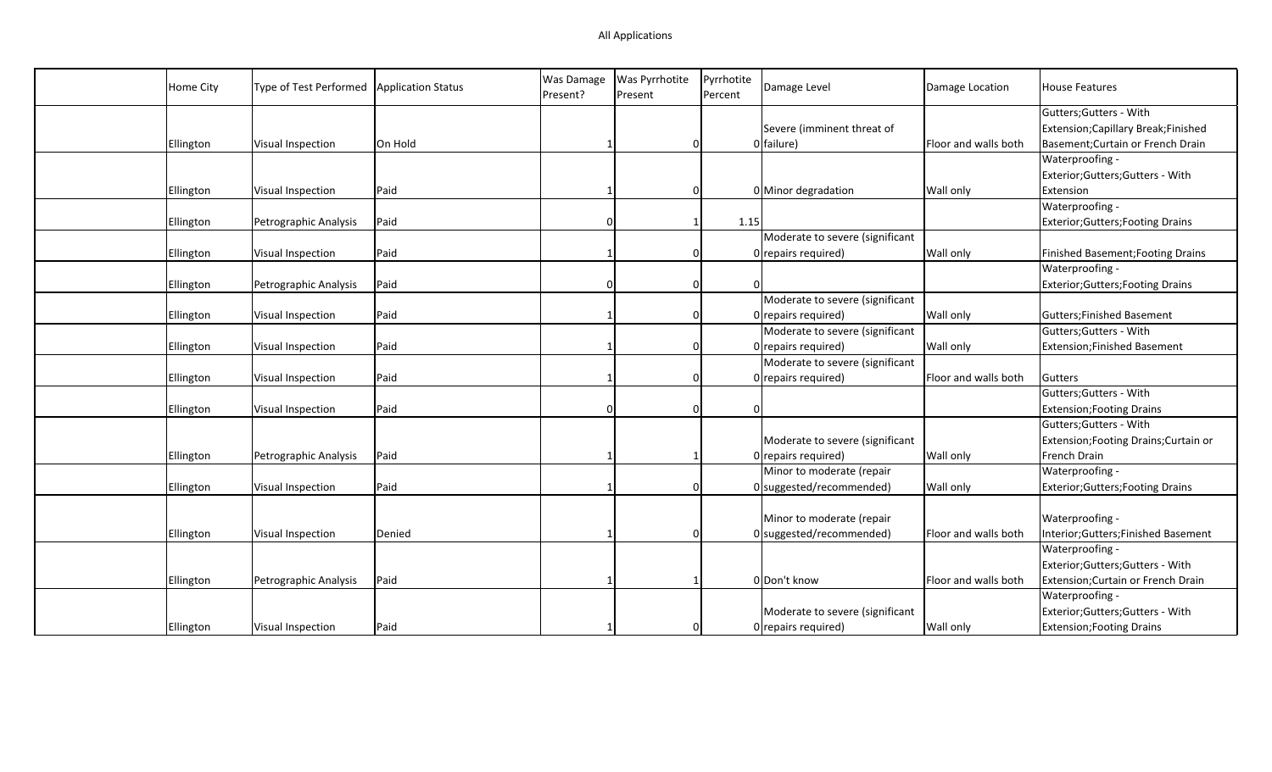| Home City | Type of Test Performed | Application Status | Was Damage<br>Present? | Was Pyrrhotite<br>Present | Pyrrhotite<br>Percent | Damage Level                    | Damage Location      | <b>House Features</b>                    |
|-----------|------------------------|--------------------|------------------------|---------------------------|-----------------------|---------------------------------|----------------------|------------------------------------------|
|           |                        |                    |                        |                           |                       |                                 |                      | Gutters; Gutters - With                  |
|           |                        |                    |                        |                           |                       | Severe (imminent threat of      |                      | Extension; Capillary Break; Finished     |
| Ellington | Visual Inspection      | On Hold            |                        | $\Omega$                  |                       | 0 failure)                      | Floor and walls both | Basement; Curtain or French Drain        |
|           |                        |                    |                        |                           |                       |                                 |                      | Waterproofing -                          |
|           |                        |                    |                        |                           |                       |                                 |                      | Exterior;Gutters;Gutters - With          |
| Ellington | Visual Inspection      | Paid               |                        | $\Omega$                  |                       | 0 Minor degradation             | Wall only            | Extension                                |
|           |                        |                    |                        |                           |                       |                                 |                      | Waterproofing -                          |
| Ellington | Petrographic Analysis  | Paid               |                        |                           | 1.15                  |                                 |                      | <b>Exterior;Gutters;Footing Drains</b>   |
|           |                        |                    |                        |                           |                       | Moderate to severe (significant |                      |                                          |
| Ellington | Visual Inspection      | Paid               |                        | 0                         |                       | 0 repairs required)             | Wall only            | Finished Basement; Footing Drains        |
|           |                        |                    |                        |                           |                       |                                 |                      | Waterproofing -                          |
| Ellington | Petrographic Analysis  | Paid               |                        | 0                         |                       |                                 |                      | <b>Exterior; Gutters; Footing Drains</b> |
|           |                        |                    |                        |                           |                       | Moderate to severe (significant |                      |                                          |
| Ellington | Visual Inspection      | Paid               |                        | $\Omega$                  |                       | 0 repairs required)             | <b>Wall only</b>     | <b>Gutters;Finished Basement</b>         |
|           |                        |                    |                        |                           |                       | Moderate to severe (significant |                      | Gutters; Gutters - With                  |
| Ellington | Visual Inspection      | Paid               |                        | $\Omega$                  |                       | 0 repairs required)             | Wall only            | <b>Extension;Finished Basement</b>       |
|           |                        |                    |                        |                           |                       | Moderate to severe (significant |                      |                                          |
| Ellington | Visual Inspection      | Paid               |                        | $\Omega$                  |                       | 0 repairs required)             | Floor and walls both | Gutters                                  |
|           |                        |                    |                        |                           |                       |                                 |                      | Gutters; Gutters - With                  |
| Ellington | Visual Inspection      | Paid               |                        | $\Omega$                  |                       |                                 |                      | <b>Extension; Footing Drains</b>         |
|           |                        |                    |                        |                           |                       |                                 |                      | Gutters; Gutters - With                  |
|           |                        |                    |                        |                           |                       | Moderate to severe (significant |                      | Extension; Footing Drains; Curtain or    |
| Ellington | Petrographic Analysis  | Paid               |                        |                           |                       | 0 repairs required)             | <b>Wall only</b>     | French Drain                             |
|           |                        |                    |                        |                           |                       | Minor to moderate (repair       |                      | Waterproofing -                          |
| Ellington | Visual Inspection      | Paid               |                        | 0                         |                       | 0 suggested/recommended)        | Wall only            | <b>Exterior;Gutters;Footing Drains</b>   |
|           |                        |                    |                        |                           |                       |                                 |                      |                                          |
|           |                        |                    |                        |                           |                       | Minor to moderate (repair       |                      | Waterproofing -                          |
| Ellington | Visual Inspection      | Denied             |                        | 0                         |                       | 0 suggested/recommended)        | Floor and walls both | Interior; Gutters; Finished Basement     |
|           |                        |                    |                        |                           |                       |                                 |                      | Waterproofing -                          |
|           |                        |                    |                        |                           |                       |                                 |                      | Exterior;Gutters;Gutters - With          |
| Ellington | Petrographic Analysis  | Paid               |                        |                           |                       | 0 Don't know                    | Floor and walls both | Extension; Curtain or French Drain       |
|           |                        |                    |                        |                           |                       |                                 |                      | Waterproofing -                          |
|           |                        |                    |                        |                           |                       | Moderate to severe (significant |                      | Exterior;Gutters;Gutters - With          |
| Ellington | Visual Inspection      | Paid               |                        | 0                         |                       | 0 repairs required)             | <b>Wall only</b>     | <b>Extension; Footing Drains</b>         |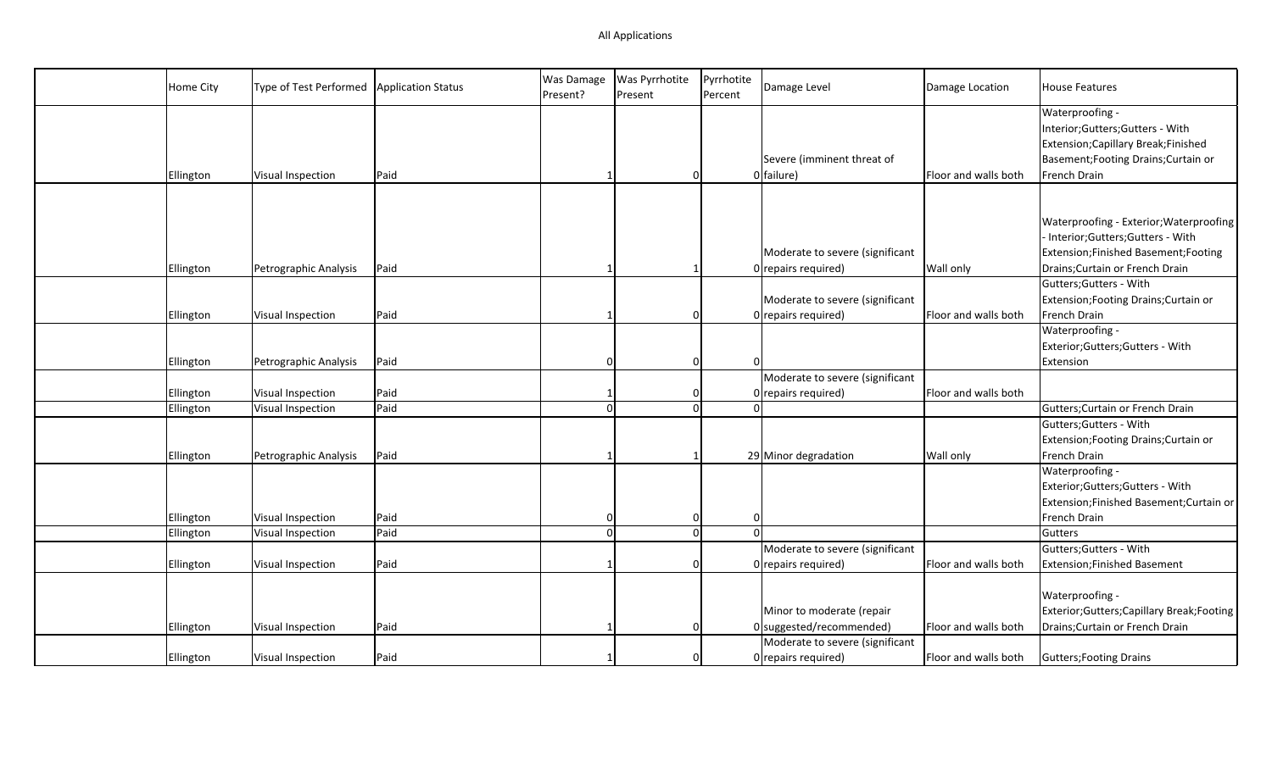| Home City | Type of Test Performed | <b>Application Status</b> | Was Damage<br>Present? | Was Pyrrhotite<br>Present | Pyrrhotite<br>Percent | Damage Level                    | Damage Location      | <b>House Features</b>                    |
|-----------|------------------------|---------------------------|------------------------|---------------------------|-----------------------|---------------------------------|----------------------|------------------------------------------|
|           |                        |                           |                        |                           |                       |                                 |                      | Waterproofing -                          |
|           |                        |                           |                        |                           |                       |                                 |                      | Interior;Gutters;Gutters - With          |
|           |                        |                           |                        |                           |                       |                                 |                      | Extension; Capillary Break; Finished     |
|           |                        |                           |                        |                           |                       | Severe (imminent threat of      |                      | Basement; Footing Drains; Curtain or     |
| Ellington | Visual Inspection      | Paid                      |                        | $\overline{0}$            |                       | 0 failure)                      | Floor and walls both | French Drain                             |
|           |                        |                           |                        |                           |                       |                                 |                      |                                          |
|           |                        |                           |                        |                           |                       |                                 |                      | Waterproofing - Exterior; Waterproofing  |
|           |                        |                           |                        |                           |                       |                                 |                      | Interior;Gutters;Gutters - With          |
|           |                        |                           |                        |                           |                       | Moderate to severe (significant |                      | Extension;Finished Basement;Footing      |
| Ellington | Petrographic Analysis  | Paid                      |                        |                           |                       | 0 repairs required)             | Wall only            | Drains; Curtain or French Drain          |
|           |                        |                           |                        |                           |                       |                                 |                      | Gutters; Gutters - With                  |
|           |                        |                           |                        |                           |                       | Moderate to severe (significant |                      | Extension; Footing Drains; Curtain or    |
| Ellington | Visual Inspection      | Paid                      |                        | 0                         |                       | 0 repairs required)             | Floor and walls both | French Drain                             |
|           |                        |                           |                        |                           |                       |                                 |                      | Waterproofing -                          |
|           |                        |                           |                        |                           |                       |                                 |                      | Exterior;Gutters;Gutters - With          |
| Ellington | Petrographic Analysis  | Paid                      |                        | $\overline{0}$            |                       |                                 |                      | Extension                                |
|           |                        |                           |                        |                           |                       | Moderate to severe (significant |                      |                                          |
| Ellington | Visual Inspection      | Paid                      |                        | $\Omega$                  |                       | 0 repairs required)             | Floor and walls both |                                          |
| Ellington | Visual Inspection      | Paid                      | $\Omega$               | $\overline{0}$            |                       |                                 |                      | Gutters; Curtain or French Drain         |
|           |                        |                           |                        |                           |                       |                                 |                      | Gutters; Gutters - With                  |
|           |                        |                           |                        |                           |                       |                                 |                      | Extension; Footing Drains; Curtain or    |
| Ellington | Petrographic Analysis  | Paid                      |                        | 1                         |                       | 29 Minor degradation            | <b>Wall only</b>     | French Drain                             |
|           |                        |                           |                        |                           |                       |                                 |                      | Waterproofing -                          |
|           |                        |                           |                        |                           |                       |                                 |                      | Exterior;Gutters;Gutters - With          |
|           |                        |                           |                        |                           |                       |                                 |                      | Extension;Finished Basement;Curtain or   |
| Ellington | Visual Inspection      | Paid                      |                        | $\overline{0}$            |                       | $\Omega$                        |                      | French Drain                             |
| Ellington | Visual Inspection      | Paid                      | $\Omega$               | $\mathbf{0}$              |                       | $\Omega$                        |                      | Gutters                                  |
|           |                        |                           |                        |                           |                       | Moderate to severe (significant |                      | Gutters; Gutters - With                  |
| Ellington | Visual Inspection      | Paid                      |                        | $\Omega$                  |                       | 0 repairs required)             | Floor and walls both | Extension; Finished Basement             |
|           |                        |                           |                        |                           |                       |                                 |                      | Waterproofing -                          |
|           |                        |                           |                        |                           |                       | Minor to moderate (repair       |                      | Exterior;Gutters;Capillary Break;Footing |
| Ellington | Visual Inspection      | Paid                      |                        | $\Omega$                  |                       | $0$ suggested/recommended)      | Floor and walls both | Drains; Curtain or French Drain          |
|           |                        |                           |                        |                           |                       | Moderate to severe (significant |                      |                                          |
| Ellington | Visual Inspection      | Paid                      |                        | 0                         |                       | 0 repairs required)             | Floor and walls both | Gutters; Footing Drains                  |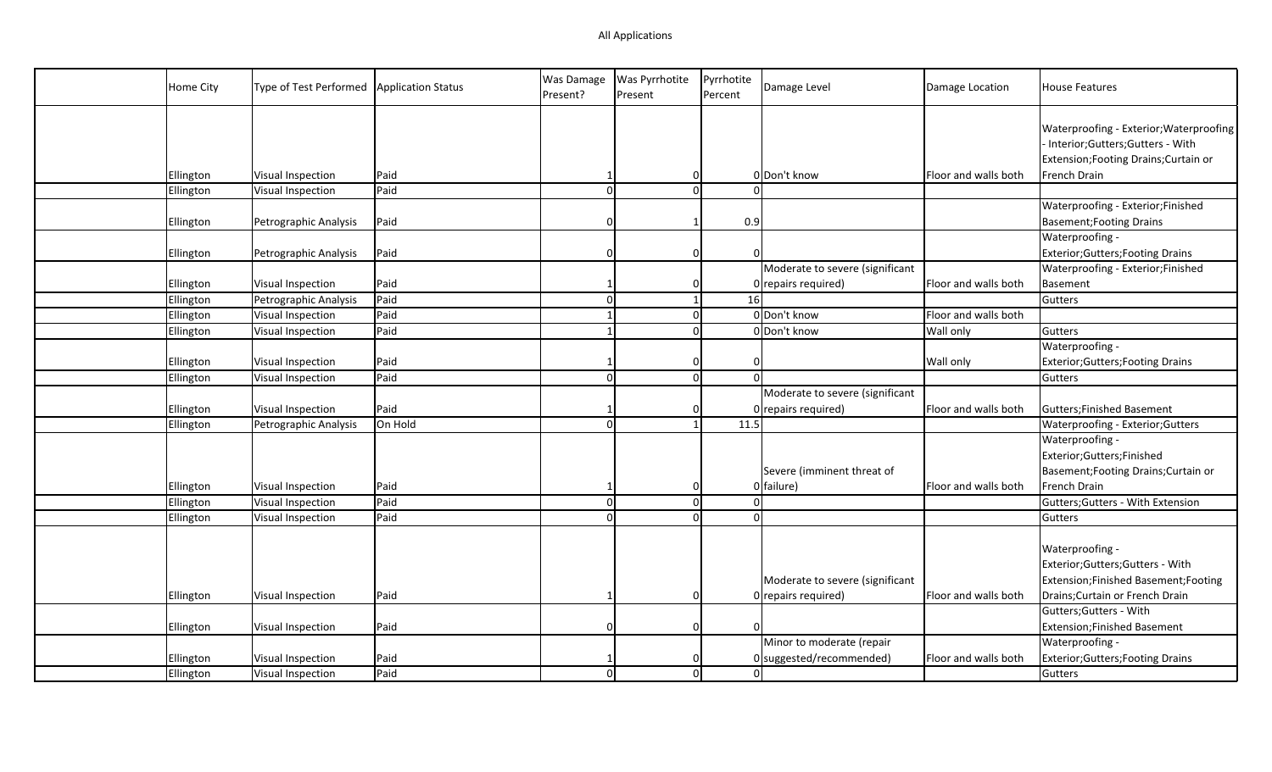| Home City | Type of Test Performed | <b>Application Status</b> | <b>Was Damage</b><br>Present? | <b>Was Pyrrhotite</b><br>Present | Pyrrhotite<br>Percent | Damage Level                             | Damage Location      | <b>House Features</b>                                                                                                 |
|-----------|------------------------|---------------------------|-------------------------------|----------------------------------|-----------------------|------------------------------------------|----------------------|-----------------------------------------------------------------------------------------------------------------------|
|           |                        |                           |                               |                                  |                       |                                          |                      | Waterproofing - Exterior; Waterproofing<br>- Interior;Gutters;Gutters - With<br>Extension; Footing Drains; Curtain or |
| Ellington | Visual Inspection      | Paid                      |                               |                                  | 0                     | 0 Don't know                             | Floor and walls both | French Drain                                                                                                          |
| Ellington | Visual Inspection      | Paid                      | $\Omega$                      |                                  | $\Omega$              |                                          |                      |                                                                                                                       |
| Ellington | Petrographic Analysis  | Paid                      | 0                             | $\mathbf{1}$                     | 0.9                   |                                          |                      | Waterproofing - Exterior;Finished<br><b>Basement; Footing Drains</b>                                                  |
| Ellington | Petrographic Analysis  | Paid                      | 0                             |                                  | $\mathbf 0$           |                                          |                      | Waterproofing -<br>Exterior; Gutters; Footing Drains                                                                  |
|           |                        |                           |                               |                                  |                       | Moderate to severe (significant          |                      | Waterproofing - Exterior; Finished                                                                                    |
| Ellington | Visual Inspection      | Paid                      |                               | $\Omega$                         |                       | 0 repairs required)                      | Floor and walls both | Basement                                                                                                              |
| Ellington | Petrographic Analysis  | Paid                      | $\Omega$                      |                                  | 16                    |                                          |                      | Gutters                                                                                                               |
| Ellington | Visual Inspection      | Paid                      |                               |                                  | $\mathbf 0$           | 0 Don't know                             | Floor and walls both |                                                                                                                       |
| Ellington | Visual Inspection      | Paid                      |                               |                                  | $\Omega$              | 0 Don't know                             | Wall only            | Gutters                                                                                                               |
|           |                        |                           |                               |                                  |                       |                                          |                      | Waterproofing -                                                                                                       |
| Ellington | Visual Inspection      | Paid                      |                               |                                  | 0<br>$\Omega$         |                                          | Wall only            | Exterior; Gutters; Footing Drains                                                                                     |
| Ellington | Visual Inspection      | Paid                      | $\Omega$                      |                                  | $\Omega$              |                                          |                      | Gutters                                                                                                               |
|           |                        |                           |                               |                                  |                       | Moderate to severe (significant          |                      |                                                                                                                       |
| Ellington | Visual Inspection      | Paid                      |                               |                                  | 0                     | 0 repairs required)                      | Floor and walls both | Gutters; Finished Basement                                                                                            |
| Ellington | Petrographic Analysis  | On Hold                   | $\Omega$                      |                                  | 11.5                  |                                          |                      | Waterproofing - Exterior; Gutters                                                                                     |
| Ellington | Visual Inspection      | Paid                      |                               |                                  | 0                     | Severe (imminent threat of<br>0 failure) | Floor and walls both | Waterproofing -<br>Exterior;Gutters;Finished<br>Basement; Footing Drains; Curtain or<br>French Drain                  |
| Ellington | Visual Inspection      | Paid                      | $\Omega$                      |                                  | $\Omega$              |                                          |                      | Gutters; Gutters - With Extension                                                                                     |
| Ellington | Visual Inspection      | Paid                      | $\Omega$                      |                                  | $\Omega$<br>$\Omega$  |                                          |                      | Gutters                                                                                                               |
|           |                        |                           |                               |                                  |                       | Moderate to severe (significant          |                      | Waterproofing -<br>Exterior;Gutters;Gutters - With<br>Extension;Finished Basement;Footing                             |
| Ellington | Visual Inspection      | Paid                      |                               |                                  | $\Omega$              | 0 repairs required)                      | Floor and walls both | Drains; Curtain or French Drain                                                                                       |
|           |                        |                           |                               |                                  |                       |                                          |                      | Gutters; Gutters - With                                                                                               |
| Ellington | Visual Inspection      | Paid                      | 0                             |                                  | $\mathbf 0$           |                                          |                      | Extension; Finished Basement                                                                                          |
|           |                        |                           |                               |                                  |                       | Minor to moderate (repair                |                      | Waterproofing -                                                                                                       |
| Ellington | Visual Inspection      | Paid                      |                               |                                  | 0                     | $0$ suggested/recommended)               | Floor and walls both | Exterior; Gutters; Footing Drains                                                                                     |
| Ellington | Visual Inspection      | Paid                      | $\Omega$                      |                                  | $\overline{0}$        |                                          |                      | Gutters                                                                                                               |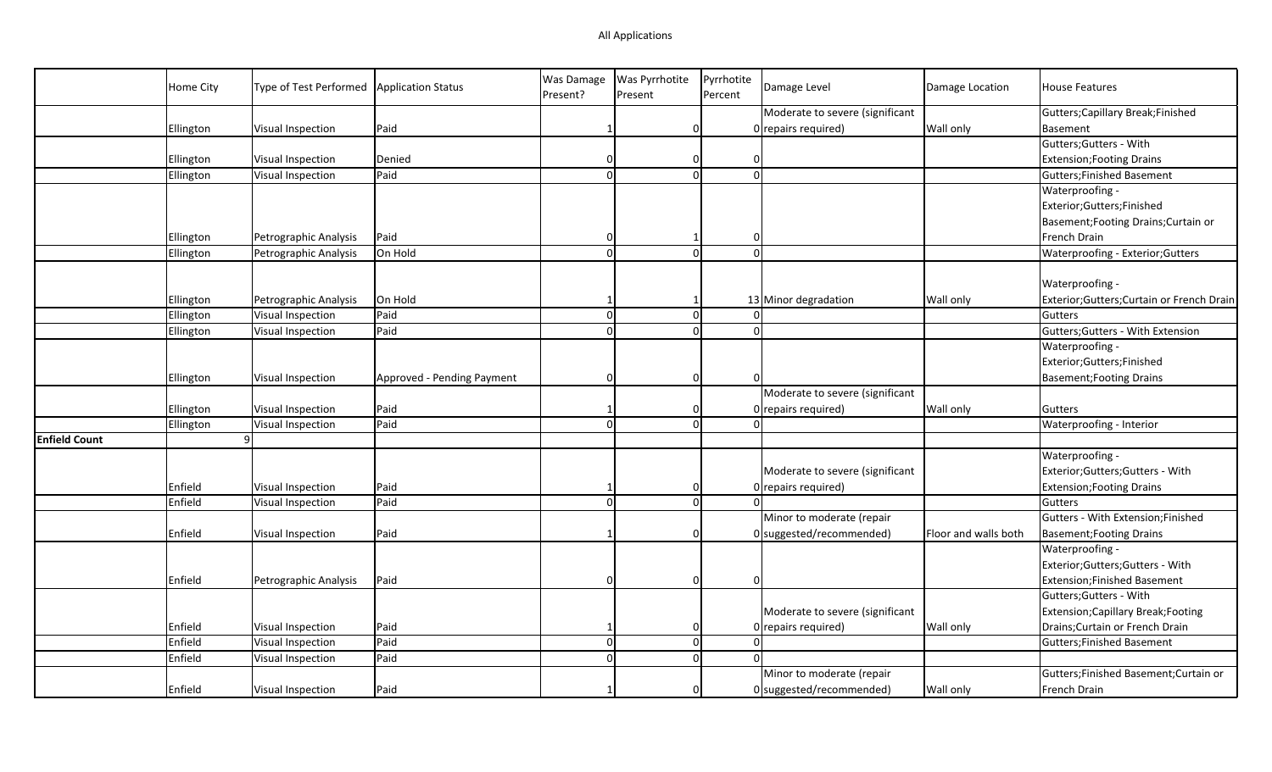## All Applications

|                      | <b>Home City</b> | Type of Test Performed | Application Status         | Was Damage<br>Present? | Was Pyrrhotite<br>Present | Pyrrhotite<br>Percent   | Damage Level                    | Damage Location      | <b>House Features</b>                      |
|----------------------|------------------|------------------------|----------------------------|------------------------|---------------------------|-------------------------|---------------------------------|----------------------|--------------------------------------------|
|                      |                  |                        |                            |                        |                           |                         | Moderate to severe (significant |                      | Gutters; Capillary Break; Finished         |
|                      | Ellington        | Visual Inspection      | Paid                       |                        | 0                         |                         | 0 repairs required)             | Wall only            | Basement                                   |
|                      |                  |                        |                            |                        |                           |                         |                                 |                      | Gutters; Gutters - With                    |
|                      | Ellington        | Visual Inspection      | Denied                     |                        | $\Omega$                  |                         |                                 |                      | <b>Extension; Footing Drains</b>           |
|                      | Ellington        | Visual Inspection      | Paid                       | $\Omega$               |                           | $\Omega$<br>$\Omega$    |                                 |                      | <b>Gutters;Finished Basement</b>           |
|                      |                  |                        |                            |                        |                           |                         |                                 |                      | Waterproofing -                            |
|                      |                  |                        |                            |                        |                           |                         |                                 |                      | Exterior;Gutters;Finished                  |
|                      |                  |                        |                            |                        |                           |                         |                                 |                      | Basement; Footing Drains; Curtain or       |
|                      | Ellington        | Petrographic Analysis  | Paid                       | $\Omega$               |                           | $\Omega$                |                                 |                      | French Drain                               |
|                      | Ellington        | Petrographic Analysis  | On Hold                    | $\Omega$               | $\Omega$                  | $\Omega$                |                                 |                      | Waterproofing - Exterior; Gutters          |
|                      |                  |                        |                            |                        |                           |                         |                                 |                      |                                            |
|                      |                  |                        |                            |                        |                           |                         |                                 |                      | Waterproofing -                            |
|                      | Ellington        | Petrographic Analysis  | On Hold                    |                        | -1                        |                         | 13 Minor degradation            | Wall only            | Exterior; Gutters; Curtain or French Drain |
|                      | Ellington        | Visual Inspection      | Paid                       | $\Omega$               |                           | $\mathbf 0$<br>$\Omega$ |                                 |                      | Gutters                                    |
|                      | Ellington        | Visual Inspection      | Paid                       | $\Omega$               |                           | $\Omega$<br>$\Omega$    |                                 |                      | Gutters; Gutters - With Extension          |
|                      |                  |                        |                            |                        |                           |                         |                                 |                      | Waterproofing -                            |
|                      |                  |                        |                            |                        |                           |                         |                                 |                      | Exterior;Gutters;Finished                  |
|                      | Ellington        | Visual Inspection      | Approved - Pending Payment | $\Omega$               |                           | $\mathbf 0$             |                                 |                      | <b>Basement; Footing Drains</b>            |
|                      |                  |                        |                            |                        |                           |                         | Moderate to severe (significant |                      |                                            |
|                      | Ellington        | Visual Inspection      | Paid                       |                        | $\Omega$                  |                         | 0 repairs required)             | Wall only            | Gutters                                    |
|                      | Ellington        | Visual Inspection      | Paid                       | $\Omega$               |                           | $\Omega$<br>$\Omega$    |                                 |                      | Waterproofing - Interior                   |
| <b>Enfield Count</b> |                  | 9 <sup>1</sup>         |                            |                        |                           |                         |                                 |                      |                                            |
|                      |                  |                        |                            |                        |                           |                         |                                 |                      | Waterproofing -                            |
|                      |                  |                        |                            |                        |                           |                         | Moderate to severe (significant |                      | Exterior;Gutters;Gutters - With            |
|                      | Enfield          | Visual Inspection      | Paid                       | -1                     |                           | 0                       | 0 repairs required)             |                      | <b>Extension; Footing Drains</b>           |
|                      | Enfield          | Visual Inspection      | Paid                       | $\Omega$               |                           | $\mathbf 0$             |                                 |                      | Gutters                                    |
|                      |                  |                        |                            |                        |                           |                         | Minor to moderate (repair       |                      | Gutters - With Extension;Finished          |
|                      | Enfield          | Visual Inspection      | Paid                       |                        | $\Omega$                  |                         | $0$ suggested/recommended)      | Floor and walls both | <b>Basement; Footing Drains</b>            |
|                      |                  |                        |                            |                        |                           |                         |                                 |                      | Waterproofing -                            |
|                      |                  |                        |                            |                        |                           |                         |                                 |                      | Exterior;Gutters;Gutters - With            |
|                      | Enfield          | Petrographic Analysis  | Paid                       | $\Omega$               |                           | $\mathbf 0$<br>റ        |                                 |                      | <b>Extension;Finished Basement</b>         |
|                      |                  |                        |                            |                        |                           |                         |                                 |                      | Gutters; Gutters - With                    |
|                      |                  |                        |                            |                        |                           |                         | Moderate to severe (significant |                      | Extension; Capillary Break; Footing        |
|                      | Enfield          | Visual Inspection      | Paid                       |                        | 0                         |                         | 0 repairs required)             | Wall only            | Drains; Curtain or French Drain            |
|                      | Enfield          | Visual Inspection      | Paid                       | $\Omega$               |                           | $\mathbf 0$<br>$\Omega$ |                                 |                      | <b>Gutters; Finished Basement</b>          |
|                      | Enfield          | Visual Inspection      | Paid                       | $\Omega$               |                           | $\Omega$                |                                 |                      |                                            |
|                      |                  |                        |                            |                        |                           |                         | Minor to moderate (repair       |                      | Gutters; Finished Basement; Curtain or     |
|                      | Enfield          | Visual Inspection      | Paid                       |                        |                           | $\mathbf 0$             | 0 suggested/recommended)        | Wall only            | French Drain                               |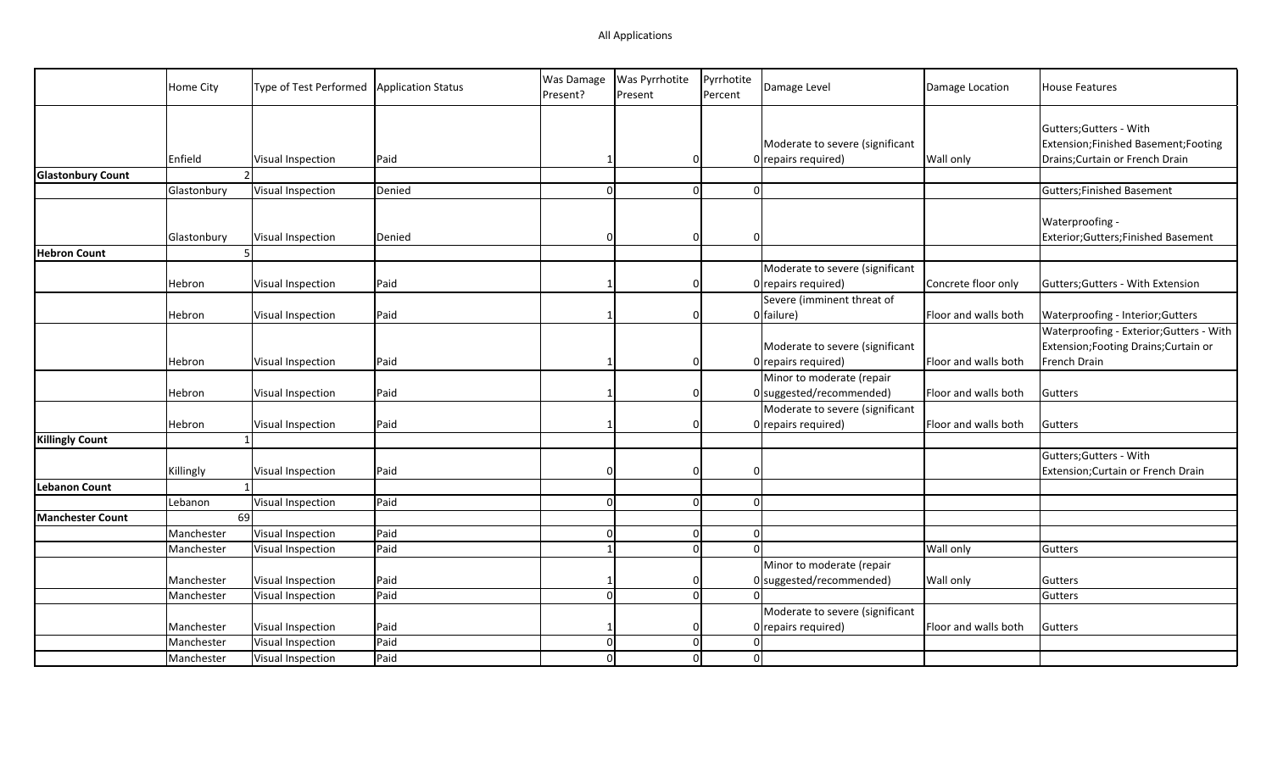|                          | Home City   | Type of Test Performed | Application Status | Was Damage<br>Present? | <b>Was Pyrrhotite</b><br>Present | Pyrrhotite<br>Percent | Damage Level                                             | Damage Location      | <b>House Features</b>                                                                             |
|--------------------------|-------------|------------------------|--------------------|------------------------|----------------------------------|-----------------------|----------------------------------------------------------|----------------------|---------------------------------------------------------------------------------------------------|
|                          | Enfield     | Visual Inspection      | Paid               |                        | 0                                |                       | Moderate to severe (significant<br>$0$ repairs required) | Wall only            | Gutters; Gutters - With<br>Extension;Finished Basement;Footing<br>Drains; Curtain or French Drain |
| <b>Glastonbury Count</b> |             |                        |                    |                        |                                  |                       |                                                          |                      |                                                                                                   |
|                          | Glastonbury | Visual Inspection      | Denied             |                        | $\Omega$                         | $\Omega$              |                                                          |                      | <b>Gutters; Finished Basement</b>                                                                 |
|                          | Glastonbury | Visual Inspection      | Denied             | ſ                      | 0                                | $\Omega$              |                                                          |                      | Waterproofing -<br>Exterior;Gutters;Finished Basement                                             |
| <b>Hebron Count</b>      |             |                        |                    |                        |                                  |                       |                                                          |                      |                                                                                                   |
|                          | Hebron      | Visual Inspection      | Paid               |                        | $\overline{0}$                   |                       | Moderate to severe (significant<br>$0$ repairs required) | Concrete floor only  | Gutters; Gutters - With Extension                                                                 |
|                          |             |                        |                    |                        |                                  |                       | Severe (imminent threat of                               |                      |                                                                                                   |
|                          | Hebron      | Visual Inspection      | Paid               |                        | $\Omega$                         |                       | 0 failure)                                               | Floor and walls both | Waterproofing - Interior; Gutters<br>Waterproofing - Exterior; Gutters - With                     |
|                          |             |                        |                    |                        |                                  |                       | Moderate to severe (significant                          |                      | Extension; Footing Drains; Curtain or                                                             |
|                          | Hebron      | Visual Inspection      | Paid               |                        | 0                                |                       | $0$ repairs required)                                    | Floor and walls both | French Drain                                                                                      |
|                          | Hebron      | Visual Inspection      | Paid               |                        | 0                                |                       | Minor to moderate (repair<br>0 suggested/recommended)    | Floor and walls both | Gutters                                                                                           |
|                          |             |                        |                    |                        |                                  |                       | Moderate to severe (significant                          |                      |                                                                                                   |
|                          | Hebron      | Visual Inspection      | Paid               |                        | 0                                |                       | $0$ repairs required)                                    | Floor and walls both | Gutters                                                                                           |
| <b>Killingly Count</b>   |             |                        |                    |                        |                                  |                       |                                                          |                      | Gutters; Gutters - With                                                                           |
|                          | Killingly   | Visual Inspection      | Paid               |                        | $\Omega$                         |                       |                                                          |                      | Extension; Curtain or French Drain                                                                |
| <b>Lebanon Count</b>     |             |                        |                    |                        |                                  |                       |                                                          |                      |                                                                                                   |
|                          | Lebanon     | Visual Inspection      | Paid               | ∩                      | $\overline{0}$                   | $\Omega$              |                                                          |                      |                                                                                                   |
| <b>Manchester Count</b>  | 69          |                        |                    |                        |                                  |                       |                                                          |                      |                                                                                                   |
|                          | Manchester  | Visual Inspection      | Paid               | $\Omega$               | $\overline{0}$                   | $\Omega$              |                                                          |                      |                                                                                                   |
|                          | Manchester  | Visual Inspection      | Paid               |                        | $\mathbf 0$                      | $\Omega$              |                                                          | <b>Wall only</b>     | Gutters                                                                                           |
|                          |             |                        |                    |                        |                                  |                       | Minor to moderate (repair                                |                      |                                                                                                   |
|                          | Manchester  | Visual Inspection      | Paid               |                        | 0                                |                       | $0$ suggested/recommended)                               | <b>Wall only</b>     | Gutters                                                                                           |
|                          | Manchester  | Visual Inspection      | Paid               |                        | $\Omega$                         |                       |                                                          |                      | Gutters                                                                                           |
|                          |             |                        |                    |                        |                                  |                       | Moderate to severe (significant                          |                      |                                                                                                   |
|                          | Manchester  | Visual Inspection      | Paid               |                        |                                  |                       | $0$ repairs required)                                    | Floor and walls both | Gutters                                                                                           |
|                          | Manchester  | Visual Inspection      | Paid               |                        | $\overline{0}$                   |                       |                                                          |                      |                                                                                                   |
|                          | Manchester  | Visual Inspection      | Paid               |                        | $\Omega$                         | $\Omega$              |                                                          |                      |                                                                                                   |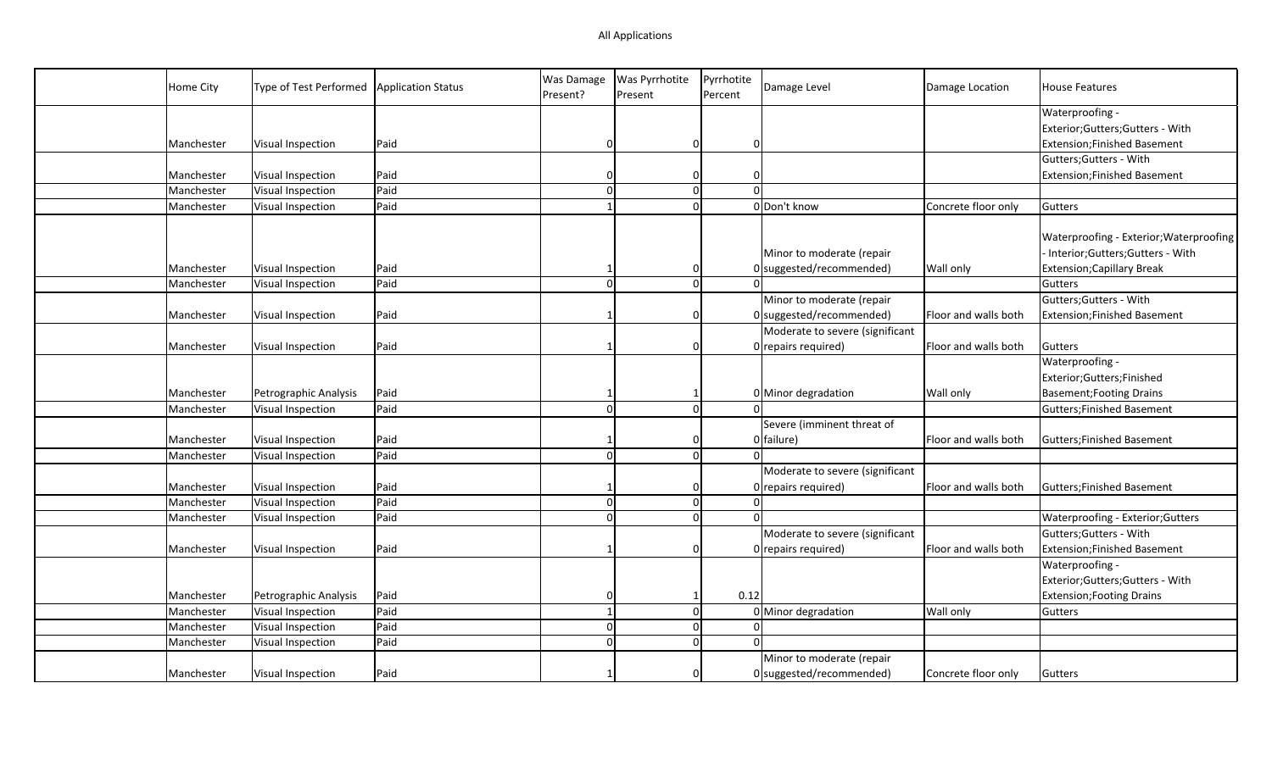| Home City  | Type of Test Performed | <b>Application Status</b> | Was Damage<br>Present? | Was Pyrrhotite<br>Present | Pyrrhotite<br>Percent | Damage Level                    | Damage Location      | <b>House Features</b>                                                      |
|------------|------------------------|---------------------------|------------------------|---------------------------|-----------------------|---------------------------------|----------------------|----------------------------------------------------------------------------|
|            |                        |                           |                        |                           |                       |                                 |                      | Waterproofing -                                                            |
|            |                        |                           |                        |                           |                       |                                 |                      | Exterior;Gutters;Gutters - With                                            |
| Manchester | Visual Inspection      | Paid                      | O                      | 0                         | $\Omega$              |                                 |                      | Extension; Finished Basement                                               |
|            |                        |                           |                        |                           |                       |                                 |                      | Gutters; Gutters - With                                                    |
| Manchester | Visual Inspection      | Paid                      |                        | $\Omega$                  | 0                     |                                 |                      | <b>Extension;Finished Basement</b>                                         |
| Manchester | Visual Inspection      | Paid                      | $\Omega$               | $\overline{0}$            |                       | $\Omega$                        |                      |                                                                            |
| Manchester | Visual Inspection      | Paid                      |                        | $\Omega$                  |                       | 0 Don't know                    | Concrete floor only  | Gutters                                                                    |
|            |                        |                           |                        |                           |                       | Minor to moderate (repair       |                      | Waterproofing - Exterior; Waterproofing<br>Interior;Gutters;Gutters - With |
| Manchester | Visual Inspection      | Paid                      |                        | 0                         |                       | $0$ suggested/recommended)      | Wall only            | <b>Extension; Capillary Break</b>                                          |
| Manchester | Visual Inspection      | Paid                      | $\Omega$               | 0                         |                       | nl                              |                      | Gutters                                                                    |
|            |                        |                           |                        |                           |                       | Minor to moderate (repair       |                      | Gutters; Gutters - With                                                    |
| Manchester | Visual Inspection      | Paid                      |                        | $\Omega$                  |                       | 0 suggested/recommended)        | Floor and walls both | Extension; Finished Basement                                               |
|            |                        |                           |                        |                           |                       | Moderate to severe (significant |                      |                                                                            |
| Manchester | Visual Inspection      | Paid                      |                        | $\Omega$                  |                       | $0$ repairs required)           | Floor and walls both | Gutters                                                                    |
|            |                        |                           |                        |                           |                       |                                 |                      | Waterproofing -                                                            |
|            |                        |                           |                        |                           |                       |                                 |                      | Exterior;Gutters;Finished                                                  |
| Manchester | Petrographic Analysis  | Paid                      |                        |                           |                       | 0 Minor degradation             | <b>Wall only</b>     | <b>Basement; Footing Drains</b>                                            |
| Manchester | Visual Inspection      | Paid                      | $\Omega$               | <sub>0</sub>              |                       |                                 |                      | <b>Gutters;Finished Basement</b>                                           |
|            |                        |                           |                        |                           |                       | Severe (imminent threat of      |                      |                                                                            |
| Manchester | Visual Inspection      | Paid                      |                        | $\Omega$                  |                       | 0 failure)                      | Floor and walls both | Gutters; Finished Basement                                                 |
| Manchester | Visual Inspection      | Paid                      | $\Omega$               | $\overline{0}$            |                       | $\Omega$                        |                      |                                                                            |
|            |                        |                           |                        |                           |                       | Moderate to severe (significant |                      |                                                                            |
| Manchester | Visual Inspection      | Paid                      |                        | 0                         |                       | 0 repairs required)             | Floor and walls both | <b>Gutters; Finished Basement</b>                                          |
| Manchester | Visual Inspection      | Paid                      | $\Omega$               | $\overline{0}$            |                       | $\Omega$                        |                      |                                                                            |
| Manchester | Visual Inspection      | Paid                      | $\Omega$               | 0                         | $\Omega$              |                                 |                      | Waterproofing - Exterior; Gutters                                          |
|            |                        |                           |                        |                           |                       | Moderate to severe (significant |                      | Gutters; Gutters - With                                                    |
| Manchester | Visual Inspection      | Paid                      |                        | 0                         |                       | 0 repairs required)             | Floor and walls both | <b>Extension;Finished Basement</b>                                         |
|            |                        |                           |                        |                           |                       |                                 |                      | Waterproofing -                                                            |
|            |                        |                           |                        |                           |                       |                                 |                      | Exterior;Gutters;Gutters - With                                            |
| Manchester | Petrographic Analysis  | Paid                      | 0                      | 1                         | 0.12                  |                                 |                      | <b>Extension; Footing Drains</b>                                           |
| Manchester | Visual Inspection      | Paid                      |                        | 0                         |                       | 0 Minor degradation             | Wall only            | Gutters                                                                    |
| Manchester | Visual Inspection      | Paid                      | $\vert$ 0              | 0                         |                       | $\Omega$                        |                      |                                                                            |
| Manchester | Visual Inspection      | Paid                      | $\Omega$               | $\Omega$                  | $\Omega$              |                                 |                      |                                                                            |
|            |                        |                           |                        |                           |                       | Minor to moderate (repair       |                      |                                                                            |
| Manchester | Visual Inspection      | Paid                      |                        | $\Omega$                  |                       | 0 suggested/recommended)        | Concrete floor only  | Gutters                                                                    |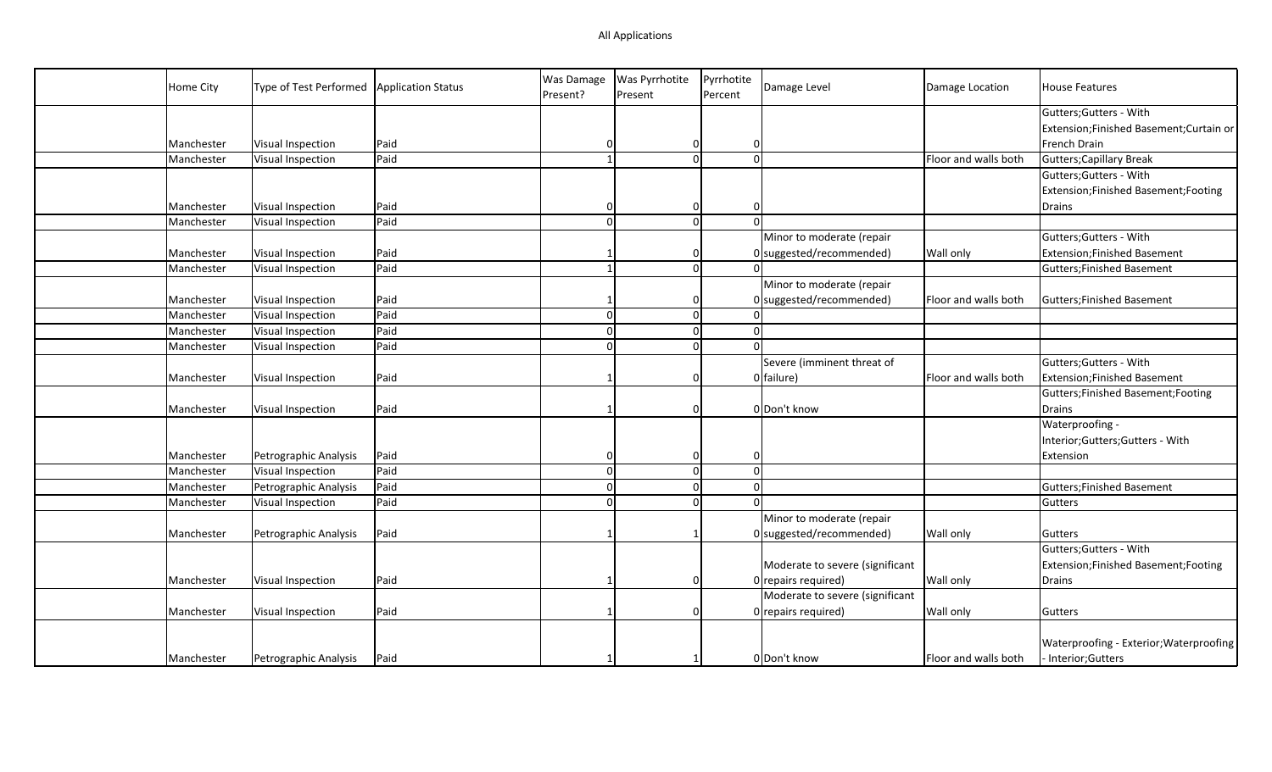| Home City  | Type of Test Performed   Application Status |      | Was Damage<br>Present? | <b>Was Pyrrhotite</b><br>Present | Pyrrhotite<br>Percent | Damage Level                    | Damage Location      | <b>House Features</b>                   |
|------------|---------------------------------------------|------|------------------------|----------------------------------|-----------------------|---------------------------------|----------------------|-----------------------------------------|
|            |                                             |      |                        |                                  |                       |                                 |                      | Gutters; Gutters - With                 |
|            |                                             |      |                        |                                  |                       |                                 |                      | Extension;Finished Basement;Curtain or  |
| Manchester | Visual Inspection                           | Paid | O                      | $\overline{0}$                   | $\Omega$              |                                 |                      | French Drain                            |
| Manchester | Visual Inspection                           | Paid |                        | $\Omega$                         | $\Omega$              |                                 | Floor and walls both | Gutters; Capillary Break                |
|            |                                             |      |                        |                                  |                       |                                 |                      | Gutters; Gutters - With                 |
|            |                                             |      |                        |                                  |                       |                                 |                      | Extension;Finished Basement;Footing     |
| Manchester | Visual Inspection                           | Paid |                        | 0                                |                       |                                 |                      | Drains                                  |
| Manchester | Visual Inspection                           | Paid | $\Omega$               | $\Omega$                         |                       |                                 |                      |                                         |
|            |                                             |      |                        |                                  |                       | Minor to moderate (repair       |                      | Gutters; Gutters - With                 |
| Manchester | Visual Inspection                           | Paid |                        | 0                                |                       | $0$ suggested/recommended)      | Wall only            | Extension; Finished Basement            |
| Manchester | Visual Inspection                           | Paid |                        | 0                                |                       |                                 |                      | Gutters; Finished Basement              |
|            |                                             |      |                        |                                  |                       | Minor to moderate (repair       |                      |                                         |
| Manchester | Visual Inspection                           | Paid |                        | 0                                |                       | $0$ suggested/recommended)      | Floor and walls both | Gutters; Finished Basement              |
| Manchester | Visual Inspection                           | Paid | $\Omega$               | $\overline{0}$                   |                       |                                 |                      |                                         |
| Manchester | Visual Inspection                           | Paid | $\Omega$               | $\overline{0}$                   | $\Omega$              |                                 |                      |                                         |
| Manchester | Visual Inspection                           | Paid |                        | $\Omega$                         |                       |                                 |                      |                                         |
|            |                                             |      |                        |                                  |                       | Severe (imminent threat of      |                      | Gutters; Gutters - With                 |
| Manchester | Visual Inspection                           | Paid |                        | $\Omega$                         |                       | 0 failure)                      | Floor and walls both | Extension; Finished Basement            |
|            |                                             |      |                        |                                  |                       |                                 |                      | Gutters; Finished Basement; Footing     |
| Manchester | Visual Inspection                           | Paid |                        | $\Omega$                         |                       | 0 Don't know                    |                      | Drains                                  |
|            |                                             |      |                        |                                  |                       |                                 |                      | Waterproofing -                         |
|            |                                             |      |                        |                                  |                       |                                 |                      | Interior; Gutters; Gutters - With       |
| Manchester | Petrographic Analysis                       | Paid |                        | $\mathbf 0$                      | $\Omega$              |                                 |                      | Extension                               |
| Manchester | Visual Inspection                           | Paid | $\Omega$               | $\mathbf{0}$                     | $\Omega$              |                                 |                      |                                         |
| Manchester | Petrographic Analysis                       | Paid | $\Omega$               | $\mathbf{0}$                     |                       |                                 |                      | Gutters; Finished Basement              |
| Manchester | Visual Inspection                           | Paid | $\Omega$               | $\Omega$                         |                       |                                 |                      | Gutters                                 |
|            |                                             |      |                        |                                  |                       | Minor to moderate (repair       |                      |                                         |
| Manchester | Petrographic Analysis                       | Paid |                        |                                  |                       | $0$ suggested/recommended)      | <b>Wall only</b>     | Gutters                                 |
|            |                                             |      |                        |                                  |                       |                                 |                      | Gutters; Gutters - With                 |
|            |                                             |      |                        |                                  |                       | Moderate to severe (significant |                      | Extension; Finished Basement; Footing   |
| Manchester | Visual Inspection                           | Paid |                        | $\Omega$                         |                       | 0 repairs required)             | Wall only            | Drains                                  |
|            |                                             |      |                        |                                  |                       | Moderate to severe (significant |                      |                                         |
| Manchester | <b>Visual Inspection</b>                    | Paid |                        | $\Omega$                         |                       | 0 repairs required)             | Wall only            | Gutters                                 |
|            |                                             |      |                        |                                  |                       |                                 |                      |                                         |
|            |                                             |      |                        |                                  |                       |                                 |                      | Waterproofing - Exterior; Waterproofing |
| Manchester | Petrographic Analysis                       | Paid |                        |                                  |                       | O Don't know                    | Floor and walls both | - Interior; Gutters                     |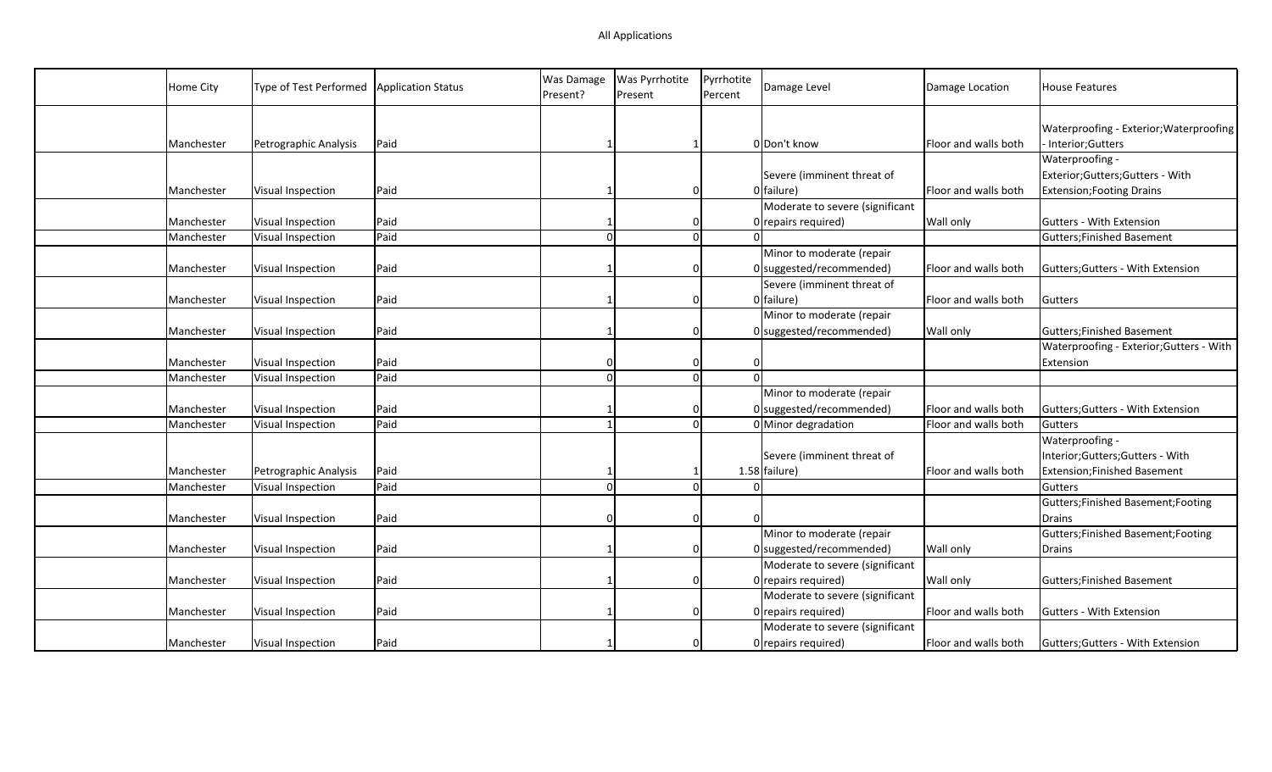| Home City  | Type of Test Performed   | <b>Application Status</b> | Was Damage<br>Present? | Was Pyrrhotite<br>Present | Pyrrhotite<br>Percent | Damage Level                    | Damage Location      | <b>House Features</b>                    |
|------------|--------------------------|---------------------------|------------------------|---------------------------|-----------------------|---------------------------------|----------------------|------------------------------------------|
|            |                          |                           |                        |                           |                       |                                 |                      | Waterproofing - Exterior; Waterproofing  |
| Manchester | Petrographic Analysis    | Paid                      |                        |                           |                       | 0 Don't know                    | Floor and walls both | - Interior; Gutters                      |
|            |                          |                           |                        |                           |                       |                                 |                      | Waterproofing -                          |
|            |                          |                           |                        |                           |                       | Severe (imminent threat of      |                      | Exterior; Gutters; Gutters - With        |
| Manchester | Visual Inspection        | Paid                      |                        |                           | 0                     | 0 failure)                      | Floor and walls both | <b>Extension; Footing Drains</b>         |
|            |                          |                           |                        |                           |                       | Moderate to severe (significant |                      |                                          |
| Manchester | Visual Inspection        | Paid                      |                        | 0                         |                       | 0 repairs required)             | Wall only            | <b>Gutters - With Extension</b>          |
| Manchester | Visual Inspection        | Paid                      |                        |                           | $\mathbf 0$           |                                 |                      | Gutters; Finished Basement               |
|            |                          |                           |                        |                           |                       | Minor to moderate (repair       |                      |                                          |
| Manchester | Visual Inspection        | Paid                      |                        |                           | $\Omega$              | $0$ suggested/recommended)      | Floor and walls both | Gutters; Gutters - With Extension        |
|            |                          |                           |                        |                           |                       | Severe (imminent threat of      |                      |                                          |
| Manchester | Visual Inspection        | Paid                      |                        | $\Omega$                  |                       | 0 failure)                      | Floor and walls both | Gutters                                  |
|            |                          |                           |                        |                           |                       | Minor to moderate (repair       |                      |                                          |
| Manchester | Visual Inspection        | Paid                      |                        |                           | $\Omega$              | $0$ suggested/recommended)      | Wall only            | Gutters; Finished Basement               |
|            |                          |                           |                        |                           |                       |                                 |                      | Waterproofing - Exterior; Gutters - With |
| Manchester | Visual Inspection        | Paid                      |                        |                           | $\mathbf{0}$          |                                 |                      | Extension                                |
| Manchester | <b>Visual Inspection</b> | Paid                      |                        |                           | $\Omega$              |                                 |                      |                                          |
|            |                          |                           |                        |                           |                       | Minor to moderate (repair       |                      |                                          |
| Manchester | Visual Inspection        | Paid                      |                        | $\Omega$                  |                       | $0$ suggested/recommended)      | Floor and walls both | Gutters; Gutters - With Extension        |
| Manchester | Visual Inspection        | Paid                      |                        |                           | $\Omega$              | 0 Minor degradation             | Floor and walls both | Gutters                                  |
|            |                          |                           |                        |                           |                       |                                 |                      | Waterproofing -                          |
|            |                          |                           |                        |                           |                       | Severe (imminent threat of      |                      | Interior;Gutters;Gutters - With          |
| Manchester | Petrographic Analysis    | Paid                      |                        |                           |                       | $1.58$ failure)                 | Floor and walls both | <b>Extension;Finished Basement</b>       |
| Manchester | Visual Inspection        | Paid                      |                        |                           | $\mathbf 0$           |                                 |                      | Gutters                                  |
|            |                          |                           |                        |                           |                       |                                 |                      | Gutters; Finished Basement; Footing      |
| Manchester | Visual Inspection        | Paid                      |                        |                           | $\overline{0}$        |                                 |                      | Drains                                   |
|            |                          |                           |                        |                           |                       | Minor to moderate (repair       |                      | Gutters; Finished Basement; Footing      |
| Manchester | Visual Inspection        | Paid                      |                        |                           | $\mathbf{0}$          | $0$ suggested/recommended)      | <b>Wall only</b>     | Drains                                   |
|            |                          |                           |                        |                           |                       | Moderate to severe (significant |                      |                                          |
| Manchester | Visual Inspection        | Paid                      |                        | $\Omega$                  |                       | 0 repairs required)             | Wall only            | Gutters; Finished Basement               |
|            |                          |                           |                        |                           |                       | Moderate to severe (significant |                      |                                          |
| Manchester | Visual Inspection        | Paid                      |                        | $\Omega$                  |                       | 0 repairs required)             | Floor and walls both | <b>Gutters - With Extension</b>          |
|            |                          |                           |                        |                           |                       | Moderate to severe (significant |                      |                                          |
| Manchester | Visual Inspection        | Paid                      |                        |                           | $\mathbf{0}$          | O repairs required)             | Floor and walls both | Gutters; Gutters - With Extension        |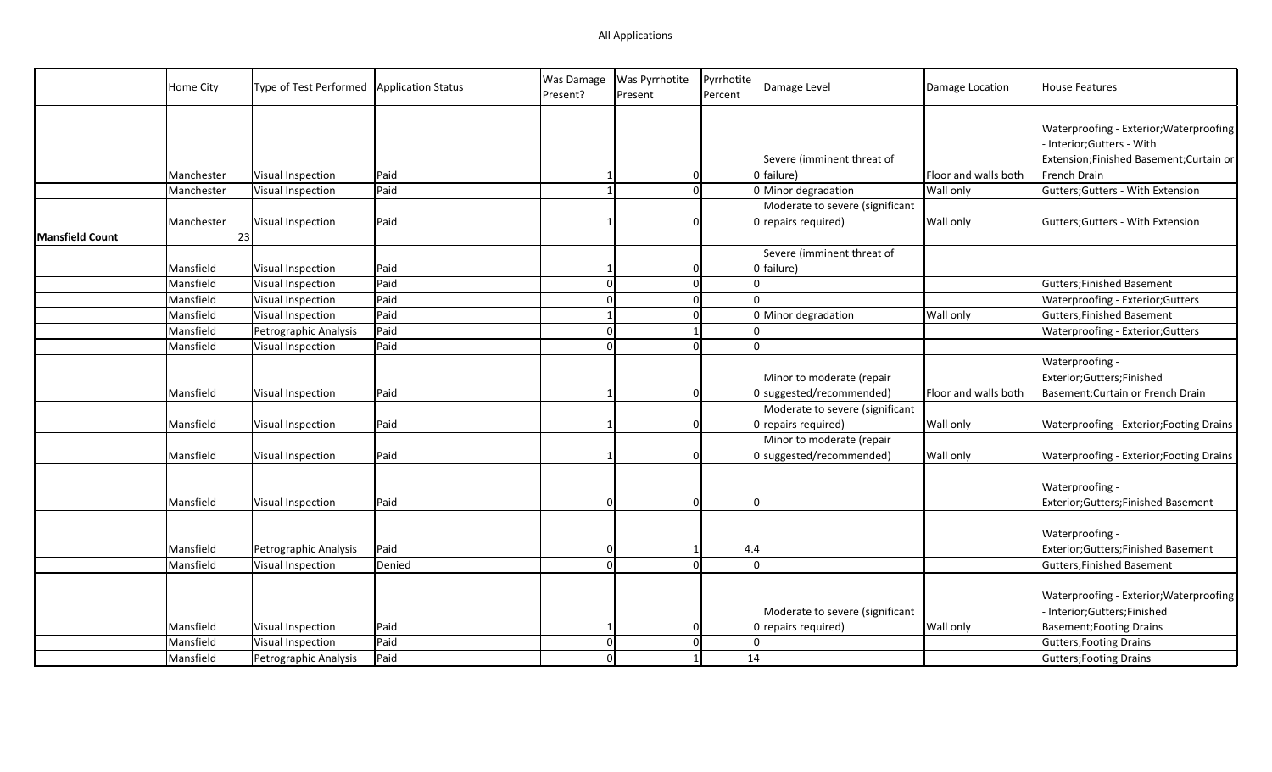|                        | Home City  | Type of Test Performed | <b>Application Status</b> | Was Damage<br>Present? | Was Pyrrhotite<br>Present | Pyrrhotite<br>Percent | Damage Level                                             | Damage Location      | <b>House Features</b>                                                                                                          |
|------------------------|------------|------------------------|---------------------------|------------------------|---------------------------|-----------------------|----------------------------------------------------------|----------------------|--------------------------------------------------------------------------------------------------------------------------------|
|                        | Manchester | Visual Inspection      | Paid                      |                        | 0                         |                       | Severe (imminent threat of<br>0 failure)                 | Floor and walls both | Waterproofing - Exterior; Waterproofing<br>- Interior;Gutters - With<br>Extension;Finished Basement;Curtain or<br>French Drain |
|                        | Manchester | Visual Inspection      | Paid                      |                        | $\overline{0}$            |                       | 0 Minor degradation                                      | <b>Wall only</b>     | Gutters; Gutters - With Extension                                                                                              |
|                        | Manchester | Visual Inspection      | Paid                      |                        | $\Omega$                  |                       | Moderate to severe (significant<br>$0$ repairs required) | Wall only            | Gutters; Gutters - With Extension                                                                                              |
| <b>Mansfield Count</b> | 23         |                        |                           |                        |                           |                       |                                                          |                      |                                                                                                                                |
|                        | Mansfield  | Visual Inspection      | Paid                      |                        | 0                         |                       | Severe (imminent threat of<br>0 failure)                 |                      |                                                                                                                                |
|                        | Mansfield  | Visual Inspection      | Paid                      |                        | $\overline{0}$            |                       |                                                          |                      | <b>Gutters; Finished Basement</b>                                                                                              |
|                        | Mansfield  | Visual Inspection      | Paid                      |                        | $\mathbf 0$               |                       |                                                          |                      | Waterproofing - Exterior; Gutters                                                                                              |
|                        | Mansfield  | Visual Inspection      | Paid                      |                        | $\mathbf 0$               |                       | 0 Minor degradation                                      | Wall only            | <b>Gutters;Finished Basement</b>                                                                                               |
|                        | Mansfield  | Petrographic Analysis  | Paid                      |                        |                           |                       |                                                          |                      | Waterproofing - Exterior; Gutters                                                                                              |
|                        | Mansfield  | Visual Inspection      | Paid                      |                        | $\Omega$                  | $\Omega$              |                                                          |                      |                                                                                                                                |
|                        | Mansfield  | Visual Inspection      | Paid                      |                        | $\overline{0}$            |                       | Minor to moderate (repair<br>0 suggested/recommended)    | Floor and walls both | Waterproofing -<br>Exterior;Gutters;Finished<br>Basement; Curtain or French Drain                                              |
|                        | Mansfield  | Visual Inspection      | Paid                      |                        | 0                         |                       | Moderate to severe (significant<br>$0$ repairs required) | <b>Wall only</b>     | Waterproofing - Exterior; Footing Drains                                                                                       |
|                        | Mansfield  | Visual Inspection      | Paid                      |                        | 0                         |                       | Minor to moderate (repair<br>0 suggested/recommended)    | <b>Wall only</b>     | Waterproofing - Exterior; Footing Drains                                                                                       |
|                        | Mansfield  | Visual Inspection      | Paid                      |                        | $\Omega$                  |                       |                                                          |                      | Waterproofing -<br>Exterior;Gutters;Finished Basement                                                                          |
|                        | Mansfield  | Petrographic Analysis  | Paid                      | n                      |                           | 4.4                   |                                                          |                      | Waterproofing -<br>Exterior;Gutters;Finished Basement                                                                          |
|                        | Mansfield  | Visual Inspection      | Denied                    |                        | $\Omega$                  | $\Omega$              |                                                          |                      | <b>Gutters;Finished Basement</b>                                                                                               |
|                        | Mansfield  | Visual Inspection      | Paid                      |                        |                           |                       | Moderate to severe (significant<br>$0$ repairs required) | <b>Wall only</b>     | Waterproofing - Exterior; Waterproofing<br>Interior;Gutters;Finished<br><b>Basement; Footing Drains</b>                        |
|                        | Mansfield  | Visual Inspection      | Paid                      |                        | $\mathbf 0$               |                       |                                                          |                      | <b>Gutters; Footing Drains</b>                                                                                                 |
|                        | Mansfield  | Petrographic Analysis  | Paid                      |                        |                           | 14                    |                                                          |                      | Gutters; Footing Drains                                                                                                        |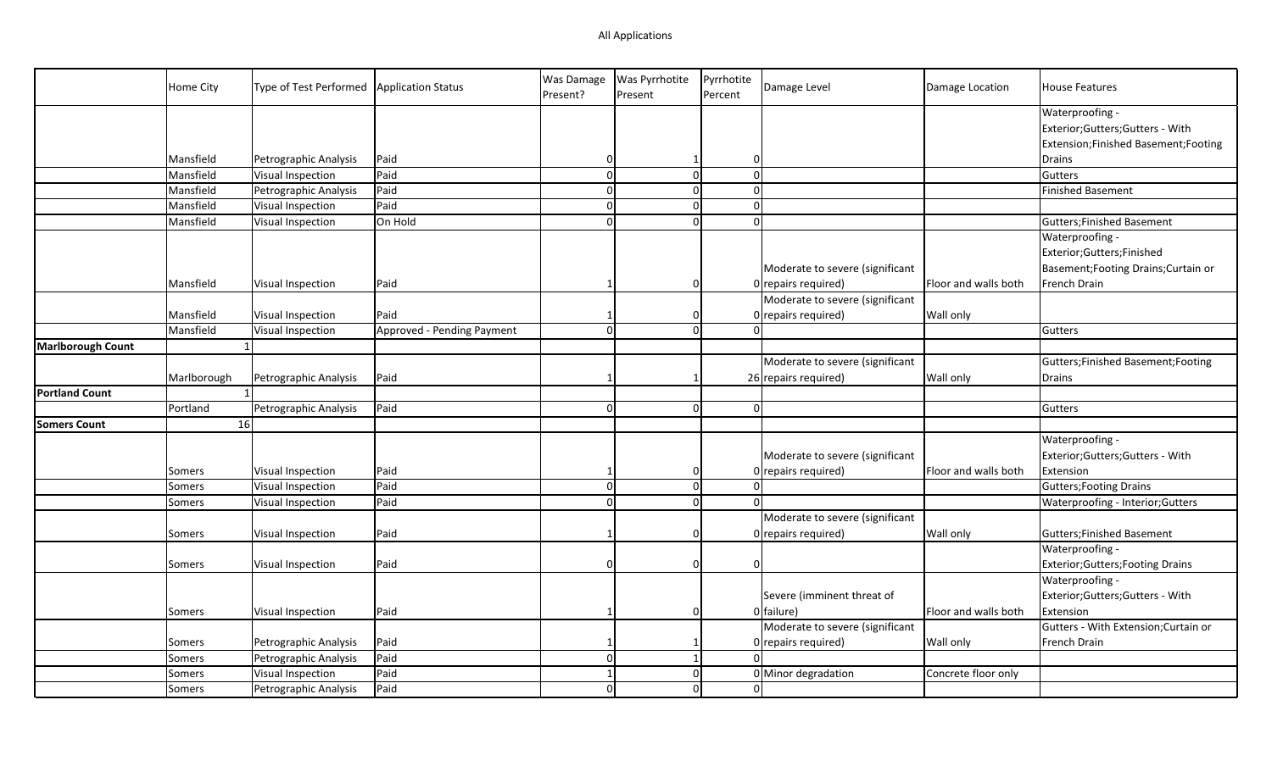|                          | Home City     | Type of Test Performed   Application Status |                            | Was Damage<br>Present? | Was Pyrrhotite<br>Present | Pyrrhotite<br>Percent | Damage Level                                             | Damage Location      | <b>House Features</b>                                                                     |
|--------------------------|---------------|---------------------------------------------|----------------------------|------------------------|---------------------------|-----------------------|----------------------------------------------------------|----------------------|-------------------------------------------------------------------------------------------|
|                          |               |                                             |                            |                        |                           |                       |                                                          |                      | Waterproofing -<br>Exterior;Gutters;Gutters - With<br>Extension;Finished Basement;Footing |
|                          | Mansfield     | Petrographic Analysis                       | Paid                       | $\Omega$               | $\mathbf{1}$              | $\Omega$              |                                                          |                      | Drains                                                                                    |
|                          | Mansfield     | Visual Inspection                           | Paid                       | $\Omega$               | $\mathbf 0$               | $\Omega$              |                                                          |                      | Gutters                                                                                   |
|                          | Mansfield     | Petrographic Analysis                       | Paid                       | $\Omega$               | $\Omega$                  |                       | $\Omega$                                                 |                      | Finished Basement                                                                         |
|                          | Mansfield     | Visual Inspection                           | Paid                       | $\Omega$               | $\overline{0}$            |                       | $\Omega$                                                 |                      |                                                                                           |
|                          | Mansfield     | Visual Inspection                           | On Hold                    | $\Omega$               | $\Omega$                  |                       | $\Omega$                                                 |                      | Gutters; Finished Basement                                                                |
|                          |               |                                             |                            |                        |                           |                       | Moderate to severe (significant                          |                      | Waterproofing -<br>Exterior;Gutters;Finished<br>Basement; Footing Drains; Curtain or      |
|                          | Mansfield     | Visual Inspection                           | Paid                       |                        | $\Omega$                  |                       | $0$ repairs required)                                    | Floor and walls both | French Drain                                                                              |
|                          | Mansfield     | Visual Inspection                           | Paid                       |                        | $\Omega$                  |                       | Moderate to severe (significant                          | <b>Wall only</b>     |                                                                                           |
|                          | Mansfield     | Visual Inspection                           | Approved - Pending Payment | $\Omega$               | $\Omega$                  |                       | $0$ repairs required)<br><sup>0</sup>                    |                      | Gutters                                                                                   |
| <b>Marlborough Count</b> |               |                                             |                            |                        |                           |                       |                                                          |                      |                                                                                           |
|                          |               |                                             |                            |                        |                           |                       | Moderate to severe (significant                          |                      | Gutters; Finished Basement; Footing                                                       |
|                          | Marlborough   | Petrographic Analysis                       | Paid                       |                        | $\mathbf{1}$              |                       | 26 repairs required)                                     | Wall only            | <b>Drains</b>                                                                             |
| <b>Portland Count</b>    |               | $\mathbf{1}$                                |                            |                        |                           |                       |                                                          |                      |                                                                                           |
|                          | Portland      | Petrographic Analysis                       | Paid                       | $\Omega$               | $\overline{0}$            |                       | $\Omega$                                                 |                      | Gutters                                                                                   |
| <b>Somers Count</b>      | 16            |                                             |                            |                        |                           |                       |                                                          |                      |                                                                                           |
|                          | Somers        | Visual Inspection                           | Paid                       |                        | $\Omega$                  |                       | Moderate to severe (significant<br>0 repairs required)   | Floor and walls both | Waterproofing -<br>Exterior; Gutters; Gutters - With<br>Extension                         |
|                          | <b>Somers</b> | Visual Inspection                           | Paid                       | $\Omega$               | $\mathbf 0$               |                       | $\Omega$                                                 |                      | Gutters; Footing Drains                                                                   |
|                          | Somers        | Visual Inspection                           | Paid                       | $\Omega$               | $\Omega$                  |                       | $\Omega$                                                 |                      | Waterproofing - Interior; Gutters                                                         |
|                          | Somers        | Visual Inspection                           | Paid                       |                        | $\mathbf 0$               |                       | Moderate to severe (significant<br>$0$ repairs required) | <b>Wall only</b>     | Gutters; Finished Basement                                                                |
|                          | Somers        | Visual Inspection                           | Paid                       | $\Omega$               | $\Omega$                  | $\Omega$              |                                                          |                      | Waterproofing -<br>Exterior; Gutters; Footing Drains                                      |
|                          | Somers        | Visual Inspection                           | Paid                       |                        | $\mathbf 0$               |                       | Severe (imminent threat of<br>0 failure)                 | Floor and walls both | Waterproofing -<br>Exterior; Gutters; Gutters - With<br>Extension                         |
|                          |               |                                             |                            |                        |                           |                       | Moderate to severe (significant                          |                      | Gutters - With Extension; Curtain or                                                      |
|                          | Somers        | Petrographic Analysis                       | Paid                       |                        | -1                        |                       | 0 repairs required)                                      | Wall only            | French Drain                                                                              |
|                          | Somers        | Petrographic Analysis                       | Paid                       | $\Omega$               | $\mathbf{1}$              |                       | $\Omega$                                                 |                      |                                                                                           |
|                          | Somers        | Visual Inspection                           | Paid                       |                        | $\mathbf 0$               |                       | 0 Minor degradation                                      | Concrete floor only  |                                                                                           |
|                          | Somers        | Petrographic Analysis                       | Paid                       | $\Omega$               | $\Omega$                  |                       | $\Omega$                                                 |                      |                                                                                           |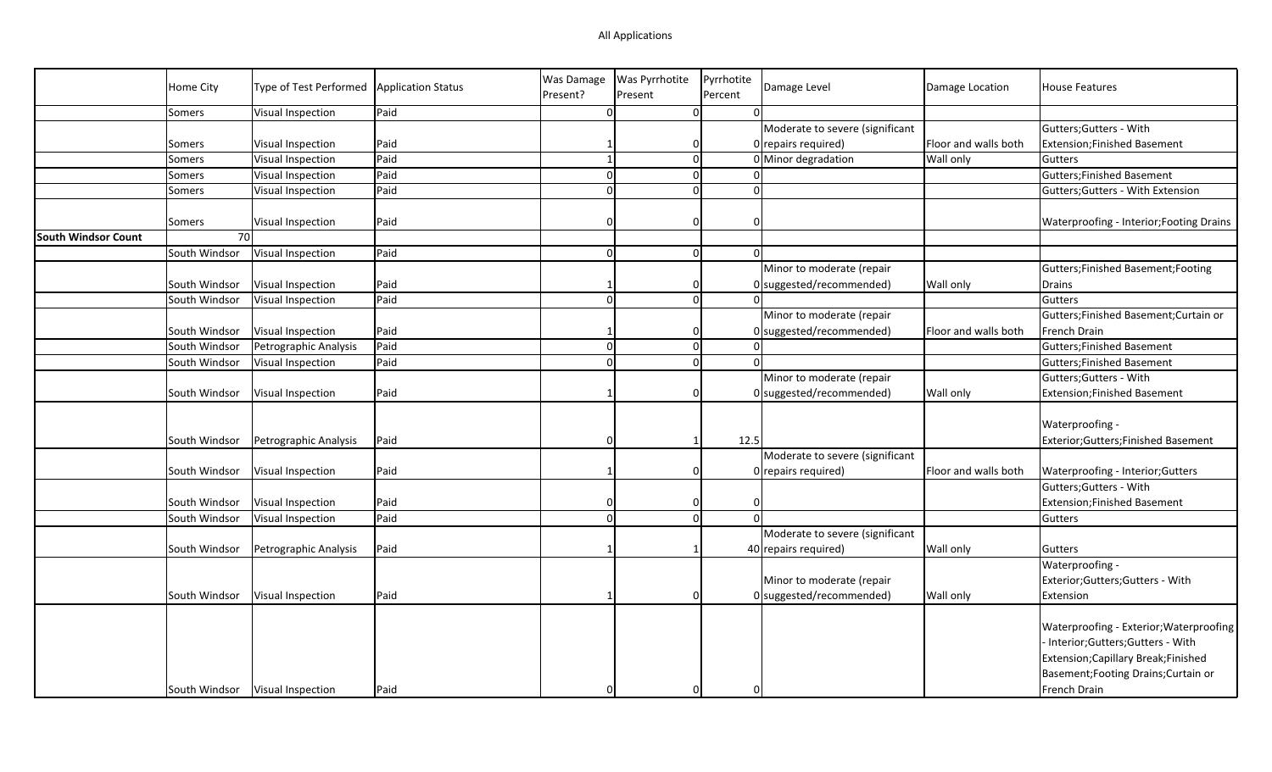## All Applications

|                            |               |                                             |      | Was Damage   | Was Pyrrhotite | Pyrrhotite           |                                 |                      |                                          |
|----------------------------|---------------|---------------------------------------------|------|--------------|----------------|----------------------|---------------------------------|----------------------|------------------------------------------|
|                            | Home City     | Type of Test Performed   Application Status |      | Present?     | Present        | Percent              | Damage Level                    | Damage Location      | <b>House Features</b>                    |
|                            | Somers        | Visual Inspection                           | Paid | $\Omega$     |                | 0                    |                                 |                      |                                          |
|                            |               |                                             |      |              |                |                      | Moderate to severe (significant |                      | Gutters; Gutters - With                  |
|                            | Somers        | Visual Inspection                           | Paid |              |                | 0                    | 0 repairs required)             | Floor and walls both | <b>Extension;Finished Basement</b>       |
|                            | Somers        | Visual Inspection                           | Paid | $\mathbf{1}$ |                | $\overline{0}$       | 0 Minor degradation             | Wall only            | Gutters                                  |
|                            | Somers        | Visual Inspection                           | Paid | $\Omega$     |                | $\Omega$             |                                 |                      | Gutters; Finished Basement               |
|                            | Somers        | <b>Visual Inspection</b>                    | Paid | $\Omega$     |                | $\overline{0}$<br>nl |                                 |                      | Gutters; Gutters - With Extension        |
|                            | Somers        | Visual Inspection                           | Paid | n            |                | 0                    |                                 |                      | Waterproofing - Interior; Footing Drains |
| <b>South Windsor Count</b> | 70            |                                             |      |              |                |                      |                                 |                      |                                          |
|                            | South Windsor | Visual Inspection                           | Paid | $\Omega$     |                | <sup>0</sup><br>0l   |                                 |                      |                                          |
|                            |               |                                             |      |              |                |                      | Minor to moderate (repair       |                      | Gutters; Finished Basement; Footing      |
|                            | South Windsor | Visual Inspection                           | Paid |              |                | $\Omega$             | $0$ suggested/recommended)      | Wall only            | Drains                                   |
|                            | South Windsor | Visual Inspection                           | Paid | $\Omega$     |                | $\overline{0}$       |                                 |                      | Gutters                                  |
|                            |               |                                             |      |              |                |                      | Minor to moderate (repair       |                      | Gutters; Finished Basement; Curtain or   |
|                            | South Windsor | Visual Inspection                           | Paid |              |                | <sup>0</sup>         | $0$ suggested/recommended)      | Floor and walls both | French Drain                             |
|                            | South Windsor | Petrographic Analysis                       | Paid | $\Omega$     |                | $\mathbf{0}$         |                                 |                      | <b>Gutters;Finished Basement</b>         |
|                            | South Windsor | Visual Inspection                           | Paid | $\Omega$     |                | $\mathbf 0$<br>n     |                                 |                      | Gutters; Finished Basement               |
|                            |               |                                             |      |              |                |                      | Minor to moderate (repair       |                      | Gutters; Gutters - With                  |
|                            | South Windsor | Visual Inspection                           | Paid |              |                | $\Omega$             | 0 suggested/recommended)        | Wall only            | <b>Extension;Finished Basement</b>       |
|                            |               |                                             |      |              |                |                      |                                 |                      |                                          |
|                            |               |                                             |      |              |                |                      |                                 |                      | Waterproofing -                          |
|                            | South Windsor | Petrographic Analysis                       | Paid | $\Omega$     |                | 12.5<br>1            |                                 |                      | Exterior;Gutters;Finished Basement       |
|                            |               |                                             |      |              |                |                      | Moderate to severe (significant |                      |                                          |
|                            | South Windsor | Visual Inspection                           | Paid |              |                | 0l                   | O repairs required)             | Floor and walls both | Waterproofing - Interior; Gutters        |
|                            |               |                                             |      |              |                |                      |                                 |                      | Gutters; Gutters - With                  |
|                            | South Windsor | Visual Inspection                           | Paid |              |                | 0                    |                                 |                      | <b>Extension;Finished Basement</b>       |
|                            | South Windsor | Visual Inspection                           | Paid | $\Omega$     |                | $\overline{0}$       |                                 |                      | Gutters                                  |
|                            |               |                                             |      |              |                |                      | Moderate to severe (significant |                      |                                          |
|                            | South Windsor | Petrographic Analysis                       | Paid |              |                |                      | 40 repairs required)            | Wall only            | Gutters                                  |
|                            |               |                                             |      |              |                |                      |                                 |                      | Waterproofing -                          |
|                            |               |                                             |      |              |                |                      | Minor to moderate (repair       |                      | Exterior;Gutters;Gutters - With          |
|                            | South Windsor | Visual Inspection                           | Paid |              |                | $\Omega$             | 0 suggested/recommended)        | <b>Wall only</b>     | Extension                                |
|                            |               |                                             |      |              |                |                      |                                 |                      |                                          |
|                            |               |                                             |      |              |                |                      |                                 |                      | Waterproofing - Exterior; Waterproofing  |
|                            |               |                                             |      |              |                |                      |                                 |                      | Interior;Gutters;Gutters - With          |
|                            |               |                                             |      |              |                |                      |                                 |                      | Extension; Capillary Break; Finished     |
|                            |               |                                             |      |              |                |                      |                                 |                      | Basement; Footing Drains; Curtain or     |
|                            | South Windsor | Visual Inspection                           | Paid |              |                | <sup>0</sup>         |                                 |                      | French Drain                             |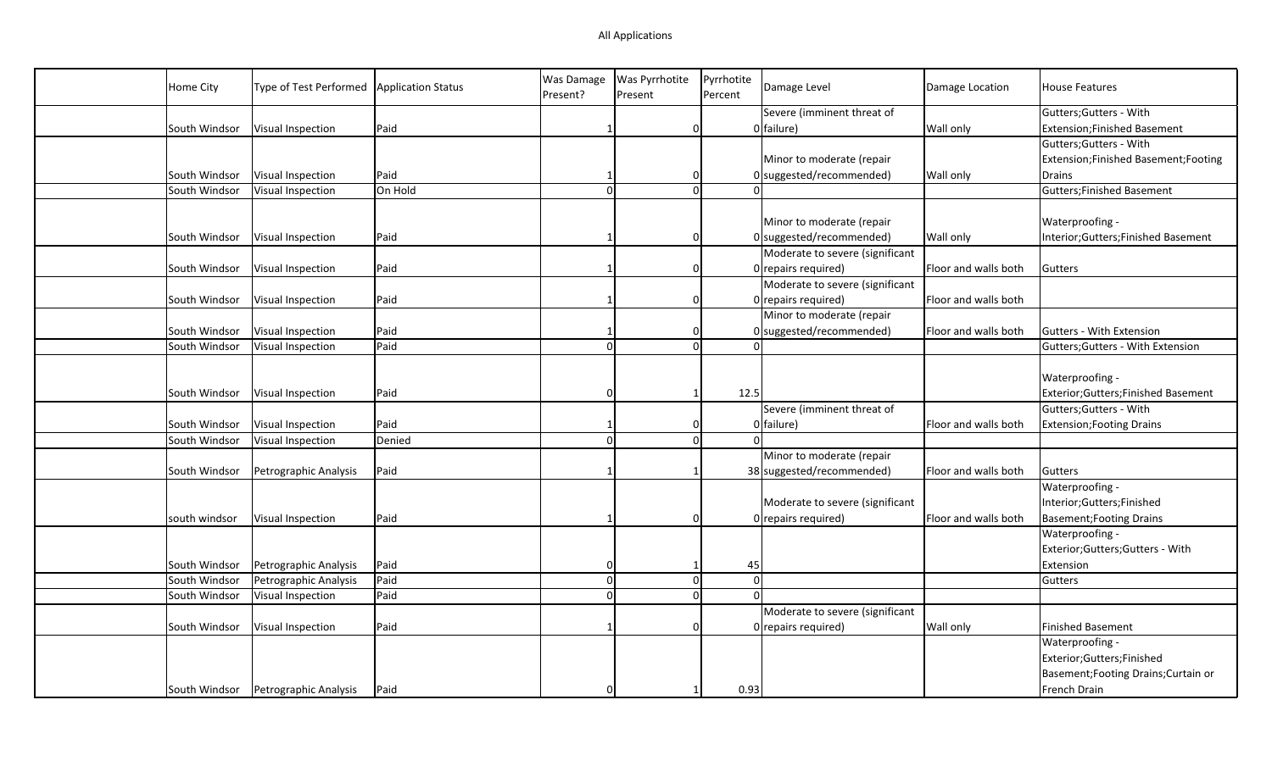| Home City     | Type of Test Performed                | <b>Application Status</b> | Was Damage | Was Pyrrhotite | Pyrrhotite | Damage Level                    | Damage Location      | <b>House Features</b>                 |
|---------------|---------------------------------------|---------------------------|------------|----------------|------------|---------------------------------|----------------------|---------------------------------------|
|               |                                       |                           | Present?   | Present        | Percent    |                                 |                      |                                       |
|               |                                       |                           |            |                |            | Severe (imminent threat of      |                      | Gutters; Gutters - With               |
| South Windsor | Visual Inspection                     | Paid                      |            | 0              |            | 0 failure)                      | Wall only            | Extension; Finished Basement          |
|               |                                       |                           |            |                |            |                                 |                      | Gutters; Gutters - With               |
|               |                                       |                           |            |                |            | Minor to moderate (repair       |                      | Extension; Finished Basement; Footing |
| South Windsor | Visual Inspection                     | Paid                      |            | $\Omega$       |            | $0$ suggested/recommended)      | Wall only            | <b>Drains</b>                         |
| South Windsor | Visual Inspection                     | On Hold                   | $\sqrt{ }$ | $\Omega$       |            |                                 |                      | Gutters; Finished Basement            |
|               |                                       |                           |            |                |            |                                 |                      |                                       |
|               |                                       |                           |            |                |            | Minor to moderate (repair       |                      | Waterproofing -                       |
| South Windsor | Visual Inspection                     | Paid                      |            | 0              |            | 0 suggested/recommended)        | <b>Wall only</b>     | Interior; Gutters; Finished Basement  |
|               |                                       |                           |            |                |            | Moderate to severe (significant |                      |                                       |
| South Windsor | Visual Inspection                     | Paid                      |            | $\Omega$       |            | 0 repairs required)             | Floor and walls both | Gutters                               |
|               |                                       |                           |            |                |            | Moderate to severe (significant |                      |                                       |
| South Windsor | Visual Inspection                     | Paid                      |            | $\Omega$       |            | 0 repairs required)             | Floor and walls both |                                       |
|               |                                       |                           |            |                |            | Minor to moderate (repair       |                      |                                       |
| South Windsor | Visual Inspection                     | Paid                      |            | $\Omega$       |            | $0$ suggested/recommended)      | Floor and walls both | <b>Gutters - With Extension</b>       |
| South Windsor | Visual Inspection                     | Paid                      | $\Omega$   | $\Omega$       |            |                                 |                      | Gutters; Gutters - With Extension     |
|               |                                       |                           |            |                |            |                                 |                      |                                       |
|               |                                       |                           |            |                |            |                                 |                      | Waterproofing -                       |
| South Windsor | Visual Inspection                     | Paid                      |            | $\mathbf{1}$   | 12.5       |                                 |                      | Exterior;Gutters;Finished Basement    |
|               |                                       |                           |            |                |            | Severe (imminent threat of      |                      | Gutters; Gutters - With               |
| South Windsor | Visual Inspection                     | Paid                      |            | $\Omega$       |            | 0 failure)                      | Floor and walls both | <b>Extension; Footing Drains</b>      |
| South Windsor | Visual Inspection                     | Denied                    | $\Omega$   | 0              |            | $\Omega$                        |                      |                                       |
|               |                                       |                           |            |                |            | Minor to moderate (repair       |                      |                                       |
| South Windsor | Petrographic Analysis                 | Paid                      |            |                |            | 38 suggested/recommended)       | Floor and walls both | Gutters                               |
|               |                                       |                           |            |                |            |                                 |                      | Waterproofing -                       |
|               |                                       |                           |            |                |            | Moderate to severe (significant |                      | Interior;Gutters;Finished             |
| south windsor | Visual Inspection                     | Paid                      |            | 0              |            | 0 repairs required)             | Floor and walls both | <b>Basement; Footing Drains</b>       |
|               |                                       |                           |            |                |            |                                 |                      | Waterproofing -                       |
|               |                                       |                           |            |                |            |                                 |                      | Exterior;Gutters;Gutters - With       |
|               |                                       |                           |            |                |            |                                 |                      |                                       |
| South Windsor | Petrographic Analysis                 | Paid                      | O          | -1             |            | 45                              |                      | Extension                             |
| South Windsor | Petrographic Analysis                 | Paid                      | $\Omega$   | $\Omega$       |            | $\Omega$                        |                      | Gutters                               |
| South Windsor | Visual Inspection                     | Paid                      | $\Omega$   | 0              |            | $\Omega$                        |                      |                                       |
|               |                                       |                           |            |                |            | Moderate to severe (significant |                      |                                       |
| South Windsor | Visual Inspection                     | Paid                      |            | $\Omega$       |            | 0 repairs required)             | Wall only            | Finished Basement                     |
|               |                                       |                           |            |                |            |                                 |                      | Waterproofing -                       |
|               |                                       |                           |            |                |            |                                 |                      | Exterior;Gutters;Finished             |
|               |                                       |                           |            |                |            |                                 |                      | Basement; Footing Drains; Curtain or  |
|               | South Windsor   Petrographic Analysis | Paid                      |            | -1             | 0.93       |                                 |                      | French Drain                          |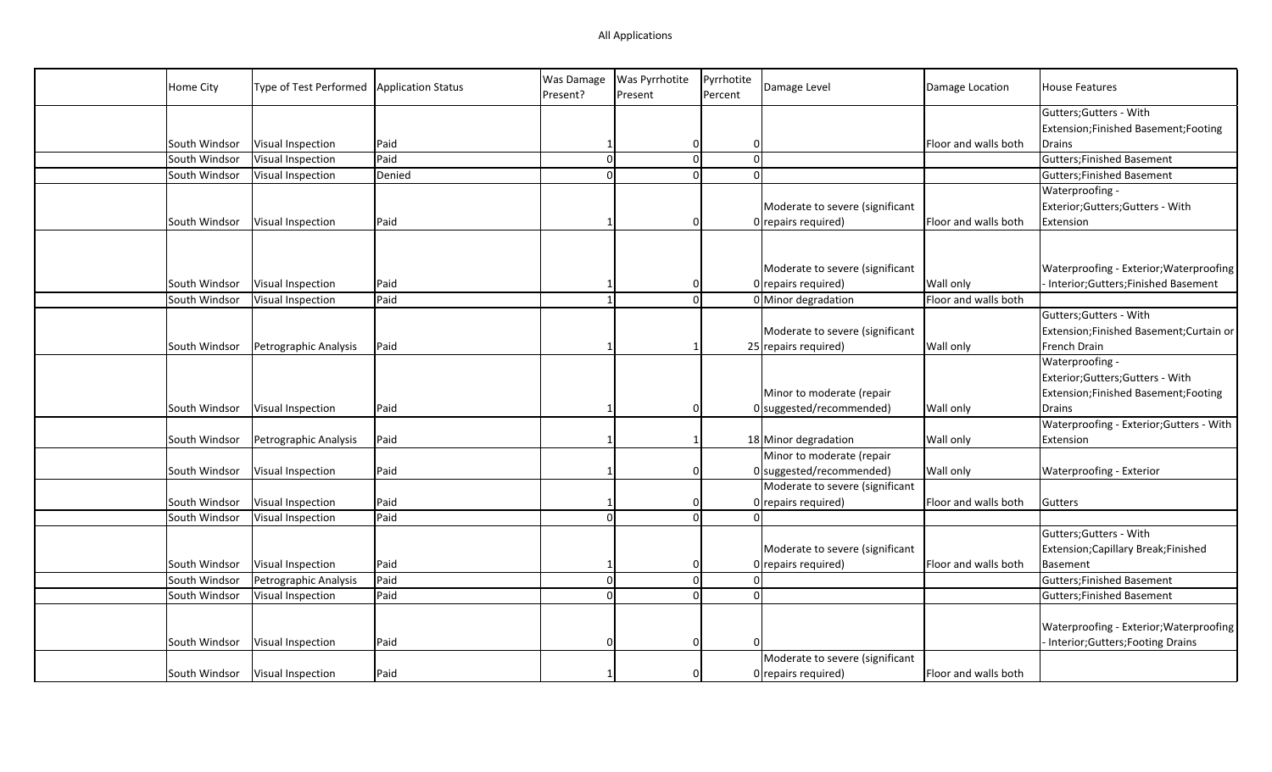| Home City     | Type of Test Performed | <b>Application Status</b> | Was Damage<br>Present? | <b>Was Pyrrhotite</b><br>Present | Pyrrhotite<br>Percent | Damage Level                                            | Damage Location                   | <b>House Features</b>                                                                     |
|---------------|------------------------|---------------------------|------------------------|----------------------------------|-----------------------|---------------------------------------------------------|-----------------------------------|-------------------------------------------------------------------------------------------|
|               |                        |                           |                        |                                  |                       |                                                         |                                   | Gutters; Gutters - With                                                                   |
|               |                        |                           |                        |                                  |                       |                                                         |                                   | Extension; Finished Basement; Footing                                                     |
| South Windsor | Visual Inspection      | Paid                      |                        | 0                                |                       |                                                         | Floor and walls both              | Drains                                                                                    |
| South Windsor | Visual Inspection      | Paid                      | $\Omega$               | $\overline{0}$                   | $\Omega$              |                                                         |                                   | <b>Gutters;Finished Basement</b>                                                          |
| South Windsor | Visual Inspection      | Denied                    |                        | $\Omega$                         | $\Omega$              |                                                         |                                   | <b>Gutters; Finished Basement</b>                                                         |
|               |                        |                           |                        |                                  |                       |                                                         |                                   | Waterproofing -                                                                           |
|               |                        |                           |                        |                                  |                       | Moderate to severe (significant                         |                                   | Exterior; Gutters; Gutters - With                                                         |
| South Windsor | Visual Inspection      | Paid                      |                        | $\Omega$                         |                       | $0$ repairs required)                                   | Floor and walls both              | Extension                                                                                 |
| South Windsor |                        |                           |                        |                                  |                       | Moderate to severe (significant                         |                                   | Waterproofing - Exterior; Waterproofing                                                   |
|               | Visual Inspection      | Paid                      |                        | 0                                |                       | $0$ repairs required)                                   | Wall only<br>Floor and walls both | Interior;Gutters;Finished Basement                                                        |
| South Windsor | Visual Inspection      | Paid                      |                        | $\overline{0}$                   |                       | 0 Minor degradation                                     |                                   | Gutters; Gutters - With                                                                   |
|               |                        |                           |                        |                                  |                       |                                                         |                                   |                                                                                           |
|               |                        | Paid                      |                        |                                  |                       | Moderate to severe (significant<br>25 repairs required) | Wall only                         | Extension;Finished Basement;Curtain or<br>French Drain                                    |
| South Windsor | Petrographic Analysis  |                           |                        |                                  |                       |                                                         |                                   | Waterproofing -                                                                           |
| South Windsor | Visual Inspection      | Paid                      |                        | 0                                |                       | Minor to moderate (repair<br>0 suggested/recommended)   | Wall only                         | Exterior; Gutters; Gutters - With<br>Extension;Finished Basement;Footing<br><b>Drains</b> |
|               |                        |                           |                        |                                  |                       |                                                         |                                   | Waterproofing - Exterior; Gutters - With                                                  |
| South Windsor | Petrographic Analysis  | Paid                      |                        |                                  |                       | 18 Minor degradation                                    | Wall only                         | Extension                                                                                 |
|               |                        |                           |                        |                                  |                       | Minor to moderate (repair                               |                                   |                                                                                           |
| South Windsor | Visual Inspection      | Paid                      |                        | $\overline{0}$                   |                       | $0$ suggested/recommended)                              | Wall only                         | Waterproofing - Exterior                                                                  |
|               |                        |                           |                        |                                  |                       | Moderate to severe (significant                         |                                   |                                                                                           |
| South Windsor | Visual Inspection      | Paid                      |                        | $\Omega$                         |                       | $0$ repairs required)                                   | Floor and walls both              | Gutters                                                                                   |
| South Windsor | Visual Inspection      | Paid                      |                        | $\Omega$                         |                       |                                                         |                                   |                                                                                           |
|               |                        |                           |                        |                                  |                       |                                                         |                                   | Gutters; Gutters - With                                                                   |
|               |                        |                           |                        |                                  |                       | Moderate to severe (significant                         |                                   | Extension; Capillary Break; Finished                                                      |
| South Windsor | Visual Inspection      | Paid                      |                        | $\Omega$                         |                       | $0$ repairs required)                                   | Floor and walls both              | <b>Basement</b>                                                                           |
| South Windsor | Petrographic Analysis  | Paid                      |                        | $\mathbf{0}$                     | $\Omega$              |                                                         |                                   | <b>Gutters;Finished Basement</b>                                                          |
| South Windsor | Visual Inspection      | Paid                      |                        | $\Omega$                         | $\Omega$              |                                                         |                                   | <b>Gutters; Finished Basement</b>                                                         |
| South Windsor | Visual Inspection      | Paid                      |                        | $\Omega$                         |                       |                                                         |                                   | Waterproofing - Exterior; Waterproofing<br>Interior; Gutters; Footing Drains              |
|               |                        |                           |                        |                                  |                       | Moderate to severe (significant                         |                                   |                                                                                           |
| South Windsor | Visual Inspection      | Paid                      |                        | $\Omega$                         |                       | 0 repairs required)                                     | Floor and walls both              |                                                                                           |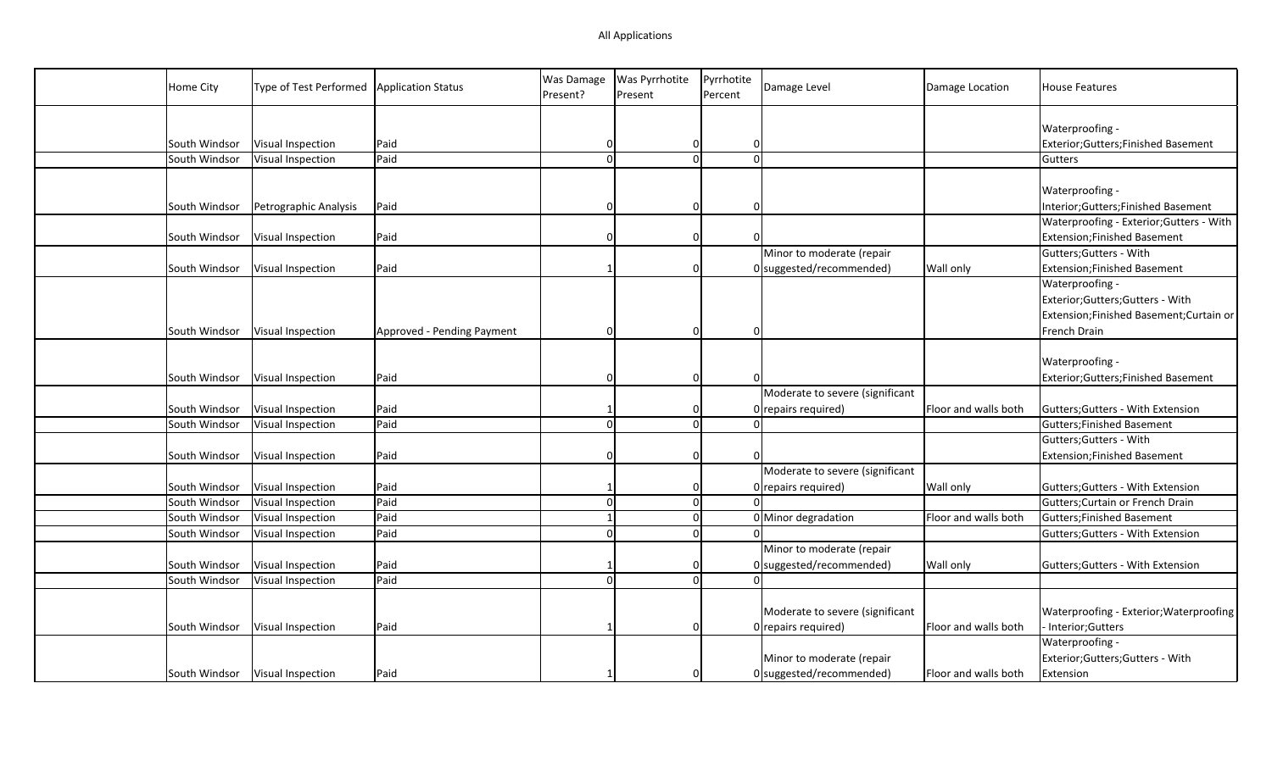| Home City     | Type of Test Performed            | <b>Application Status</b>  | Was Damage<br>Present? | Was Pyrrhotite<br>Present | Pyrrhotite<br>Percent | Damage Level                    | Damage Location      | <b>House Features</b>                    |
|---------------|-----------------------------------|----------------------------|------------------------|---------------------------|-----------------------|---------------------------------|----------------------|------------------------------------------|
|               |                                   |                            |                        |                           |                       |                                 |                      |                                          |
|               |                                   |                            |                        |                           |                       |                                 |                      | Waterproofing -                          |
| South Windsor | Visual Inspection                 | Paid                       | 0                      | 0                         | 0                     |                                 |                      | Exterior;Gutters;Finished Basement       |
| South Windsor | Visual Inspection                 | Paid                       | $\Omega$               | $\Omega$                  |                       | $\Omega$                        |                      | Gutters                                  |
|               |                                   |                            |                        |                           |                       |                                 |                      |                                          |
|               |                                   |                            |                        |                           |                       |                                 |                      | Waterproofing -                          |
| South Windsor | Petrographic Analysis             | Paid                       |                        | $\Omega$                  | $\Omega$              |                                 |                      | Interior; Gutters; Finished Basement     |
|               |                                   |                            |                        |                           |                       |                                 |                      | Waterproofing - Exterior; Gutters - With |
| South Windsor | Visual Inspection                 | Paid                       | O                      | $\Omega$                  |                       |                                 |                      | <b>Extension;Finished Basement</b>       |
|               |                                   |                            |                        |                           |                       | Minor to moderate (repair       |                      | Gutters; Gutters - With                  |
| South Windsor | Visual Inspection                 | Paid                       |                        | $\Omega$                  |                       | 0 suggested/recommended)        | Wall only            | <b>Extension;Finished Basement</b>       |
|               |                                   |                            |                        |                           |                       |                                 |                      | Waterproofing -                          |
|               |                                   |                            |                        |                           |                       |                                 |                      | Exterior;Gutters;Gutters - With          |
|               |                                   |                            |                        |                           |                       |                                 |                      | Extension;Finished Basement;Curtain or   |
| South Windsor | Visual Inspection                 | Approved - Pending Payment | O                      | $\Omega$                  | $\Omega$              |                                 |                      | French Drain                             |
|               |                                   |                            |                        |                           |                       |                                 |                      |                                          |
|               |                                   |                            |                        |                           |                       |                                 |                      | Waterproofing -                          |
| South Windsor | Visual Inspection                 | Paid                       |                        | $\Omega$                  |                       |                                 |                      | Exterior;Gutters;Finished Basement       |
|               |                                   |                            |                        |                           |                       | Moderate to severe (significant |                      |                                          |
| South Windsor | Visual Inspection                 | Paid                       |                        | $\Omega$                  |                       | 0 repairs required)             | Floor and walls both | Gutters; Gutters - With Extension        |
| South Windsor | Visual Inspection                 | Paid                       | $\Omega$               | $\Omega$                  |                       | $\Omega$                        |                      | <b>Gutters; Finished Basement</b>        |
|               |                                   |                            |                        |                           |                       |                                 |                      | Gutters; Gutters - With                  |
| South Windsor | Visual Inspection                 | Paid                       |                        | $\Omega$                  |                       |                                 |                      | <b>Extension;Finished Basement</b>       |
|               |                                   |                            |                        |                           |                       | Moderate to severe (significant |                      |                                          |
| South Windsor | Visual Inspection                 | Paid                       |                        | 0                         |                       | 0 repairs required)             | <b>Wall only</b>     | Gutters; Gutters - With Extension        |
| South Windsor | Visual Inspection                 | Paid                       | $\Omega$               | 0                         |                       |                                 |                      | Gutters; Curtain or French Drain         |
| South Windsor | Visual Inspection                 | Paid                       |                        | $\overline{0}$            |                       | 0 Minor degradation             | Floor and walls both | <b>Gutters; Finished Basement</b>        |
| South Windsor | Visual Inspection                 | Paid                       | $\Omega$               | $\Omega$                  |                       |                                 |                      | Gutters; Gutters - With Extension        |
|               |                                   |                            |                        |                           |                       | Minor to moderate (repair       |                      |                                          |
| South Windsor | Visual Inspection                 | Paid                       |                        | 0                         |                       | 0 suggested/recommended)        | Wall only            | Gutters; Gutters - With Extension        |
| South Windsor | Visual Inspection                 | Paid                       | $\Omega$               | $\Omega$                  |                       | $\Omega$                        |                      |                                          |
|               |                                   |                            |                        |                           |                       |                                 |                      |                                          |
|               |                                   |                            |                        |                           |                       | Moderate to severe (significant |                      | Waterproofing - Exterior; Waterproofing  |
| South Windsor | Visual Inspection                 | Paid                       |                        | $\Omega$                  |                       | $0$ repairs required)           | Floor and walls both | Interior; Gutters                        |
|               |                                   |                            |                        |                           |                       |                                 |                      | Waterproofing -                          |
|               |                                   |                            |                        |                           |                       | Minor to moderate (repair       |                      | Exterior;Gutters;Gutters - With          |
|               | South Windsor   Visual Inspection | Paid                       |                        | $\Omega$                  |                       | 0 suggested/recommended)        | Floor and walls both | Extension                                |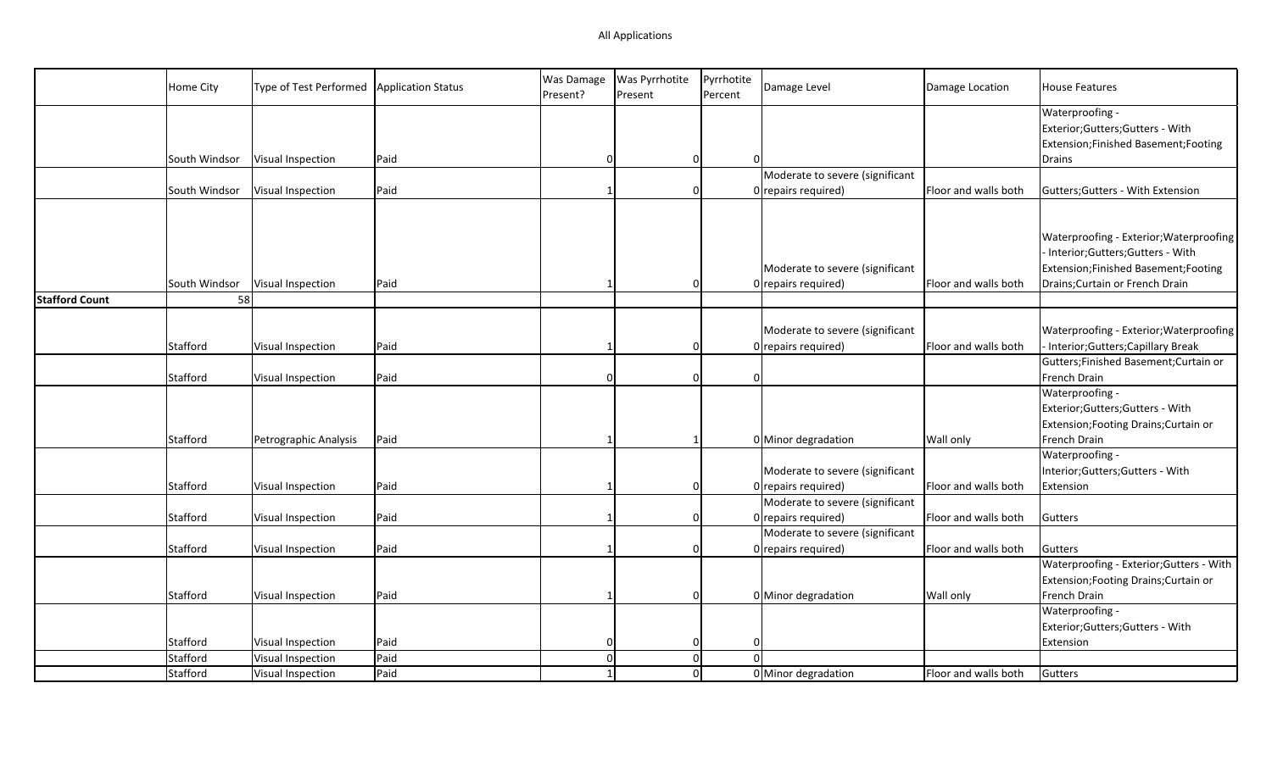|                       | Home City     | Type of Test Performed | <b>Application Status</b> | Was Damage<br>Present? | Was Pyrrhotite<br>Present | Pyrrhotite<br>Percent | Damage Level                    | Damage Location      | <b>House Features</b>                    |
|-----------------------|---------------|------------------------|---------------------------|------------------------|---------------------------|-----------------------|---------------------------------|----------------------|------------------------------------------|
|                       |               |                        |                           |                        |                           |                       |                                 |                      | Waterproofing -                          |
|                       |               |                        |                           |                        |                           |                       |                                 |                      | Exterior;Gutters;Gutters - With          |
|                       |               |                        |                           |                        |                           |                       |                                 |                      | Extension;Finished Basement;Footing      |
|                       | South Windsor | Visual Inspection      | Paid                      | $\Omega$               | $\Omega$                  | $\Omega$              |                                 |                      | Drains                                   |
|                       |               |                        |                           |                        |                           |                       | Moderate to severe (significant |                      |                                          |
|                       | South Windsor | Visual Inspection      | Paid                      |                        | $\Omega$                  |                       | $0$ repairs required)           | Floor and walls both | Gutters; Gutters - With Extension        |
|                       |               |                        |                           |                        |                           |                       |                                 |                      |                                          |
|                       |               |                        |                           |                        |                           |                       |                                 |                      |                                          |
|                       |               |                        |                           |                        |                           |                       |                                 |                      | Waterproofing - Exterior; Waterproofing  |
|                       |               |                        |                           |                        |                           |                       |                                 |                      | Interior;Gutters;Gutters - With          |
|                       |               |                        |                           |                        |                           |                       | Moderate to severe (significant |                      | Extension;Finished Basement;Footing      |
|                       | South Windsor | Visual Inspection      | Paid                      |                        | $\Omega$                  |                       | $0$ repairs required)           | Floor and walls both | Drains; Curtain or French Drain          |
| <b>Stafford Count</b> | 58            |                        |                           |                        |                           |                       |                                 |                      |                                          |
|                       |               |                        |                           |                        |                           |                       |                                 |                      |                                          |
|                       |               |                        |                           |                        |                           |                       | Moderate to severe (significant |                      | Waterproofing - Exterior; Waterproofing  |
|                       | Stafford      | Visual Inspection      | Paid                      |                        | $\Omega$                  |                       | 0 repairs required)             | Floor and walls both | - Interior; Gutters; Capillary Break     |
|                       |               |                        |                           |                        |                           |                       |                                 |                      | Gutters;Finished Basement;Curtain or     |
|                       | Stafford      | Visual Inspection      | Paid                      |                        | $\Omega$                  | $\Omega$              |                                 |                      | French Drain                             |
|                       |               |                        |                           |                        |                           |                       |                                 |                      | Waterproofing -                          |
|                       |               |                        |                           |                        |                           |                       |                                 |                      | Exterior;Gutters;Gutters - With          |
|                       |               |                        |                           |                        |                           |                       |                                 |                      | Extension; Footing Drains; Curtain or    |
|                       | Stafford      | Petrographic Analysis  | Paid                      |                        |                           |                       | 0 Minor degradation             | <b>Wall only</b>     | French Drain                             |
|                       |               |                        |                           |                        |                           |                       |                                 |                      | Waterproofing -                          |
|                       |               |                        |                           |                        |                           |                       | Moderate to severe (significant |                      | Interior;Gutters;Gutters - With          |
|                       | Stafford      | Visual Inspection      | Paid                      |                        | $\Omega$                  |                       | $0$ repairs required)           | Floor and walls both | Extension                                |
|                       |               |                        |                           |                        |                           |                       | Moderate to severe (significant |                      |                                          |
|                       | Stafford      | Visual Inspection      | Paid                      |                        | $\Omega$                  |                       | 0 repairs required)             | Floor and walls both | Gutters                                  |
|                       |               |                        |                           |                        |                           |                       | Moderate to severe (significant |                      |                                          |
|                       | Stafford      | Visual Inspection      | Paid                      |                        | $\Omega$                  |                       | $0$ repairs required)           | Floor and walls both | Gutters                                  |
|                       |               |                        |                           |                        |                           |                       |                                 |                      | Waterproofing - Exterior; Gutters - With |
|                       |               |                        |                           |                        |                           |                       |                                 |                      | Extension; Footing Drains; Curtain or    |
|                       | Stafford      | Visual Inspection      | Paid                      |                        | $\Omega$                  |                       | 0 Minor degradation             | <b>Wall only</b>     | French Drain                             |
|                       |               |                        |                           |                        |                           |                       |                                 |                      | Waterproofing -                          |
|                       |               |                        |                           |                        |                           |                       |                                 |                      | Exterior;Gutters;Gutters - With          |
|                       | Stafford      | Visual Inspection      | Paid                      | 0                      | 0                         | $\Omega$              |                                 |                      | Extension                                |
|                       | Stafford      | Visual Inspection      | Paid                      | $\overline{0}$         | 0                         | $\Omega$              |                                 |                      |                                          |
|                       | Stafford      | Visual Inspection      | Paid                      |                        | 0                         |                       | 0 Minor degradation             | Floor and walls both | Gutters                                  |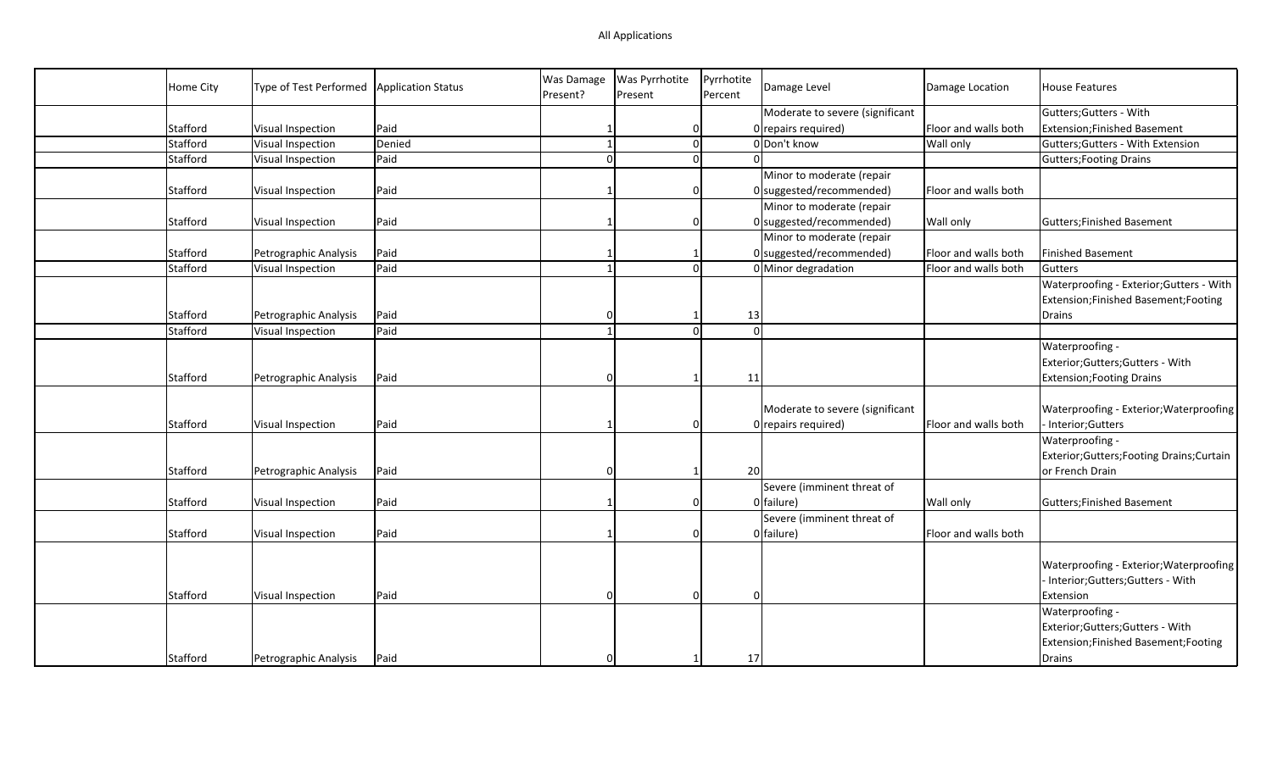| Home City | Type of Test Performed | Application Status | <b>Was Damage</b><br>Present? | Was Pyrrhotite<br>Present | Pyrrhotite<br>Percent | Damage Level                                           | Damage Location      | <b>House Features</b>                                                      |
|-----------|------------------------|--------------------|-------------------------------|---------------------------|-----------------------|--------------------------------------------------------|----------------------|----------------------------------------------------------------------------|
|           |                        |                    |                               |                           |                       | Moderate to severe (significant                        |                      | Gutters; Gutters - With                                                    |
| Stafford  | Visual Inspection      | Paid               |                               | 0                         |                       | 0 repairs required)                                    | Floor and walls both | Extension; Finished Basement                                               |
| Stafford  | Visual Inspection      | Denied             |                               | 0                         |                       | 0 Don't know                                           | <b>Wall only</b>     | Gutters; Gutters - With Extension                                          |
| Stafford  | Visual Inspection      | Paid               |                               | $\Omega$                  |                       |                                                        |                      | <b>Gutters; Footing Drains</b>                                             |
|           |                        |                    |                               |                           |                       | Minor to moderate (repair                              |                      |                                                                            |
| Stafford  | Visual Inspection      | Paid               |                               | 0                         |                       | $0$ suggested/recommended)                             | Floor and walls both |                                                                            |
|           |                        |                    |                               |                           |                       | Minor to moderate (repair                              |                      |                                                                            |
| Stafford  | Visual Inspection      | Paid               |                               | $\Omega$                  |                       | $0$ suggested/recommended)                             | Wall only            | Gutters; Finished Basement                                                 |
|           |                        |                    |                               |                           |                       | Minor to moderate (repair                              |                      |                                                                            |
| Stafford  | Petrographic Analysis  | Paid               |                               |                           |                       | $0$ suggested/recommended)                             | Floor and walls both | <b>Finished Basement</b>                                                   |
| Stafford  | Visual Inspection      | Paid               |                               | $\Omega$                  |                       | $0$ Minor degradation                                  | Floor and walls both | Gutters                                                                    |
|           |                        |                    |                               |                           |                       |                                                        |                      | Waterproofing - Exterior; Gutters - With                                   |
|           |                        |                    |                               |                           |                       |                                                        |                      | Extension;Finished Basement;Footing                                        |
| Stafford  | Petrographic Analysis  | Paid               |                               |                           |                       | 13                                                     |                      | Drains                                                                     |
| Stafford  | Visual Inspection      | Paid               |                               | $\Omega$                  |                       | $\Omega$                                               |                      |                                                                            |
|           |                        |                    |                               |                           |                       |                                                        |                      | Waterproofing -                                                            |
|           |                        |                    |                               |                           |                       |                                                        |                      | Exterior;Gutters;Gutters - With                                            |
| Stafford  | Petrographic Analysis  | Paid               |                               |                           |                       | 11                                                     |                      | <b>Extension; Footing Drains</b>                                           |
| Stafford  | Visual Inspection      | Paid               |                               | $\Omega$                  |                       | Moderate to severe (significant<br>0 repairs required) | Floor and walls both | Waterproofing - Exterior; Waterproofing<br>- Interior; Gutters             |
|           |                        |                    |                               |                           |                       |                                                        |                      | Waterproofing -                                                            |
|           |                        |                    |                               |                           |                       |                                                        |                      | Exterior;Gutters;Footing Drains;Curtain                                    |
| Stafford  | Petrographic Analysis  | Paid               |                               |                           |                       | 20                                                     |                      | or French Drain                                                            |
|           |                        |                    |                               |                           |                       | Severe (imminent threat of                             |                      |                                                                            |
| Stafford  | Visual Inspection      | Paid               |                               | $\Omega$                  |                       | 0 failure)                                             | Wall only            | Gutters; Finished Basement                                                 |
|           |                        |                    |                               |                           |                       | Severe (imminent threat of                             |                      |                                                                            |
| Stafford  | Visual Inspection      | Paid               |                               | $\Omega$                  |                       | 0 failure)                                             | Floor and walls both |                                                                            |
|           |                        |                    |                               |                           |                       |                                                        |                      | Waterproofing - Exterior; Waterproofing<br>Interior;Gutters;Gutters - With |
| Stafford  | Visual Inspection      | Paid               |                               | $\Omega$                  |                       | $\Omega$                                               |                      | Extension                                                                  |
|           |                        |                    |                               |                           |                       |                                                        |                      | Waterproofing -                                                            |
|           |                        |                    |                               |                           |                       |                                                        |                      | Exterior;Gutters;Gutters - With                                            |
|           |                        |                    |                               |                           |                       |                                                        |                      | Extension;Finished Basement;Footing                                        |
| Stafford  | Petrographic Analysis  | Paid               | O                             |                           |                       | 17                                                     |                      | Drains                                                                     |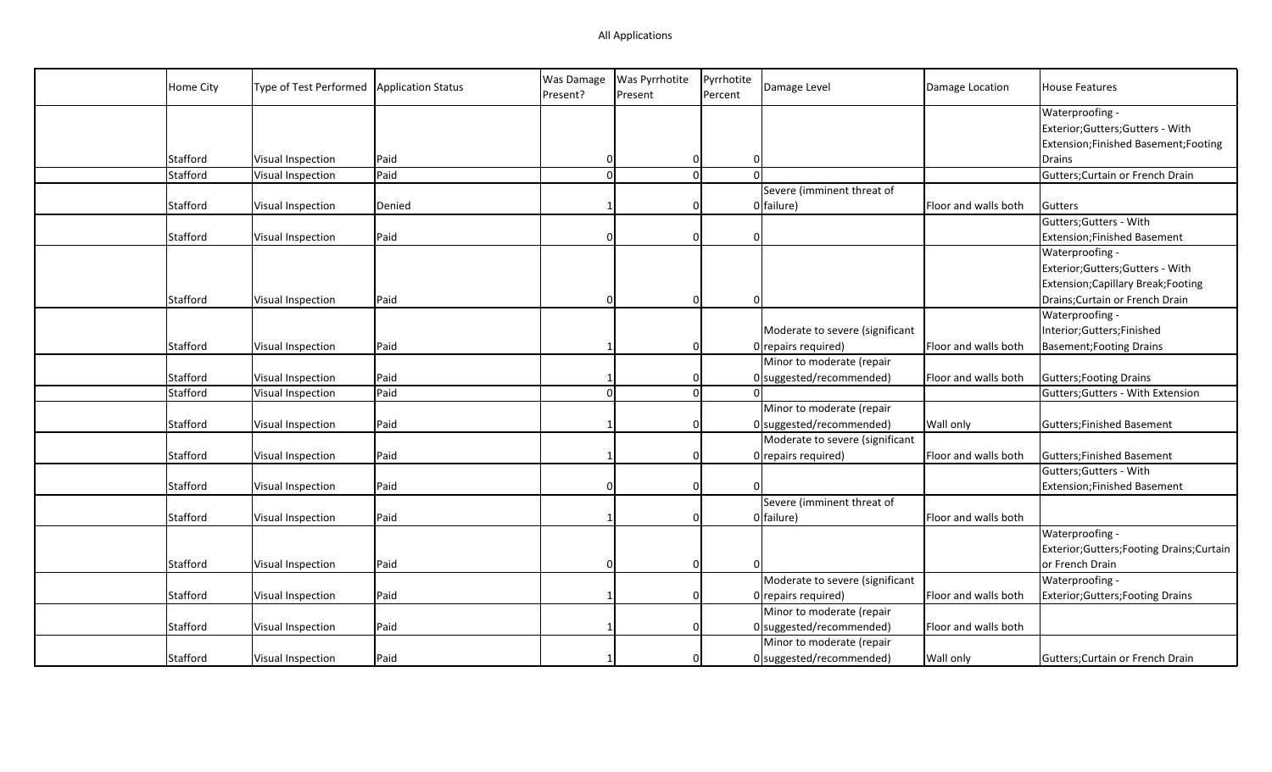| Home City | Type of Test Performed | <b>Application Status</b> | <b>Was Damage</b><br>Present? | Was Pyrrhotite<br>Present | Pyrrhotite<br>Percent         | Damage Level                    | Damage Location      | <b>House Features</b>                      |
|-----------|------------------------|---------------------------|-------------------------------|---------------------------|-------------------------------|---------------------------------|----------------------|--------------------------------------------|
|           |                        |                           |                               |                           |                               |                                 |                      | Waterproofing -                            |
|           |                        |                           |                               |                           |                               |                                 |                      | Exterior; Gutters; Gutters - With          |
|           |                        |                           |                               |                           |                               |                                 |                      | Extension; Finished Basement; Footing      |
| Stafford  | Visual Inspection      | Paid                      | 0                             |                           | 0<br>$\overline{0}$           |                                 |                      | Drains                                     |
| Stafford  | Visual Inspection      | Paid                      | $\Omega$                      |                           | $\mathbf 0$                   | $\Omega$                        |                      | Gutters; Curtain or French Drain           |
|           |                        |                           |                               |                           |                               | Severe (imminent threat of      |                      |                                            |
| Stafford  | Visual Inspection      | Denied                    |                               |                           | $\Omega$                      | 0 failure)                      | Floor and walls both | Gutters                                    |
|           |                        |                           |                               |                           |                               |                                 |                      | Gutters; Gutters - With                    |
| Stafford  | Visual Inspection      | Paid                      | n                             |                           | $\mathbf 0$<br>$\overline{0}$ |                                 |                      | <b>Extension;Finished Basement</b>         |
|           |                        |                           |                               |                           |                               |                                 |                      | Waterproofing -                            |
|           |                        |                           |                               |                           |                               |                                 |                      | Exterior; Gutters; Gutters - With          |
|           |                        |                           |                               |                           |                               |                                 |                      | Extension; Capillary Break; Footing        |
| Stafford  | Visual Inspection      | Paid                      |                               |                           | $\Omega$<br>$\overline{0}$    |                                 |                      | Drains; Curtain or French Drain            |
|           |                        |                           |                               |                           |                               |                                 |                      | Waterproofing -                            |
|           |                        |                           |                               |                           |                               | Moderate to severe (significant |                      | Interior;Gutters;Finished                  |
| Stafford  | Visual Inspection      | Paid                      |                               |                           | 0                             | $0$ repairs required)           | Floor and walls both | Basement; Footing Drains                   |
|           |                        |                           |                               |                           |                               | Minor to moderate (repair       |                      |                                            |
| Stafford  | Visual Inspection      | Paid                      |                               |                           | 0                             | 0 suggested/recommended)        | Floor and walls both | Gutters; Footing Drains                    |
| Stafford  | Visual Inspection      | Paid                      | $\Omega$                      |                           | 0                             |                                 |                      | Gutters; Gutters - With Extension          |
|           |                        |                           |                               |                           |                               | Minor to moderate (repair       |                      |                                            |
| Stafford  | Visual Inspection      | Paid                      |                               |                           | 0                             | $0$ suggested/recommended)      | <b>Wall only</b>     | Gutters; Finished Basement                 |
|           |                        |                           |                               |                           |                               | Moderate to severe (significant |                      |                                            |
| Stafford  | Visual Inspection      | Paid                      |                               |                           | $\Omega$                      | $0$ repairs required)           | Floor and walls both | Gutters; Finished Basement                 |
|           |                        |                           |                               |                           |                               |                                 |                      | Gutters; Gutters - With                    |
| Stafford  | Visual Inspection      | Paid                      |                               |                           | 0<br>0                        |                                 |                      | <b>Extension;Finished Basement</b>         |
|           |                        |                           |                               |                           |                               | Severe (imminent threat of      |                      |                                            |
| Stafford  | Visual Inspection      | Paid                      |                               |                           | 0                             | 0 failure)                      | Floor and walls both |                                            |
|           |                        |                           |                               |                           |                               |                                 |                      | Waterproofing -                            |
|           |                        |                           |                               |                           |                               |                                 |                      | Exterior; Gutters; Footing Drains; Curtain |
| Stafford  | Visual Inspection      | Paid                      | <sup>0</sup>                  |                           | $\mathbf 0$                   |                                 |                      | or French Drain                            |
|           |                        |                           |                               |                           |                               | Moderate to severe (significant |                      | Waterproofing -                            |
| Stafford  | Visual Inspection      | Paid                      |                               |                           | 0                             | $0$ repairs required)           | Floor and walls both | Exterior; Gutters; Footing Drains          |
|           |                        |                           |                               |                           |                               | Minor to moderate (repair       |                      |                                            |
| Stafford  | Visual Inspection      | Paid                      |                               |                           | $\Omega$                      | 0 suggested/recommended)        | Floor and walls both |                                            |
|           |                        |                           |                               |                           |                               | Minor to moderate (repair       |                      |                                            |
| Stafford  | Visual Inspection      | Paid                      |                               |                           | $\overline{0}$                | 0 suggested/recommended)        | <b>Wall only</b>     | Gutters; Curtain or French Drain           |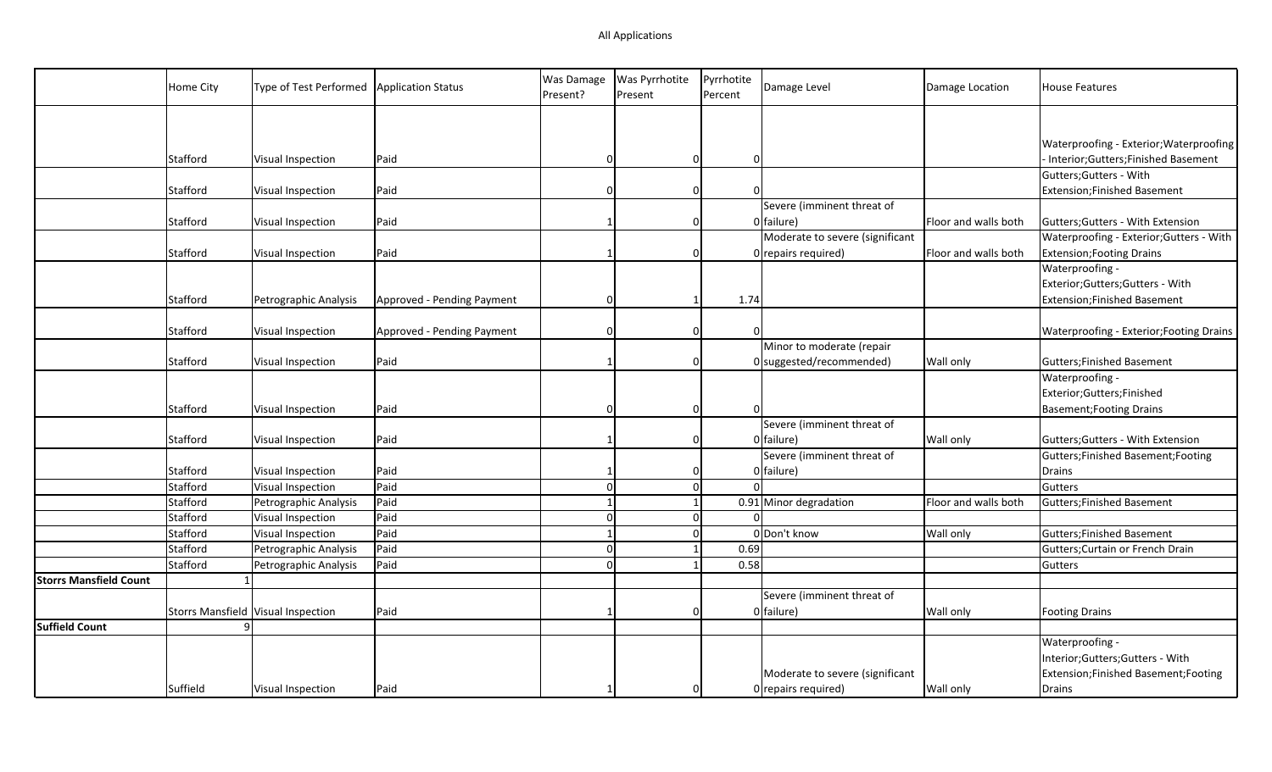|                               | Home City | Type of Test Performed   Application Status |                            | Was Damage<br>Present? | <b>Was Pyrrhotite</b><br>Present | Pyrrhotite<br>Percent         | Damage Level                    | Damage Location      | <b>House Features</b>                    |
|-------------------------------|-----------|---------------------------------------------|----------------------------|------------------------|----------------------------------|-------------------------------|---------------------------------|----------------------|------------------------------------------|
|                               |           |                                             |                            |                        |                                  |                               |                                 |                      |                                          |
|                               |           |                                             |                            |                        |                                  |                               |                                 |                      | Waterproofing - Exterior; Waterproofing  |
|                               | Stafford  | Visual Inspection                           | Paid                       | n                      |                                  | $\Omega$<br>$\Omega$          |                                 |                      | Interior;Gutters;Finished Basement       |
|                               |           |                                             |                            |                        |                                  |                               |                                 |                      | Gutters; Gutters - With                  |
|                               | Stafford  | Visual Inspection                           | Paid                       | 0                      |                                  | $\mathbf 0$<br>$\Omega$       |                                 |                      | Extension; Finished Basement             |
|                               |           |                                             |                            |                        |                                  |                               | Severe (imminent threat of      |                      |                                          |
|                               | Stafford  | Visual Inspection                           | Paid                       |                        |                                  | $\Omega$                      | 0 failure)                      | Floor and walls both | Gutters; Gutters - With Extension        |
|                               |           |                                             |                            |                        |                                  |                               | Moderate to severe (significant |                      | Waterproofing - Exterior; Gutters - With |
|                               | Stafford  | Visual Inspection                           | Paid                       |                        |                                  | $\Omega$                      | 0 repairs required)             | Floor and walls both | <b>Extension; Footing Drains</b>         |
|                               |           |                                             |                            |                        |                                  |                               |                                 |                      | Waterproofing -                          |
|                               |           |                                             |                            |                        |                                  |                               |                                 |                      | Exterior; Gutters; Gutters - With        |
|                               | Stafford  | Petrographic Analysis                       | Approved - Pending Payment | $\Omega$               |                                  | 1.74<br>$\mathbf{1}$          |                                 |                      | Extension; Finished Basement             |
|                               |           |                                             |                            |                        |                                  |                               |                                 |                      |                                          |
|                               | Stafford  | Visual Inspection                           | Approved - Pending Payment |                        |                                  | $\overline{0}$                |                                 |                      | Waterproofing - Exterior; Footing Drains |
|                               |           |                                             |                            |                        |                                  |                               | Minor to moderate (repair       |                      |                                          |
|                               | Stafford  | Visual Inspection                           | Paid                       |                        |                                  | $\Omega$                      | 0 suggested/recommended)        | Wall only            | Gutters; Finished Basement               |
|                               |           |                                             |                            |                        |                                  |                               |                                 |                      | Waterproofing -                          |
|                               |           |                                             |                            |                        |                                  |                               |                                 |                      | Exterior;Gutters;Finished                |
|                               | Stafford  | Visual Inspection                           | Paid                       | 0                      |                                  | $\mathbf 0$<br>$\overline{0}$ |                                 |                      | <b>Basement; Footing Drains</b>          |
|                               |           |                                             |                            |                        |                                  |                               | Severe (imminent threat of      |                      |                                          |
|                               | Stafford  | Visual Inspection                           | Paid                       | 1                      |                                  | 0                             | 0 failure)                      | <b>Wall only</b>     | Gutters; Gutters - With Extension        |
|                               |           |                                             |                            |                        |                                  |                               | Severe (imminent threat of      |                      | Gutters; Finished Basement; Footing      |
|                               | Stafford  | Visual Inspection                           | Paid                       |                        |                                  |                               | $0$ failure)                    |                      | Drains                                   |
|                               | Stafford  | Visual Inspection                           | Paid                       | $\Omega$               |                                  | $\mathbf{0}$                  |                                 |                      | Gutters                                  |
|                               | Stafford  | Petrographic Analysis                       | Paid                       | $\mathbf 1$            |                                  | $\mathbf{1}$                  | 0.91 Minor degradation          | Floor and walls both | Gutters; Finished Basement               |
|                               | Stafford  | Visual Inspection                           | Paid                       | $\Omega$               |                                  | $\mathbf 0$                   |                                 |                      |                                          |
|                               | Stafford  | Visual Inspection                           | Paid                       | $\mathbf{1}$           |                                  | $\Omega$                      | 0 Don't know                    | Wall only            | Gutters; Finished Basement               |
|                               | Stafford  | Petrographic Analysis                       | Paid                       |                        | $\Omega$                         | 0.69                          |                                 |                      | Gutters; Curtain or French Drain         |
|                               | Stafford  | Petrographic Analysis                       | Paid                       | $\Omega$               |                                  | 0.58                          |                                 |                      | Gutters                                  |
| <b>Storrs Mansfield Count</b> |           |                                             |                            |                        |                                  |                               |                                 |                      |                                          |
|                               |           |                                             |                            |                        |                                  |                               | Severe (imminent threat of      |                      |                                          |
|                               |           | Storrs Mansfield Visual Inspection          | Paid                       |                        |                                  | $\Omega$                      | $0$ failure)                    | Wall only            | Footing Drains                           |
| <b>Suffield Count</b>         |           | q                                           |                            |                        |                                  |                               |                                 |                      |                                          |
|                               |           |                                             |                            |                        |                                  |                               |                                 |                      | Waterproofing -                          |
|                               |           |                                             |                            |                        |                                  |                               |                                 |                      | Interior;Gutters;Gutters - With          |
|                               |           |                                             |                            |                        |                                  |                               | Moderate to severe (significant |                      | Extension; Finished Basement; Footing    |
|                               | Suffield  | Visual Inspection                           | Paid                       |                        |                                  |                               | 0 repairs required)             | <b>Wall only</b>     | Drains                                   |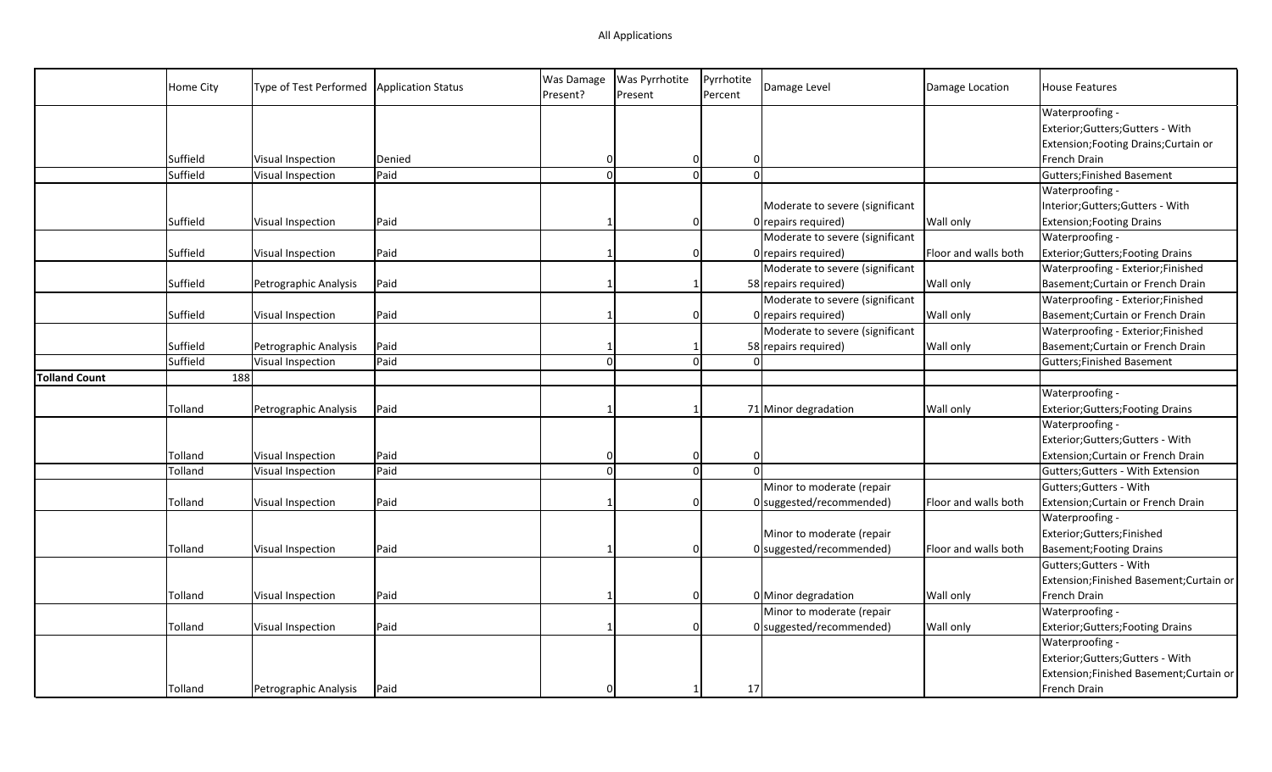|                      | Home City | Type of Test Performed | <b>Application Status</b> | Was Damage<br>Present? | Was Pyrrhotite<br>Present | Pyrrhotite<br>Percent | Damage Level                    | Damage Location      | <b>House Features</b>                    |
|----------------------|-----------|------------------------|---------------------------|------------------------|---------------------------|-----------------------|---------------------------------|----------------------|------------------------------------------|
|                      |           |                        |                           |                        |                           |                       |                                 |                      | Waterproofing -                          |
|                      |           |                        |                           |                        |                           |                       |                                 |                      | Exterior;Gutters;Gutters - With          |
|                      |           |                        |                           |                        |                           |                       |                                 |                      | Extension; Footing Drains; Curtain or    |
|                      | Suffield  | Visual Inspection      | Denied                    | 0                      | 0                         |                       | $\Omega$                        |                      | French Drain                             |
|                      | Suffield  | Visual Inspection      | Paid                      | $\Omega$               | $\overline{0}$            |                       | $\Omega$                        |                      | <b>Gutters; Finished Basement</b>        |
|                      |           |                        |                           |                        |                           |                       |                                 |                      | Waterproofing -                          |
|                      |           |                        |                           |                        |                           |                       | Moderate to severe (significant |                      | Interior;Gutters;Gutters - With          |
|                      | Suffield  | Visual Inspection      | Paid                      |                        | $\Omega$                  |                       | $0$ repairs required)           | Wall only            | <b>Extension; Footing Drains</b>         |
|                      |           |                        |                           |                        |                           |                       | Moderate to severe (significant |                      | Waterproofing -                          |
|                      | Suffield  | Visual Inspection      | Paid                      |                        | 0                         |                       | 0 repairs required)             | Floor and walls both | <b>Exterior; Gutters; Footing Drains</b> |
|                      |           |                        |                           |                        |                           |                       | Moderate to severe (significant |                      | Waterproofing - Exterior;Finished        |
|                      | Suffield  | Petrographic Analysis  | Paid                      |                        | 1                         |                       | 58 repairs required)            | <b>Wall only</b>     | Basement; Curtain or French Drain        |
|                      |           |                        |                           |                        |                           |                       | Moderate to severe (significant |                      | Waterproofing - Exterior;Finished        |
|                      | Suffield  | Visual Inspection      | Paid                      |                        | $\Omega$                  |                       | $0$ repairs required)           | Wall only            | Basement; Curtain or French Drain        |
|                      |           |                        |                           |                        |                           |                       | Moderate to severe (significant |                      | Waterproofing - Exterior;Finished        |
|                      | Suffield  | Petrographic Analysis  | Paid                      |                        | 1                         |                       | 58 repairs required)            | Wall only            | Basement; Curtain or French Drain        |
|                      | Suffield  | Visual Inspection      | Paid                      | $\Omega$               | $\Omega$                  |                       |                                 |                      | <b>Gutters; Finished Basement</b>        |
| <b>Tolland Count</b> | 188       |                        |                           |                        |                           |                       |                                 |                      |                                          |
|                      |           |                        |                           |                        |                           |                       |                                 |                      | Waterproofing -                          |
|                      | Tolland   | Petrographic Analysis  | Paid                      |                        |                           |                       | 71 Minor degradation            | Wall only            | <b>Exterior; Gutters; Footing Drains</b> |
|                      |           |                        |                           |                        |                           |                       |                                 |                      | Waterproofing -                          |
|                      |           |                        |                           |                        |                           |                       |                                 |                      | Exterior;Gutters;Gutters - With          |
|                      | Tolland   | Visual Inspection      | Paid                      |                        | 0                         |                       | $\Omega$                        |                      | Extension; Curtain or French Drain       |
|                      | Tolland   | Visual Inspection      | Paid                      | $\Omega$               | <sub>0</sub>              |                       | $\Omega$                        |                      | Gutters; Gutters - With Extension        |
|                      |           |                        |                           |                        |                           |                       | Minor to moderate (repair       |                      | Gutters; Gutters - With                  |
|                      | Tolland   | Visual Inspection      | Paid                      |                        | 0                         |                       | 0 suggested/recommended)        | Floor and walls both | Extension; Curtain or French Drain       |
|                      |           |                        |                           |                        |                           |                       |                                 |                      | Waterproofing -                          |
|                      |           |                        |                           |                        |                           |                       | Minor to moderate (repair       |                      | Exterior;Gutters;Finished                |
|                      | Tolland   | Visual Inspection      | Paid                      |                        | $\Omega$                  |                       | 0 suggested/recommended)        | Floor and walls both | <b>Basement; Footing Drains</b>          |
|                      |           |                        |                           |                        |                           |                       |                                 |                      | Gutters; Gutters - With                  |
|                      |           |                        |                           |                        |                           |                       |                                 |                      | Extension;Finished Basement;Curtain or   |
|                      | Tolland   | Visual Inspection      | Paid                      |                        | $\Omega$                  |                       | 0 Minor degradation             | <b>Wall only</b>     | French Drain                             |
|                      |           |                        |                           |                        |                           |                       | Minor to moderate (repair       |                      | Waterproofing -                          |
|                      | Tolland   | Visual Inspection      | Paid                      |                        | $\Omega$                  |                       | $0$ suggested/recommended)      | Wall only            | <b>Exterior; Gutters; Footing Drains</b> |
|                      |           |                        |                           |                        |                           |                       |                                 |                      | Waterproofing -                          |
|                      |           |                        |                           |                        |                           |                       |                                 |                      | Exterior;Gutters;Gutters - With          |
|                      |           |                        |                           |                        |                           |                       |                                 |                      | Extension;Finished Basement;Curtain or   |
|                      | Tolland   | Petrographic Analysis  | Paid                      |                        |                           | 17                    |                                 |                      | French Drain                             |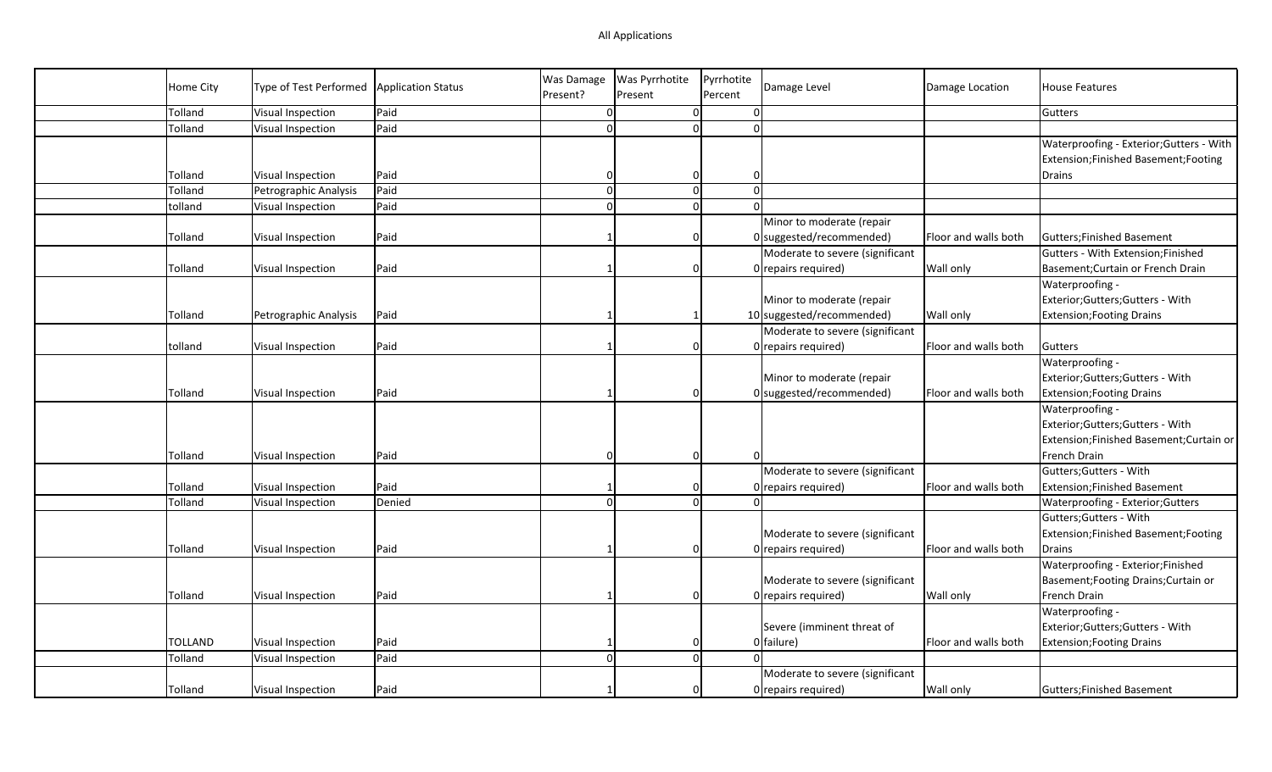| Home City      | Type of Test Performed | <b>Application Status</b> | Was Damage | <b>Was Pyrrhotite</b> | Pyrrhotite | Damage Level                    |                      | <b>House Features</b>                    |
|----------------|------------------------|---------------------------|------------|-----------------------|------------|---------------------------------|----------------------|------------------------------------------|
|                |                        |                           | Present?   | Present               | Percent    |                                 | Damage Location      |                                          |
| Tolland        | Visual Inspection      | Paid                      | $\Omega$   | $\overline{0}$        |            | $\overline{0}$                  |                      | Gutters                                  |
| Tolland        | Visual Inspection      | Paid                      | $\Omega$   | $\overline{0}$        |            | $\Omega$                        |                      |                                          |
|                |                        |                           |            |                       |            |                                 |                      | Waterproofing - Exterior; Gutters - With |
|                |                        |                           |            |                       |            |                                 |                      | Extension; Finished Basement; Footing    |
| Tolland        | Visual Inspection      | Paid                      |            | $\mathbf 0$           |            | $\overline{0}$                  |                      | Drains                                   |
| Tolland        | Petrographic Analysis  | Paid                      | $\Omega$   | $\overline{0}$        |            | $\Omega$                        |                      |                                          |
| tolland        | Visual Inspection      | Paid                      | $\Omega$   | 0                     |            | $\Omega$                        |                      |                                          |
|                |                        |                           |            |                       |            | Minor to moderate (repair       |                      |                                          |
| Tolland        | Visual Inspection      | Paid                      |            | $\mathbf 0$           |            | $0$ suggested/recommended)      | Floor and walls both | Gutters; Finished Basement               |
|                |                        |                           |            |                       |            | Moderate to severe (significant |                      | Gutters - With Extension;Finished        |
| Tolland        | Visual Inspection      | Paid                      |            | $\Omega$              |            | 0 repairs required)             | <b>Wall only</b>     | Basement; Curtain or French Drain        |
|                |                        |                           |            |                       |            |                                 |                      | Waterproofing -                          |
|                |                        |                           |            |                       |            | Minor to moderate (repair       |                      | Exterior;Gutters;Gutters - With          |
| Tolland        | Petrographic Analysis  | Paid                      |            |                       |            | 10 suggested/recommended)       | Wall only            | <b>Extension; Footing Drains</b>         |
|                |                        |                           |            |                       |            | Moderate to severe (significant |                      |                                          |
| tolland        | Visual Inspection      | Paid                      |            | $\overline{0}$        |            | 0 repairs required)             | Floor and walls both | Gutters                                  |
|                |                        |                           |            |                       |            |                                 |                      | Waterproofing -                          |
|                |                        |                           |            |                       |            | Minor to moderate (repair       |                      | Exterior; Gutters; Gutters - With        |
| Tolland        | Visual Inspection      | Paid                      |            | $\Omega$              |            | $0$ suggested/recommended)      | Floor and walls both | <b>Extension; Footing Drains</b>         |
|                |                        |                           |            |                       |            |                                 |                      | Waterproofing -                          |
|                |                        |                           |            |                       |            |                                 |                      | Exterior;Gutters;Gutters - With          |
|                |                        |                           |            |                       |            |                                 |                      | Extension;Finished Basement;Curtain or   |
| Tolland        | Visual Inspection      | Paid                      |            | $\overline{0}$        |            |                                 |                      | French Drain                             |
|                |                        |                           |            |                       |            | Moderate to severe (significant |                      | Gutters; Gutters - With                  |
| Tolland        | Visual Inspection      | Paid                      |            | $\Omega$              |            | 0 repairs required)             | Floor and walls both | <b>Extension;Finished Basement</b>       |
| Tolland        | Visual Inspection      | Denied                    | $\Omega$   | 0                     |            |                                 |                      | Waterproofing - Exterior; Gutters        |
|                |                        |                           |            |                       |            |                                 |                      | Gutters; Gutters - With                  |
|                |                        |                           |            |                       |            | Moderate to severe (significant |                      | Extension; Finished Basement; Footing    |
| Tolland        | Visual Inspection      | Paid                      |            | $\Omega$              |            | 0 repairs required)             | Floor and walls both | Drains                                   |
|                |                        |                           |            |                       |            |                                 |                      | Waterproofing - Exterior;Finished        |
|                |                        |                           |            |                       |            | Moderate to severe (significant |                      | Basement; Footing Drains; Curtain or     |
| Tolland        | Visual Inspection      | Paid                      |            | $\Omega$              |            | 0 repairs required)             | <b>Wall only</b>     | French Drain                             |
|                |                        |                           |            |                       |            |                                 |                      | Waterproofing -                          |
|                |                        |                           |            |                       |            | Severe (imminent threat of      |                      | Exterior;Gutters;Gutters - With          |
| <b>TOLLAND</b> | Visual Inspection      | Paid                      |            | $\Omega$              |            | 0 failure)                      | Floor and walls both | <b>Extension; Footing Drains</b>         |
| Tolland        | Visual Inspection      | Paid                      | $\Omega$   | $\mathbf{0}$          |            |                                 |                      |                                          |
|                |                        |                           |            |                       |            | Moderate to severe (significant |                      |                                          |
| Tolland        | Visual Inspection      | Paid                      |            | $\Omega$              |            | 0 repairs required)             | Wall only            | <b>Gutters: Finished Basement</b>        |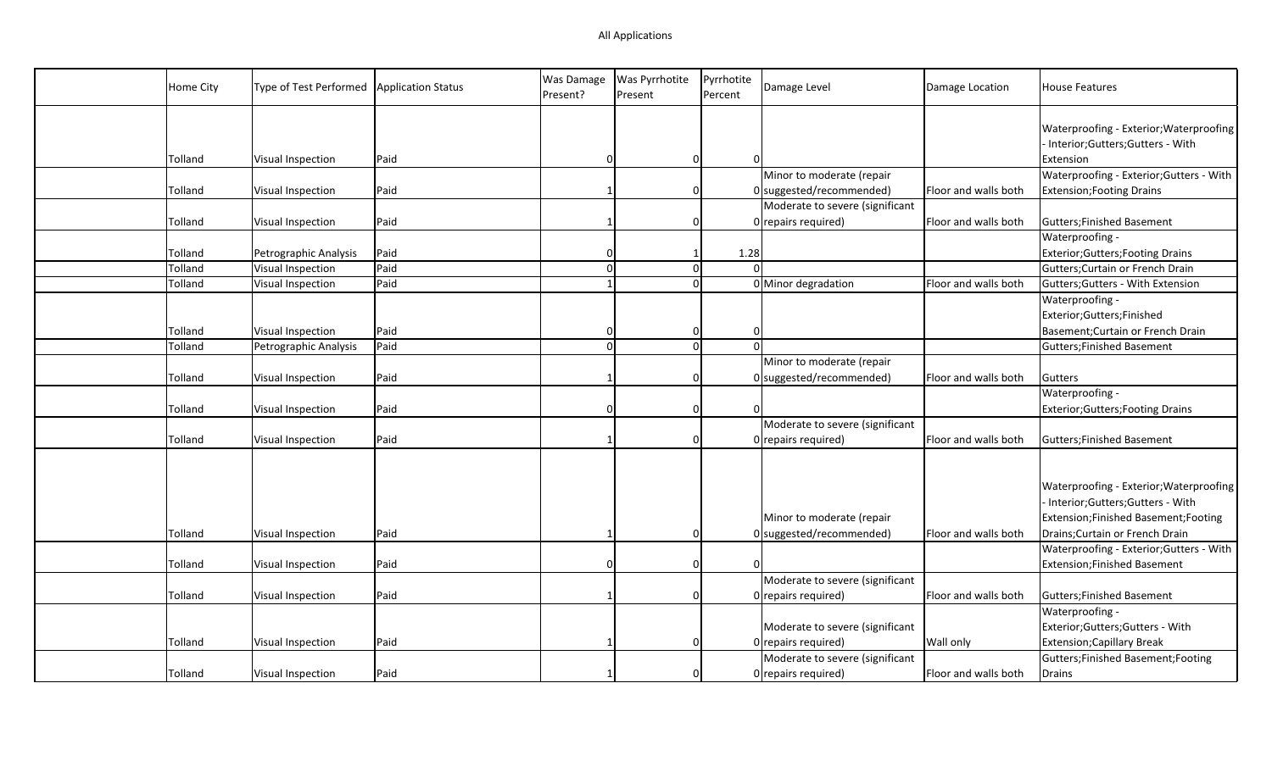| Home City | Type of Test Performed | <b>Application Status</b> | Was Damage<br>Present? | Was Pyrrhotite<br>Present | Pyrrhotite<br>Percent | Damage Level                    | Damage Location      | <b>House Features</b>                                                          |
|-----------|------------------------|---------------------------|------------------------|---------------------------|-----------------------|---------------------------------|----------------------|--------------------------------------------------------------------------------|
|           |                        |                           |                        |                           |                       |                                 |                      |                                                                                |
|           |                        |                           |                        |                           |                       |                                 |                      | Waterproofing - Exterior; Waterproofing                                        |
|           |                        |                           |                        |                           |                       |                                 |                      | Interior;Gutters;Gutters - With                                                |
| Tolland   | Visual Inspection      | Paid                      | O                      | 0                         |                       |                                 |                      | Extension                                                                      |
|           |                        |                           |                        |                           |                       | Minor to moderate (repair       |                      | Waterproofing - Exterior; Gutters - With                                       |
| Tolland   | Visual Inspection      | Paid                      |                        | $\Omega$                  |                       | $0$ suggested/recommended)      | Floor and walls both | Extension; Footing Drains                                                      |
|           |                        |                           |                        |                           |                       | Moderate to severe (significant |                      |                                                                                |
| Tolland   | Visual Inspection      | Paid                      |                        | 0                         |                       | 0 repairs required)             | Floor and walls both | Gutters; Finished Basement                                                     |
|           |                        |                           |                        |                           |                       |                                 |                      | Waterproofing -                                                                |
| Tolland   | Petrographic Analysis  | Paid                      | O                      | 1                         |                       | 1.28                            |                      | Exterior; Gutters; Footing Drains                                              |
| Tolland   | Visual Inspection      | Paid                      | $\Omega$               | $\overline{0}$            |                       | $\Omega$                        |                      | Gutters; Curtain or French Drain                                               |
| Tolland   | Visual Inspection      | Paid                      |                        | 0                         |                       | 0 Minor degradation             | Floor and walls both | Gutters; Gutters - With Extension                                              |
|           |                        |                           |                        |                           |                       |                                 |                      | Waterproofing -                                                                |
|           |                        |                           |                        |                           |                       |                                 |                      | Exterior;Gutters;Finished                                                      |
| Tolland   | Visual Inspection      | Paid                      |                        | 0                         |                       | 0                               |                      | Basement; Curtain or French Drain                                              |
| Tolland   | Petrographic Analysis  | Paid                      | $\Omega$               | $\Omega$                  |                       |                                 |                      | <b>Gutters; Finished Basement</b>                                              |
|           |                        |                           |                        |                           |                       | Minor to moderate (repair       |                      |                                                                                |
| Tolland   | Visual Inspection      | Paid                      |                        | 0                         |                       | $0$ suggested/recommended)      | Floor and walls both | Gutters                                                                        |
|           |                        |                           |                        |                           |                       |                                 |                      | Waterproofing -                                                                |
| Tolland   | Visual Inspection      | Paid                      | $\Omega$               | 0                         |                       |                                 |                      | <b>Exterior; Gutters; Footing Drains</b>                                       |
|           |                        |                           |                        |                           |                       | Moderate to severe (significant |                      |                                                                                |
| Tolland   | Visual Inspection      | Paid                      |                        | $\Omega$                  |                       | 0 repairs required)             | Floor and walls both | <b>Gutters;Finished Basement</b>                                               |
|           |                        |                           |                        |                           |                       |                                 |                      |                                                                                |
|           |                        |                           |                        |                           |                       |                                 |                      |                                                                                |
|           |                        |                           |                        |                           |                       |                                 |                      | Waterproofing - Exterior; Waterproofing                                        |
|           |                        |                           |                        |                           |                       |                                 |                      | Interior;Gutters;Gutters - With                                                |
|           |                        |                           |                        |                           |                       | Minor to moderate (repair       |                      | Extension; Finished Basement; Footing                                          |
| Tolland   | Visual Inspection      | Paid                      |                        | 0                         |                       | $0$ suggested/recommended)      | Floor and walls both | Drains; Curtain or French Drain                                                |
|           |                        |                           | $\Omega$               |                           |                       |                                 |                      | Waterproofing - Exterior; Gutters - With<br><b>Extension;Finished Basement</b> |
| Tolland   | Visual Inspection      | Paid                      |                        | 0                         |                       | Moderate to severe (significant |                      |                                                                                |
| Tolland   |                        | Paid                      |                        | 0                         |                       | 0 repairs required)             | Floor and walls both | <b>Gutters; Finished Basement</b>                                              |
|           | Visual Inspection      |                           |                        |                           |                       |                                 |                      |                                                                                |
|           |                        |                           |                        |                           |                       | Moderate to severe (significant |                      | Waterproofing -<br>Exterior;Gutters;Gutters - With                             |
| Tolland   | Visual Inspection      | Paid                      |                        | $\Omega$                  |                       | 0 repairs required)             | Wall only            | <b>Extension; Capillary Break</b>                                              |
|           |                        |                           |                        |                           |                       | Moderate to severe (significant |                      | Gutters; Finished Basement; Footing                                            |
|           |                        |                           |                        | 0                         |                       |                                 | Floor and walls both |                                                                                |
| Tolland   | Visual Inspection      | Paid                      |                        |                           |                       | 0 repairs required)             |                      | Drains                                                                         |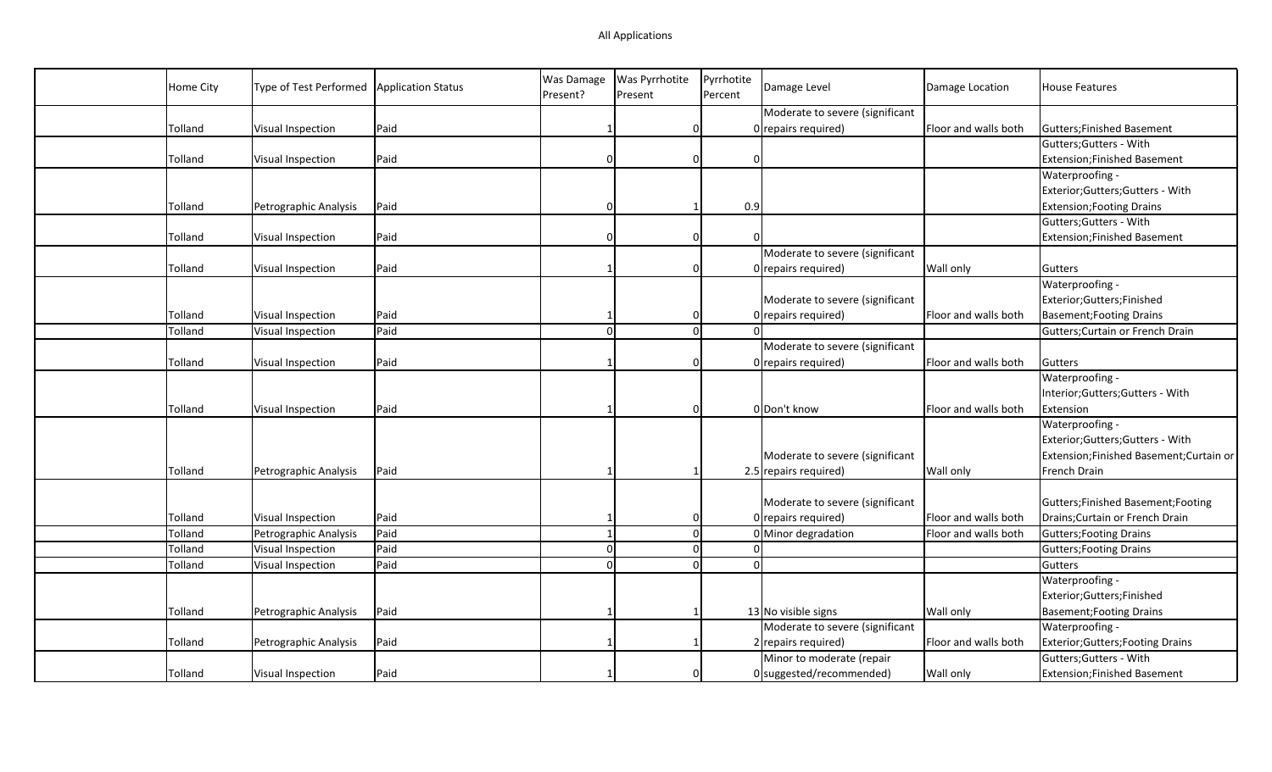| Home City | Type of Test Performed | <b>Application Status</b> | Was Damage<br>Present? | <b>Was Pyrrhotite</b><br>Present | Pyrrhotite<br>Percent | Damage Level                    | Damage Location      | <b>House Features</b>                    |
|-----------|------------------------|---------------------------|------------------------|----------------------------------|-----------------------|---------------------------------|----------------------|------------------------------------------|
|           |                        |                           |                        |                                  |                       | Moderate to severe (significant |                      |                                          |
| Tolland   | Visual Inspection      | Paid                      |                        | 0                                |                       | 0 repairs required)             | Floor and walls both | Gutters; Finished Basement               |
|           |                        |                           |                        |                                  |                       |                                 |                      | Gutters; Gutters - With                  |
| Tolland   | Visual Inspection      | Paid                      | $\Omega$               | 0                                | $\Omega$              |                                 |                      | Extension; Finished Basement             |
|           |                        |                           |                        |                                  |                       |                                 |                      | Waterproofing -                          |
|           |                        |                           |                        |                                  |                       |                                 |                      | Exterior; Gutters; Gutters - With        |
| Tolland   | Petrographic Analysis  | Paid                      | $\Omega$               |                                  | 0.9                   |                                 |                      | <b>Extension; Footing Drains</b>         |
|           |                        |                           |                        |                                  |                       |                                 |                      | Gutters; Gutters - With                  |
| Tolland   | Visual Inspection      | Paid                      | $\Omega$               | <sup>0</sup>                     | n                     |                                 |                      | Extension; Finished Basement             |
|           |                        |                           |                        |                                  |                       | Moderate to severe (significant |                      |                                          |
| Tolland   | Visual Inspection      | Paid                      |                        | 0                                |                       | 0 repairs required)             | <b>Wall only</b>     | Gutters                                  |
|           |                        |                           |                        |                                  |                       |                                 |                      | Waterproofing -                          |
|           |                        |                           |                        |                                  |                       | Moderate to severe (significant |                      | Exterior;Gutters;Finished                |
| Tolland   | Visual Inspection      | Paid                      |                        | 0                                |                       | 0 repairs required)             | Floor and walls both | Basement; Footing Drains                 |
| Tolland   | Visual Inspection      | Paid                      | $\Omega$               | $\Omega$                         |                       |                                 |                      | Gutters; Curtain or French Drain         |
|           |                        |                           |                        |                                  |                       | Moderate to severe (significant |                      |                                          |
| Tolland   | Visual Inspection      | Paid                      |                        | O                                |                       | 0 repairs required)             | Floor and walls both | Gutters                                  |
|           |                        |                           |                        |                                  |                       |                                 |                      | Waterproofing -                          |
|           |                        |                           |                        |                                  |                       |                                 |                      | Interior; Gutters; Gutters - With        |
| Tolland   | Visual Inspection      | Paid                      |                        | 0                                |                       | 0 Don't know                    | Floor and walls both | Extension                                |
|           |                        |                           |                        |                                  |                       |                                 |                      | Waterproofing -                          |
|           |                        |                           |                        |                                  |                       |                                 |                      | Exterior; Gutters; Gutters - With        |
|           |                        |                           |                        |                                  |                       | Moderate to severe (significant |                      | Extension; Finished Basement; Curtain or |
| Tolland   | Petrographic Analysis  | Paid                      |                        |                                  |                       | 2.5 repairs required)           | <b>Wall only</b>     | French Drain                             |
|           |                        |                           |                        |                                  |                       |                                 |                      |                                          |
|           |                        |                           |                        |                                  |                       | Moderate to severe (significant |                      | Gutters; Finished Basement; Footing      |
| Tolland   | Visual Inspection      | Paid                      |                        | 0                                |                       | 0 repairs required)             | Floor and walls both | Drains; Curtain or French Drain          |
| Tolland   | Petrographic Analysis  | Paid                      | $\mathbf{1}$           | $\Omega$                         |                       | 0 Minor degradation             | Floor and walls both | Gutters; Footing Drains                  |
| Tolland   | Visual Inspection      | Paid                      | $\Omega$               | $\Omega$                         |                       | $\Omega$                        |                      | Gutters; Footing Drains                  |
| Tolland   | Visual Inspection      | Paid                      | $\Omega$               | $\Omega$                         | $\Omega$              |                                 |                      | Gutters                                  |
|           |                        |                           |                        |                                  |                       |                                 |                      | Waterproofing -                          |
|           |                        |                           |                        |                                  |                       |                                 |                      | Exterior;Gutters;Finished                |
| Tolland   | Petrographic Analysis  | Paid                      |                        |                                  |                       | 13 No visible signs             | <b>Wall only</b>     | Basement; Footing Drains                 |
|           |                        |                           |                        |                                  |                       | Moderate to severe (significant |                      | Waterproofing -                          |
| Tolland   | Petrographic Analysis  | Paid                      |                        |                                  |                       | 2 repairs required)             | Floor and walls both | Exterior; Gutters; Footing Drains        |
|           |                        |                           |                        |                                  |                       | Minor to moderate (repair       |                      | Gutters; Gutters - With                  |
| Tolland   | Visual Inspection      | Paid                      |                        | 0                                |                       | 0 suggested/recommended)        | Wall only            | <b>Extension;Finished Basement</b>       |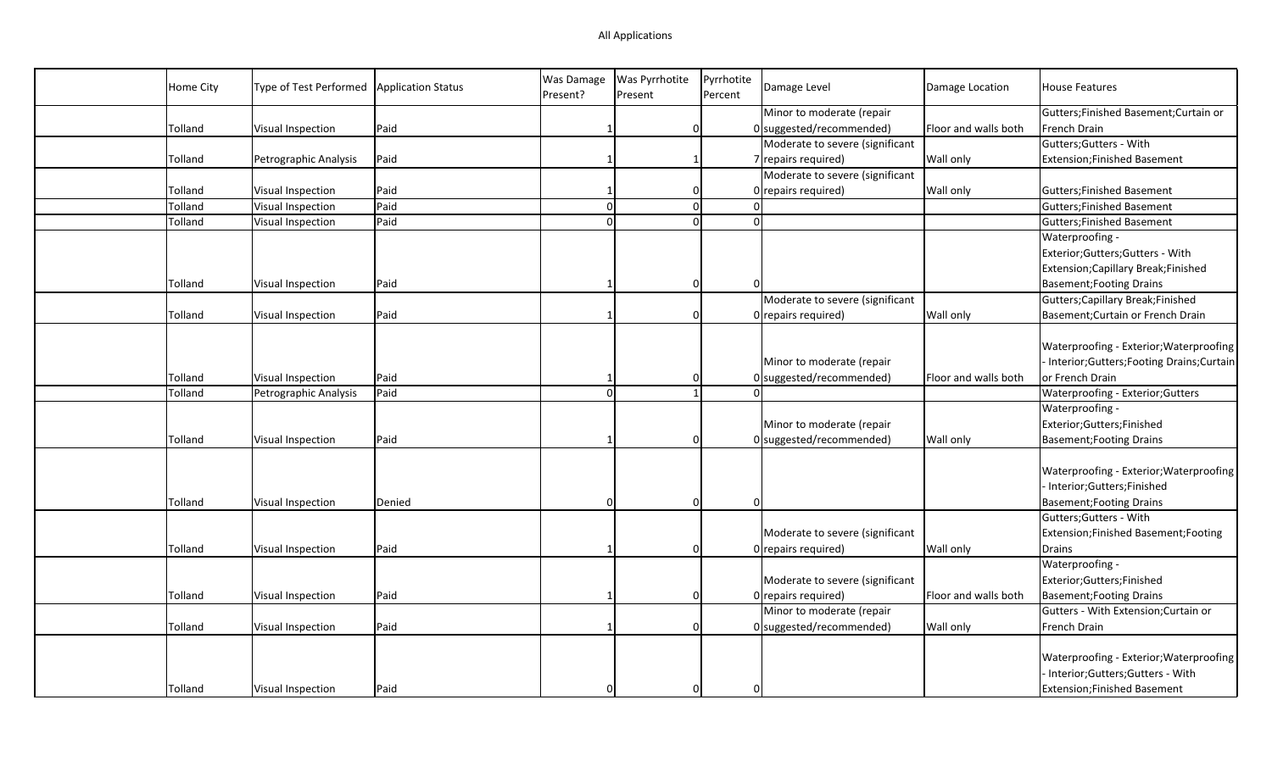| Home City | Type of Test Performed | <b>Application Status</b> | Was Damage<br>Present? | Was Pyrrhotite<br>Present | Pyrrhotite<br>Percent | Damage Level                    | Damage Location      | <b>House Features</b>                        |
|-----------|------------------------|---------------------------|------------------------|---------------------------|-----------------------|---------------------------------|----------------------|----------------------------------------------|
|           |                        |                           |                        |                           |                       | Minor to moderate (repair       |                      | Gutters;Finished Basement;Curtain or         |
| Tolland   | Visual Inspection      | Paid                      |                        | 0                         |                       | 0 suggested/recommended)        | Floor and walls both | French Drain                                 |
|           |                        |                           |                        |                           |                       | Moderate to severe (significant |                      | Gutters; Gutters - With                      |
| Tolland   | Petrographic Analysis  | Paid                      |                        | -1                        |                       | 7 repairs required)             | Wall only            | <b>Extension;Finished Basement</b>           |
|           |                        |                           |                        |                           |                       | Moderate to severe (significant |                      |                                              |
| Tolland   | Visual Inspection      | Paid                      |                        | 0                         |                       | 0 repairs required)             | <b>Wall only</b>     | Gutters; Finished Basement                   |
| Tolland   | Visual Inspection      | Paid                      | $\Omega$               | $\overline{0}$            |                       | $\Omega$                        |                      | Gutters; Finished Basement                   |
| Tolland   | Visual Inspection      | Paid                      | $\Omega$               | $\Omega$                  |                       | $\Omega$                        |                      | <b>Gutters; Finished Basement</b>            |
|           |                        |                           |                        |                           |                       |                                 |                      | Waterproofing -                              |
|           |                        |                           |                        |                           |                       |                                 |                      | Exterior;Gutters;Gutters - With              |
|           |                        |                           |                        |                           |                       |                                 |                      | Extension; Capillary Break; Finished         |
| Tolland   | Visual Inspection      | Paid                      |                        | 0                         |                       |                                 |                      | <b>Basement; Footing Drains</b>              |
|           |                        |                           |                        |                           |                       | Moderate to severe (significant |                      | Gutters; Capillary Break; Finished           |
| Tolland   | Visual Inspection      | Paid                      |                        | 0                         |                       | 0 repairs required)             | Wall only            | Basement; Curtain or French Drain            |
|           |                        |                           |                        |                           |                       |                                 |                      |                                              |
|           |                        |                           |                        |                           |                       |                                 |                      | Waterproofing - Exterior; Waterproofing      |
|           |                        |                           |                        |                           |                       | Minor to moderate (repair       |                      | - Interior; Gutters; Footing Drains; Curtain |
| Tolland   | Visual Inspection      | Paid                      |                        | $\Omega$                  |                       | 0 suggested/recommended)        | Floor and walls both | or French Drain                              |
| Tolland   | Petrographic Analysis  | Paid                      | $\Omega$               | $\mathbf{1}$              |                       |                                 |                      | Waterproofing - Exterior; Gutters            |
|           |                        |                           |                        |                           |                       |                                 |                      | Waterproofing -                              |
|           |                        |                           |                        |                           |                       | Minor to moderate (repair       |                      | Exterior;Gutters;Finished                    |
| Tolland   | Visual Inspection      | Paid                      |                        | 0                         |                       | 0 suggested/recommended)        | Wall only            | <b>Basement; Footing Drains</b>              |
|           |                        |                           |                        |                           |                       |                                 |                      |                                              |
|           |                        |                           |                        |                           |                       |                                 |                      | Waterproofing - Exterior; Waterproofing      |
|           |                        |                           |                        |                           |                       |                                 |                      | Interior;Gutters;Finished                    |
| Tolland   | Visual Inspection      | Denied                    | O                      | 0                         |                       | $\Omega$                        |                      | <b>Basement; Footing Drains</b>              |
|           |                        |                           |                        |                           |                       |                                 |                      | Gutters; Gutters - With                      |
|           |                        |                           |                        |                           |                       | Moderate to severe (significant |                      | Extension;Finished Basement;Footing          |
| Tolland   | Visual Inspection      | Paid                      |                        | 0                         |                       | 0 repairs required)             | <b>Wall only</b>     | Drains                                       |
|           |                        |                           |                        |                           |                       |                                 |                      | Waterproofing -                              |
|           |                        |                           |                        |                           |                       | Moderate to severe (significant |                      | Exterior;Gutters;Finished                    |
| Tolland   | Visual Inspection      | Paid                      |                        | 0                         |                       | 0 repairs required)             | Floor and walls both | <b>Basement; Footing Drains</b>              |
|           |                        |                           |                        |                           |                       | Minor to moderate (repair       |                      | Gutters - With Extension; Curtain or         |
| Tolland   | Visual Inspection      | Paid                      |                        | $\Omega$                  |                       | 0 suggested/recommended)        | <b>Wall only</b>     | French Drain                                 |
|           |                        |                           |                        |                           |                       |                                 |                      |                                              |
|           |                        |                           |                        |                           |                       |                                 |                      | Waterproofing - Exterior; Waterproofing      |
|           |                        |                           |                        |                           |                       |                                 |                      | Interior;Gutters;Gutters - With              |
| Tolland   | Visual Inspection      | Paid                      |                        | $\Omega$                  |                       |                                 |                      | <b>Extension;Finished Basement</b>           |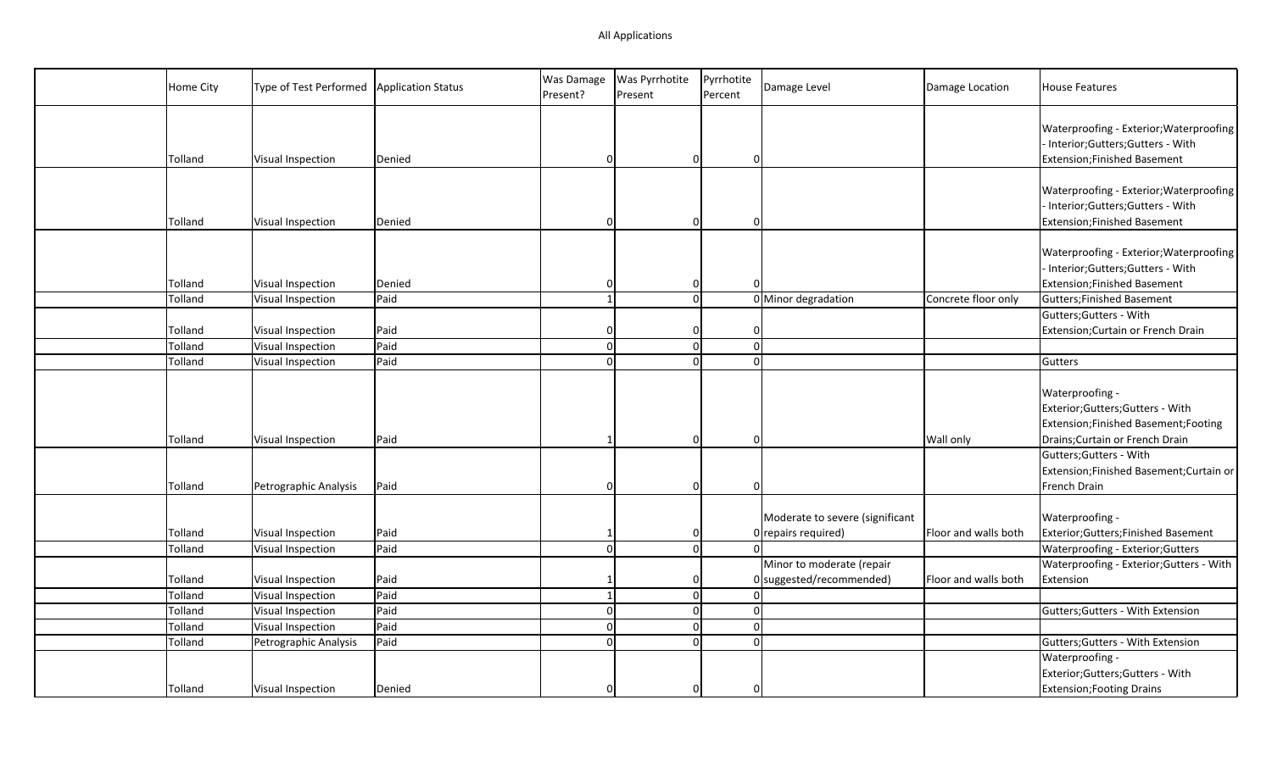| Home City | Type of Test Performed | <b>Application Status</b> | Was Damage<br>Present? | Was Pyrrhotite<br>Present | Pyrrhotite<br>Percent    | Damage Level                                             | Damage Location      | House Features                                                                                                                   |
|-----------|------------------------|---------------------------|------------------------|---------------------------|--------------------------|----------------------------------------------------------|----------------------|----------------------------------------------------------------------------------------------------------------------------------|
| Tolland   | Visual Inspection      | Denied                    | $\Omega$               | $\Omega$                  | 0                        |                                                          |                      | Waterproofing - Exterior; Waterproofing<br>- Interior; Gutters; Gutters - With<br>Extension; Finished Basement                   |
| Tolland   | Visual Inspection      | Denied                    | $\Omega$               | 0                         | 0                        |                                                          |                      | Waterproofing - Exterior; Waterproofing<br>- Interior; Gutters; Gutters - With<br>Extension; Finished Basement                   |
| Tolland   | Visual Inspection      | Denied                    | $\Omega$               |                           | 0<br>ŋ                   |                                                          |                      | Waterproofing - Exterior; Waterproofing<br>- Interior;Gutters;Gutters - With<br>Extension; Finished Basement                     |
| Tolland   | Visual Inspection      | Paid                      | $\mathbf{1}$           |                           | $\Omega$                 | 0 Minor degradation                                      | Concrete floor only  | Gutters; Finished Basement                                                                                                       |
|           |                        |                           |                        |                           |                          |                                                          |                      | Gutters; Gutters - With                                                                                                          |
| Tolland   | Visual Inspection      | Paid                      | $\Omega$               | 0                         | 0                        |                                                          |                      | Extension; Curtain or French Drain                                                                                               |
| Tolland   | Visual Inspection      | Paid                      | $\Omega$               |                           | $\Omega$<br> 0           |                                                          |                      |                                                                                                                                  |
| Tolland   | Visual Inspection      | Paid                      | $\Omega$               |                           | $\Omega$<br>$\Omega$     |                                                          |                      | Gutters                                                                                                                          |
| Tolland   | Visual Inspection      | Paid                      |                        |                           | $\Omega$<br><sup>0</sup> |                                                          | Wall only            | Waterproofing -<br>Exterior; Gutters; Gutters - With<br>Extension; Finished Basement; Footing<br>Drains; Curtain or French Drain |
| Tolland   | Petrographic Analysis  | Paid                      | $\Omega$               |                           | 0<br>$\Omega$            |                                                          |                      | Gutters; Gutters - With<br>Extension;Finished Basement;Curtain or<br>French Drain                                                |
| Tolland   | Visual Inspection      | Paid                      | -1                     |                           | 0                        | Moderate to severe (significant<br>$0$ repairs required) | Floor and walls both | Waterproofing -<br>Exterior; Gutters; Finished Basement                                                                          |
| Tolland   | Visual Inspection      | Paid                      | $\Omega$               |                           | 0 <br>$\Omega$           |                                                          |                      | Waterproofing - Exterior; Gutters                                                                                                |
|           |                        |                           |                        |                           |                          | Minor to moderate (repair                                |                      | Waterproofing - Exterior; Gutters - With                                                                                         |
| Tolland   | Visual Inspection      | Paid                      |                        |                           | 0                        | 0 suggested/recommended)                                 | Floor and walls both | Extension                                                                                                                        |
| Tolland   | Visual Inspection      | Paid                      | $\mathbf{1}$           |                           | 0 <br>$\Omega$           |                                                          |                      |                                                                                                                                  |
| Tolland   | Visual Inspection      | Paid                      | $\Omega$               |                           | $\Omega$<br>$\mathbf 0$  |                                                          |                      | Gutters; Gutters - With Extension                                                                                                |
| Tolland   | Visual Inspection      | Paid                      | $\Omega$               |                           | $\Omega$<br>$\Omega$     |                                                          |                      |                                                                                                                                  |
| Tolland   | Petrographic Analysis  | Paid                      | $\Omega$               |                           | $\Omega$<br>$\Omega$     |                                                          |                      | Gutters; Gutters - With Extension                                                                                                |
|           |                        |                           |                        |                           |                          |                                                          |                      | Waterproofing -                                                                                                                  |
|           |                        |                           |                        |                           |                          |                                                          |                      | Exterior; Gutters; Gutters - With                                                                                                |
| Tolland   | Visual Inspection      | Denied                    | $\mathbf{0}$           |                           | 0<br>$\Omega$            |                                                          |                      | <b>Extension; Footing Drains</b>                                                                                                 |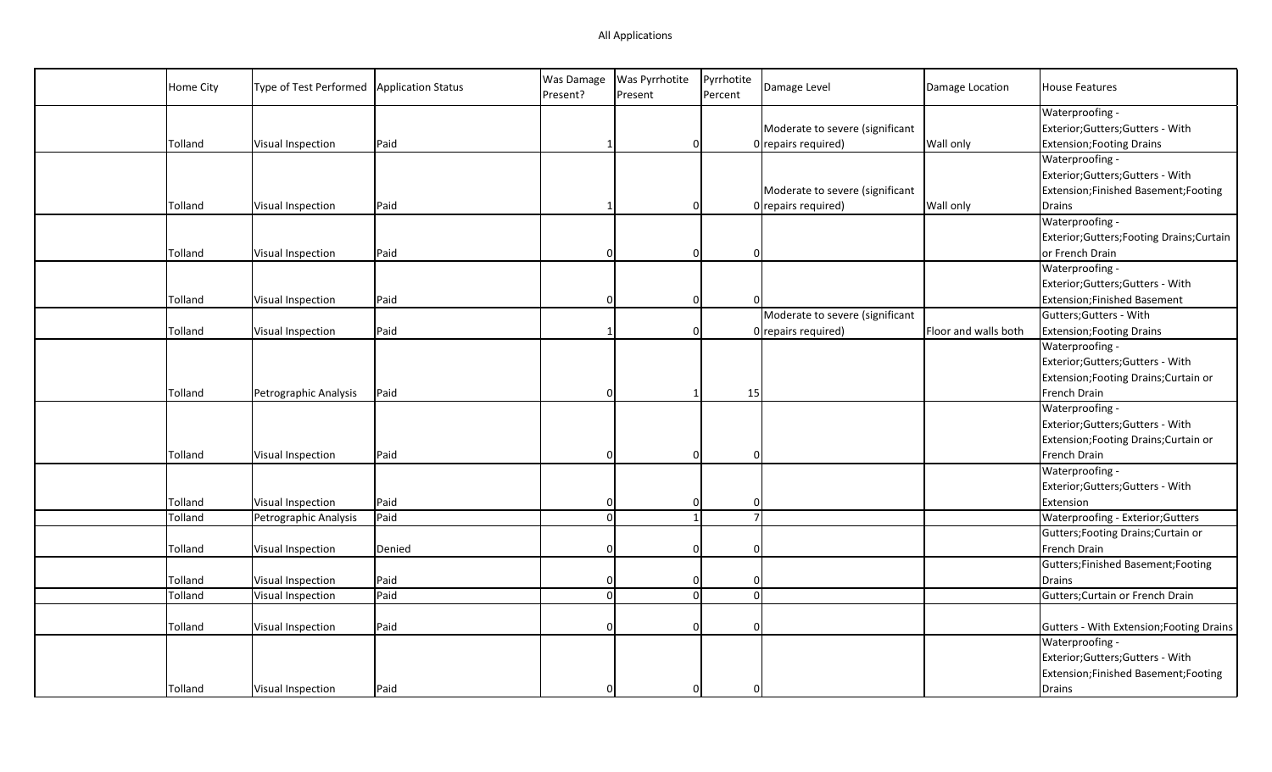| Home City | Type of Test Performed | <b>Application Status</b> | Was Damage<br>Present? | Was Pyrrhotite<br>Present | Pyrrhotite<br>Percent | Damage Level                    | Damage Location      | <b>House Features</b>                              |
|-----------|------------------------|---------------------------|------------------------|---------------------------|-----------------------|---------------------------------|----------------------|----------------------------------------------------|
|           |                        |                           |                        |                           |                       | Moderate to severe (significant |                      | Waterproofing -<br>Exterior;Gutters;Gutters - With |
| Tolland   | Visual Inspection      | Paid                      |                        | 0                         |                       | 0 repairs required)             | Wall only            | <b>Extension; Footing Drains</b>                   |
|           |                        |                           |                        |                           |                       |                                 |                      | Waterproofing -                                    |
|           |                        |                           |                        |                           |                       |                                 |                      | Exterior;Gutters;Gutters - With                    |
|           |                        |                           |                        |                           |                       | Moderate to severe (significant |                      | Extension;Finished Basement;Footing                |
| Tolland   | Visual Inspection      | Paid                      |                        | 0                         |                       | 0 repairs required)             | Wall only            | Drains                                             |
|           |                        |                           |                        |                           |                       |                                 |                      | Waterproofing -                                    |
|           |                        |                           |                        |                           |                       |                                 |                      | Exterior; Gutters; Footing Drains; Curtain         |
| Tolland   | Visual Inspection      | Paid                      | $\Omega$               | 0                         |                       | 0                               |                      | or French Drain                                    |
|           |                        |                           |                        |                           |                       |                                 |                      | Waterproofing -                                    |
|           |                        |                           |                        |                           |                       |                                 |                      | Exterior;Gutters;Gutters - With                    |
| Tolland   | Visual Inspection      | Paid                      | $\Omega$               | <sup>0</sup>              |                       | $\Omega$                        |                      | <b>Extension;Finished Basement</b>                 |
|           |                        |                           |                        |                           |                       | Moderate to severe (significant |                      | Gutters; Gutters - With                            |
| Tolland   | Visual Inspection      | Paid                      |                        | $\Omega$                  |                       | 0 repairs required)             | Floor and walls both | <b>Extension; Footing Drains</b>                   |
|           |                        |                           |                        |                           |                       |                                 |                      | Waterproofing -                                    |
|           |                        |                           |                        |                           |                       |                                 |                      | Exterior;Gutters;Gutters - With                    |
|           |                        |                           |                        |                           |                       |                                 |                      | Extension; Footing Drains; Curtain or              |
| Tolland   | Petrographic Analysis  | Paid                      | $\Omega$               | 1                         | 15                    |                                 |                      | French Drain                                       |
|           |                        |                           |                        |                           |                       |                                 |                      | Waterproofing -                                    |
|           |                        |                           |                        |                           |                       |                                 |                      | Exterior;Gutters;Gutters - With                    |
|           |                        |                           |                        |                           |                       |                                 |                      | Extension; Footing Drains; Curtain or              |
| Tolland   | Visual Inspection      | Paid                      | 0                      | 0                         |                       | 0                               |                      | French Drain                                       |
|           |                        |                           |                        |                           |                       |                                 |                      | Waterproofing -                                    |
|           |                        |                           |                        |                           |                       |                                 |                      | Exterior;Gutters;Gutters - With                    |
| Tolland   | Visual Inspection      | Paid                      | $\vert 0 \vert$        | 0                         |                       | $\Omega$                        |                      | Extension                                          |
| Tolland   | Petrographic Analysis  | Paid                      | $\Omega$               | $\mathbf{1}$              |                       | $\overline{7}$                  |                      | Waterproofing - Exterior; Gutters                  |
|           |                        |                           |                        |                           |                       |                                 |                      | Gutters; Footing Drains; Curtain or                |
| Tolland   | Visual Inspection      | Denied                    | O                      | 0                         |                       | 0                               |                      | French Drain                                       |
|           |                        |                           |                        |                           |                       |                                 |                      | Gutters; Finished Basement; Footing                |
| Tolland   | Visual Inspection      | Paid                      | $\Omega$               | 0                         |                       | $\Omega$                        |                      | Drains                                             |
| Tolland   | Visual Inspection      | Paid                      | $\Omega$               | $\overline{0}$            |                       | $\Omega$                        |                      | Gutters; Curtain or French Drain                   |
|           |                        |                           |                        |                           |                       |                                 |                      |                                                    |
| Tolland   | Visual Inspection      | Paid                      | $\Omega$               | $\Omega$                  |                       | $\Omega$                        |                      | Gutters - With Extension; Footing Drains           |
|           |                        |                           |                        |                           |                       |                                 |                      | Waterproofing -                                    |
|           |                        |                           |                        |                           |                       |                                 |                      | Exterior;Gutters;Gutters - With                    |
|           |                        |                           |                        |                           |                       |                                 |                      | Extension;Finished Basement;Footing                |
| Tolland   | Visual Inspection      | Paid                      | $\Omega$               | $\Omega$                  |                       | $\Omega$                        |                      | Drains                                             |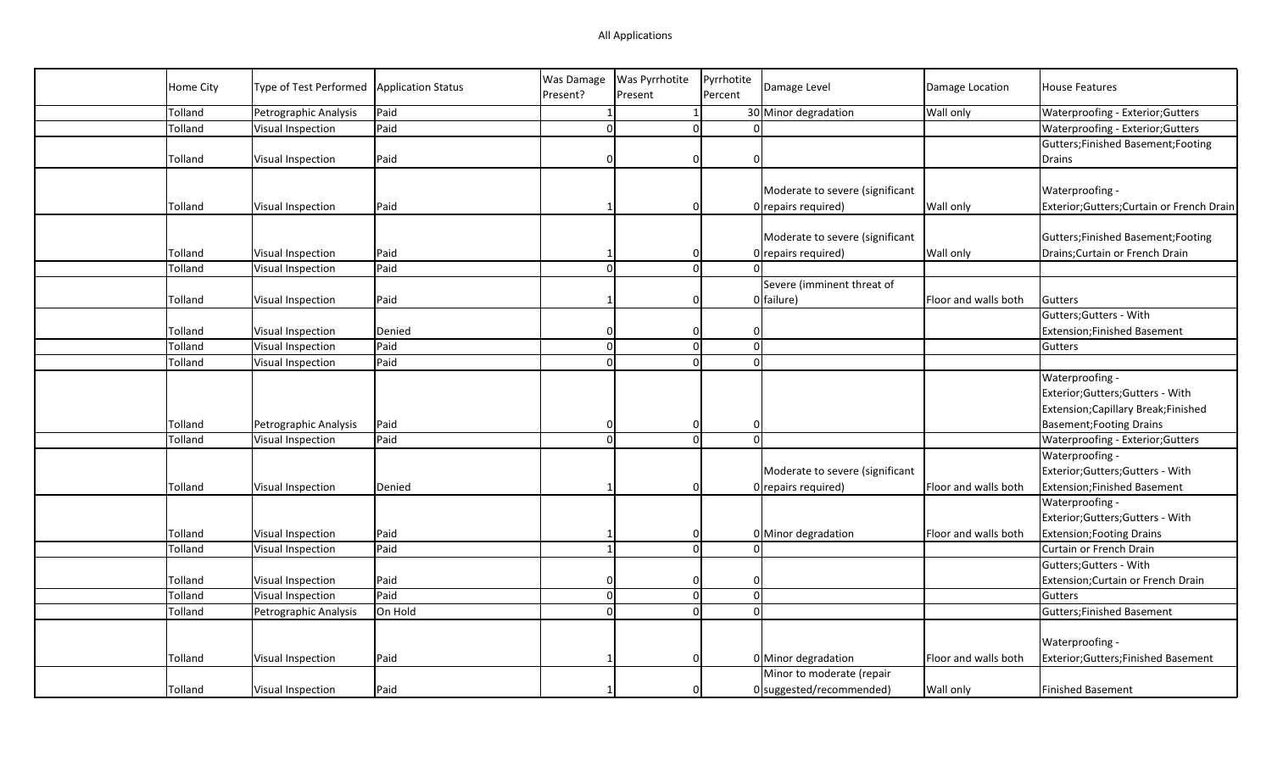|           |                        |                    | Was Damage     | Was Pyrrhotite | Pyrrhotite                       |                                 |                      |                                          |
|-----------|------------------------|--------------------|----------------|----------------|----------------------------------|---------------------------------|----------------------|------------------------------------------|
| Home City | Type of Test Performed | Application Status | Present?       | Present        | Percent                          | Damage Level                    | Damage Location      | <b>House Features</b>                    |
| Tolland   | Petrographic Analysis  | Paid               | -1             | $\mathbf{1}$   |                                  | 30 Minor degradation            | <b>Wall only</b>     | Waterproofing - Exterior; Gutters        |
| Tolland   | Visual Inspection      | Paid               | $\Omega$       |                | $\overline{0}$<br>$\Omega$       |                                 |                      | Waterproofing - Exterior; Gutters        |
|           |                        |                    |                |                |                                  |                                 |                      | Gutters; Finished Basement; Footing      |
| Tolland   | Visual Inspection      | Paid               | $\Omega$       | $\Omega$       | $\Omega$                         |                                 |                      | Drains                                   |
|           |                        |                    |                |                |                                  |                                 |                      |                                          |
|           |                        |                    |                |                |                                  | Moderate to severe (significant |                      | Waterproofing -                          |
| Tolland   | Visual Inspection      | Paid               |                | 0              |                                  | 0 repairs required)             | <b>Wall only</b>     | Exterior;Gutters;Curtain or French Drain |
|           |                        |                    |                |                |                                  |                                 |                      |                                          |
|           |                        |                    |                |                |                                  | Moderate to severe (significant |                      | Gutters; Finished Basement; Footing      |
| Tolland   | Visual Inspection      | Paid               |                | 0              |                                  | 0 repairs required)             | <b>Wall only</b>     | Drains; Curtain or French Drain          |
| Tolland   | Visual Inspection      | Paid               | $\Omega$       |                | $\overline{0}$<br>$\Omega$       |                                 |                      |                                          |
|           |                        |                    |                |                |                                  | Severe (imminent threat of      |                      |                                          |
| Tolland   | Visual Inspection      | Paid               |                | 0              |                                  | $0$ failure)                    | Floor and walls both | Gutters                                  |
|           |                        |                    |                |                |                                  |                                 |                      | Gutters; Gutters - With                  |
| Tolland   | Visual Inspection      | Denied             | $\cap$         | 0              | 0                                |                                 |                      | <b>Extension;Finished Basement</b>       |
| Tolland   | Visual Inspection      | Paid               | $\Omega$       |                | $\overline{0}$<br>$\Omega$       |                                 |                      | Gutters                                  |
| Tolland   | Visual Inspection      | Paid               | $\Omega$       |                | $\Omega$<br>$\Omega$             |                                 |                      |                                          |
|           |                        |                    |                |                |                                  |                                 |                      | Waterproofing -                          |
|           |                        |                    |                |                |                                  |                                 |                      | Exterior;Gutters;Gutters - With          |
|           |                        |                    |                |                |                                  |                                 |                      | Extension; Capillary Break; Finished     |
| Tolland   | Petrographic Analysis  | Paid               | $\Omega$       | 0              | $\overline{0}$                   |                                 |                      | <b>Basement; Footing Drains</b>          |
| Tolland   | Visual Inspection      | Paid               | $\Omega$       |                | $\overline{0}$<br>$\Omega$       |                                 |                      | Waterproofing - Exterior; Gutters        |
|           |                        |                    |                |                |                                  |                                 |                      | Waterproofing -                          |
|           |                        |                    |                |                |                                  | Moderate to severe (significant |                      | Exterior;Gutters;Gutters - With          |
| Tolland   | Visual Inspection      | Denied             |                | 0              |                                  | 0 repairs required)             | Floor and walls both | <b>Extension;Finished Basement</b>       |
|           |                        |                    |                |                |                                  |                                 |                      | Waterproofing -                          |
|           |                        |                    |                |                |                                  |                                 |                      | Exterior;Gutters;Gutters - With          |
| Tolland   | Visual Inspection      | Paid               |                | 0              |                                  | 0 Minor degradation             | Floor and walls both | <b>Extension; Footing Drains</b>         |
| Tolland   | Visual Inspection      | Paid               | $\overline{1}$ |                | $\overline{0}$<br>$\Omega$       |                                 |                      | Curtain or French Drain                  |
|           |                        |                    |                |                |                                  |                                 |                      | Gutters; Gutters - With                  |
| Tolland   | Visual Inspection      | Paid               | $\cap$         | 0              | $\Omega$                         |                                 |                      | Extension; Curtain or French Drain       |
| Tolland   | Visual Inspection      | Paid               | $\Omega$       |                | $\overline{0}$<br>$\overline{0}$ |                                 |                      | Gutters                                  |
| Tolland   | Petrographic Analysis  | On Hold            | $\Omega$       | $\Omega$       | $\Omega$                         |                                 |                      | <b>Gutters;Finished Basement</b>         |
|           |                        |                    |                |                |                                  |                                 |                      |                                          |
|           |                        |                    |                |                |                                  |                                 |                      | Waterproofing -                          |
| Tolland   | Visual Inspection      | Paid               | -1             | 0              |                                  | 0 Minor degradation             | Floor and walls both | Exterior;Gutters;Finished Basement       |
|           |                        |                    |                |                |                                  | Minor to moderate (repair       |                      |                                          |
| Tolland   | Visual Inspection      | Paid               |                | U              |                                  | 0 suggested/recommended)        | <b>Wall only</b>     | Finished Basement                        |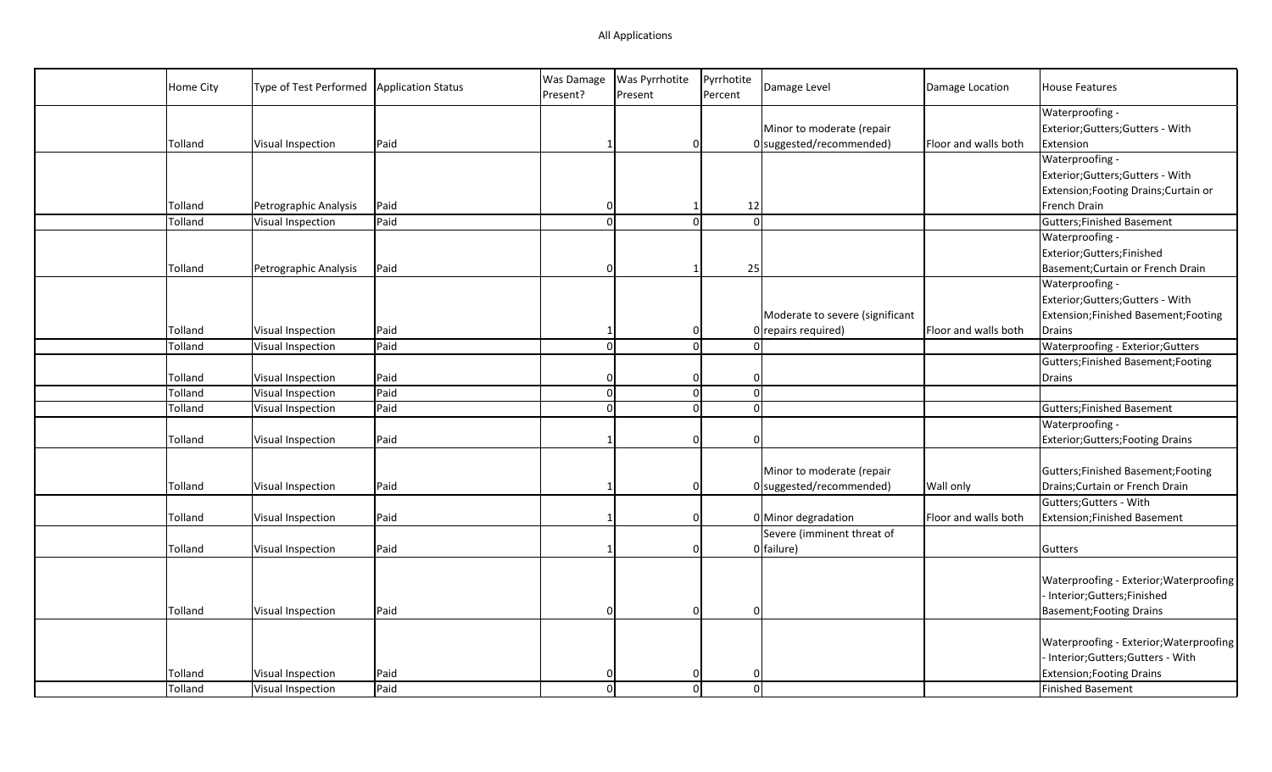| Home City | Type of Test Performed | Application Status | Was Damage<br>Present? | Was Pyrrhotite<br>Present | Pyrrhotite<br>Percent | Damage Level                    | Damage Location      | <b>House Features</b>                    |
|-----------|------------------------|--------------------|------------------------|---------------------------|-----------------------|---------------------------------|----------------------|------------------------------------------|
|           |                        |                    |                        |                           |                       |                                 |                      | Waterproofing -                          |
|           |                        |                    |                        |                           |                       | Minor to moderate (repair       |                      | Exterior; Gutters; Gutters - With        |
| Tolland   | Visual Inspection      | Paid               |                        | $\overline{0}$            |                       | 0 suggested/recommended)        | Floor and walls both | Extension                                |
|           |                        |                    |                        |                           |                       |                                 |                      | Waterproofing -                          |
|           |                        |                    |                        |                           |                       |                                 |                      | Exterior; Gutters; Gutters - With        |
|           |                        |                    |                        |                           |                       |                                 |                      | Extension; Footing Drains; Curtain or    |
| Tolland   | Petrographic Analysis  | Paid               | n                      | -1                        | 12                    |                                 |                      | French Drain                             |
| Tolland   | Visual Inspection      | Paid               | $\Omega$               | $\Omega$                  | $\Omega$              |                                 |                      | <b>Gutters;Finished Basement</b>         |
|           |                        |                    |                        |                           |                       |                                 |                      | Waterproofing -                          |
|           |                        |                    |                        |                           |                       |                                 |                      | Exterior;Gutters;Finished                |
| Tolland   | Petrographic Analysis  | Paid               | n                      |                           | 25                    |                                 |                      | Basement; Curtain or French Drain        |
|           |                        |                    |                        |                           |                       |                                 |                      | Waterproofing -                          |
|           |                        |                    |                        |                           |                       |                                 |                      | Exterior; Gutters; Gutters - With        |
|           |                        |                    |                        |                           |                       | Moderate to severe (significant |                      | Extension; Finished Basement; Footing    |
| Tolland   | Visual Inspection      | Paid               |                        | $\overline{0}$            |                       | $0$ repairs required)           | Floor and walls both | Drains                                   |
| Tolland   | Visual Inspection      | Paid               | $\Omega$               | $\overline{0}$            | $\Omega$              |                                 |                      | Waterproofing - Exterior; Gutters        |
|           |                        |                    |                        |                           |                       |                                 |                      | Gutters; Finished Basement; Footing      |
| Tolland   | Visual Inspection      | Paid               |                        | $\overline{0}$            | $\Omega$              |                                 |                      | Drains                                   |
| Tolland   | Visual Inspection      | Paid               | $\Omega$               | $\mathbf 0$               | $\Omega$              |                                 |                      |                                          |
| Tolland   | Visual Inspection      | Paid               | $\Omega$               | $\mathbf 0$               | $\Omega$              |                                 |                      | Gutters; Finished Basement               |
|           |                        |                    |                        |                           |                       |                                 |                      | Waterproofing -                          |
| Tolland   | Visual Inspection      | Paid               |                        | $\overline{0}$            | $\Omega$              |                                 |                      | <b>Exterior; Gutters; Footing Drains</b> |
|           |                        |                    |                        |                           |                       |                                 |                      |                                          |
|           |                        |                    |                        |                           |                       | Minor to moderate (repair       |                      | Gutters; Finished Basement; Footing      |
| Tolland   | Visual Inspection      | Paid               |                        | $\overline{0}$            |                       | 0 suggested/recommended)        | Wall only            | Drains; Curtain or French Drain          |
|           |                        |                    |                        |                           |                       |                                 |                      | Gutters; Gutters - With                  |
| Tolland   | Visual Inspection      | Paid               |                        | $\overline{0}$            |                       | 0 Minor degradation             | Floor and walls both | Extension; Finished Basement             |
|           |                        |                    |                        |                           |                       | Severe (imminent threat of      |                      |                                          |
| Tolland   | Visual Inspection      | Paid               |                        | 0                         |                       | 0 failure)                      |                      | Gutters                                  |
|           |                        |                    |                        |                           |                       |                                 |                      |                                          |
|           |                        |                    |                        |                           |                       |                                 |                      | Waterproofing - Exterior; Waterproofing  |
|           |                        |                    |                        |                           |                       |                                 |                      | Interior;Gutters;Finished                |
| Tolland   | Visual Inspection      | Paid               | $\Omega$               | $\overline{0}$            | $\Omega$              |                                 |                      | <b>Basement; Footing Drains</b>          |
|           |                        |                    |                        |                           |                       |                                 |                      |                                          |
|           |                        |                    |                        |                           |                       |                                 |                      | Waterproofing - Exterior; Waterproofing  |
|           |                        |                    |                        |                           |                       |                                 |                      | Interior;Gutters;Gutters - With          |
| Tolland   | Visual Inspection      | Paid               |                        |                           |                       |                                 |                      | <b>Extension; Footing Drains</b>         |
| Tolland   | Visual Inspection      | Paid               | $\Omega$               | $\Omega$                  | $\Omega$              |                                 |                      | Finished Basement                        |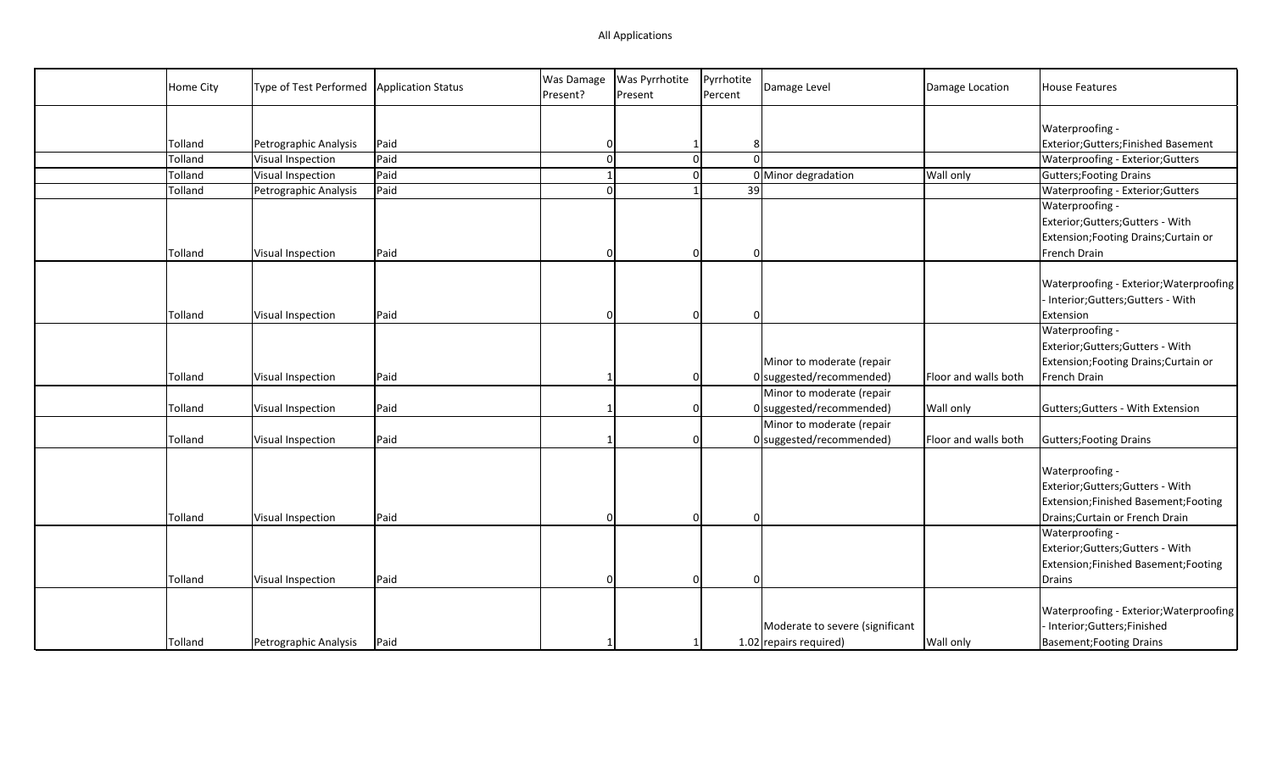## All Applications

| Home City | Type of Test Performed   Application Status |              | Was Damage<br>Present? | Was Pyrrhotite<br>Present | Pyrrhotite<br>Percent      | Damage Level                                              | Damage Location      | <b>House Features</b>                                                                                                          |
|-----------|---------------------------------------------|--------------|------------------------|---------------------------|----------------------------|-----------------------------------------------------------|----------------------|--------------------------------------------------------------------------------------------------------------------------------|
|           |                                             |              |                        |                           |                            |                                                           |                      |                                                                                                                                |
| Tolland   |                                             |              | O                      |                           | 8                          |                                                           |                      | Waterproofing -<br>Exterior;Gutters;Finished Basement                                                                          |
|           | Petrographic Analysis                       | Paid<br>Paid | $\Omega$               |                           |                            |                                                           |                      |                                                                                                                                |
| Tolland   | Visual Inspection                           | Paid         | $\mathbf{1}$           |                           | $\mathbf 0$<br>$\mathbf 0$ |                                                           | <b>Wall only</b>     | Waterproofing - Exterior; Gutters                                                                                              |
| Tolland   | Visual Inspection                           |              |                        | $\mathbf{1}$              |                            | 0 Minor degradation                                       |                      | <b>Gutters; Footing Drains</b>                                                                                                 |
| Tolland   | Petrographic Analysis                       | Paid         | $\Omega$               |                           | 39                         |                                                           |                      | Waterproofing - Exterior; Gutters                                                                                              |
|           |                                             |              |                        |                           |                            |                                                           |                      | Waterproofing -                                                                                                                |
|           |                                             |              |                        |                           |                            |                                                           |                      | Exterior; Gutters; Gutters - With                                                                                              |
|           |                                             |              |                        |                           |                            |                                                           |                      | Extension; Footing Drains; Curtain or                                                                                          |
| Tolland   | Visual Inspection                           | Paid         | n                      |                           | $\Omega$                   |                                                           |                      | French Drain                                                                                                                   |
| Tolland   | Visual Inspection                           | Paid         | n                      |                           | $\Omega$                   |                                                           |                      | Waterproofing - Exterior; Waterproofing<br>Interior; Gutters; Gutters - With<br>Extension                                      |
| Tolland   |                                             | Paid         |                        |                           | 0                          | Minor to moderate (repair<br>$0$ suggested/recommended)   | Floor and walls both | Waterproofing -<br>Exterior; Gutters; Gutters - With<br>Extension; Footing Drains; Curtain or<br>French Drain                  |
|           | Visual Inspection                           |              |                        |                           |                            |                                                           |                      |                                                                                                                                |
|           |                                             |              |                        |                           |                            | Minor to moderate (repair                                 |                      |                                                                                                                                |
| Tolland   | Visual Inspection                           | Paid         |                        |                           | $\Omega$                   | $0$ suggested/recommended)                                | Wall only            | Gutters; Gutters - With Extension                                                                                              |
|           |                                             |              |                        |                           |                            | Minor to moderate (repair                                 |                      |                                                                                                                                |
| Tolland   | Visual Inspection                           | Paid         |                        |                           | $\Omega$                   | $0$ suggested/recommended)                                | Floor and walls both | Gutters; Footing Drains                                                                                                        |
| Tolland   | Visual Inspection                           | Paid         |                        |                           | $\Omega$                   |                                                           |                      | Waterproofing -<br>Exterior; Gutters; Gutters - With<br>Extension;Finished Basement;Footing<br>Drains; Curtain or French Drain |
|           |                                             |              |                        |                           |                            |                                                           |                      | Waterproofing -<br>Exterior; Gutters; Gutters - With<br>Extension;Finished Basement;Footing                                    |
| Tolland   | Visual Inspection                           | Paid         |                        |                           | $\Omega$                   |                                                           |                      | Drains                                                                                                                         |
| Tolland   | Petrographic Analysis                       | Paid         |                        |                           | $\mathbf{1}$               | Moderate to severe (significant<br>1.02 repairs required) | <b>Wall only</b>     | Waterproofing - Exterior; Waterproofing<br>Interior;Gutters;Finished<br><b>Basement; Footing Drains</b>                        |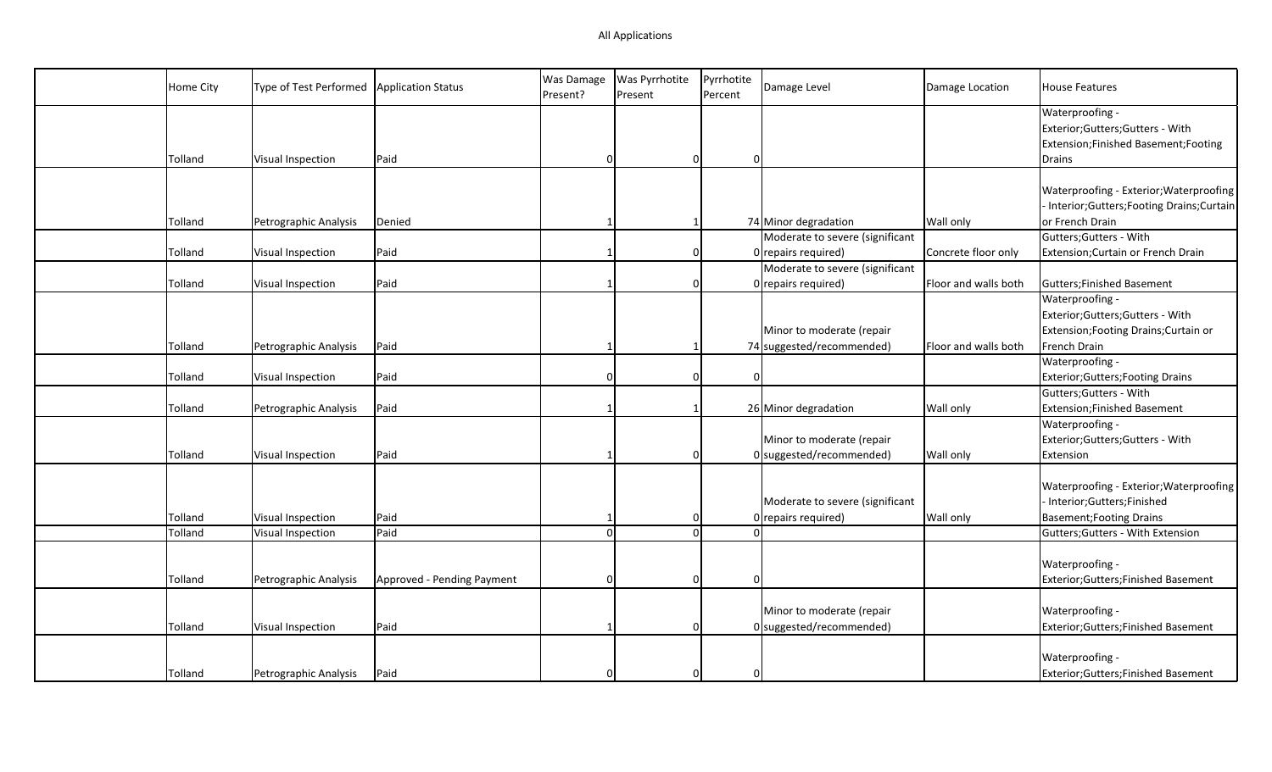| Home City | Type of Test Performed | Application Status         | Was Damage<br>Present? | <b>Was Pyrrhotite</b><br>Present | Pyrrhotite<br>Percent | Damage Level                    | Damage Location      | <b>House Features</b>                        |
|-----------|------------------------|----------------------------|------------------------|----------------------------------|-----------------------|---------------------------------|----------------------|----------------------------------------------|
|           |                        |                            |                        |                                  |                       |                                 |                      | Waterproofing -                              |
|           |                        |                            |                        |                                  |                       |                                 |                      | Exterior; Gutters; Gutters - With            |
|           |                        |                            |                        |                                  |                       |                                 |                      | Extension;Finished Basement;Footing          |
| Tolland   | Visual Inspection      | Paid                       | $\Omega$               | 0                                | $\Omega$              |                                 |                      | Drains                                       |
|           |                        |                            |                        |                                  |                       |                                 |                      |                                              |
|           |                        |                            |                        |                                  |                       |                                 |                      | Waterproofing - Exterior; Waterproofing      |
|           |                        |                            |                        |                                  |                       |                                 |                      | - Interior; Gutters; Footing Drains; Curtain |
| Tolland   | Petrographic Analysis  | Denied                     |                        |                                  |                       | 74 Minor degradation            | Wall only            | or French Drain                              |
|           |                        |                            |                        |                                  |                       | Moderate to severe (significant |                      | Gutters; Gutters - With                      |
| Tolland   | Visual Inspection      | Paid                       | $\mathbf 1$            |                                  | 0                     | $0$ repairs required)           | Concrete floor only  | Extension; Curtain or French Drain           |
|           |                        |                            |                        |                                  |                       | Moderate to severe (significant |                      |                                              |
| Tolland   | Visual Inspection      | Paid                       |                        |                                  | 0                     | $0$ repairs required)           | Floor and walls both | Gutters; Finished Basement                   |
|           |                        |                            |                        |                                  |                       |                                 |                      | Waterproofing -                              |
|           |                        |                            |                        |                                  |                       |                                 |                      | Exterior; Gutters; Gutters - With            |
|           |                        |                            |                        |                                  |                       | Minor to moderate (repair       |                      | Extension; Footing Drains; Curtain or        |
| Tolland   | Petrographic Analysis  | Paid                       |                        |                                  |                       | 74 suggested/recommended)       | Floor and walls both | French Drain                                 |
|           |                        |                            |                        |                                  |                       |                                 |                      | Waterproofing -                              |
| Tolland   | Visual Inspection      | Paid                       | $\Omega$               |                                  | 0<br>0                |                                 |                      | Exterior; Gutters; Footing Drains            |
|           |                        |                            |                        |                                  |                       |                                 |                      | Gutters; Gutters - With                      |
| Tolland   | Petrographic Analysis  | Paid                       |                        |                                  |                       | 26 Minor degradation            | Wall only            | Extension; Finished Basement                 |
|           |                        |                            |                        |                                  |                       |                                 |                      | Waterproofing -                              |
|           |                        |                            |                        |                                  |                       | Minor to moderate (repair       |                      | Exterior; Gutters; Gutters - With            |
| Tolland   | Visual Inspection      | Paid                       |                        | 0                                |                       | 0 suggested/recommended)        | Wall only            | Extension                                    |
|           |                        |                            |                        |                                  |                       |                                 |                      |                                              |
|           |                        |                            |                        |                                  |                       |                                 |                      | Waterproofing - Exterior; Waterproofing      |
|           |                        |                            |                        |                                  |                       | Moderate to severe (significant |                      | - Interior;Gutters;Finished                  |
| Tolland   | Visual Inspection      | Paid                       |                        |                                  | 0                     | $0$ repairs required)           | Wall only            | <b>Basement; Footing Drains</b>              |
| Tolland   | Visual Inspection      | Paid                       | $\Omega$               |                                  | $\Omega$              |                                 |                      | Gutters; Gutters - With Extension            |
|           |                        |                            |                        |                                  |                       |                                 |                      |                                              |
|           |                        |                            |                        |                                  |                       |                                 |                      | Waterproofing -                              |
| Tolland   | Petrographic Analysis  | Approved - Pending Payment | $\Omega$               |                                  | 0<br>0                |                                 |                      | Exterior; Gutters; Finished Basement         |
|           |                        |                            |                        |                                  |                       |                                 |                      |                                              |
|           |                        |                            |                        |                                  |                       | Minor to moderate (repair       |                      | Waterproofing -                              |
| Tolland   | Visual Inspection      | Paid                       |                        |                                  | $\Omega$              | 0 suggested/recommended)        |                      | Exterior; Gutters; Finished Basement         |
|           |                        |                            |                        |                                  |                       |                                 |                      |                                              |
|           |                        |                            |                        |                                  |                       |                                 |                      | Waterproofing -                              |
| Tolland   | Petrographic Analysis  | Paid                       | $\Omega$               | O                                | 0                     |                                 |                      | Exterior; Gutters; Finished Basement         |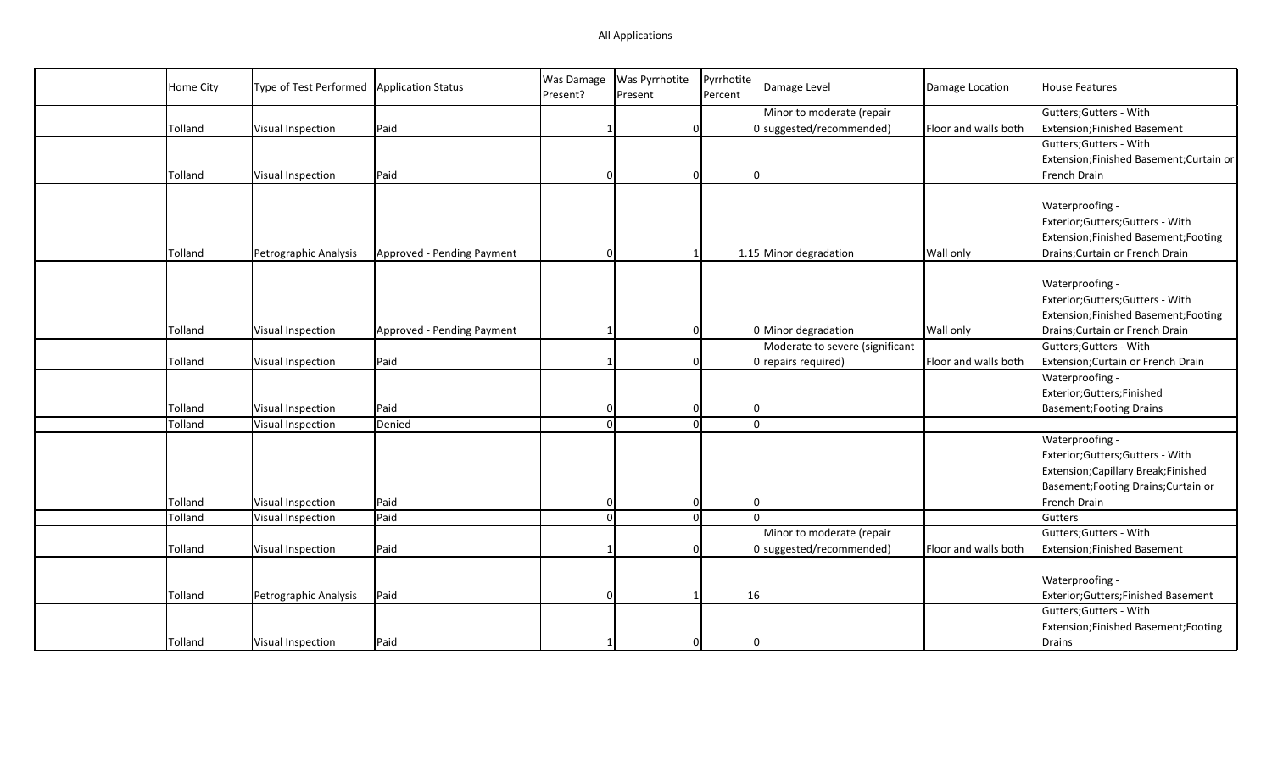| Home City | Type of Test Performed | <b>Application Status</b>  | Was Damage<br>Present? | Was Pyrrhotite<br>Present | Pyrrhotite<br>Percent | Damage Level                    | Damage Location      | <b>House Features</b>                  |
|-----------|------------------------|----------------------------|------------------------|---------------------------|-----------------------|---------------------------------|----------------------|----------------------------------------|
|           |                        |                            |                        |                           |                       | Minor to moderate (repair       |                      | Gutters; Gutters - With                |
| Tolland   | Visual Inspection      | Paid                       |                        | 0                         |                       | $0$ suggested/recommended)      | Floor and walls both | <b>Extension;Finished Basement</b>     |
|           |                        |                            |                        |                           |                       |                                 |                      | Gutters; Gutters - With                |
|           |                        |                            |                        |                           |                       |                                 |                      | Extension;Finished Basement;Curtain or |
| Tolland   | Visual Inspection      | Paid                       | $\Omega$               | 0                         | $\Omega$              |                                 |                      | French Drain                           |
|           |                        |                            |                        |                           |                       |                                 |                      |                                        |
|           |                        |                            |                        |                           |                       |                                 |                      | Waterproofing -                        |
|           |                        |                            |                        |                           |                       |                                 |                      | Exterior;Gutters;Gutters - With        |
|           |                        |                            |                        |                           |                       |                                 |                      | Extension;Finished Basement;Footing    |
| Tolland   | Petrographic Analysis  | Approved - Pending Payment | $\Omega$               |                           |                       | 1.15 Minor degradation          | <b>Wall only</b>     | Drains; Curtain or French Drain        |
|           |                        |                            |                        |                           |                       |                                 |                      |                                        |
|           |                        |                            |                        |                           |                       |                                 |                      | Waterproofing -                        |
|           |                        |                            |                        |                           |                       |                                 |                      | Exterior;Gutters;Gutters - With        |
|           |                        |                            |                        |                           |                       |                                 |                      | Extension;Finished Basement;Footing    |
| Tolland   | Visual Inspection      | Approved - Pending Payment |                        | $\Omega$                  |                       | 0 Minor degradation             | <b>Wall only</b>     | Drains; Curtain or French Drain        |
|           |                        |                            |                        |                           |                       | Moderate to severe (significant |                      | Gutters; Gutters - With                |
| Tolland   | Visual Inspection      | Paid                       |                        | $\Omega$                  |                       | 0 repairs required)             | Floor and walls both | Extension; Curtain or French Drain     |
|           |                        |                            |                        |                           |                       |                                 |                      | Waterproofing -                        |
|           |                        |                            |                        |                           |                       |                                 |                      | Exterior;Gutters;Finished              |
| Tolland   | Visual Inspection      | Paid                       | $\Omega$               | 0                         | $\Omega$              |                                 |                      | <b>Basement; Footing Drains</b>        |
| Tolland   | Visual Inspection      | Denied                     | $\Omega$               | $\overline{0}$            |                       | $\Omega$                        |                      |                                        |
|           |                        |                            |                        |                           |                       |                                 |                      | Waterproofing -                        |
|           |                        |                            |                        |                           |                       |                                 |                      | Exterior;Gutters;Gutters - With        |
|           |                        |                            |                        |                           |                       |                                 |                      | Extension; Capillary Break; Finished   |
|           |                        |                            |                        |                           |                       |                                 |                      | Basement; Footing Drains; Curtain or   |
| Tolland   | Visual Inspection      | Paid                       | $\Omega$               | $\Omega$                  | $\Omega$              |                                 |                      | French Drain                           |
| Tolland   | Visual Inspection      | Paid                       | $\Omega$               | $\Omega$                  | $\Omega$              |                                 |                      | Gutters                                |
|           |                        |                            |                        |                           |                       | Minor to moderate (repair       |                      | Gutters; Gutters - With                |
| Tolland   | Visual Inspection      | Paid                       |                        | $\Omega$                  |                       | $0$ suggested/recommended)      | Floor and walls both | <b>Extension;Finished Basement</b>     |
|           |                        |                            |                        |                           |                       |                                 |                      |                                        |
|           |                        |                            |                        |                           |                       |                                 |                      | Waterproofing -                        |
| Tolland   | Petrographic Analysis  | Paid                       | $\Omega$               |                           | 16                    |                                 |                      | Exterior;Gutters;Finished Basement     |
|           |                        |                            |                        |                           |                       |                                 |                      | Gutters; Gutters - With                |
|           |                        |                            |                        |                           |                       |                                 |                      | Extension;Finished Basement;Footing    |
| Tolland   | Visual Inspection      | Paid                       |                        | $\Omega$                  | ∩                     |                                 |                      | Drains                                 |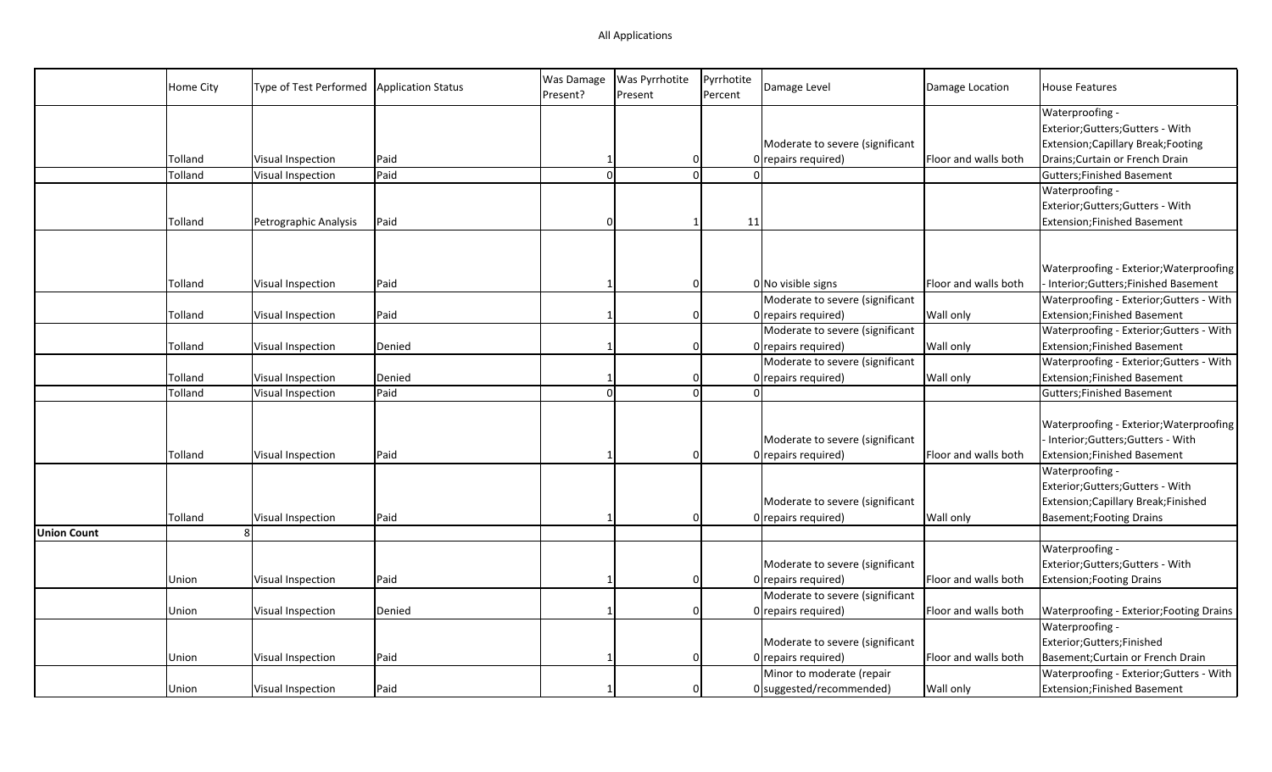|                    | Home City | Type of Test Performed | <b>Application Status</b> | Was Damage<br>Present? | Was Pyrrhotite<br>Present | Pyrrhotite<br>Percent | Damage Level                    | Damage Location      | <b>House Features</b>                    |
|--------------------|-----------|------------------------|---------------------------|------------------------|---------------------------|-----------------------|---------------------------------|----------------------|------------------------------------------|
|                    |           |                        |                           |                        |                           |                       |                                 |                      | Waterproofing -                          |
|                    |           |                        |                           |                        |                           |                       |                                 |                      | Exterior;Gutters;Gutters - With          |
|                    |           |                        |                           |                        |                           |                       | Moderate to severe (significant |                      | Extension; Capillary Break; Footing      |
|                    | Tolland   | Visual Inspection      | Paid                      |                        | 0                         |                       | 0 repairs required)             | Floor and walls both | Drains; Curtain or French Drain          |
|                    | Tolland   | Visual Inspection      | Paid                      | $\Omega$               | Ω                         |                       |                                 |                      | <b>Gutters; Finished Basement</b>        |
|                    |           |                        |                           |                        |                           |                       |                                 |                      | Waterproofing -                          |
|                    |           |                        |                           |                        |                           |                       |                                 |                      | Exterior;Gutters;Gutters - With          |
|                    | Tolland   | Petrographic Analysis  | Paid                      | $\Omega$               | $\mathbf{1}$              | 11                    |                                 |                      | <b>Extension;Finished Basement</b>       |
|                    |           |                        |                           |                        |                           |                       |                                 |                      |                                          |
|                    |           |                        |                           |                        |                           |                       |                                 |                      |                                          |
|                    |           |                        |                           |                        |                           |                       |                                 |                      | Waterproofing - Exterior; Waterproofing  |
|                    | Tolland   | Visual Inspection      | Paid                      |                        | $\Omega$                  |                       | $0$ No visible signs            | Floor and walls both | Interior;Gutters;Finished Basement       |
|                    |           |                        |                           |                        |                           |                       | Moderate to severe (significant |                      | Waterproofing - Exterior; Gutters - With |
|                    | Tolland   | Visual Inspection      | Paid                      |                        | $\Omega$                  |                       | 0 repairs required)             | Wall only            | Extension; Finished Basement             |
|                    |           |                        |                           |                        |                           |                       | Moderate to severe (significant |                      | Waterproofing - Exterior; Gutters - With |
|                    | Tolland   | Visual Inspection      | Denied                    |                        | 0                         |                       | 0 repairs required)             | Wall only            | Extension; Finished Basement             |
|                    |           |                        |                           |                        |                           |                       | Moderate to severe (significant |                      | Waterproofing - Exterior; Gutters - With |
|                    | Tolland   | Visual Inspection      | Denied                    |                        | $\Omega$                  |                       | 0 repairs required)             | Wall only            | Extension; Finished Basement             |
|                    | Tolland   | Visual Inspection      | Paid                      | $\Omega$               | $\Omega$                  |                       |                                 |                      | Gutters; Finished Basement               |
|                    |           |                        |                           |                        |                           |                       |                                 |                      |                                          |
|                    |           |                        |                           |                        |                           |                       |                                 |                      | Waterproofing - Exterior; Waterproofing  |
|                    |           |                        |                           |                        |                           |                       | Moderate to severe (significant |                      | - Interior;Gutters;Gutters - With        |
|                    | Tolland   | Visual Inspection      | Paid                      |                        | $\Omega$                  |                       | 0 repairs required)             | Floor and walls both | <b>Extension;Finished Basement</b>       |
|                    |           |                        |                           |                        |                           |                       |                                 |                      | Waterproofing -                          |
|                    |           |                        |                           |                        |                           |                       |                                 |                      | Exterior;Gutters;Gutters - With          |
|                    |           |                        |                           |                        |                           |                       | Moderate to severe (significant |                      | Extension; Capillary Break; Finished     |
|                    | Tolland   | Visual Inspection      | Paid                      |                        | $\Omega$                  |                       | 0 repairs required)             | <b>Wall only</b>     | <b>Basement; Footing Drains</b>          |
| <b>Union Count</b> |           |                        |                           |                        |                           |                       |                                 |                      |                                          |
|                    |           |                        |                           |                        |                           |                       |                                 |                      | Waterproofing -                          |
|                    |           |                        |                           |                        |                           |                       | Moderate to severe (significant |                      | Exterior; Gutters; Gutters - With        |
|                    | Union     | Visual Inspection      | Paid                      |                        | $\Omega$                  |                       | 0 repairs required)             | Floor and walls both | <b>Extension; Footing Drains</b>         |
|                    |           |                        |                           |                        |                           |                       | Moderate to severe (significant |                      |                                          |
|                    | Union     | Visual Inspection      | Denied                    |                        | $\Omega$                  |                       | 0 repairs required)             | Floor and walls both | Waterproofing - Exterior; Footing Drains |
|                    |           |                        |                           |                        |                           |                       |                                 |                      | Waterproofing -                          |
|                    |           |                        |                           |                        |                           |                       | Moderate to severe (significant |                      | Exterior;Gutters;Finished                |
|                    | Union     | Visual Inspection      | Paid                      |                        | $\Omega$                  |                       | 0 repairs required)             | Floor and walls both | Basement; Curtain or French Drain        |
|                    |           |                        |                           |                        |                           |                       | Minor to moderate (repair       |                      | Waterproofing - Exterior; Gutters - With |
|                    | Union     | Visual Inspection      | Paid                      |                        | $\Omega$                  |                       | 0 suggested/recommended)        | Wall only            | <b>Extension;Finished Basement</b>       |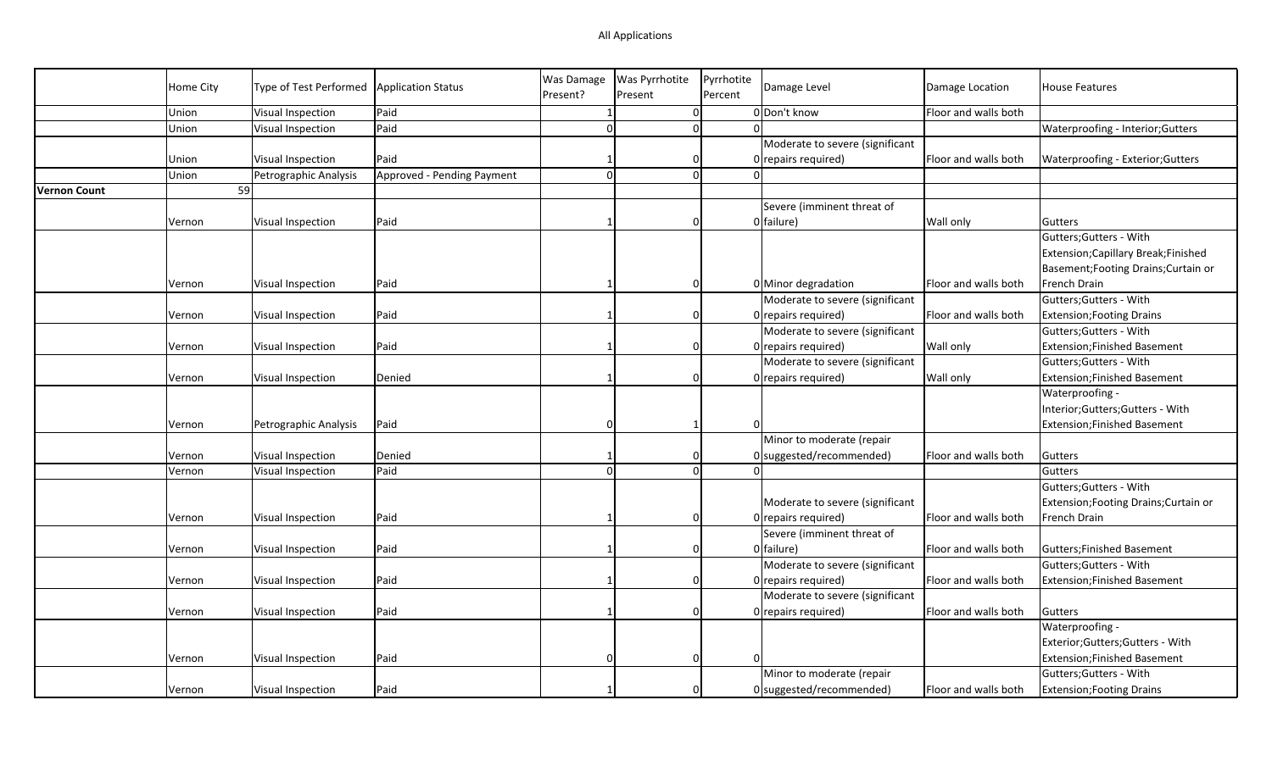|                     | <b>Home City</b> | Type of Test Performed | Application Status         | <b>Was Damage</b> | <b>Was Pyrrhotite</b> | Pyrrhotite | Damage Level                    | Damage Location      | <b>House Features</b>                 |
|---------------------|------------------|------------------------|----------------------------|-------------------|-----------------------|------------|---------------------------------|----------------------|---------------------------------------|
|                     |                  |                        |                            | Present?          | Present               | Percent    |                                 |                      |                                       |
|                     | Union            | Visual Inspection      | Paid                       |                   | 0                     |            | 0 Don't know                    | Floor and walls both |                                       |
|                     | Union            | Visual Inspection      | Paid                       | $\Omega$          | 0                     | ΩI         |                                 |                      | Waterproofing - Interior; Gutters     |
|                     |                  |                        |                            |                   |                       |            | Moderate to severe (significant |                      |                                       |
|                     | Union            | Visual Inspection      | Paid                       |                   | $\Omega$              |            | 0 repairs required)             | Floor and walls both | Waterproofing - Exterior; Gutters     |
|                     | Union            | Petrographic Analysis  | Approved - Pending Payment |                   | $\overline{0}$        |            |                                 |                      |                                       |
| <b>Vernon Count</b> |                  | 59                     |                            |                   |                       |            |                                 |                      |                                       |
|                     |                  |                        |                            |                   |                       |            | Severe (imminent threat of      |                      |                                       |
|                     | Vernon           | Visual Inspection      | Paid                       |                   | $\Omega$              |            | 0 failure)                      | Wall only            | <b>Gutters</b>                        |
|                     |                  |                        |                            |                   |                       |            |                                 |                      | Gutters; Gutters - With               |
|                     |                  |                        |                            |                   |                       |            |                                 |                      | Extension; Capillary Break; Finished  |
|                     |                  |                        |                            |                   |                       |            |                                 |                      | Basement; Footing Drains; Curtain or  |
|                     | Vernon           | Visual Inspection      | Paid                       |                   | $\Omega$              |            | 0 Minor degradation             | Floor and walls both | French Drain                          |
|                     |                  |                        |                            |                   |                       |            | Moderate to severe (significant |                      | Gutters; Gutters - With               |
|                     | Vernon           | Visual Inspection      | Paid                       |                   | $\mathbf 0$           |            | $0$ repairs required)           | Floor and walls both | <b>Extension; Footing Drains</b>      |
|                     |                  |                        |                            |                   |                       |            | Moderate to severe (significant |                      | Gutters; Gutters - With               |
|                     | Vernon           | Visual Inspection      | Paid                       |                   | 0                     |            | 0 repairs required)             | <b>Wall only</b>     | Extension; Finished Basement          |
|                     |                  |                        |                            |                   |                       |            | Moderate to severe (significant |                      | Gutters; Gutters - With               |
|                     | Vernon           | Visual Inspection      | Denied                     |                   | $\Omega$              |            | 0 repairs required)             | Wall only            | Extension; Finished Basement          |
|                     |                  |                        |                            |                   |                       |            |                                 |                      | Waterproofing -                       |
|                     |                  |                        |                            |                   |                       |            |                                 |                      | Interior; Gutters; Gutters - With     |
|                     | Vernon           | Petrographic Analysis  | Paid                       |                   | -1                    |            |                                 |                      | Extension; Finished Basement          |
|                     |                  |                        |                            |                   |                       |            |                                 |                      |                                       |
|                     |                  |                        |                            |                   |                       |            | Minor to moderate (repair       |                      |                                       |
|                     | Vernon           | Visual Inspection      | Denied                     |                   | $\Omega$              |            | $0$ suggested/recommended)      | Floor and walls both | Gutters                               |
|                     | Vernon           | Visual Inspection      | Paid                       |                   | $\Omega$              | ΩI         |                                 |                      | Gutters                               |
|                     |                  |                        |                            |                   |                       |            |                                 |                      | Gutters; Gutters - With               |
|                     |                  |                        |                            |                   |                       |            | Moderate to severe (significant |                      | Extension; Footing Drains; Curtain or |
|                     | Vernon           | Visual Inspection      | Paid                       |                   | $\Omega$              |            | 0 repairs required)             | Floor and walls both | French Drain                          |
|                     |                  |                        |                            |                   |                       |            | Severe (imminent threat of      |                      |                                       |
|                     | Vernon           | Visual Inspection      | Paid                       |                   | $\Omega$              |            | 0 failure)                      | Floor and walls both | Gutters; Finished Basement            |
|                     |                  |                        |                            |                   |                       |            | Moderate to severe (significant |                      | Gutters; Gutters - With               |
|                     | Vernon           | Visual Inspection      | Paid                       |                   | $\Omega$              |            | $0$ repairs required)           | Floor and walls both | Extension; Finished Basement          |
|                     |                  |                        |                            |                   |                       |            | Moderate to severe (significant |                      |                                       |
|                     | Vernon           | Visual Inspection      | Paid                       |                   | $\Omega$              |            | 0 repairs required)             | Floor and walls both | Gutters                               |
|                     |                  |                        |                            |                   |                       |            |                                 |                      | Waterproofing -                       |
|                     |                  |                        |                            |                   |                       |            |                                 |                      | Exterior; Gutters; Gutters - With     |
|                     | Vernon           | Visual Inspection      | Paid                       |                   | 0                     | $\Omega$   |                                 |                      | Extension; Finished Basement          |
|                     |                  |                        |                            |                   |                       |            | Minor to moderate (repair       |                      | Gutters; Gutters - With               |
|                     | Vernon           | Visual Inspection      | Paid                       |                   | $\Omega$              |            | 0 suggested/recommended)        | Floor and walls both | <b>Extension; Footing Drains</b>      |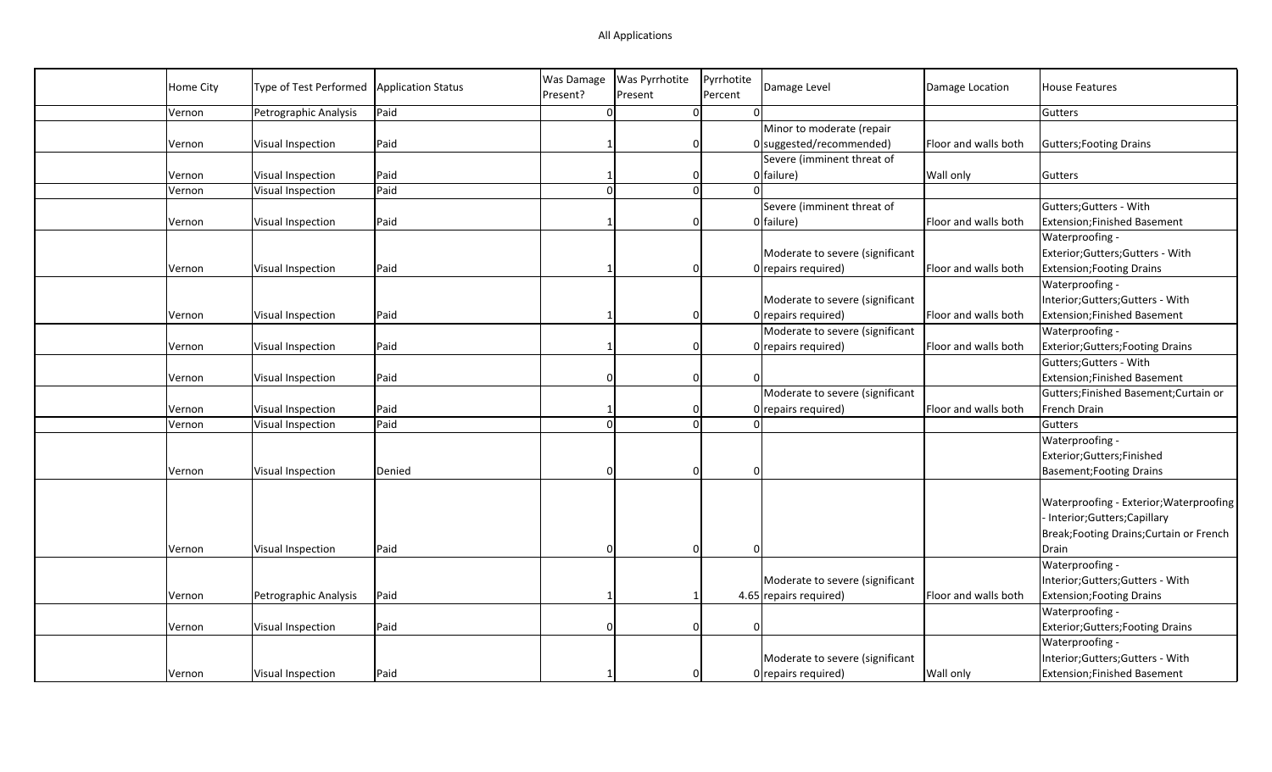| <b>Home City</b> | Type of Test Performed | <b>Application Status</b> | Was Damage<br>Present? | Was Pyrrhotite<br>Present | Pyrrhotite<br>Percent | Damage Level                                            | Damage Location      | <b>House Features</b>                    |
|------------------|------------------------|---------------------------|------------------------|---------------------------|-----------------------|---------------------------------------------------------|----------------------|------------------------------------------|
| Vernon           | Petrographic Analysis  | Paid                      | $\Omega$               | $\overline{0}$            |                       |                                                         |                      | Gutters                                  |
| Vernon           | Visual Inspection      | Paid                      |                        | $\overline{0}$            |                       | Minor to moderate (repair<br>$0$ suggested/recommended) | Floor and walls both | Gutters; Footing Drains                  |
|                  |                        |                           |                        |                           |                       | Severe (imminent threat of                              |                      |                                          |
| Vernon           | Visual Inspection      | Paid                      |                        | 0                         |                       | 0 failure)                                              | <b>Wall only</b>     | Gutters                                  |
| Vernon           | Visual Inspection      | Paid                      | $\Omega$               | $\mathbf{0}$              |                       |                                                         |                      |                                          |
|                  |                        |                           |                        |                           |                       | Severe (imminent threat of                              |                      | Gutters; Gutters - With                  |
| Vernon           | Visual Inspection      | Paid                      |                        | $\Omega$                  |                       | 0 failure)                                              | Floor and walls both | Extension; Finished Basement             |
|                  |                        |                           |                        |                           |                       |                                                         |                      | Waterproofing -                          |
|                  |                        |                           |                        |                           |                       | Moderate to severe (significant                         |                      | Exterior;Gutters;Gutters - With          |
| Vernon           | Visual Inspection      | Paid                      |                        | 0                         |                       | $0$ repairs required)                                   | Floor and walls both | Extension; Footing Drains                |
|                  |                        |                           |                        |                           |                       |                                                         |                      | Waterproofing -                          |
|                  |                        |                           |                        |                           |                       | Moderate to severe (significant                         |                      | Interior;Gutters;Gutters - With          |
| Vernon           | Visual Inspection      | Paid                      |                        | 0                         |                       | $0$ repairs required)                                   | Floor and walls both | <b>Extension;Finished Basement</b>       |
|                  |                        |                           |                        |                           |                       | Moderate to severe (significant                         |                      | Waterproofing -                          |
| Vernon           | Visual Inspection      | Paid                      |                        | 0                         |                       | $0$ repairs required)                                   | Floor and walls both | Exterior; Gutters; Footing Drains        |
|                  |                        |                           |                        |                           |                       |                                                         |                      | Gutters; Gutters - With                  |
| Vernon           | Visual Inspection      | Paid                      |                        | $\overline{0}$            |                       |                                                         |                      | Extension; Finished Basement             |
|                  |                        |                           |                        |                           |                       | Moderate to severe (significant                         |                      | Gutters; Finished Basement; Curtain or   |
| Vernon           | Visual Inspection      | Paid                      |                        | $\Omega$                  |                       | $0$ repairs required)                                   | Floor and walls both | French Drain                             |
| Vernon           | Visual Inspection      | Paid                      |                        | $\Omega$                  |                       |                                                         |                      | Gutters                                  |
|                  |                        |                           |                        |                           |                       |                                                         |                      | Waterproofing -                          |
|                  |                        |                           |                        |                           |                       |                                                         |                      | Exterior;Gutters;Finished                |
| Vernon           | Visual Inspection      | Denied                    | $\Omega$               | $\Omega$                  |                       | $\Omega$                                                |                      | <b>Basement; Footing Drains</b>          |
|                  |                        |                           |                        |                           |                       |                                                         |                      |                                          |
|                  |                        |                           |                        |                           |                       |                                                         |                      | Waterproofing - Exterior; Waterproofing  |
|                  |                        |                           |                        |                           |                       |                                                         |                      | Interior; Gutters; Capillary             |
|                  |                        |                           |                        |                           |                       |                                                         |                      | Break; Footing Drains; Curtain or French |
| Vernon           | Visual Inspection      | Paid                      | $\Omega$               | $\overline{0}$            |                       | $\Omega$                                                |                      | Drain                                    |
|                  |                        |                           |                        |                           |                       |                                                         |                      | Waterproofing -                          |
|                  |                        |                           |                        |                           |                       | Moderate to severe (significant                         |                      | Interior;Gutters;Gutters - With          |
| Vernon           | Petrographic Analysis  | Paid                      |                        |                           |                       | 4.65 repairs required)                                  | Floor and walls both | <b>Extension; Footing Drains</b>         |
|                  |                        |                           |                        |                           |                       |                                                         |                      | Waterproofing -                          |
| Vernon           | Visual Inspection      | Paid                      | n                      | $\overline{0}$            |                       | $\Omega$                                                |                      | <b>Exterior; Gutters; Footing Drains</b> |
|                  |                        |                           |                        |                           |                       |                                                         |                      | Waterproofing -                          |
|                  |                        |                           |                        |                           |                       | Moderate to severe (significant                         |                      | Interior;Gutters;Gutters - With          |
|                  |                        |                           |                        |                           |                       |                                                         |                      |                                          |
| Vernon           | Visual Inspection      | Paid                      |                        | 0                         |                       | $0$ repairs required)                                   | <b>Wall only</b>     | <b>Extension;Finished Basement</b>       |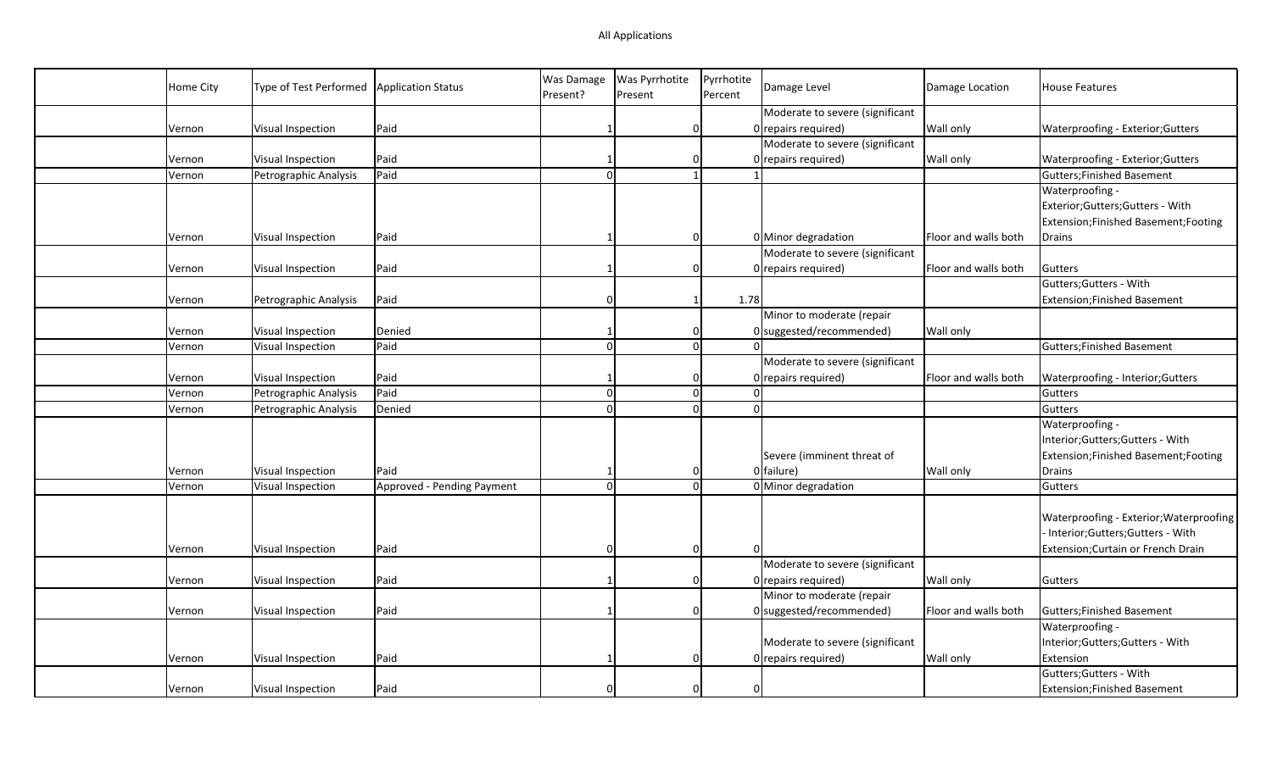| Home City | Type of Test Performed | <b>Application Status</b>  | Was Damage     | <b>Was Pyrrhotite</b> | Pyrrhotite   | Damage Level                    | Damage Location      | <b>House Features</b>                   |
|-----------|------------------------|----------------------------|----------------|-----------------------|--------------|---------------------------------|----------------------|-----------------------------------------|
|           |                        |                            | Present?       | Present               | Percent      |                                 |                      |                                         |
|           |                        |                            |                |                       |              | Moderate to severe (significant |                      |                                         |
| Vernon    | Visual Inspection      | Paid                       |                | 0                     |              | 0 repairs required)             | Wall only            | Waterproofing - Exterior; Gutters       |
|           |                        |                            |                |                       |              | Moderate to severe (significant |                      |                                         |
| Vernon    | Visual Inspection      | Paid                       |                | 0                     |              | 0 repairs required)             | Wall only            | Waterproofing - Exterior; Gutters       |
| Vernon    | Petrographic Analysis  | Paid                       | $\Omega$       | $\mathbf{1}$          |              |                                 |                      | Gutters; Finished Basement              |
|           |                        |                            |                |                       |              |                                 |                      | Waterproofing -                         |
|           |                        |                            |                |                       |              |                                 |                      | Exterior; Gutters; Gutters - With       |
|           |                        |                            |                |                       |              |                                 |                      | Extension; Finished Basement; Footing   |
| Vernon    | Visual Inspection      | Paid                       |                | $\Omega$              |              | 0 Minor degradation             | Floor and walls both | Drains                                  |
|           |                        |                            |                |                       |              | Moderate to severe (significant |                      |                                         |
| Vernon    | Visual Inspection      | Paid                       |                | $\Omega$              |              | 0 repairs required)             | Floor and walls both | Gutters                                 |
|           |                        |                            |                |                       |              |                                 |                      | Gutters; Gutters - With                 |
| Vernon    | Petrographic Analysis  | Paid                       | $\Omega$       | $\mathbf{1}$          | 1.78         |                                 |                      | Extension; Finished Basement            |
|           |                        |                            |                |                       |              | Minor to moderate (repair       |                      |                                         |
| Vernon    | Visual Inspection      | Denied                     |                | 0                     |              | 0 suggested/recommended)        | Wall only            |                                         |
| Vernon    | Visual Inspection      | Paid                       | $\Omega$       | <sub>0</sub>          |              |                                 |                      | Gutters; Finished Basement              |
|           |                        |                            |                |                       |              | Moderate to severe (significant |                      |                                         |
| Vernon    | Visual Inspection      | Paid                       |                | $\Omega$              |              | 0 repairs required)             | Floor and walls both | Waterproofing - Interior; Gutters       |
| Vernon    | Petrographic Analysis  | Paid                       | $\vert$ 0      | $\Omega$              | <sup>0</sup> |                                 |                      | Gutters                                 |
| Vernon    | Petrographic Analysis  | Denied                     | $\Omega$       | $\Omega$              | $\Omega$     |                                 |                      | Gutters                                 |
|           |                        |                            |                |                       |              |                                 |                      | Waterproofing -                         |
|           |                        |                            |                |                       |              |                                 |                      | Interior;Gutters;Gutters - With         |
|           |                        |                            |                |                       |              | Severe (imminent threat of      |                      | Extension; Finished Basement; Footing   |
| Vernon    | Visual Inspection      | Paid                       |                | $\Omega$              |              | 0 failure)                      | <b>Wall only</b>     | Drains                                  |
| Vernon    | Visual Inspection      | Approved - Pending Payment | $\overline{0}$ | $\overline{0}$        |              | 0 Minor degradation             |                      | Gutters                                 |
|           |                        |                            |                |                       |              |                                 |                      |                                         |
|           |                        |                            |                |                       |              |                                 |                      | Waterproofing - Exterior; Waterproofing |
|           |                        |                            |                |                       |              |                                 |                      | - Interior;Gutters;Gutters - With       |
| Vernon    | Visual Inspection      | Paid                       | O              | $\Omega$              | $\Omega$     |                                 |                      | Extension; Curtain or French Drain      |
|           |                        |                            |                |                       |              | Moderate to severe (significant |                      |                                         |
| Vernon    | Visual Inspection      | Paid                       |                | $\Omega$              |              | 0 repairs required)             | <b>Wall only</b>     | Gutters                                 |
|           |                        |                            |                |                       |              | Minor to moderate (repair       |                      |                                         |
|           |                        |                            |                | $\Omega$              |              |                                 |                      |                                         |
| Vernon    | Visual Inspection      | Paid                       |                |                       |              | $0$ suggested/recommended)      | Floor and walls both | Gutters; Finished Basement              |
|           |                        |                            |                |                       |              |                                 |                      | Waterproofing -                         |
|           |                        |                            |                |                       |              | Moderate to severe (significant |                      | Interior;Gutters;Gutters - With         |
| Vernon    | Visual Inspection      | Paid                       |                | 0                     |              | 0 repairs required)             | <b>Wall only</b>     | Extension                               |
|           |                        |                            |                |                       |              |                                 |                      | Gutters; Gutters - With                 |
| Vernon    | Visual Inspection      | Paid                       |                | $\Omega$              | $\Omega$     |                                 |                      | Extension; Finished Basement            |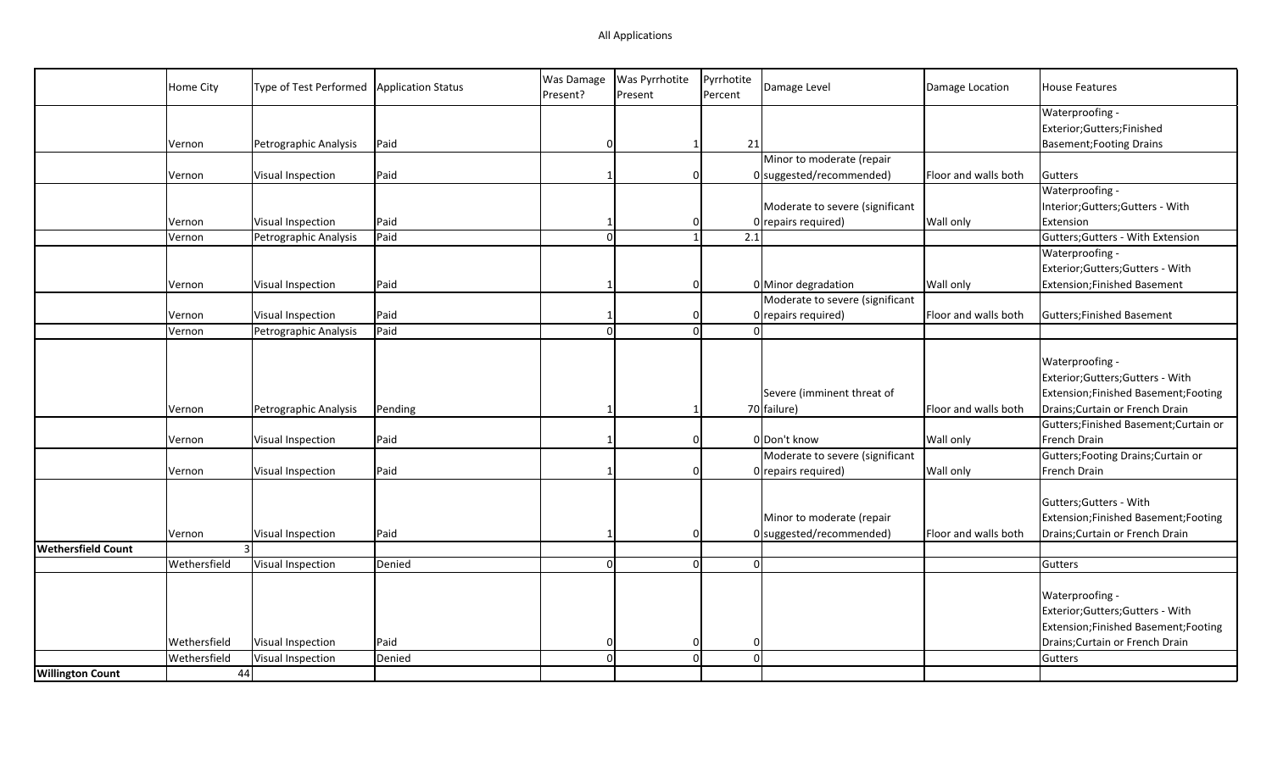|                           | Home City    | Type of Test Performed | Application Status | Was Damage<br>Present? | Was Pyrrhotite<br>Present | Pyrrhotite<br>Percent | Damage Level                    | Damage Location      | <b>House Features</b>                  |
|---------------------------|--------------|------------------------|--------------------|------------------------|---------------------------|-----------------------|---------------------------------|----------------------|----------------------------------------|
|                           |              |                        |                    |                        |                           |                       |                                 |                      | Waterproofing -                        |
|                           |              |                        |                    |                        |                           |                       |                                 |                      | Exterior;Gutters;Finished              |
|                           | Vernon       | Petrographic Analysis  | Paid               | $\Omega$               | 1                         | 21                    |                                 |                      | <b>Basement; Footing Drains</b>        |
|                           |              |                        |                    |                        |                           |                       | Minor to moderate (repair       |                      |                                        |
|                           | Vernon       | Visual Inspection      | Paid               |                        | $\mathbf 0$               |                       | $0$ suggested/recommended)      | Floor and walls both | Gutters                                |
|                           |              |                        |                    |                        |                           |                       |                                 |                      | Waterproofing -                        |
|                           |              |                        |                    |                        |                           |                       | Moderate to severe (significant |                      | Interior;Gutters;Gutters - With        |
|                           | Vernon       | Visual Inspection      | Paid               |                        | 0                         |                       | $0$ repairs required)           | Wall only            | Extension                              |
|                           | Vernon       | Petrographic Analysis  | Paid               | $\Omega$               | 1                         | 2.1                   |                                 |                      | Gutters; Gutters - With Extension      |
|                           |              |                        |                    |                        |                           |                       |                                 |                      | Waterproofing -                        |
|                           |              |                        |                    |                        |                           |                       |                                 |                      | Exterior; Gutters; Gutters - With      |
|                           | Vernon       | Visual Inspection      | Paid               |                        | $\Omega$                  |                       | 0 Minor degradation             | <b>Wall only</b>     | Extension;Finished Basement            |
|                           |              |                        |                    |                        |                           |                       | Moderate to severe (significant |                      |                                        |
|                           | Vernon       | Visual Inspection      | Paid               |                        | $\Omega$                  |                       | $0$ repairs required)           | Floor and walls both | Gutters; Finished Basement             |
|                           | Vernon       | Petrographic Analysis  | Paid               | $\Omega$               | $\Omega$                  | $\Omega$              |                                 |                      |                                        |
|                           |              |                        |                    |                        |                           |                       |                                 |                      | Waterproofing -                        |
|                           |              |                        |                    |                        |                           |                       |                                 |                      | Exterior; Gutters; Gutters - With      |
|                           |              |                        |                    |                        |                           |                       | Severe (imminent threat of      |                      | Extension; Finished Basement; Footing  |
|                           | Vernon       | Petrographic Analysis  | Pending            |                        | -1                        |                       | 70 failure)                     | Floor and walls both | Drains; Curtain or French Drain        |
|                           |              |                        |                    |                        |                           |                       |                                 |                      | Gutters; Finished Basement; Curtain or |
|                           | Vernon       | Visual Inspection      | Paid               |                        | $\Omega$                  |                       | O Don't know                    | <b>Wall only</b>     | French Drain                           |
|                           |              |                        |                    |                        |                           |                       | Moderate to severe (significant |                      | Gutters; Footing Drains; Curtain or    |
|                           | Vernon       | Visual Inspection      | Paid               |                        | $\Omega$                  |                       | $0$ repairs required)           | <b>Wall only</b>     | French Drain                           |
|                           |              |                        |                    |                        |                           |                       |                                 |                      |                                        |
|                           |              |                        |                    |                        |                           |                       |                                 |                      | Gutters; Gutters - With                |
|                           |              |                        |                    |                        |                           |                       | Minor to moderate (repair       |                      | Extension; Finished Basement; Footing  |
|                           | Vernon       | Visual Inspection      | Paid               |                        | $\Omega$                  |                       | $0$ suggested/recommended)      | Floor and walls both | Drains; Curtain or French Drain        |
| <b>Wethersfield Count</b> |              | 3 <sup>1</sup>         |                    |                        |                           |                       |                                 |                      |                                        |
|                           | Wethersfield | Visual Inspection      | Denied             | $\Omega$               | $\Omega$                  | $\Omega$              |                                 |                      | Gutters                                |
|                           |              |                        |                    |                        |                           |                       |                                 |                      |                                        |
|                           |              |                        |                    |                        |                           |                       |                                 |                      | Waterproofing -                        |
|                           |              |                        |                    |                        |                           |                       |                                 |                      | Exterior; Gutters; Gutters - With      |
|                           |              |                        |                    |                        |                           |                       |                                 |                      | Extension; Finished Basement; Footing  |
|                           | Wethersfield | Visual Inspection      | Paid               | $\Omega$               | $\Omega$                  | n                     |                                 |                      | Drains; Curtain or French Drain        |
|                           | Wethersfield | Visual Inspection      | Denied             | $\Omega$               | $\mathbf 0$               | $\Omega$              |                                 |                      | Gutters                                |
| <b>Willington Count</b>   |              | 44                     |                    |                        |                           |                       |                                 |                      |                                        |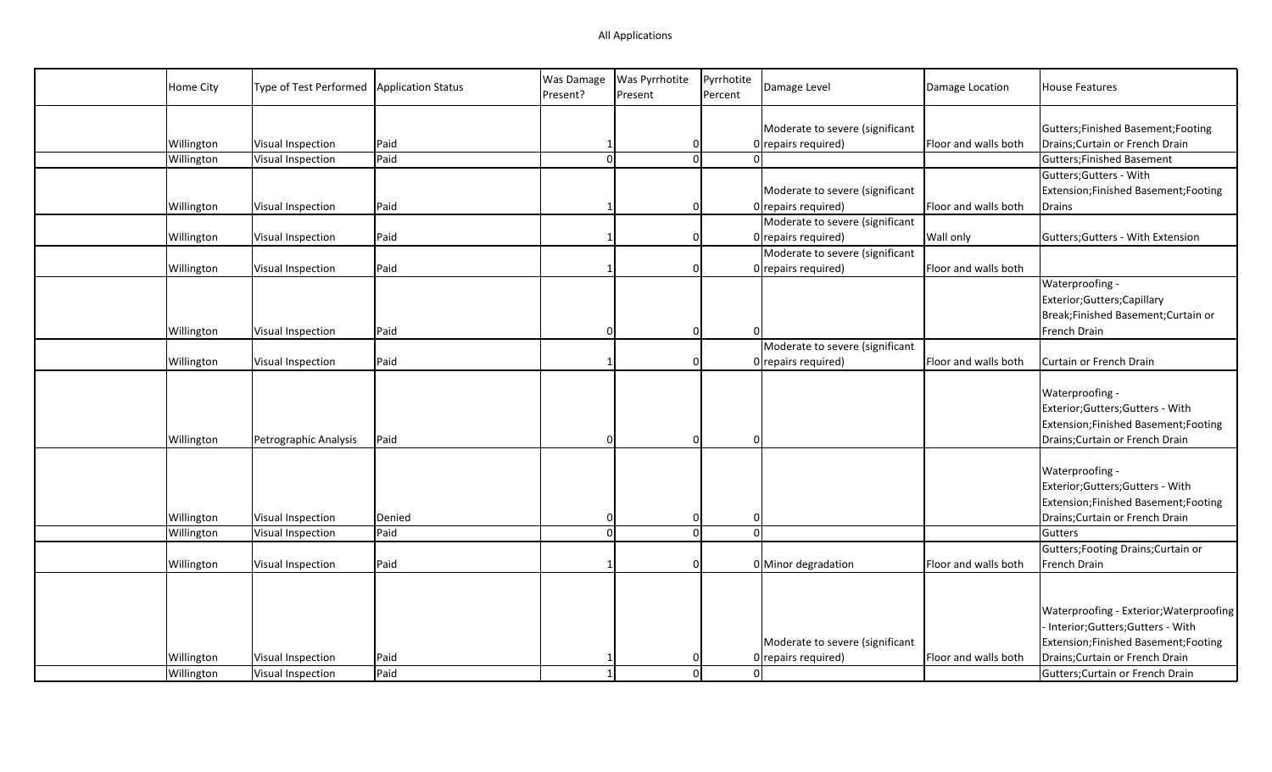| Home City  | Type of Test Performed | <b>Application Status</b> | Was Damage<br>Present? | Was Pyrrhotite<br>Present | Pyrrhotite<br>Percent | Damage Level                    | Damage Location      | <b>House Features</b>                                                    |
|------------|------------------------|---------------------------|------------------------|---------------------------|-----------------------|---------------------------------|----------------------|--------------------------------------------------------------------------|
|            |                        |                           |                        |                           |                       | Moderate to severe (significant |                      | Gutters; Finished Basement; Footing                                      |
| Willington | Visual Inspection      | Paid                      |                        | $\Omega$                  |                       | 0 repairs required)             | Floor and walls both | Drains; Curtain or French Drain                                          |
| Willington | Visual Inspection      | Paid                      | $\Omega$               | $\Omega$                  |                       |                                 |                      | <b>Gutters;Finished Basement</b>                                         |
|            |                        |                           |                        |                           |                       |                                 |                      | Gutters; Gutters - With                                                  |
|            |                        |                           |                        |                           |                       | Moderate to severe (significant |                      | Extension;Finished Basement;Footing                                      |
| Willington | Visual Inspection      | Paid                      |                        | $\Omega$                  |                       | 0 repairs required)             | Floor and walls both | Drains                                                                   |
|            |                        |                           |                        |                           |                       | Moderate to severe (significant |                      |                                                                          |
| Willington | Visual Inspection      | Paid                      |                        | $\Omega$                  |                       | 0 repairs required)             | Wall only            | Gutters; Gutters - With Extension                                        |
|            |                        |                           |                        |                           |                       | Moderate to severe (significant |                      |                                                                          |
| Willington | Visual Inspection      | Paid                      |                        | 0                         |                       | 0 repairs required)             | Floor and walls both |                                                                          |
|            |                        |                           |                        |                           |                       |                                 |                      | Waterproofing -                                                          |
|            |                        |                           |                        |                           |                       |                                 |                      | Exterior;Gutters;Capillary                                               |
|            |                        |                           |                        |                           |                       |                                 |                      | Break;Finished Basement;Curtain or                                       |
| Willington | Visual Inspection      | Paid                      | ŋ                      | $\Omega$                  |                       |                                 |                      | French Drain                                                             |
|            |                        |                           |                        |                           |                       | Moderate to severe (significant |                      |                                                                          |
| Willington | Visual Inspection      | Paid                      |                        | $\Omega$                  |                       | 0 repairs required)             | Floor and walls both | Curtain or French Drain                                                  |
|            |                        |                           |                        |                           |                       |                                 |                      |                                                                          |
|            |                        |                           |                        |                           |                       |                                 |                      | Waterproofing -                                                          |
|            |                        |                           |                        |                           |                       |                                 |                      | Exterior;Gutters;Gutters - With                                          |
|            |                        |                           |                        |                           |                       |                                 |                      | Extension; Finished Basement; Footing                                    |
| Willington | Petrographic Analysis  | Paid                      |                        | $\Omega$                  |                       | $\Omega$                        |                      | Drains; Curtain or French Drain                                          |
|            |                        |                           |                        |                           |                       |                                 |                      |                                                                          |
|            |                        |                           |                        |                           |                       |                                 |                      | Waterproofing -                                                          |
|            |                        |                           |                        |                           |                       |                                 |                      | Exterior;Gutters;Gutters - With                                          |
| Willington | Visual Inspection      | Denied                    |                        | 0                         |                       | $\Omega$                        |                      | Extension; Finished Basement; Footing<br>Drains; Curtain or French Drain |
| Willington | Visual Inspection      | Paid                      | $\Omega$               | 0                         |                       | $\Omega$                        |                      | Gutters                                                                  |
|            |                        |                           |                        |                           |                       |                                 |                      | Gutters; Footing Drains; Curtain or                                      |
| Willington | Visual Inspection      | Paid                      |                        | 0                         |                       | 0 Minor degradation             | Floor and walls both | French Drain                                                             |
|            |                        |                           |                        |                           |                       |                                 |                      |                                                                          |
|            |                        |                           |                        |                           |                       |                                 |                      |                                                                          |
|            |                        |                           |                        |                           |                       |                                 |                      | Waterproofing - Exterior; Waterproofing                                  |
|            |                        |                           |                        |                           |                       |                                 |                      | - Interior;Gutters;Gutters - With                                        |
|            |                        |                           |                        |                           |                       | Moderate to severe (significant |                      | Extension; Finished Basement; Footing                                    |
| Willington | Visual Inspection      | Paid                      |                        | 0                         |                       | 0 repairs required)             | Floor and walls both | Drains; Curtain or French Drain                                          |
| Willington | Visual Inspection      | Paid                      |                        | 0                         |                       | $\Omega$                        |                      | Gutters; Curtain or French Drain                                         |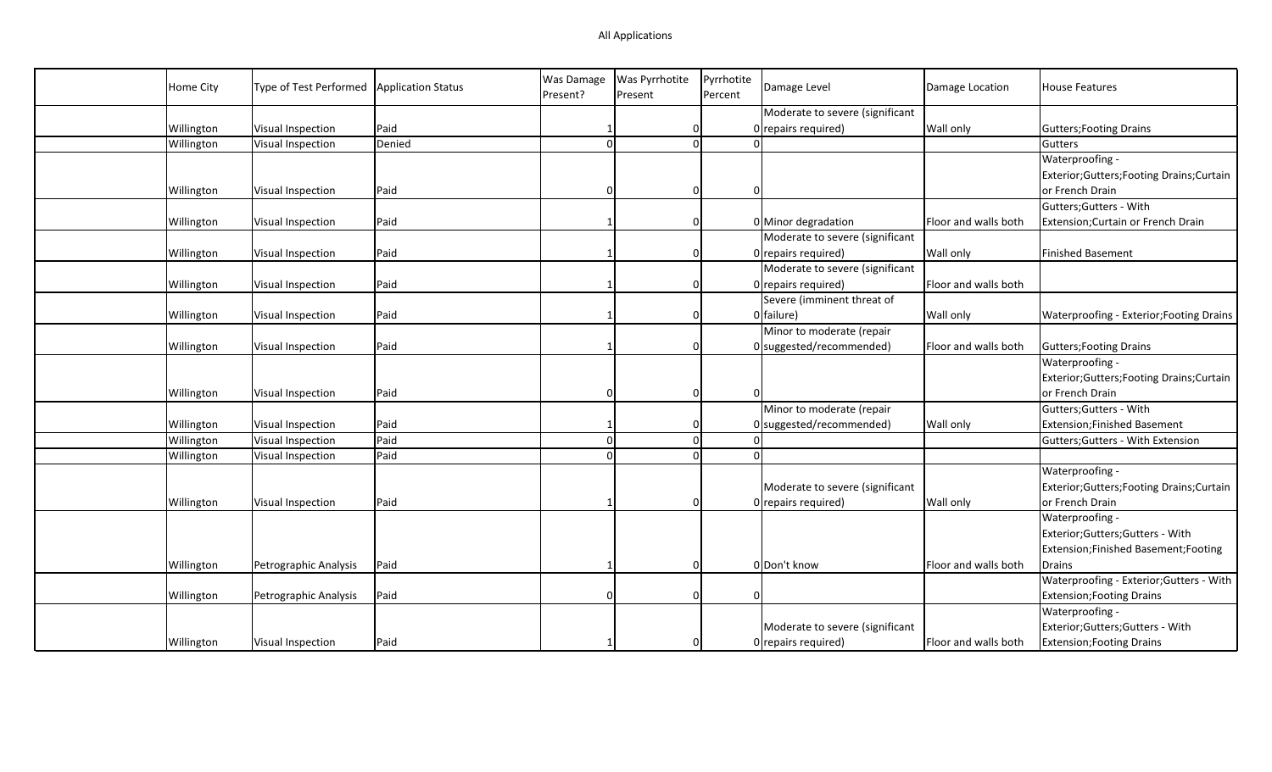| Home City  | Type of Test Performed | <b>Application Status</b> | Was Damage<br>Present? | Was Pyrrhotite<br>Present | Pyrrhotite<br>Percent | Damage Level                    | Damage Location      | <b>House Features</b>                      |
|------------|------------------------|---------------------------|------------------------|---------------------------|-----------------------|---------------------------------|----------------------|--------------------------------------------|
|            |                        |                           |                        |                           |                       | Moderate to severe (significant |                      |                                            |
| Willington | Visual Inspection      | Paid                      |                        | $\Omega$                  |                       | 0 repairs required)             | Wall only            | <b>Gutters; Footing Drains</b>             |
| Willington | Visual Inspection      | Denied                    | $\Omega$               | $\Omega$                  |                       |                                 |                      | Gutters                                    |
|            |                        |                           |                        |                           |                       |                                 |                      | Waterproofing -                            |
|            |                        |                           |                        |                           |                       |                                 |                      | Exterior; Gutters; Footing Drains; Curtain |
| Willington | Visual Inspection      | Paid                      | O                      | 0                         |                       | $\Omega$                        |                      | or French Drain                            |
|            |                        |                           |                        |                           |                       |                                 |                      | Gutters; Gutters - With                    |
| Willington | Visual Inspection      | Paid                      |                        | $\Omega$                  |                       | 0 Minor degradation             | Floor and walls both | Extension; Curtain or French Drain         |
|            |                        |                           |                        |                           |                       | Moderate to severe (significant |                      |                                            |
| Willington | Visual Inspection      | Paid                      |                        | $\Omega$                  |                       | 0 repairs required)             | Wall only            | <b>Finished Basement</b>                   |
|            |                        |                           |                        |                           |                       | Moderate to severe (significant |                      |                                            |
| Willington | Visual Inspection      | Paid                      |                        | 0                         |                       | 0 repairs required)             | Floor and walls both |                                            |
|            |                        |                           |                        |                           |                       | Severe (imminent threat of      |                      |                                            |
| Willington | Visual Inspection      | Paid                      |                        | 0                         |                       | 0 failure)                      | <b>Wall only</b>     | Waterproofing - Exterior; Footing Drains   |
|            |                        |                           |                        |                           |                       | Minor to moderate (repair       |                      |                                            |
| Willington | Visual Inspection      | Paid                      |                        | 0                         |                       | $0$ suggested/recommended)      | Floor and walls both | Gutters; Footing Drains                    |
|            |                        |                           |                        |                           |                       |                                 |                      | Waterproofing -                            |
|            |                        |                           |                        |                           |                       |                                 |                      | Exterior; Gutters; Footing Drains; Curtain |
| Willington | Visual Inspection      | Paid                      | O                      | 0                         |                       |                                 |                      | or French Drain                            |
|            |                        |                           |                        |                           |                       | Minor to moderate (repair       |                      | Gutters; Gutters - With                    |
| Willington | Visual Inspection      | Paid                      |                        | $\Omega$                  |                       | $0$ suggested/recommended)      | Wall only            | <b>Extension;Finished Basement</b>         |
| Willington | Visual Inspection      | Paid                      | $\Omega$               | $\Omega$                  |                       |                                 |                      | Gutters; Gutters - With Extension          |
| Willington | Visual Inspection      | Paid                      | $\Omega$               | $\Omega$                  |                       | $\Omega$                        |                      |                                            |
|            |                        |                           |                        |                           |                       |                                 |                      | Waterproofing -                            |
|            |                        |                           |                        |                           |                       | Moderate to severe (significant |                      | Exterior; Gutters; Footing Drains; Curtain |
| Willington | Visual Inspection      | Paid                      |                        | $\Omega$                  |                       | 0 repairs required)             | Wall only            | or French Drain                            |
|            |                        |                           |                        |                           |                       |                                 |                      | Waterproofing -                            |
|            |                        |                           |                        |                           |                       |                                 |                      | Exterior;Gutters;Gutters - With            |
|            |                        |                           |                        |                           |                       |                                 |                      | Extension; Finished Basement; Footing      |
| Willington | Petrographic Analysis  | Paid                      |                        | $\Omega$                  |                       | 0 Don't know                    | Floor and walls both | Drains                                     |
|            |                        |                           |                        |                           |                       |                                 |                      | Waterproofing - Exterior; Gutters - With   |
| Willington | Petrographic Analysis  | Paid                      | O                      | 0                         |                       | $\Omega$                        |                      | <b>Extension; Footing Drains</b>           |
|            |                        |                           |                        |                           |                       |                                 |                      | Waterproofing -                            |
|            |                        |                           |                        |                           |                       | Moderate to severe (significant |                      | Exterior;Gutters;Gutters - With            |
| Willington | Visual Inspection      | Paid                      |                        | 0                         |                       | 0 repairs required)             | Floor and walls both | <b>Extension; Footing Drains</b>           |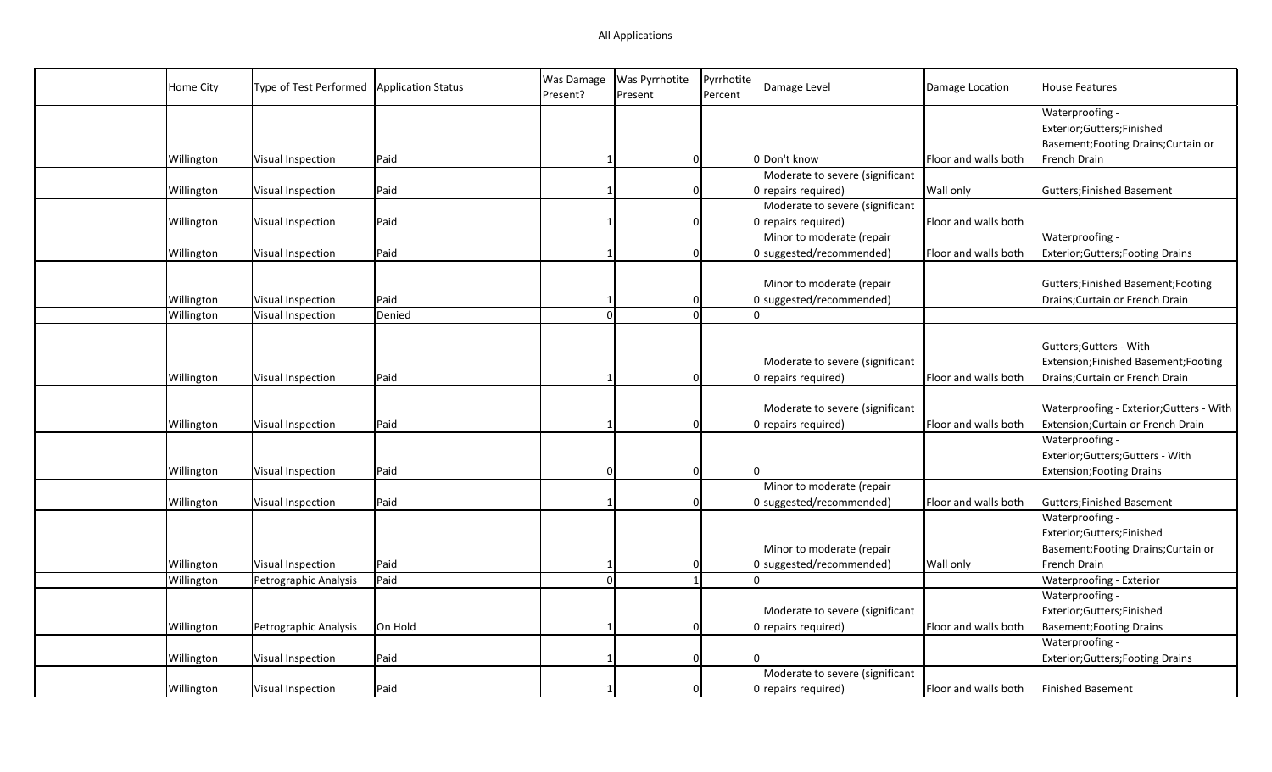| Home City  | Type of Test Performed | <b>Application Status</b> | Was Damage<br>Present? | Was Pyrrhotite<br>Present | Pyrrhotite<br>Percent | Damage Level                    | Damage Location      | <b>House Features</b>                    |
|------------|------------------------|---------------------------|------------------------|---------------------------|-----------------------|---------------------------------|----------------------|------------------------------------------|
|            |                        |                           |                        |                           |                       |                                 |                      | Waterproofing -                          |
|            |                        |                           |                        |                           |                       |                                 |                      | Exterior;Gutters;Finished                |
|            |                        |                           |                        |                           |                       |                                 |                      | Basement; Footing Drains; Curtain or     |
| Willington | Visual Inspection      | Paid                      |                        | $\Omega$                  |                       | 0 Don't know                    | Floor and walls both | French Drain                             |
|            |                        |                           |                        |                           |                       | Moderate to severe (significant |                      |                                          |
| Willington | Visual Inspection      | Paid                      |                        | $\Omega$                  |                       | 0 repairs required)             | Wall only            | Gutters; Finished Basement               |
|            |                        |                           |                        |                           |                       | Moderate to severe (significant |                      |                                          |
| Willington | Visual Inspection      | Paid                      |                        | $\Omega$                  |                       | 0 repairs required)             | Floor and walls both |                                          |
|            |                        |                           |                        |                           |                       | Minor to moderate (repair       |                      | Waterproofing -                          |
| Willington | Visual Inspection      | Paid                      |                        | 0                         |                       | $0$ suggested/recommended)      | Floor and walls both | <b>Exterior; Gutters; Footing Drains</b> |
|            |                        |                           |                        |                           |                       |                                 |                      |                                          |
|            |                        |                           |                        |                           |                       | Minor to moderate (repair       |                      | Gutters; Finished Basement; Footing      |
| Willington | Visual Inspection      | Paid                      |                        | $\Omega$                  |                       | $0$ suggested/recommended)      |                      | Drains; Curtain or French Drain          |
| Willington | Visual Inspection      | Denied                    |                        | $\Omega$                  |                       |                                 |                      |                                          |
|            |                        |                           |                        |                           |                       |                                 |                      |                                          |
|            |                        |                           |                        |                           |                       |                                 |                      | Gutters; Gutters - With                  |
|            |                        |                           |                        |                           |                       | Moderate to severe (significant |                      | Extension;Finished Basement;Footing      |
| Willington | Visual Inspection      | Paid                      |                        | $\Omega$                  |                       | 0 repairs required)             | Floor and walls both | Drains: Curtain or French Drain          |
|            |                        |                           |                        |                           |                       |                                 |                      |                                          |
|            |                        |                           |                        |                           |                       | Moderate to severe (significant |                      | Waterproofing - Exterior; Gutters - With |
| Willington | Visual Inspection      | Paid                      |                        | $\Omega$                  |                       | 0 repairs required)             | Floor and walls both | Extension; Curtain or French Drain       |
|            |                        |                           |                        |                           |                       |                                 |                      | Waterproofing -                          |
|            |                        |                           |                        |                           |                       |                                 |                      | Exterior;Gutters;Gutters - With          |
| Willington | Visual Inspection      | Paid                      |                        | $\Omega$                  |                       |                                 |                      | <b>Extension; Footing Drains</b>         |
|            |                        |                           |                        |                           |                       | Minor to moderate (repair       |                      |                                          |
| Willington | Visual Inspection      | Paid                      |                        | 0                         |                       | $0$ suggested/recommended)      | Floor and walls both | Gutters; Finished Basement               |
|            |                        |                           |                        |                           |                       |                                 |                      | Waterproofing -                          |
|            |                        |                           |                        |                           |                       |                                 |                      | Exterior;Gutters;Finished                |
|            |                        |                           |                        |                           |                       | Minor to moderate (repair       |                      | Basement; Footing Drains; Curtain or     |
| Willington | Visual Inspection      | Paid                      |                        | 0                         |                       | $0$ suggested/recommended)      | Wall only            | French Drain                             |
| Willington | Petrographic Analysis  | Paid                      | $\Omega$               | $\mathbf{1}$              |                       |                                 |                      | Waterproofing - Exterior                 |
|            |                        |                           |                        |                           |                       |                                 |                      | Waterproofing -                          |
|            |                        |                           |                        |                           |                       | Moderate to severe (significant |                      | Exterior;Gutters;Finished                |
| Willington | Petrographic Analysis  | On Hold                   |                        | $\Omega$                  |                       | 0 repairs required)             | Floor and walls both | <b>Basement; Footing Drains</b>          |
|            |                        |                           |                        |                           |                       |                                 |                      | Waterproofing -                          |
| Willington | Visual Inspection      | Paid                      |                        | $\Omega$                  |                       |                                 |                      | <b>Exterior; Gutters; Footing Drains</b> |
|            |                        |                           |                        |                           |                       | Moderate to severe (significant |                      |                                          |
| Willington | Visual Inspection      | Paid                      |                        | 0                         |                       | 0 repairs required)             | Floor and walls both | <b>Finished Basement</b>                 |